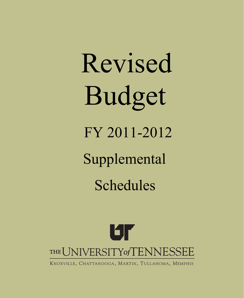# Revised Budget FY 2011-2012

Supplemental

Schedules



KNOXVILLE, CHATTANOOGA, MARTIN, TULLAHOMA, MEMPHIS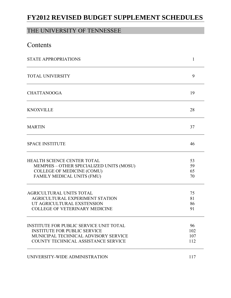# **FY2012 REVISED BUDGET SUPPLEMENT SCHEDULES**

# THE UNIVERSITY OF TENNESSEE

| Contents                                                                                                                                                             |                         |
|----------------------------------------------------------------------------------------------------------------------------------------------------------------------|-------------------------|
| <b>STATE APPROPRIATIONS</b>                                                                                                                                          | $\mathbf{1}$            |
| <b>TOTAL UNIVERSITY</b>                                                                                                                                              | 9                       |
| <b>CHATTANOOGA</b>                                                                                                                                                   | 19                      |
| <b>KNOXVILLE</b>                                                                                                                                                     | 28                      |
| <b>MARTIN</b>                                                                                                                                                        | 37                      |
| <b>SPACE INSTITUTE</b>                                                                                                                                               | 46                      |
| HEALTH SCIENCE CENTER TOTAL<br>MEMPHIS - OTHER SPECIALIZED UNITS (MOSU)<br><b>COLLEGE OF MEDICINE (COMU)</b><br>FAMILY MEDICAL UNITS (FMU)                           | 53<br>59<br>65<br>70    |
| AGRICULTURAL UNITS TOTAL<br>AGRICULTURAL EXPERIMENT STATION<br>UT AGRICULTURAL EXSTENSION<br><b>COLLEGE OF VETERINARY MEDICINE</b>                                   | 75<br>81<br>86<br>91    |
| <b>INSTITUTE FOR PUBLIC SERVICE UNIT TOTAL</b><br><b>INSTITUTE FOR PUBLIC SERVICE</b><br>MUNICIPAL TECHNICAL ADVISORY SERVICE<br>COUNTY TECHNICAL ASSISTANCE SERVICE | 96<br>102<br>107<br>112 |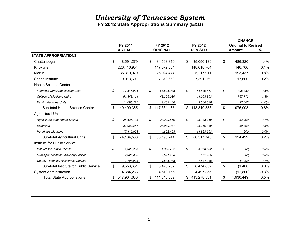**FY 2012 State Appropriations Summary (E&G)**

|                                             |            |               |                   |                |                | <b>CHANGE</b>              |               |
|---------------------------------------------|------------|---------------|-------------------|----------------|----------------|----------------------------|---------------|
|                                             |            | FY 2011       | FY 2012           |                | FY 2012        | <b>Original to Revised</b> |               |
|                                             |            | <b>ACTUAL</b> | <b>ORIGINAL</b>   |                | <b>REVISED</b> | <b>Amount</b>              | $\frac{9}{6}$ |
| <b>STATE APPROPRIATIONS</b>                 |            |               |                   |                |                |                            |               |
| Chattanooga                                 | \$         | 48,591,279    | \$<br>34,563,819  | \$             | 35,050,139     | \$<br>486,320              | 1.4%          |
| Knoxville                                   |            | 226,416,954   | 147,872,004       |                | 148,018,704    | 146,700                    | 0.1%          |
| Martin                                      |            | 35,319,979    | 25,024,474        |                | 25,217,911     | 193,437                    | 0.8%          |
| Space Institute                             |            | 9,013,601     | 7,373,669         |                | 7,391,269      | 17,600                     | 0.2%          |
| <b>Health Science Center</b>                |            |               |                   |                |                |                            |               |
| <b>Memphis Other Specialized Units</b>      | \$         | 77,546,026    | \$<br>64,525,035  | \$             | 64,830,417     | \$<br>305,382              | 0.5%          |
| <b>College of Medicine Units</b>            |            | 51,848,114    | 43,326,030        |                | 44,093,803     | 767,773                    | 1.8%          |
| <b>Family Medicine Units</b>                | 11,096,225 |               | 9,483,400         |                | 9,386,338      | (97,062)                   | $-1.0\%$      |
| Sub-total Health Science Center             | \$         | 140,490,365   | \$<br>117,334,465 | \$             | 118,310,558    | \$<br>976,093              | 0.8%          |
| <b>Agricultural Units</b>                   |            |               |                   |                |                |                            |               |
| <b>Agricultural Experiment Station</b>      | \$         | 25,635,108    | \$<br>23,299,860  | \$             | 23, 333, 760   | \$<br>33,900               | 0.1%          |
| Extension                                   |            | 31,082,557    | 28,070,981        |                | 28,160,380     | 89,399                     | 0.3%          |
| <b>Veterinary Medicine</b>                  |            | 17,416,903    | 14,822,403        |                | 14,823,603     | 1,200                      | $0.0\%$       |
| Sub-total Agricultural Units                | \$         | 74,134,568    | \$<br>66,193,244  | \$             | 66,317,743     | \$<br>124,499              | 0.2%          |
| Institute for Public Service                |            |               |                   |                |                |                            |               |
| Institute for Public Service                | \$         | 4,920,285     | \$<br>4,368,782   | \$             | 4,368,582      | \$<br>(200)                | 0.0%          |
| <b>Municipal Technical Advisory Service</b> |            | 2,925,338     | 2,571,485         |                | 2,571,285      | (200)                      | 0.0%          |
| <b>County Technical Assistance Service</b>  | 1,708,028  |               | 1,535,985         |                | 1,534,985      | (1,000)                    | $-0.1%$       |
| Sub-total Institute for Public Service      | \$         | 9,553,651     | \$<br>8,476,252   | $\mathfrak{F}$ | 8,474,852      | \$<br>(1,400)              | 0.0%          |
| <b>System Administration</b>                |            | 4,384,283     | 4,510,155         |                | 4,497,355      | (12,800)                   | $-0.3%$       |
| <b>Total State Appropriations</b>           |            | 547,904,680   | \$<br>411,348,082 | \$             | 413,278,531    | \$<br>1,930,449            | 0.5%          |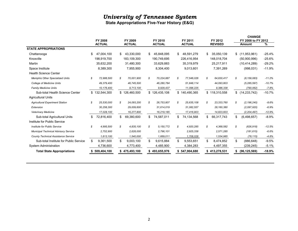**State Appropriations Five-Year History (E&G)** 

|                                             |    | FY 2008       |     | FY 2009       |     | FY 2010       | FY 2011          |     | FY 2012        |    | <b>CHANGE</b><br>FY 2008 to FY 2012 |          |
|---------------------------------------------|----|---------------|-----|---------------|-----|---------------|------------------|-----|----------------|----|-------------------------------------|----------|
|                                             |    | <b>ACTUAL</b> |     | <b>ACTUAL</b> |     | <b>ACTUAL</b> | <b>ACTUAL</b>    |     | <b>REVISED</b> |    | <b>Amount</b>                       | %        |
| <b>STATE APPROPRIATIONS</b>                 |    |               |     |               |     |               |                  |     |                |    |                                     |          |
| Chattanooga                                 | \$ | 47,004,100    | \$. | 43,330,000    | \$. | 45,848,095    | \$<br>48,591,279 | \$. | 35,050,139     |    | \$(11,953,961)                      | $-25.4%$ |
| Knoxville                                   |    | 198,919,700   |     | 183,109,300   |     | 190,749,695   | 226,416,954      |     | 148,018,704    |    | (50,900,996)                        | $-25.6%$ |
| Martin                                      |    | 35,632,200    |     | 31,480,300    |     | 33,629,883    | 35,319,979       |     | 25,217,911     |    | (10, 414, 289)                      | $-29.2%$ |
| Space Institute                             |    | 8,389,300     |     | 7,955,900     |     | 8,304,400     | 9,013,601        |     | 7,391,269      |    | (998, 031)                          | $-11.9%$ |
| <b>Health Science Center</b>                |    |               |     |               |     |               |                  |     |                |    |                                     |          |
| <b>Memphis Other Specialized Units</b>      | s  | 72,988,500    | s   | 70,001,900    | S   | 70,224,887    | \$<br>77,546,026 | \$  | 64,830,417     | \$ | (8, 158, 083)                       | $-11.2%$ |
| <b>College of Medicine Units</b>            |    | 49,379,400    |     | 46,745,500    |     | 46,280,784    | 51,848,114       |     | 44,093,803     |    | (5, 285, 597)                       | $-10.7%$ |
| <b>Family Medicine Units</b>                |    | 10,176,400    |     | 9,713,100     |     | 9,929,437     | 11,096,225       |     | 9,386,338      |    | (790, 062)                          | $-7.8%$  |
| Sub-total Health Science Center             |    | \$132,544,300 |     | \$126,460,500 |     | \$126,435,108 | \$140,490,365    |     | \$118,310,558  |    | \$(14,233,742)                      | $-10.7%$ |
| <b>Agricultural Units</b>                   |    |               |     |               |     |               |                  |     |                |    |                                     |          |
| <b>Agricultural Experiment Station</b>      | \$ | 25,530,000    | S   | 24,093,200    | S   | 26,753,807    | \$<br>25,635,108 | \$  | 23, 333, 760   | S  | (2, 196, 240)                       | $-8.6%$  |
| Extension                                   |    | 30,258,300    |     | 29,009,600    |     | 31,614,019    | 31,082,557       |     | 28,160,380     |    | (2,097,920)                         | $-6.9%$  |
| <b>Veterinary Medicine</b>                  |    | 17,028,100    |     | 16,277,800    |     | 16,219,185    | 17,416,903       |     | 14,823,603     |    | (2, 204, 497)                       | $-12.9%$ |
| Sub-total Agricultural Units                | \$ | 72,816,400    | \$  | 69,380,600    | \$  | 74,587,011    | \$<br>74,134,568 | \$  | 66,317,743     | \$ | (6,498,657)                         | $-8.9%$  |
| Institute for Public Service                |    |               |     |               |     |               |                  |     |                |    |                                     |          |
| Institute for Public Service                | \$ | 4,995,500     | \$  | 4,835,100     | \$  | 5,150,772     | \$<br>4,920,285  | \$  | 4,368,582      | \$ | (626, 918)                          | $-12.5%$ |
| <b>Municipal Technical Advisory Service</b> |    | 2,752,900     |     | 2,628,000     |     | 2,796,101     | 2,925,338        |     | 2,571,285      |    | (181, 615)                          | $-6.6%$  |
| <b>County Technical Assistance Service</b>  |    | 1,613,100     |     | 1,540,000     |     | 1,669,011     | 1,708,028        |     | 1,534,985      |    | (78, 115)                           | $-4.8%$  |
| Sub-total Institute for Public Service      | \$ | 9,361,500     | \$  | 9,003,100     | \$  | 9,615,884     | \$<br>9,553,651  | \$  | 8,474,852      | \$ | (886, 648)                          | $-9.5%$  |
| <b>System Administration</b>                |    | 4,736,600     |     | 4,773,400     |     | 4,485,900     | 4,384,283        |     | 4,497,355      |    | (239,245)                           | $-5.1%$  |
| <b>Total State Appropriations</b>           |    | 509,404,100   |     | 475,493,100   |     | 493,655,976   | 547,904,680      |     | \$413,278,531  |    | (96, 125, 569)                      | $-18.9%$ |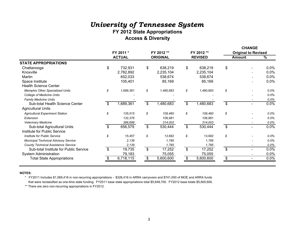## *University of Tennessee System* **FY 2012 State Appropriations Access & Diversity**

**CHANGE**

|                                             |    |               |                |                 |                |                |                | <b>CHANGE</b>              |         |
|---------------------------------------------|----|---------------|----------------|-----------------|----------------|----------------|----------------|----------------------------|---------|
|                                             |    | FY 2011 *     |                | FY 2012 **      |                | FY 2012 **     |                | <b>Original to Revised</b> |         |
|                                             |    | <b>ACTUAL</b> |                | <b>ORIGINAL</b> |                | <b>REVISED</b> |                | Amount                     | %       |
| <b>STATE APPROPRIATIONS</b>                 |    |               |                |                 |                |                |                |                            |         |
| Chattanooga                                 | \$ | 732,931       | $\mathfrak{S}$ | 638,219         | $\mathbb S$    | 638,219        | \$             |                            | 0.0%    |
| Knoxville                                   |    | 2,782,892     |                | 2,235,104       |                | 2,235,104      |                |                            | 0.0%    |
| Martin                                      |    | 652,033       |                | 538,674         |                | 538,674        |                |                            | 0.0%    |
| Space Institute                             |    | 105,401       |                | 85,169          |                | 85,169         |                |                            | 0.0%    |
| <b>Health Science Center</b>                |    |               |                |                 |                |                |                |                            |         |
| <b>Memphis Other Specialized Units</b>      | \$ | 1,689,361     | \$             | 1,480,683       | \$             | 1,480,683      | \$             |                            | $0.0\%$ |
| <b>College of Medicine Units</b>            |    |               |                |                 |                |                |                |                            | 0.0%    |
| <b>Family Medicine Units</b>                |    |               |                |                 |                |                |                |                            | 0.0%    |
| Sub-total Health Science Center             | \$ | 1,689,361     | $\mathfrak{S}$ | 1,480,683       | $\$\$          | 1,480,683      | \$             |                            | 0.0%    |
| <b>Agricultural Units</b>                   |    |               |                |                 |                |                |                |                            |         |
| <b>Agricultural Experiment Station</b>      | \$ | 135,515       | \$             | 109,460         | \$             | 109,460        | \$             |                            | $0.0\%$ |
| Extension                                   |    | 132,376       |                | 106,981         |                | 106,981        |                |                            | 0.0%    |
| <b>Veterinary Medicine</b>                  |    | 388,688       |                | 314,003         |                | 314,003        |                |                            | 0.0%    |
| Sub-total Agricultural Units                | \$ | 656,579       | $\$\$          | 530,444         | \$             | 530,444        | \$             | $\overline{\phantom{0}}$   | 0.0%    |
| Institute for Public Service                |    |               |                |                 |                |                |                |                            |         |
| Institute for Public Service                | S  | 15,457        | \$             | 13,682          | \$             | 13,682         | \$             |                            | $0.0\%$ |
| <b>Municipal Technical Advisory Service</b> |    | 2,139         |                | 1,785           |                | 1,785          |                |                            | 0.0%    |
| <b>County Technical Assistance Service</b>  |    | 2,139         |                | 1,785           |                | 1,785          |                | $\overline{\phantom{a}}$   | 0.0%    |
| Sub-total Institute for Public Service      | \$ | 19,735        | $\mathfrak{L}$ | 17,252          | $\mathfrak{F}$ | 17,252         | $\mathfrak{S}$ |                            | 0.0%    |
| <b>System Administration</b>                |    | 79,183        |                | 75,055          |                | 75,055         |                |                            | 0.0%    |
| <b>Total State Appropriations</b>           |    | 6,718,115     | \$             | 5,600,600       | \$             | 5,600,600      | \$.            |                            | 0.0%    |

#### **NOTES:**

\* FY2011 Includes \$1,069,416 in non-recurring appropriations - \$328,416 in ARRA carryovers and \$741,000 of MOE and ARRA funds that were reclassified as one-time state funding. FY2011 base state appropriations total \$5,648,700. FY2012 base totals \$5,600,600.

\*\* There are zero non-recurring appropriations in FY2012.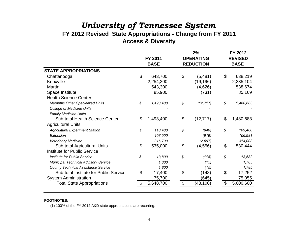# *University of Tennessee System* **FY 2012 Revised State Appropriations - Change from FY 2011**

# **Access & Diversity**

|                                             |                           | FY 2011     |                           | 2%<br><b>OPERATING</b> |                           | FY 2012<br><b>REVISED</b> |
|---------------------------------------------|---------------------------|-------------|---------------------------|------------------------|---------------------------|---------------------------|
|                                             |                           | <b>BASE</b> |                           | <b>REDUCTION</b>       |                           | <b>BASE</b>               |
| <b>STATE APPROPRIATIONS</b>                 |                           |             |                           |                        |                           |                           |
| Chattanooga                                 | $\boldsymbol{\mathsf{S}}$ | 643,700     | \$                        | (5,481)                | $\boldsymbol{\mathsf{S}}$ | 638,219                   |
| Knoxville                                   |                           | 2,254,300   |                           | (19, 196)              |                           | 2,235,104                 |
| Martin                                      |                           | 543,300     |                           | (4,626)                |                           | 538,674                   |
| Space Institute                             |                           | 85,900      |                           | (731)                  |                           | 85,169                    |
| <b>Health Science Center</b>                |                           |             |                           |                        |                           |                           |
| <b>Memphis Other Specialized Units</b>      | \$                        | 1,493,400   | \$                        | (12, 717)              | \$                        | 1,480,683                 |
| <b>College of Medicine Units</b>            |                           |             |                           |                        |                           |                           |
| <b>Family Medicine Units</b>                |                           |             |                           |                        |                           |                           |
| <b>Sub-total Health Science Center</b>      | \$                        | 1,493,400   | $\overline{\mathcal{G}}$  | (12, 717)              | \$                        | 1,480,683                 |
| <b>Agricultural Units</b>                   |                           |             |                           |                        |                           |                           |
| <b>Agricultural Experiment Station</b>      | \$                        | 110,400     | \$                        | (940)                  | \$                        | 109,460                   |
| Extension                                   |                           | 107,900     |                           | (919)                  |                           | 106,981                   |
| Veterinary Medicine                         |                           | 316,700     |                           | (2, 697)               |                           | 314,003                   |
| Sub-total Agricultural Units                | $\mathfrak{S}$            | 535,000     | $\boldsymbol{\mathsf{S}}$ | (4, 556)               | $\boldsymbol{\mathsf{S}}$ | 530,444                   |
| Institute for Public Service                |                           |             |                           |                        |                           |                           |
| <b>Institute for Public Service</b>         | \$                        | 13,800      | \$                        | (118)                  | \$                        | 13,682                    |
| <b>Municipal Technical Advisory Service</b> |                           | 1,800       |                           | (15)                   |                           | 1,785                     |
| <b>County Technical Assistance Service</b>  |                           | 1,800       |                           | (15)                   |                           | 1,785                     |
| Sub-total Institute for Public Service      | $\mathfrak{S}$            | 17,400      | $\mathfrak{S}$            | (148)                  | $\mathfrak{S}$            | 17,252                    |
| <b>System Administration</b>                |                           | 75,700      |                           | (645)                  |                           | 75,055                    |
| <b>Total State Appropriations</b>           |                           | 5,648,700   |                           | (48,100)               | \$                        | 5,600,600                 |
|                                             |                           |             |                           |                        |                           |                           |

### **FOOTNOTES:**

(1) 100% of the FY 2012 A&D state appropriations are recurring.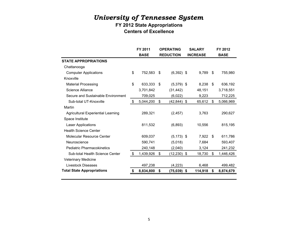### **FY 2012 State Appropriations Centers of Excellence**

|                                           | FY 2011         | <b>OPERATING</b>     | <b>SALARY</b>   |    | FY 2012     |
|-------------------------------------------|-----------------|----------------------|-----------------|----|-------------|
|                                           | <b>BASE</b>     | <b>REDUCTION</b>     | <b>INCREASE</b> |    | <b>BASE</b> |
| <b>STATE APPROPRIATIONS</b>               |                 |                      |                 |    |             |
| Chattanooga                               |                 |                      |                 |    |             |
| <b>Computer Applications</b>              | \$<br>752,583   | \$<br>$(6,392)$ \$   | 9,789           | \$ | 755,980     |
| Knoxville                                 |                 |                      |                 |    |             |
| <b>Material Processing</b>                | \$<br>633,333   | \$<br>$(5,379)$ \$   | 8,238           | \$ | 636,192     |
| Science Alliance                          | 3,701,842       | (31, 442)            | 48,151          |    | 3,718,551   |
| Secure and Sustainable Environment        | 709,025         | (6,022)              | 9,223           |    | 712,225     |
| Sub-total UT-Knoxville                    | \$<br>5,044,200 | \$<br>$(42, 844)$ \$ | 65,612          | \$ | 5,066,969   |
| Martin                                    |                 |                      |                 |    |             |
| <b>Agricultural Experiential Learning</b> | 289,321         | (2, 457)             | 3,763           |    | 290,627     |
| Space Institute                           |                 |                      |                 |    |             |
| <b>Laser Applications</b>                 | 811,532         | (6,893)              | 10,556          |    | 815,195     |
| <b>Health Science Center</b>              |                 |                      |                 |    |             |
| Molecular Resource Center                 | 609,037         | $(5, 173)$ \$        | 7,922           | \$ | 611,786     |
| Neuroscience                              | 590,741         | (5,018)              | 7,684           |    | 593,407     |
| <b>Pediatric Pharmacokinetics</b>         | 240,148         | (2,040)              | 3,124           |    | 241,232     |
| Sub-total Health Science Center           | \$<br>1,439,926 | \$<br>$(12,230)$ \$  | 18,730          | \$ | 1,446,426   |
| Veterinary Medicine                       |                 |                      |                 |    |             |
| <b>Livestock Diseases</b>                 | 497,238         | (4,223)              | 6,468           |    | 499,482     |
| <b>Total State Appropriations</b>         | 8,834,800       | \$<br>(75,039)       | \$<br>114,918   | S  | 8,874,679   |
|                                           |                 |                      |                 |    |             |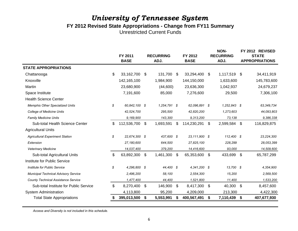## *University of Tennessee System* **FY 2012 Revised State Appropriations - Change from FY11 Summary** Unrestricted Current Funds

|                                             | FY 2011<br><b>BASE</b> |               | <b>RECURRING</b><br>ADJ. | FY 2012<br><b>BASE</b> | \$<br>62,096,891 \$<br>\$<br>23.111.900 \$<br>-\$<br>4,341,200 \$<br>\$<br>\$ | <b>NON-</b><br><b>RECURRING</b><br>ADJ. | FY 2012 REVISED<br><b>STATE</b><br><b>APPROPRIATIONS</b> |
|---------------------------------------------|------------------------|---------------|--------------------------|------------------------|-------------------------------------------------------------------------------|-----------------------------------------|----------------------------------------------------------|
| <b>STATE APPROPRIATIONS</b>                 |                        |               |                          |                        |                                                                               |                                         |                                                          |
| Chattanooga                                 | \$<br>33,162,700       | \$            | 131,700                  | \$<br>33,294,400       |                                                                               | 1,117,519 \$                            | 34,411,919                                               |
| Knoxville                                   | 142, 165, 100          |               | 1,984,900                | 144,150,000            |                                                                               | 1,633,600                               | 145,783,600                                              |
| Martin                                      | 23,680,900             |               | (44,600)                 | 23,636,300             |                                                                               | 1,042,937                               | 24,679,237                                               |
| Space Institute                             | 7,191,600              |               | 85,000                   | 7,276,600              |                                                                               | 29,500                                  | 7,306,100                                                |
| <b>Health Science Center</b>                |                        |               |                          |                        |                                                                               |                                         |                                                          |
| <b>Memphis Other Specialized Units</b>      | \$<br>60,842,100 \$    |               | 1,254,791 \$             |                        |                                                                               | $1,252,843$ \$                          | 63,349,734                                               |
| <b>College of Medicine Units</b>            | 42,524,700             |               | 295,500                  | 42,820,200             |                                                                               | 1,273,603                               | 44,093,803                                               |
| <b>Family Medicine Units</b>                | 9,169,900              |               | 143,300                  | 9,313,200              |                                                                               | 73,138                                  | 9,386,338                                                |
| Sub-total Health Science Center             | \$<br>112,536,700      | \$            | 1,693,591                | \$<br>114,230,291      |                                                                               | 2,599,584                               | \$<br>116,829,875                                        |
| <b>Agricultural Units</b>                   |                        |               |                          |                        |                                                                               |                                         |                                                          |
| <b>Agricultural Experiment Station</b>      | \$<br>22,674,300 \$    |               | 437,600 \$               |                        |                                                                               | 112,400 \$                              | 23, 224, 300                                             |
| Extension                                   | 27,180,600             |               | 644,500                  | 27,825,100             |                                                                               | 228,299                                 | 28,053,399                                               |
| Veterinary Medicine                         | 14,037,400             |               | 379,200                  | 14,416,600             |                                                                               | 93,000                                  | 14,509,600                                               |
| Sub-total Agricultural Units                | \$<br>63,892,300       | $\sqrt[6]{3}$ | 1,461,300                | \$<br>65,353,600       |                                                                               | 433,699 \$                              | 65,787,299                                               |
| Institute for Public Service                |                        |               |                          |                        |                                                                               |                                         |                                                          |
| Institute for Public Service                | \$<br>4,296,800 \$     |               | 44,400 \$                |                        |                                                                               | 13,700 \$                               | 4,354,900                                                |
| <b>Municipal Technical Advisory Service</b> | 2,496,200              |               | 58,100                   | 2,554,300              |                                                                               | 15,200                                  | 2,569,500                                                |
| <b>County Technical Assistance Service</b>  | 1,477,400              |               | 44,400                   | 1,521,800              |                                                                               | 11,400                                  | 1,533,200                                                |
| Sub-total Institute for Public Service      | \$<br>8,270,400        | \$            | 146,900                  | \$<br>8,417,300        |                                                                               | 40,300                                  | \$<br>8,457,600                                          |
| <b>System Administration</b>                | 4,113,800              |               | 95,200                   | 4,209,000              |                                                                               | 213,300                                 | 4,422,300                                                |
| <b>Total State Appropriations</b>           | \$<br>395,013,500      | \$            | 5,553,991                | \$<br>400,567,491      |                                                                               | 7,110,439 \$                            | 407,677,930                                              |

*Access and Diversity is not included in this schedule.*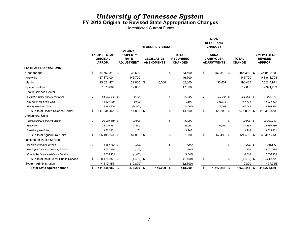### *University of Tennessee System* **FY 2012 Original to Revised State Appropriation Changes**

Unrestricted Current Funds

|                                             |    |                                            |                                                                      | <b>RECURRING CHANGES</b>                |            |      |                                                    |    | NON-<br><b>RECURRING</b><br><b>CHANGES</b>            |    |                               |      |                                            |
|---------------------------------------------|----|--------------------------------------------|----------------------------------------------------------------------|-----------------------------------------|------------|------|----------------------------------------------------|----|-------------------------------------------------------|----|-------------------------------|------|--------------------------------------------|
|                                             |    | FY 2012 TOTAL<br><b>ORIGINAL</b><br>APROP. | <b>CLAIMS</b><br><b>PROPERTY</b><br><b>RATE</b><br><b>ADJUSTMENT</b> | <b>LEGISLATIVE</b><br><b>AMENDMENTS</b> |            |      | <b>TOTAL</b><br><b>RECURRING</b><br><b>CHANGES</b> |    | <b>ARRA</b><br><b>CARRYOVER</b><br><b>ADJUSTMENTS</b> |    | <b>TOTAL</b><br><b>CHANGE</b> |      | FY 2012 TOTAL<br><b>REVISED</b><br>APPROP. |
| <b>STATE APPROPRIATIONS</b>                 |    |                                            |                                                                      |                                         |            |      |                                                    |    |                                                       |    |                               |      |                                            |
| Chattanooga                                 | \$ | 34,563,819 \$                              | 33,500                                                               |                                         |            | \$   | 33,500                                             | \$ | 452,819 \$                                            |    | 486,319 \$                    |      | 35,050,138                                 |
| Knoxville                                   |    | 147,872,004                                | 146,700                                                              |                                         |            |      | 146.700                                            |    |                                                       |    | 146,700                       |      | 148,018,704                                |
| Martin                                      |    | 25,024,474                                 | 22,800 \$                                                            |                                         | 140,000    |      | 162.800                                            |    | 30.637                                                |    | 193,437                       |      | 25,217,911                                 |
| Space Institute                             |    | 7,373,669                                  | 17,600                                                               |                                         |            |      | 17,600                                             |    |                                                       |    | 17,600                        |      | 7,391,269                                  |
| <b>Health Science Center</b>                |    |                                            |                                                                      |                                         |            |      |                                                    |    |                                                       |    |                               |      |                                            |
| <b>Memphis Other Specialized Units</b>      | S  | 64.525.035 \$                              | 29,700                                                               |                                         |            | \$   | 29,700                                             | s  | 275.682 \$                                            |    | 305,382 \$                    |      | 64,830,417                                 |
| <b>College of Medicine Units</b>            |    | 43,326,030                                 | 9,600                                                                |                                         |            |      | 9,600                                              |    | 758,173                                               |    | 767,773                       |      | 44,093,803                                 |
| <b>Family Medicine Units</b>                |    | 9,483,400                                  | (24, 500)                                                            |                                         |            |      | (24, 500)                                          |    | $-72,562$                                             |    | $-97,062$                     |      | 9,386,338                                  |
| Sub-total Health Science Center             | \$ | 117,334,465 \$                             | 14,800 \$                                                            |                                         |            | $-5$ | 14,800                                             | \$ | 961,293 \$                                            |    | 976,093 \$                    |      | 118,310,558                                |
| <b>Agricultural Units</b>                   |    |                                            |                                                                      |                                         |            |      |                                                    |    |                                                       |    |                               |      |                                            |
| <b>Agricultural Experiment Station</b>      | S  | 23.299.860 \$                              | 33,900                                                               |                                         |            | \$   | 33,900                                             |    |                                                       | s  | 33.900 \$                     |      | 23,333,760                                 |
| Extension                                   |    | 28,070,981                                 | 21,900                                                               |                                         |            |      | 21,900                                             |    | 67,499                                                |    | 89,399                        |      | 28,160,380                                 |
| Veterinary Medicine                         |    | 14,822,403                                 | 1,200                                                                |                                         |            |      | 1,200                                              |    |                                                       |    | 1,200                         |      | 14,823,603                                 |
| Sub-total Agricultural Units                | \$ | 66,193,244 \$                              | 57,000 \$                                                            |                                         |            | \$   | 57,000                                             | \$ | 67,499 \$                                             |    | 124,499 \$                    |      | 66,317,743                                 |
| Institute for Public Service                |    |                                            |                                                                      |                                         |            |      |                                                    |    |                                                       |    |                               |      |                                            |
| <b>Institute for Public Service</b>         | \$ | 4,368,782 \$                               | (200)                                                                |                                         |            | \$   | (200)                                              |    |                                                       | \$ | $(200)$ \$                    |      | 4.368.582                                  |
| <b>Municipal Technical Advisory Service</b> |    | 2,571,485                                  | (200)                                                                |                                         |            |      | (200)                                              |    |                                                       |    | $-200$                        |      | 2,571,285                                  |
| <b>County Technical Assistance Service</b>  |    | 1,535,985                                  | (1.000)                                                              |                                         |            |      | (1,000)                                            |    |                                                       |    | $-1,000$                      |      | 1,534,985                                  |
| Sub-total Institute for Public Service      | \$ | 8,476,252 \$                               | $(1,400)$ \$                                                         |                                         |            | \$   | (1,400)                                            | \$ |                                                       | \$ | $(1,400)$ \$                  |      | 8,474,852                                  |
| <b>System Administration</b>                |    | 4,510,155                                  | (12, 800)                                                            |                                         |            |      | (12,800)                                           |    |                                                       |    | $-12,800$                     |      | 4,497,355                                  |
| <b>Total State Appropriations</b>           |    | 411,348,082 \$                             | 278,200 \$                                                           |                                         | 140,000 \$ |      | 418,200                                            | \$ | 1,512,248 \$                                          |    | 1,930,448                     | - 56 | 413,278,530                                |
|                                             |    |                                            |                                                                      |                                         |            |      |                                                    |    |                                                       |    |                               |      |                                            |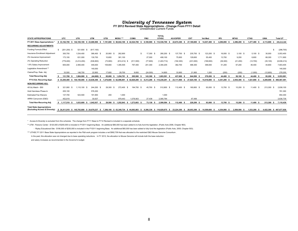# *University of Tennessee System* **FY 2012 Revised State Appropriations - Change From FY11 Detail**  Unrestricted Current Funds

|                                                                     |                |              |                            |      |              |           |                   |                   |            |            | <b>TOTAL</b>      |      |                 |               |                   |            |             |                |              |                   |
|---------------------------------------------------------------------|----------------|--------------|----------------------------|------|--------------|-----------|-------------------|-------------------|------------|------------|-------------------|------|-----------------|---------------|-------------------|------------|-------------|----------------|--------------|-------------------|
| <b>STATE APPROPRIATIONS</b>                                         | UTC            |              | UTK                        |      | <b>UTM</b>   | UTSI      | MOSU ***          | <b>COMU</b>       |            | <b>FMU</b> | <b>UTHSC</b>      |      | <b>AG-EXPER</b> | <b>EXT</b>    | <b>Vet Med</b>    | <b>IPS</b> | <b>MTAS</b> | <b>CTAS</b>    | <b>UWA</b>   | <b>Total UT</b>   |
| FY 2011 Base Appropriations                                         | 33,162,700     |              | 142,165,100                |      | 23,680,900   | 7,191,600 | 60,842,100        | 42,524,700        |            | 9,169,900  | 112,536,700       |      | 22,674,300      | 27,180,600    | 14,037,400        | 4,296,800  | 2,496,200   | 1,477,400      | 4,113,800    | 395,013,500       |
| <b>RECURRING ADJUSTMENTS</b>                                        |                |              |                            |      |              |           |                   |                   |            |            |                   |      |                 |               |                   |            |             |                |              |                   |
| Funding Formula Effect                                              | s.<br>(20)     | $1,200$ ) \$ | 521,600                    | - \$ | (617, 100)   |           |                   |                   |            |            |                   |      |                 |               |                   |            |             |                |              | (296, 700)<br>\$. |
| Insurance Enrollment Adjustment                                     | 300,700        |              | 1.534.400                  |      | 366,400      | 20,900    | 262,900           |                   | £.         | 17,300 \$  | 280,200           |      | 137,700<br>- \$ | 235,700 \$    | 123,200 \$        | 16,000 \$  | $3,100$ \$  | 5,100S         | 30,000       | 3,053,400         |
| 4% Insurance Improvement                                            | 173,100        |              | 631,000                    |      | 130,700      | 10,600    | 381,100           |                   |            | 27,000     | 408,100           |      | 75,600          | 129,600       | 55,400            | 13,700     | 9,200       | 6,600          | 68,300       | 1,711,900         |
| 2% Operating Reduction                                              | (779, 400)     |              | (3.414.200)                |      | (536, 800)   | (73,900)  | $(814.414)$ \$    | (511,500)         |            | (77, 800)  | (1,403,714)       |      | (192, 300)      | (231,000)     | (199,600)         | (36, 300)  | (21, 200)   | (12,700)       | (35, 100)    | (6,936,214)       |
| 1.6% Salary Improvement                                             | 605,000        |              | 2.565.400                  |      | 449.400      | 109,800   | 1,395,505         | 797.400           |            | 201.300    | 2.394.205         |      | 382,700         | 488.300       | 399,000           | 51,200     | 67.200      | 46.400         | 44,800       | 7,603,405         |
| Legislative Amendment **                                            |                |              |                            |      | 140,000      |           |                   |                   |            |            |                   |      |                 |               |                   |            |             |                |              | 140,000           |
| Claims/Prop. Rate Adj.                                              | 33,500         |              | 146,700                    |      | 22,800       | 17,600    | 29,700            | 9,600             |            | (24, 500)  | 14,800            |      | 33,900          | 21,900        | 1,200             | (200)      | (200)       | (1,000)        | (12, 800)    | 278,200           |
| <b>Total Recurring Adj.</b>                                         | 131.700        |              | 1,984,900                  |      | (44, 600)    | 85,000    | 1,254,791<br>s    | 295.500           |            | 143.300    | 1,693,591         |      | 437.600         | 644.500       | 379.200           | 44,400 \$  | 58,100 \$   | 44,400 \$      | 95.200       | 5,553,991         |
| FY12 Est. Recurring Appr.                                           |                |              | \$33.294.400 \$144.150.000 |      | 23,636,300   | 7.276.600 | 62.096.891<br>- S | 42.820.200<br>-S  | -S         | 9,313,200  | 114.230.291<br>-S |      | 23,111,900      | 27.825.100    | 14,416,600<br>- S | 4,341,200  | 2.554.300   | 1,521,800      | 4.209.000 \$ | 400.567.491       |
| NON-RECURRING ADJ.                                                  |                |              |                            |      |              |           |                   |                   |            |            |                   |      |                 |               |                   |            |             |                |              |                   |
| 401(k) Match - \$50                                                 | \$.<br>321.900 | - SS         | 1.110.100                  |      | 244.200      | 29,300    | 272.400<br>£.     |                   | 194.700 \$ | 45.700     | 512.800<br>- \$   | - \$ | 112,400<br>- \$ | 160,800 \$    | 93,000 \$         | 13,700     | 15,200 \$   | 11.400<br>- \$ | 213,300 \$   | 2,838,100         |
| Hold Harmless Phase-In                                              | 205,100        |              |                            |      | 576,200      |           |                   |                   |            |            |                   |      |                 |               |                   |            |             |                |              | 781,300           |
| <b>Estimated Fee Waivers</b>                                        | 137,700        |              | 523.500                    |      | 191,900      | 200       | 1,000             |                   |            |            | 1,000             |      |                 |               |                   |            |             |                |              | 854,300           |
| ARRA Carryovers (E&G)                                               | 452,819        |              |                            |      | 30.637       |           | 979.443           | 1,078,903         |            | 27.438     | 2.085.784         |      |                 | 67.499        |                   |            |             |                |              | 2,636,739         |
| <b>Total Non-Recurring Adj.</b>                                     | \$ 1,117,519   |              | 1,633,600                  |      | 1,042,937    | 29,500    | 1.252.843<br>- 55 | 1,273,603 \$<br>s |            | 73,138     | 2,599,584<br>- S  |      | 112,400         | 228,299       | 93,000 \$<br>- S  | 13,700 \$  | 15,200 \$   | 11,400 \$      | 213,300 \$   | 7,110,439         |
| <b>Total State Appropriations</b><br>(Excluding Access & Diversity) |                |              | \$34,411,919 \$145,783,600 |      | \$24,679,237 | 7,306,100 | \$63,349,734      | $$44,093,803$ \$  |            | 9,386,338  | \$116.829.875 \$  |      | 23.224.300      | 28,053,399 \$ | 14.509.600        | 4.354.900  | 2.569.500   | 1.533.200      | 4.422.300 \$ | 407,677,930       |

\* Access & Diversity is excluded from this schedule. The change from FY11 Base to FY12 Revised is included in a separate schedule.

\*\* UTM - Parsons Center - \$120,000 of \$200,000 is included in FY2011 beginning Base. An additional \$80,000 has been added to to fully fund the legislation. (Public Acts 2006, Chapter 963).

- Ripley Educational Site - \$190,000 of \$250,000 is included in the FY2011 beginning Base. An additional \$60,000 has been added to fully fund the legislation (Public Acts, 2005; Chapter 503).

\*\*\* UTHSC FY 2011 Base State Appropriations as reported in the F&A work program includes a net \$992,709 that was allocated to the restricted E&G Mouse Genome Consortium .

In the past, this allocation was not changed due to base operating reductions. In FY 2012, the allocation to Mouse Genome will include both the base reduction

and salary increases as recommended in the Governor's budget.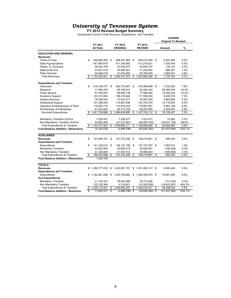**FY 2012 Revised Budget Summary** Unrestricted Current Funds Revenue, Expenditures, and Transfers

|                                           |                                                             |                 |    |                                 |    |                     |      | <b>CHANGE</b>  |           |
|-------------------------------------------|-------------------------------------------------------------|-----------------|----|---------------------------------|----|---------------------|------|----------------|-----------|
|                                           | <b>Original To Revised</b><br>FY 2011<br>FY 2012<br>FY 2012 |                 |    |                                 |    |                     |      |                |           |
|                                           |                                                             |                 |    |                                 |    |                     |      |                |           |
|                                           |                                                             | <b>ACTUAL</b>   |    | ORIGINAL                        |    | <b>REVISED</b>      |      | Amount         | %         |
| <b>EDUCATION AND GENERAL</b>              |                                                             |                 |    |                                 |    |                     |      |                |           |
| <b>Revenues</b>                           |                                                             |                 |    |                                 |    |                     |      |                |           |
| <b>Tuition &amp; Fees</b>                 | \$                                                          | 448,985,458     | \$ | 488,391,964                     | \$ | 490,914,464 \$      |      | 2,522,500      | 0.5%      |
| <b>State Appropriations</b>               |                                                             | 547,904,679     |    | 411,348,082                     |    | 413,278,531         |      | 1,930,449      | 0.5%      |
| Grants & Contracts                        |                                                             | 48,030,769      |    | 43,526,073                      |    | 43,656,197          |      | 130,124        | 0.3%      |
| Sales & Service                           |                                                             | 53,401,516      |    | 50,566,561                      |    | 51,252,652          |      | 686,091        | 1.4%      |
| <b>Other Sources</b>                      |                                                             | 54,598,019      |    | 51,874,695                      |    | 53,760,636          |      | 1,885,941      | 3.6%      |
| <b>Total Revenues</b>                     |                                                             | 1,152,920,441   | \$ | 1,045,707,375                   | \$ | 1,052,862,480       | \$   | 7,155,105      | 0.7%      |
| <b>Expenditures and Transfers</b>         |                                                             |                 |    |                                 |    |                     |      |                |           |
| Instruction                               | \$                                                          | 416,108,737     | \$ | 462,733,067 \$                  |    | 470,066,999 \$      |      | 7,333,932      | 1.6%      |
| Research                                  |                                                             | 71,584,378      |    | 65,755,913                      |    | 92,064,457          |      | 26,308,544     | 40.0%     |
| <b>Public Service</b>                     |                                                             | 67,160,007      |    | 66,808,136                      |    | 77,066,360          |      | 10,258,224     | 15.4%     |
| Academic Support                          |                                                             | 123,213,093     |    | 109,315,624                     |    | 117,556,200         |      | 8,240,576      | 7.5%      |
| <b>Student Services</b>                   |                                                             | 76,356,504      |    | 73,023,477                      |    | 76,987,083          |      | 3,963,606      | 5.4%      |
| <b>Institutional Support</b>              |                                                             | 107,386,429     |    | 115,607,836                     |    | 125,724,376         |      | 10,116,540     | 8.8%      |
| Operation & Maintenance of Plant          |                                                             | 118,655,716     |    | 110,618,523                     |    | 119,981,681         |      | 9,363,158      | 8.5%      |
| Scholarships & Fellowships                |                                                             | 61,243,822      |    | 65,773,109                      |    | 68,297,956          |      | 2,524,847      | 3.8%      |
| Sub-total Expenditures                    | \$                                                          | 1,041,708,686   | \$ | 1,069,635,685                   | \$ | 1,147,745,112       | \$   | 78,109,427     | 7.3%      |
| Mandatory Transfers (In)/Out              |                                                             | 7,226,437       |    | 7,208,477                       |    | 7,223,477           |      | 15,000         | 0.2%      |
| Non-Mandatory Transfers (In)/Out          |                                                             | 93,802,280      |    | (27, 237, 991)                  |    | (46, 269, 729)      |      | (19,031,738)   | 69.9%     |
| <b>Total Expenditures &amp; Transfers</b> | S                                                           | 1,142,737,403   | \$ | 1,049,606,171                   | \$ | 1,108,698,860       | \$   | 59,092,689     | 5.6%      |
| Fund Balance Addition / (Reduction)       |                                                             | 10,183,038      |    | (3,898,796)                     |    | (55, 836, 380)      |      | (51, 937, 584) | 1332.1%   |
| <b>AUXILIARIES</b>                        |                                                             |                 |    |                                 |    |                     |      |                |           |
| <b>Revenues</b>                           | \$                                                          | 197,856,791     | \$ | 197,374,326 \$                  |    | 198,219,661 \$      |      | 845,335        | 0.4%      |
| <b>Expenditures and Transfers</b>         |                                                             |                 |    |                                 |    |                     |      |                |           |
| Expenditures                              | \$                                                          | 141,182,612     | \$ | 136,121,195 \$                  |    | 137,703,767         | - \$ | 1,582,572      | 1.2%      |
| <b>Mandatory Transfers</b>                |                                                             | 23,923,900      |    | 29,695,519                      |    | 29,549,091          |      | (146, 428)     | $-0.5%$   |
| Non Mandatory Transfers                   |                                                             | 31,328,086      |    | 31,557,612                      |    | 30,966,803          |      | (590, 809)     | $-1.9%$   |
| <b>Total Expenditures &amp; Transfers</b> | \$                                                          | 196,434,598     | \$ | 197,374,326                     | \$ | 198,219,661         | \$   | 845,335        | 0.4%      |
| Fund Balance Addition / (Reduction)       |                                                             | 1,422,193       |    |                                 |    |                     |      |                |           |
| <b>TOTALS</b>                             |                                                             |                 |    |                                 |    |                     |      |                |           |
| <b>Revenues</b>                           |                                                             |                 |    | \$1,350,777,232 \$1,243,081,701 | \$ | 1,251,082,141 \$    |      | 8,000,440      | 0.6%      |
| <b>Expenditures and Transfers</b>         |                                                             |                 |    |                                 |    |                     |      |                |           |
| Expenditures                              |                                                             | \$1,182,891,298 |    | \$1,205,756,880                 |    | $$1,285,448,879$ \$ |      | 79,691,999     | 6.6%      |
| <b>Aux Expenditures</b>                   |                                                             |                 |    |                                 |    |                     |      |                |           |
| <b>Mandatory Transfers</b>                |                                                             | 31,150,337      |    | 36,903,996                      |    | 36,772,568          |      | (131, 428)     | $-0.4%$   |
| Non Mandatory Transfers                   |                                                             | 125,130,366     |    | 4,319,621                       |    | (15,302,926)        |      | (19,622,547)   | $-454.3%$ |
| <b>Total Expenditures &amp; Transfers</b> | \$                                                          | 1,339,172,001   | \$ | 1,246,980,497                   | \$ | 1,306,918,521       | \$   | 59,938,024     | 4.8%      |
| <b>Fund Balance Addition / Reduction</b>  | S                                                           | 11,605,231      | \$ | $(3,898,796)$ \$                |    | $(55,836,380)$ \$   |      | (51, 937, 584) | 1332.1%   |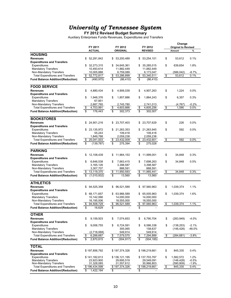**FY 2012 Revised Budget Summary**

Auxiliary Enterprises Funds Revenues, Expenditures and Transfers

|                                          |                   |                  |                         |                                  | Change                     |          |
|------------------------------------------|-------------------|------------------|-------------------------|----------------------------------|----------------------------|----------|
|                                          | FY 2011           | FY 2012          | FY 2012                 |                                  | <b>Original to Revised</b> |          |
|                                          | <b>ACTUAL</b>     | <b>ORIGINAL</b>  | <b>REVISED</b>          |                                  | Amount                     | %        |
| <b>HOUSING</b>                           |                   |                  |                         |                                  |                            |          |
|                                          |                   |                  |                         |                                  |                            |          |
| <b>Revenues</b>                          | \$<br>52,281,842  | \$<br>53,200,489 | 53,254,101<br>\$        | \$                               | 53,612                     | 0.1%     |
| <b>Expenditures and Transfers</b>        |                   |                  |                         |                                  |                            |          |
| Expenditures                             | \$<br>32,273,315  | \$<br>34,645,361 | 35,285,015<br>\$        | \$                               | 639,654                    | 1.8%     |
| <b>Mandatory Transfers</b>               | 10,493,614        | 11,882,449       | 11,882,449              |                                  |                            |          |
| Non-Mandatory Transfers                  | 10,005,888        | 6,759,089        | 6,173,047               |                                  | (586,042)                  | $-8.7%$  |
| <b>Total Expenditures and Transfers</b>  | \$<br>52,772,817  | 53,286,899<br>\$ | 53,340,511<br>\$        | \$                               | 53,612                     | 0.1%     |
| <b>Fund Balance Addition/(Reduction)</b> | \$<br>(490, 975)  | \$<br>(86, 410)  | \$<br>(86, 410)         |                                  |                            |          |
|                                          |                   |                  |                         |                                  |                            |          |
| <b>FOOD SERVICE</b>                      |                   |                  |                         |                                  |                            |          |
|                                          |                   |                  |                         |                                  |                            |          |
| <b>Revenues</b>                          | \$<br>4,880,434   | \$<br>4,906,039  | \$<br>4,907,263         | \$                               | 1,224                      | 0.0%     |
| <b>Expenditures and Transfers</b>        |                   |                  |                         |                                  |                            |          |
| Expenditures                             | \$<br>1,948,376   | \$<br>1,857,886  | \$<br>1,864,243         | \$                               | 6,357                      | 0.3%     |
| <b>Mandatory Transfers</b>               | 67,851            |                  |                         |                                  |                            |          |
| Non-Mandatory Transfers                  | 2,687,765         | 2,745,780        | 2,741,013               |                                  | (4,767)                    | $-0.2\%$ |
| <b>Total Expenditures and Transfers</b>  | \$<br>4,703,991   | \$<br>4,603,666  | \$<br>4,605,256         | \$                               | 1.590                      | 0.0%     |
| <b>Fund Balance Addition/(Reduction)</b> | \$<br>176,443     | \$<br>302,373    | \$<br>302,007           |                                  |                            |          |
|                                          |                   |                  |                         |                                  |                            |          |
|                                          |                   |                  |                         |                                  |                            |          |
| <b>BOOKSTORES</b>                        |                   |                  |                         |                                  |                            |          |
| <b>Revenues</b>                          | 24,901,216<br>\$  | 23,707,403<br>\$ | 23,707,629<br>\$        | \$                               | 226                        | 0.0%     |
| <b>Expenditures and Transfers</b>        |                   |                  |                         |                                  |                            |          |
| Expenditures                             | \$<br>23,135,972  | 21,263,353<br>S  | \$<br>21,263,945        | \$                               | 592                        | 0.0%     |
| <b>Mandatory Transfers</b>               | 55,243            | 109,418          | 109,418                 |                                  |                            |          |
| Non-Mandatory Transfers                  | 1,849,788         | 2,059,238        | 2,059,238               |                                  |                            |          |
| <b>Total Expenditures and Transfers</b>  | \$<br>25,041,003  | \$<br>23,432,009 | \$<br>23,432,601        | $\overline{\boldsymbol{\theta}}$ | 592                        | 0.0%     |
| <b>Fund Balance Addition/(Reduction)</b> | \$<br>(139, 787)  | \$<br>275,394    | \$<br>275,028           |                                  |                            |          |
|                                          |                   |                  |                         |                                  |                            |          |
|                                          |                   |                  |                         |                                  |                            |          |
| <b>PARKING</b>                           |                   |                  |                         |                                  |                            |          |
| <b>Revenues</b>                          | 12,108,439<br>\$  | 11,964,153<br>S  | 11,999,001<br>\$        | \$                               | 34,848                     | 0.3%     |
| <b>Expenditures and Transfers</b>        |                   |                  |                         |                                  |                            |          |
| Expenditures                             | \$<br>6,646,538   | \$<br>7,663,415  | \$<br>7,698,263         | \$                               | 34,848                     | 0.5%     |
| <b>Mandatory Transfers</b>               | 3,165,126         | 3,398,587        | 3,398,587               |                                  |                            |          |
| Non-Mandatory Transfers                  | 3,307,707         | 888,591          | 888,591                 |                                  |                            |          |
| <b>Total Expenditures and Transfers</b>  | 13,119,370<br>\$  | \$<br>11,950,593 | \$<br>11,985,441        | \$                               | 34,848                     | 0.3%     |
|                                          |                   | \$               | $\overline{\mathbf{s}}$ |                                  |                            |          |
| <b>Fund Balance Addition/(Reduction)</b> | (1,010,932)<br>\$ | 13,560           | 13,560                  |                                  |                            |          |
|                                          |                   |                  |                         |                                  |                            |          |
| <b>ATHLETICS</b>                         |                   |                  |                         |                                  |                            |          |
| <b>Revenues</b>                          | 94,525,358<br>\$  | 96,521,589<br>\$ | 97,560,963<br>\$        | \$                               | 1,039,374                  | 1.1%     |
| <b>Expenditures and Transfers</b>        |                   |                  |                         |                                  |                            |          |
| Expenditures                             | 68,171,657<br>\$  | 63,966,589<br>\$ | 65,005,963<br>\$        | \$                               | 1,039,374                  | 1.6%     |
| <b>Mandatory Transfers</b>               | 10,142,066        | 14,000,000       | 14,000,000              |                                  |                            |          |
| Non-Mandatory Transfers                  | 16,195,006        | 18,555,000       | 18,555,000              |                                  |                            |          |
| <b>Total Expenditures and Transfers</b>  | 94,508,729<br>\$  | 96,521,589<br>\$ | \$<br>97.560.963        | \$                               | 1.039.374                  | 1.1%     |
|                                          |                   |                  |                         |                                  |                            |          |
| <b>Fund Balance Addition/(Reduction)</b> | \$<br>16,629      | \$               | \$                      |                                  |                            |          |
|                                          |                   |                  |                         |                                  |                            |          |
| <b>OTHER</b>                             |                   |                  |                         |                                  |                            |          |
| <b>Revenues</b>                          | \$<br>9,159,503   | 7,074,653<br>\$  | \$<br>6,790,704         | \$                               | (283, 949)                 | $-4.0%$  |
| <b>Expenditures and Transfers</b>        |                   |                  |                         |                                  |                            |          |
| <b>Expenditures</b>                      | \$<br>9,006,755   | \$<br>6,724,591  | \$<br>6,586,338         | \$                               | (138, 253)                 | $-2.1%$  |
| <b>Mandatory Transfers</b>               |                   | 305,065          | 158,637                 |                                  | (146, 428)                 | $-48.0%$ |
| Non-Mandatory Transfers                  | (2,718,068)       | 549,914          | 549,914                 |                                  |                            |          |
| <b>Total Expenditures and Transfers</b>  | \$                | \$<br>7,579,570  | \$<br>7,294,889         | \$                               | (284, 681)                 | $-3.8%$  |
|                                          | 6,288,687         |                  |                         |                                  |                            |          |
| <b>Fund Balance Addition/(Reduction)</b> | \$<br>2,870,815   | \$<br>(504, 917) | \$<br>(504, 185)        |                                  |                            |          |
|                                          |                   |                  |                         |                                  |                            |          |
| <b>TOTAL</b>                             |                   |                  |                         |                                  |                            |          |
| <b>Revenues</b>                          | \$197,856,792     | \$197,374,326    | \$ 198,219,661          | \$                               | 845,335                    | 0.4%     |
| <b>Expenditures and Transfers</b>        |                   |                  |                         |                                  |                            |          |
| Expenditures                             | \$141,182,613     | \$136,121,195    | \$ 137,703,767          | \$                               | 1,582,572                  | 1.2%     |
| <b>Mandatory Transfers</b>               | 23,923,900        | 29,695,519       | 29,549,091              |                                  | (146, 428)                 | $-0.5%$  |
| Non-Mandatory Transfers                  | 31,328,085        | 31,557,612       | 30,966,803              |                                  | (590,809)                  | $-1.9%$  |
| <b>Total Expenditures and Transfers</b>  | \$196,434,598     | \$197,374,326    | \$198,219,661           | $\sqrt[6]{3}$                    | 845,335                    | 0.4%     |
| <b>Fund Balance Addition/(Reduction)</b> | 1,422,194         | \$               | \$                      |                                  |                            |          |
|                                          | \$                |                  |                         |                                  |                            |          |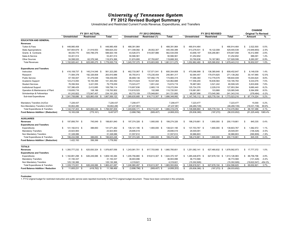### *University of Tennessee System* **FY 2012 Revised Budget Summary**

Unrestricted and Restricted Current Funds Revenue, Expenditures, and Transfers

|                                           |                        |                              |               |                    |                     |                                      |               |                         |      |                   | <b>CHANGE</b>                |              |                            |           |
|-------------------------------------------|------------------------|------------------------------|---------------|--------------------|---------------------|--------------------------------------|---------------|-------------------------|------|-------------------|------------------------------|--------------|----------------------------|-----------|
|                                           |                        | FY 2011 ACTUAL               |               |                    |                     | FY 2012 ORIGINAL                     |               |                         |      | FY 2012 REVISED   |                              |              | <b>Original To Revised</b> |           |
|                                           | <b>Unrestricted</b>    | <b>Restricted</b>            | Total         |                    | <b>Unrestricted</b> | Restricted (1)                       | <b>Total</b>  | Unrestricted            |      | <b>Restricted</b> | <b>Total</b>                 |              | Amount                     | %         |
| <b>EDUCATION AND GENERAL</b>              |                        |                              |               |                    |                     |                                      |               |                         |      |                   |                              |              |                            |           |
| <b>Revenues</b>                           |                        |                              |               |                    |                     |                                      |               |                         |      |                   |                              |              |                            |           |
| Tuition & Fees                            | 448,985,458<br>\$      | \$                           | 448,985,458   | $\mathcal{F}$      | 488,391,964         | \$                                   | 488,391,964   | £.<br>490,914,464       |      | S.                | 490,914,464                  | \$           | 2.522.500                  | 0.5%      |
| <b>State Appropriations</b>               | 547,904,679 \$         | 21,919,553                   | 569,824,232   |                    | 411,348,082 \$      | 29,002,307                           | 440,350,389   | 413,278,531 \$          |      | 16,122,008        | 429,400,539                  |              | (10,949,850)               | $-2.5%$   |
| Grants & Contracts                        | 48,030,770             | 540,789,376                  | 588,820,146   |                    | 43,526,073          | 519,007,986                          | 562,534,059   | 43.656.197              |      | 535,290,861       | 578,947,058                  |              | 16,412,999                 | 2.9%      |
| Sales & Service                           | 53,401,514             |                              | 53,401,514    |                    | 50,566,561          |                                      | 50,566,561    | 51,252,652              |      |                   | 51,252,652                   |              | 686,091                    | 1.4%      |
| Other Sources                             | 54,598,020             | 62,376,346                   | 116,974,366   |                    | 51,874,695          | 67,793,607                           | 119,668,302   | 53,760,636              |      | 74, 167, 963      | 127,928,599                  |              | 8,260,297                  | 6.9%      |
| <b>Total Revenues</b>                     | \$ 1,152,920,441 \$    | 625,085,275 \$               | 1,778,005,716 |                    | \$ 1,045,707,375 \$ | 615,803,900 \$                       | 1,661,511,275 | \$ 1,052,862,480 \$     |      | 625,580,832 \$    | 1,678,443,312                |              | \$ 16,932,037              | 1.0%      |
| <b>Expenditures and Transfers</b>         |                        |                              |               |                    |                     |                                      |               |                         |      |                   |                              |              |                            |           |
| Instruction                               | 416,108,737 \$<br>s.   | 145,214,548 \$               | 561,323,285   | $\mathbf{\hat{S}}$ | 462,733,067 \$      | 137,571,541 \$                       | 600,304,608   | \$<br>470,066,999 \$    |      | 138,385,648 \$    | 608,452,647                  | \$.          | 8,148,039                  | 1.4%      |
| Research                                  | 71,584,378             | 192,326,608                  | 263,910,986   |                    | 65,755,913          | 175,235,404                          | 240,991,317   | 92,064,457              |      | 179,074,825       | 271,139,282                  |              | 30,147,965                 | 12.5%     |
| <b>Public Service</b>                     | 67,160,007             | 91,279,048                   | 158,439,055   |                    | 66,808,136          | 107,992,179                          | 174,800,315   | 77,066,360              |      | 112,778,579       | 189,844,939                  |              | 15,044,624                 | 8.6%      |
| Academic Support                          | 123.213.093            | 18.150.399                   | 141,363,492   |                    | 109.315.624         | 15.547.064                           | 124.862.688   | 117.556.200             |      | 16.639.564        | 134, 195, 764                |              | 9,333,076                  | 7.5%      |
| <b>Student Services</b>                   | 76,356,504             | 3,421,555                    | 79,778,059    |                    | 73,023,477          | 1,651,242                            | 74,674,719    | 76,987,083              |      | 3,521,242         | 80,508,325                   |              | 5,833,606                  | 7.8%      |
| <b>Institutional Support</b>              | 107,386,429            | 2,412,685                    | 109,799,114   |                    | 115,607,836         | 2,665,118                            | 118,272,954   | 125,724,376             |      | 2,229,018         | 127,953,394                  |              | 9,680,440                  | 8.2%      |
| Operation & Maintenance of Plant          | 118,655,716            | 108,186                      | 118,763,902   |                    | 110,618,523         | 102,068                              | 110,720,591   | 119,981,681             |      | 103,868           | 120,085,549                  |              | 9,364,958                  | 8.5%      |
| Scholarships & Fellowships                | 61,243,822             | 172.947.407                  | 234, 191, 229 |                    | 65,773,109          | 175,948,691                          | 241,721,800   | 68,297,956              |      | 173,045,360       | 241,343,316                  |              | (378, 484)                 | $-0.2%$   |
| Sub-total Expenditures                    | \$ 1,041,708,686 \$    | 625,860,436 \$               | 1,667,569,122 |                    | $$1,069,635,685$ \$ | 616,713,307 \$                       | 1,686,348,992 | $$1,147,745,112$ \$     |      | 625,778,104 \$    | 1,773,523,216                |              | \$ 87,174,224              | 5.2%      |
| Mandatory Transfers (In)/Out              | 7,226,437              |                              | 7,226,437     |                    | 7,208,477           |                                      | 7.208.477     | 7,223,477               |      |                   | 7,223,477                    |              | 15.000                     | 0.2%      |
| Non-Mandatory Transfers (In)/Out          | 93.802.280             |                              | 93,802,280    |                    | (27, 237, 991)      |                                      | $-27,237,991$ | (46, 269, 729)          |      |                   | (46, 269, 729)               |              | (19,031,738)               | 69.9%     |
| <b>Total Expenditures &amp; Transfers</b> | $$1,142,737,403$ \$    | 625,860,436 \$ 1,768,597,839 |               |                    | \$1,049,606,171     | 616,713,307 \$<br>- \$               | 1,666,319,478 | $$1,108,698,860$ \$     |      | 625,778,104 \$    | 1,734,476,964                | $\mathbb{S}$ | 68,157,486                 | 4.1%      |
| Fund Balance Addition / (Reduction)       | 10,183,038             | (775, 161)                   | 9,407,877     |                    | (3,898,796)         | (909, 407)                           | (4,808,203)   | (55, 836, 380)          |      | (197, 272)        | (56,033,652)                 |              | (51, 225, 449)             | 1065.4%   |
| <b>AUXILIARIES</b>                        |                        |                              |               |                    |                     |                                      |               |                         |      |                   |                              |              |                            |           |
| <b>Revenues</b>                           | 197.856.791 \$<br>s.   | 745.049 \$                   | 198.601.840   | \$.                | 197.374.326 \$      | 1.900.000 \$                         | 199.274.326   | 198.219.661 \$<br>S     |      | 1.900.000<br>- \$ | 200.119.661                  | S            | 845.335                    | 0.4%      |
| <b>Expenditures and Transfers</b>         |                        |                              |               |                    |                     |                                      |               |                         |      |                   |                              |              |                            |           |
| Expenditures                              | \$<br>141, 182, 612 \$ | 388,650                      | 141,571,262   | S.                 | 136, 121, 195 \$    | 1,900,000 \$                         | 138,021,195   | \$<br>137,703,767 \$    |      | 1,900,000 \$      | 139,603,767                  | \$           | 1,582,572                  | 1.1%      |
| <b>Mandatory Transfers</b>                | 23,923,900             |                              | 23,923,900    |                    | 29,695,519          |                                      | 29,695,519    | 29,549,091              |      |                   | 29,549,091                   |              | (146, 428)                 | $-0.5%$   |
| Non Mandatory Transfers                   | 31,328,086             |                              | 31,328,086    |                    | 31,557,612          |                                      | 31,557,612    | 30,966,803              |      |                   | 30,966,803                   |              | (590, 809)                 | $-1.9%$   |
| <b>Total Expenditures &amp; Transfers</b> | 196,434,598 \$<br>\$   | 388,650<br>- \$              | 196,823,248   | - \$               | 197,374,326 \$      | 1,900,000 \$                         | 199,274,326   | 198,219,661 \$<br>\$.   |      | 1,900,000<br>- \$ | 200,119,661                  | \$           | 845,335                    | 0.4%      |
| Fund Balance Addition / (Reduction)       | 1,422,193              | 356,399                      | 1,778,592     |                    |                     |                                      |               |                         |      |                   |                              |              |                            |           |
| <b>TOTALS</b>                             |                        |                              |               |                    |                     |                                      |               |                         |      |                   |                              |              |                            |           |
| <b>Revenues</b>                           | \$ 1.350.777.232 \$    | 625.830.324<br>- S           | 1.976.607.556 |                    | \$ 1.243.081.701    | 617,703,900 \$ 1,860,785,601<br>- \$ |               | \$ 1.251.082.141        | - \$ | 627.480.832 \$    | 1.878.562.973                |              | \$ 17,777,372              | 1.0%      |
| <b>Expenditures and Transfers</b>         |                        |                              |               |                    |                     |                                      |               |                         |      |                   |                              |              |                            |           |
| Expenditures                              | $$1,182,891,298$ \$    | 626.249.086 \$               | 1,809,140,384 |                    | \$1,205,756,880     | 618,613,307 \$ 1,824,370,187<br>- \$ |               | $$1,285,448,879$ \$     |      | 627.678.104 \$    | 1,913,126,983                |              | \$ 88,756,796              | 4.9%      |
| <b>Mandatory Transfers</b>                | 31,150,337             |                              | 31,150,337    |                    | 36,903,996          |                                      | 36,903,996    | 36,772,568              |      |                   | 36,772,568                   |              | (131, 428)                 | $-0.4%$   |
| Non Mandatory Transfers                   | 125.130.366            |                              | 125,130,366   |                    | 4.319.621           |                                      | 4,319,621     | (15,302,926)            |      |                   | (15.302.926)                 |              | (19, 622, 547)             | $-454.3%$ |
| <b>Total Expenditures &amp; Transfers</b> | \$ 1,339,172,001 \$    | 626,249,086 \$ 1,965,421,087 |               |                    | $$1,246,980,497$ \$ | 618,613,307 \$ 1,865,593,804         |               | \$ 1,306,918,521 \$     |      |                   | 627,678,104 \$ 1,934,596,625 |              | \$ 69,002,821              | 3.7%      |
| <b>Fund Balance Addition / Reduction</b>  | \$<br>11,605,231 \$    | $(418, 762)$ \$              | 11,186,469    | \$                 | $(3,898,796)$ \$    | $(909, 407)$ \$                      | (4,808,203)   | \$<br>$(55,836,380)$ \$ |      | $(197, 272)$ \$   | (56,033,652)                 |              |                            |           |

**Footnotes:**

1. FY12 original budget for restricted instruction and public service were reported incorrectly in the FY12 original budget document. These have been corrected in this schedule.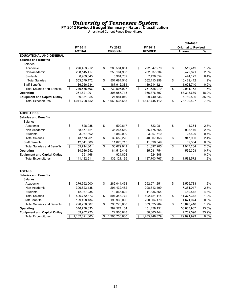### **FY 2012 Revised Budget Summary - Natural Classification**

Unrestricted Current Funds Expenditures

|                                     |                     |                     |                        | <b>CHANGE</b>              |       |
|-------------------------------------|---------------------|---------------------|------------------------|----------------------------|-------|
|                                     | FY 2011             | FY 2012             | FY 2012                | <b>Original to Revised</b> |       |
|                                     | <b>ACTUAL</b>       | <b>ORIGINAL</b>     | <b>REVISED</b>         | <b>Amount</b>              | %     |
| <b>EDUCATIONAL AND GENERAL</b>      |                     |                     |                        |                            |       |
| <b>Salaries and Benefits</b>        |                     |                     |                        |                            |       |
| Salaries                            |                     |                     |                        |                            |       |
| Academic                            | \$<br>276,463,912   | \$<br>288,534,851   | \$<br>292,047,270      | \$<br>3,512,419            | 1.2%  |
| Non-Academic                        | 268,145,417         | 256, 164, 963       | 262,637,834            | 6,472,871                  | 2.5%  |
| <b>Students</b>                     | 8,969,843           | 6,984,732           | 7,428,854              | 444,122                    | 6.4%  |
| <b>Total Salaries</b>               | \$<br>553,579,172   | \$<br>551,684,546   | \$<br>562,113,958      | \$<br>10,429,412           | 1.9%  |
| <b>Staff Benefits</b>               | 186,956,534         | 187,912,381         | 189,514,121            | 1,601,740                  | 0.9%  |
| <b>Total Salaries and Benefits</b>  | \$<br>740,535,706   | \$<br>739,596,927   | \$<br>751,628,079      | \$<br>12,031,152           | 1.6%  |
| Operating                           | 261,821,991         | 308,057,718         | 366,376,397            | 58,318,679                 | 18.9% |
| <b>Equipment and Capital Outlay</b> | 39,351,055          | 21,981,040          | 29,740,636             | 7,759,596                  | 35.3% |
| <b>Total Expenditures</b>           | \$<br>1,041,708,752 | \$<br>1,069,635,685 | \$<br>1, 147, 745, 112 | \$<br>78,109,427           | 7.3%  |
|                                     |                     |                     |                        |                            |       |
| <b>AUXILIARIES</b>                  |                     |                     |                        |                            |       |
| <b>Salaries and Benefits</b>        |                     |                     |                        |                            |       |
| Salaries                            |                     |                     |                        |                            |       |
| Academic                            | \$<br>528,088       | \$<br>509,617       | \$<br>523,981          | \$<br>14,364               | 2.8%  |
| Non-Academic                        | 38,677,721          | 35,267,519          | 36,175,665             | 908,146                    | 2.6%  |
| <b>Students</b>                     | 3,967,392           | 3,882,090           | 3,907,510              | 25,420                     | 0.7%  |
| <b>Total Salaries</b>               | \$<br>43,173,201    | \$<br>39,659,226    | \$<br>40,607,156       | \$<br>947,930              | 2.4%  |
| <b>Staff Benefits</b>               | 12,541,600          | 11,020,715          | 11,090,049             | 69,334                     | 0.6%  |
| <b>Total Salaries and Benefits</b>  | \$<br>55,714,801    | \$<br>50,679,941    | \$<br>51,697,205       | \$<br>1,017,264            | 2.0%  |
| Operating                           | 84,916,642          | 84,516,446          | 85,081,754             | 565,308                    | 0.7%  |
| <b>Equipment and Capital Outlay</b> | 551,168             | 924,808             | 924,808                |                            | 0.0%  |
| <b>Total Expenditures</b>           | \$<br>141,182,611   | \$<br>136, 121, 195 | \$<br>137,703,767      | \$<br>1.582.572            | 1.2%  |
| <b>TOTALS</b>                       |                     |                     |                        |                            |       |
| <b>Salaries and Benefits</b>        |                     |                     |                        |                            |       |
| Salaries                            |                     |                     |                        |                            |       |
| Academic                            | \$<br>276,992,000   | \$<br>289,044,468   | \$<br>292,571,251      | \$<br>3,526,783            | 1.2%  |
| Non-Academic                        | 306,823,138         | 291,432,482         | 298,813,499            | 7,381,017                  | 2.5%  |
| <b>Students</b>                     | 12,937,235          | 10,866,822          | 11,336,364             | 469,542                    | 4.3%  |
| <b>Total Salaries</b>               | \$<br>596,752,373   | \$<br>591,343,772   | \$<br>602,721,114      | \$<br>11,377,342           | 1.9%  |
| <b>Staff Benefits</b>               | 199,498,134         | 198,933,096         | 200,604,170            | 1,671,074                  | 0.8%  |
| <b>Total Salaries and Benefits</b>  | \$<br>796,250,507   | \$<br>790,276,868   | \$<br>803,325,284      | \$<br>13,048,416           | 1.7%  |
| Operating                           | 346,738,633         | 392,574,164         | 451,458,151            | 58,883,987                 | 15.0% |
| <b>Equipment and Capital Outlay</b> | 39,902,223          | 22,905,848          | 30,665,444             | 7,759,596                  | 33.9% |
| <b>Total Expenditures</b>           | \$<br>1,182,891,363 | \$<br>1,205,756,880 | \$<br>1,285,448,879    | \$<br>79,691,999           | 6.6%  |
|                                     |                     |                     |                        |                            |       |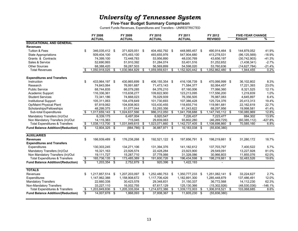### **Five-Year Budget Summary Comparison**

Current Funds Revenues, Expenditures and Transfers - UNRESTRICTED

|                                           |                          | FY 2008<br><b>ACTUAL</b> |     | FY 2009<br><b>ACTUAL</b> |      | FY 2010<br><b>ACTUAL</b> | FY 2011<br><b>ACTUAL</b> |                  |     | FY 2012<br><b>REVISED</b> | <b>FIVE-YEAR CHANGE</b><br>Amount | ℅         |
|-------------------------------------------|--------------------------|--------------------------|-----|--------------------------|------|--------------------------|--------------------------|------------------|-----|---------------------------|-----------------------------------|-----------|
| <b>EDUCATIONAL AND GENERAL</b>            |                          |                          |     |                          |      |                          |                          |                  |     |                           |                                   |           |
| <b>Revenues</b>                           |                          |                          |     |                          |      |                          |                          |                  |     |                           |                                   |           |
| <b>Tuition &amp; Fees</b>                 | \$                       | 346,035,412 \$           |     | 371,825,051 \$           |      | 404,492,792 \$           |                          | 448,985,457 \$   |     | 490,914,464 \$            | 144,879,052                       | 41.9%     |
| <b>State Appropriations</b>               |                          | 509,404,100              |     | 475.493.100              |      | 493.655.976              |                          | 547.904.680      |     | 413,278,531               | (96, 125, 569)                    | $-18.9%$  |
| Grants & Contracts                        |                          | 74,399,100               |     | 72,448,783               |      | 53,956,890               |                          | 48,030,769       |     | 43,656,197                | (30,742,903)                      | $-41.3%$  |
| Sales & Service                           |                          | 52,690,993               |     | 51,910,392               |      | 51,284,074               |                          | 53,401,516       |     | 51,252,652                | (1,438,341)                       | $-2.7%$   |
| <b>Other Sources</b>                      |                          | 68,388,420               |     | 59,287,503               |      | 56,569,899               |                          | 54,598,020       |     | 53,760,636                | (14, 627, 784)                    | $-21.4%$  |
| <b>Total Revenues</b>                     | \$                       | 1,050,918,025            | S   | 1,030,964,829            | S    | 1,059,959,631            | \$                       | 1,152,920,442    | \$. | 1,052,862,480             | \$<br>1,944,455                   | 0.2%      |
| <b>Expenditures and Transfers</b>         |                          |                          |     |                          |      |                          |                          |                  |     |                           |                                   |           |
| Instruction                               | \$                       | 433,964,197 \$           |     | 430,865,699 \$           |      | 406,155,354 \$           |                          | 416,108,739 \$   |     | 470,066,999 \$            | 36,102,802                        | 8.3%      |
| Research                                  |                          | 74,843,064               |     | 76,991,687               |      | 71,473,143               |                          | 71,584,377       |     | 92,064,457                | 17,221,393                        | 23.0%     |
| <b>Public Service</b>                     |                          | 68,744,835               |     | 66.079.285               |      | 64,376,210               |                          | 67,160,006       |     | 77.066.360                | 8,321,525                         | 12.1%     |
| Academic Support                          |                          | 116,336,361              |     | 115,638,277              |      | 109,822,900              |                          | 123,213,095      |     | 117,556,200               | 1,219,839                         | 1.0%      |
| <b>Student Services</b>                   |                          | 72,341,186               |     | 74,668,023               |      | 76.029.939               |                          | 76,356,505       |     | 76,987,083                | 4,645,897                         | 6.4%      |
| <b>Institutional Support</b>              |                          | 105,311,063              |     | 104,478,649              |      | 101,730,693              |                          | 107,386,428      |     | 125,724,376               | 20,413,313                        | 19.4%     |
| <b>Op/Maint Physical Plant</b>            |                          | 97,819,062               |     | 104,838,903              |      | 103,430,455              |                          | 118.655.716      |     | 119,981,681               | 22,162,619                        | 22.7%     |
| Scholarships/Fellowships                  |                          | 48,299,375               |     | 51,077,044               |      | 53,293,356               |                          | 61,243,822       |     | 68,297,956                | 19,998,581                        | 41.4%     |
| Sub-total Expenditures                    | \$.                      | 1,017,659,143            | -\$ | 1,024,637,566            | \$   | 986,312,050              | \$                       | 1,041,708,688    | \$  | $1,147,745,112$ \$        | 130,085,969                       | 12.8%     |
| Mandatory Transfers (In)/Out              |                          | 6,339,175                |     | 6,497,004                |      | 6,920,547                |                          | 7,226,437        |     | 7,223,477                 | 884,302                           | 13.9%     |
| Non Mandatory Transfers (In)/Out          |                          | 14,115,383               |     | 715,045                  |      | 29,839,063               |                          | 93,802,280       |     | (46, 269, 729)            | (60, 385, 112)                    | $-427.8%$ |
| <b>Total Expenditures &amp; Transfers</b> | \$                       | 1,038,113,700            | \$  | 1,031,849,615            | \$   | 1,023,071,660            | \$                       | 1,142,737,405    | \$  | 1,108,698,860             | \$<br>70,585,160                  | 6.8%      |
| <b>Fund Balance Addition/(Reduction)</b>  | $\overline{\mathbf{s}}$  | 12,804,325 \$            |     | $(884, 786)$ \$          |      | 36,887,971 \$            |                          | 10,183,038 \$    |     | (55,836,380)              |                                   |           |
|                                           |                          |                          |     |                          |      |                          |                          |                  |     |                           |                                   |           |
| <b>AUXILIARIES</b>                        |                          |                          |     |                          |      |                          |                          |                  |     |                           |                                   |           |
| <b>Revenues</b>                           | \$                       | 166,939,489 \$           |     | 176,238,268              | -\$  | 192,521,122 \$           |                          | 197,856,791 \$   |     | 198,219,661 \$            | 31,280,172                        | 18.7%     |
| <b>Expenditures and Transfers</b>         |                          |                          |     |                          |      |                          |                          |                  |     |                           |                                   |           |
| Expenditures                              |                          | 130,303,245              |     | 134.271.106              |      | 131,394,376              |                          | 141,182,612      |     | 137.703.767               | 7,400,522                         | 5.7%      |
| Mandatory Transfers (In)/Out              |                          | 16,321,163               |     | 23,926,574               |      | 22,428,284               |                          | 23,923,900       |     | 29,549,091                | 13,227,928                        | 81.0%     |
| Non Mandatory Transfers (In)/Out          |                          | 19.111.727               |     | 15,287,710               |      | 37,778,066               |                          | 31,328,086       |     | 30,966,803                | 11,855,076                        | 62.0%     |
| <b>Total Expenditures &amp; Transfers</b> | $\overline{\mathcal{E}}$ | 165,736,135              | \$  | 173,485,389              | \$   | 191,600,726              | \$                       | 196,434,598      | \$  | 198,219,661               | \$<br>32,483,526                  | 19.6%     |
| <b>Fund Balance Addition/(Reduction)</b>  | ड                        | $1,203,354$ \$           |     | 2,752,879 \$             |      | 920,396 \$               |                          | 1,422,193        |     |                           |                                   |           |
| <b>TOTALS</b>                             |                          |                          |     |                          |      |                          |                          |                  |     |                           |                                   |           |
| Revenues                                  | \$                       | 1,217,857,514 \$         |     | 1,207,203,097            | - \$ | 1,252,480,753            | -\$                      | 1,350,777,233 \$ |     | 1,251,082,141 \$          | 33,224,627                        | 2.7%      |
| Expenditures                              |                          | 1,147,962,388            |     | 1,158,908,672            |      | 1,117,706,426            |                          | 1,182,891,300    |     | 1,285,448,879             | 137,486,491                       | 12.0%     |
| <b>Mandatory Transfers</b>                |                          | 22,660,338               |     | 30,423,578               |      | 29,348,831               |                          | 31,150,337       |     | 36,772,568                | 14,112,230                        | 62.3%     |
| Non-Mandatory Transfers                   |                          | 33,227,110               |     | 16,002,755               |      | 67,617,129               |                          | 125,130,366      |     | (15, 302, 926)            | (48,530,036)                      | $-146.1%$ |
| <b>Total Expenditures &amp; Transfers</b> | \$                       | 1,203,849,836            | \$  | 1,205,335,004            | -\$  | 1,214,672,386            | \$                       | 1,339,172,003    | \$  | 1,306,918,521             | \$<br>103,068,685                 | 8.6%      |
| <b>Fund Balance Addition/(Reduction)</b>  | Ŝ.                       | 14,007,678 \$            |     | 1,868,093 \$             |      | 37,808,367 \$            |                          | 11,605,230 \$    |     | (55, 836, 380)            |                                   |           |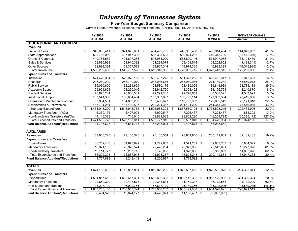### **Five-Year Budget Summary Comparison**

Current Funds Revenues, Expenditures and Transfers - UNRESTRICTED AND RESTRICTED

|                                          |                          | FY 2008          | FY 2009             |      | FY 2010         |     | FY 2011          |      | FY 2012          |      | <b>FIVE-YEAR CHANGE</b> |           |
|------------------------------------------|--------------------------|------------------|---------------------|------|-----------------|-----|------------------|------|------------------|------|-------------------------|-----------|
|                                          |                          | <b>ACTUAL</b>    | ACTUAL              |      | <b>ACTUAL</b>   |     | <b>ACTUAL</b>    |      | <b>REVISED</b>   |      | Amount                  | %         |
| <b>EDUCATIONAL AND GENERAL</b>           |                          |                  |                     |      |                 |     |                  |      |                  |      |                         |           |
| <b>Revenues</b>                          |                          |                  |                     |      |                 |     |                  |      |                  |      |                         |           |
| <b>Tuition &amp; Fees</b>                | \$                       | 346,035,411 \$   | 371,825,051 \$      |      | 404,492,792 \$  |     | 448,985,458 \$   |      | 490,914,464 \$   |      | 144,879,053             | 41.9%     |
| <b>State Appropriations</b>              |                          | 533,758,089      | 497,947,300         |      | 516,305,505     |     | 569,824,232      |      | 440,345,739      |      | (93, 412, 350)          | $-17.5%$  |
| Grants & Contracts                       |                          | 440,755,579      | 491,697,255         |      | 515,951,220     |     | 588,820,146      |      | 578,947,058      |      | 138, 191, 479           | 31.4%     |
| Sales & Services                         |                          | 52,690,993       | 51,910,392          |      | 51,284,074      |     | 53,401,514       |      | 51,252,652       |      | (1,438,341)             | $-2.7%$   |
| <b>Other Sources</b>                     |                          | 132,999,334      | 129,357,528         |      | 128,907,344     |     | 116,974,365      |      | 116,983,399      |      | (16.015.935)            | $-12.0%$  |
| <b>Total Revenues</b>                    | \$                       | 1,506,239,406    | \$<br>,542,737,526  | \$   | 1,616,940,935   | \$  | 1,778,005,715    | \$   | ,678,443,312     | \$   | 172,203,906             | 11.4%     |
| <b>Expenditures and Transfers</b>        |                          |                  |                     |      |                 |     |                  |      |                  |      |                         |           |
| Instruction                              | \$                       | 524,476,964 \$   | 529,975,158         | -\$  | 530,487,275 \$  |     | 561,323,285 \$   |      | 608,452,647 \$   |      | 83,975,683              | 16.0%     |
| Research                                 |                          | 215,280,209      | 253,700,070         |      | 248,046,616     |     | 263,910,986      |      | 271,139,282      |      | 55,859,073              | 25.9%     |
| <b>Public Service</b>                    |                          | 136,060,800      | 132,234,699         |      | 128,580,176     |     | 158,439,055      |      | 189,844,939      |      | 53,784,139              | 39.5%     |
| Academic Support                         |                          | 125,954,894      | 128,260,016         |      | 122,912,760     |     | 141,363,492      |      | 134, 195, 764    |      | 8,240,870               | 6.5%      |
| <b>Student Services</b>                  |                          | 75,975,234       | 78,046,581          |      | 79,291,733      |     | 79,778,059       |      | 80,508,325       |      | 4,533,091               | 6.0%      |
| <b>Institutional Support</b>             |                          | 107,541,338      | 106,654,464         |      | 103,937,697     |     | 109,799,114      |      | 127,953,394      |      | 20,412,056              | 19.0%     |
| Operation & Maintenance of Plant         |                          | 97,964,531       | 104,883,266         |      | 103,490,677     |     | 118,763,903      |      | 120,085,549      |      | 22,121,018              | 22.6%     |
| Scholarships & Fellowships               |                          | 167,794,251      | 185,189,507         |      | 210,221,367     |     | 234, 191, 229    |      | 241,343,316      |      | 73,549,065              | 43.8%     |
| Sub-total Expenditures                   | \$                       | 1,451,048,220 \$ | 1,518,943,762 \$    |      | 1,526,968,301   | \$  | 1,667,569,123    | - \$ | 1,773,523,216 \$ |      | 322,474,996             | 22.2%     |
| Mandatory Transfers (In)/Out             |                          | 6,339,175        | 6,497,004           |      | 6,920,547       |     | 7,226,437        |      | 7,223,477        |      | 884,302                 | 13.9%     |
| Non-Mandatory Transfers (In)/Out         |                          | 14,115,383       | 715,045             |      | 29,839,063      |     | 93,802,280       |      | (46, 269, 729)   |      | (60, 385, 112)          | $-427.8%$ |
| <b>Total Expenditures and Transfers</b>  | \$                       | 1,471,502,778    | \$<br>1,526,155,811 | \$   | 1,563,727,910   | \$  | 1,768,597,840    | \$   | 1,734,476,964    | - \$ | 262,974,186             | 17.9%     |
| <b>Fund Balance Addition/(Reduction)</b> | $\overline{\mathcal{E}}$ | 34,736,628 \$    | 16,581,715 \$       |      | $53,213,024$ \$ |     | $9,407,875$ \$   |      | (56,033,652)     |      |                         |           |
|                                          |                          |                  |                     |      |                 |     |                  |      |                  |      |                         |           |
| <b>AUXILIARIES</b>                       |                          |                  |                     |      |                 |     |                  |      |                  |      |                         |           |
| <b>Revenues</b>                          | \$                       | 167,930,226 \$   | 177,130,325         | - \$ | 193,135,354 \$  |     | 198,601,840 \$   |      | 200,119,661      | \$   | 32,189,435              | 19.2%     |
| <b>Expenditures and Transfers</b>        |                          |                  |                     |      |                 |     |                  |      |                  |      |                         |           |
| Expenditures                             | \$                       | 130,769,438 \$   | 134,673,629         | - \$ | 131,722,007 \$  |     | 141,571,262 \$   |      | 139,603,767 \$   |      | 8,834,329               | 6.8%      |
| <b>Mandatory Transfers</b>               |                          | 16,321,163       | 23,926,574          |      | 22,428,284      |     | 23,923,900       |      | 29,549,091       |      | 13,227,928              | 81.0%     |
| Non-Mandatory Transfers                  |                          | 19.111.727       | 15.287.710          |      | 37.778.066      |     | 31.328.086       |      | 30.966.803       |      | 11,855,076              | 62.0%     |
| <b>Total Expenditures and Transfers</b>  |                          | 166,202,328      | \$<br>173,887,913   | \$   | 191,928,357     | \$  | 196,823,248      | \$   | 200,119,661      | \$   | 33,917,333              | 20.4%     |
| <b>Fund Balance Addition/(Reduction)</b> | $\frac{1}{\sqrt{2}}$     | $1,727,898$ \$   | $3,242,412$ \$      |      | 1,206,997 \$    |     | $1,778,592$ \$   |      |                  |      |                         |           |
|                                          |                          |                  |                     |      |                 |     |                  |      |                  |      |                         |           |
| <b>TOTALS</b>                            |                          |                  |                     |      |                 |     |                  |      |                  |      |                         |           |
| <b>Revenues</b>                          | \$                       | 1,674,169,632    | \$<br>1,719,867,851 | \$   | 1,810,076,289   | -\$ | 1,976,607,555    | -\$  | 1,878,562,973    | - \$ | 204,393,341             | 12.2%     |
| <b>Expenditures and Transfers</b>        |                          |                  |                     |      |                 |     |                  |      |                  |      |                         |           |
| Expenditures                             | \$                       | 1,581,817,659 \$ | 1,653,617,391       | \$   | 1,658,690,308   | -\$ | 1,809,140,385 \$ |      | 1,913,126,983 \$ |      | 331,309,324             | 20.9%     |
| <b>Mandatory Transfers</b>               |                          | 22,660,339       | 30,423,578          |      | 29,348,831      |     | 31,150,337       |      | 36,772,568       |      | 14,112,229              | 62.3%     |
| Non-Mandatory Transfers                  |                          | 33,227,109       | 16,002,755          |      | 67,617,129      |     | 125,130,366      |      | (15, 302, 926)   |      | (48, 530, 035)          | $-146.1%$ |
| <b>Total Expenditures and Transfers</b>  | \$                       | 1,637,705,106    | \$<br>1,700,043,724 | \$   | 1,755,656,267   | \$  | 1,965,421,088    | \$   | 1,934,596,625    | \$   | 296,891,519             | 18.1%     |
| <b>Fund Balance Addition/(Reduction)</b> | \$                       | 36,464,526 \$    | 19,824,127 \$       |      | 54,420,021 \$   |     | 11,186,467 \$    |      | (56,033,652)     |      |                         |           |
|                                          |                          |                  |                     |      |                 |     |                  |      |                  |      |                         |           |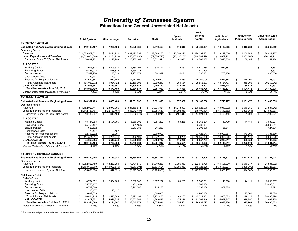### **Educational and General Unrestricted Net Assets**

|                                                  | <b>Total System</b>                    | Chattanooga       | Knoxville          | <b>Martin</b>               | Space<br>Institute   | Health<br><b>Science</b><br>Center | Institute of<br>Agriculture | Institute for<br><b>Public Service</b> | <b>University-Wide</b><br><b>Adminitration</b> |
|--------------------------------------------------|----------------------------------------|-------------------|--------------------|-----------------------------|----------------------|------------------------------------|-----------------------------|----------------------------------------|------------------------------------------------|
| <b>FY 2009-10 ACTUAL</b>                         |                                        |                   |                    |                             |                      |                                    |                             |                                        |                                                |
| <b>Estimated Net Assets at Beginning of Year</b> | \$<br>112,109,457                      | 7,260,496<br>\$   | \$23,626,436       | \$<br>6.519.459             | 516,310<br>\$        | \$29.480.101                       | \$ 10,132,808               | 1,013,288<br>s                         | 33,560,559<br>S                                |
| <b>Operating Funds</b>                           |                                        |                   |                    |                             |                      |                                    |                             |                                        |                                                |
| Revenue                                          | \$1.059.959.632                        | \$114,494,712     | \$467,422,731      | 82.688.270<br>\$            | 10.598.220<br>\$     | \$226,291,133                      | \$118,292,530               | \$<br>16.150.849                       | S<br>24.021.187                                |
| Less: Expenditures and Transfers                 | (1,023,071,660)                        | (112, 281, 719)   | (448, 487, 630)    | (79,356,726)                | (10, 437, 150)       | (219, 582, 498)                    | (110, 682, 161)             | (16,062,665)                           | (26, 181, 111)                                 |
| Carryover Funds To/(From) Net Assets             | 36,887,972                             | 2,212,993<br>\$   | 18,935,101<br>\$   | 3,331,544<br>\$             | 161,070<br>\$        | 6,708,635<br>\$                    | 7,610,369<br>\$             | 88,184<br>\$                           | (2, 159, 924)<br>\$                            |
| <b>ALLOCATED</b>                                 |                                        |                   |                    |                             |                      |                                    |                             |                                        |                                                |
| <b>Working Capital</b>                           | \$<br>23.006.803                       | \$<br>2.503.524   | \$<br>5,130,702    | \$.<br>635.394              | \$.<br>116,860       | \$<br>9.810.588                    | \$<br>1.032.383             |                                        | \$<br>3,777,352                                |
| <b>Revolving Funds</b>                           | 26,867,972                             | 548,875           | 1,559,714          |                             |                      | 2,440,690                          |                             |                                        | 22,318,693                                     |
| Encumbrances                                     | 7,549,276                              | 30,520            | 2,203,679          | 304,919                     | 24,471               | 1,235,251                          | 1,750,436                   |                                        | 2,000,000                                      |
| <b>Unexpended Gifts</b>                          | 20,437                                 | 20,437            |                    |                             |                      |                                    |                             |                                        |                                                |
| Reserve for Reappropriations                     | 47,639,384                             | 980,766           | 11,272,600         | 6,449,900                   | 123,233              | 15,369,004                         | 10,974,884                  | 315,000<br>\$                          | 2,153,997                                      |
| <b>Total Allocated Net Assets</b>                | 105,083,872<br>\$                      | \$<br>4,084,122   | \$<br>20,166,695   | \$<br>7,390,213             | 264,564<br>\$        | 28,855,533<br>\$                   | 13,757,703<br>\$            | \$<br>315,000                          | 30,250,042<br>\$                               |
| <b>UNALLOCATED</b>                               | 43.913.557                             | 5,389,367         | 22,394,842         | 2.460.790                   | 412.816              | 7,333,203                          | 3,985,474                   | 786.472                                | 1,150,593                                      |
| Total Net Assets - June 30, 2010                 | 148.997.429<br>s.                      | s.<br>9.473.489   | 42.561.537<br>- \$ | 9.851.003                   | \$<br>677,380        | Ŝ.<br>36.188.736                   | 17.743.177<br>s.            | 1,101,472<br>s                         | 31.400.635<br>\$                               |
| Percent Unallocated of Expend. & Transfers *     | 4.29%                                  | 4.80%             | 4.99%              | 3.10%                       | 3.96%                | 3.34%                              | 3.60%                       | 4.90%                                  | 2.41%                                          |
| <b>FY 2010-11 ACTUAL</b>                         |                                        |                   |                    |                             |                      |                                    |                             |                                        |                                                |
|                                                  | \$<br>148,997,429                      | \$<br>9,473,489   | \$42,561,537       | \$<br>9,851,003             | 677,380<br>\$        | \$36,188,736                       | \$ 17,743,177               | \$<br>1,101,472                        | 31,400,635<br>\$                               |
| <b>Estimated Net Assets at Beginning of Year</b> |                                        |                   |                    |                             |                      |                                    |                             |                                        |                                                |
| <b>Operating Funds</b><br>Revenue                |                                        |                   |                    |                             |                      |                                    |                             | \$                                     | \$                                             |
|                                                  | \$1,152,920,441                        | \$123,079,906     | \$ 531,169,514     | $\mathsf{\$}$<br>91,035,861 | \$<br>11,273,097     | \$ 236,023,970                     | \$119,943,092               | 16,510,759                             | 23,884,242                                     |
| Less: Expenditures and Transfers                 | (1, 142, 737, 404)                     | (122, 769, 407)   | (546, 972, 187)    | (87,085,617)                | (11, 394, 916)       | (218, 499, 101)                    | (115, 542, 652)             | (16, 389, 661)                         | (24,083,863)                                   |
| Carryover Funds To/(From) Net Assets             | 10,183,037                             | 310,499<br>\$     | (15,802,673)<br>\$ | 3,950,244<br>\$             | (121, 819)<br>\$     | 17,524,869<br>\$                   | 4,400,440<br>\$             | 121,098<br>\$                          | (199, 621)<br>\$                               |
| <b>ALLOCATED</b>                                 |                                        |                   |                    |                             |                      |                                    |                             |                                        |                                                |
| <b>Working Capital</b>                           | \$<br>18,734,053                       | \$<br>2,504,906   | \$<br>5,360,302    | \$<br>1,057,202             | 80,265<br>\$         | 5,363,231<br>\$                    | \$<br>1,140,799             | \$.<br>144,111                         | 3,083,237<br>\$                                |
| <b>Revolving Funds</b>                           | 25,756,137                             |                   | (81, 188)          |                             |                      | 2,768,684                          |                             |                                        | 23,068,641                                     |
| Encumbrances                                     | 7,620,592                              |                   | 3,213,085          | 215,263                     |                      | 2,298,036                          | 1,766,317                   |                                        | 127,891                                        |
| <b>Unexpended Gifts</b>                          | 20.437                                 | 20.437            |                    |                             |                      |                                    |                             |                                        |                                                |
| Reserve for Reappropriations                     | 62,390,292                             | 1,708,901         |                    | 9,000,000                   |                      | 33,425,947                         | 13,999,884                  | 470,000<br>\$                          | 3,785,560                                      |
| <b>Total Allocated Net Assets</b>                | 114,521,511                            | \$<br>4,234,244   | \$<br>8,492,199    | \$<br>10,272,465            | \$<br>80,265         | \$<br>43.855.898                   | \$<br>16.907.000            | \$<br>614.111                          | \$<br>30.065.329                               |
| <b>UNALLOCATED</b>                               | 44,658,955<br>\$                       | \$<br>5,549,744   | 18,266,666<br>\$   | \$<br>3,528,782             | \$<br>475,296        | \$<br>9,857,707                    | \$<br>5,236,617             | \$<br>608,459                          | \$<br>1,135,685                                |
| Total Net Assets - June 30, 2011                 | s.<br>159,180,466                      | \$<br>9,783,988   | s.<br>26,758,864   | s.<br>13,801,247            | \$<br>555,561        | \$<br>53,713,605                   | \$<br>22,143,617            | s.<br>1,222,570                        | \$<br>31,201,014                               |
| Percent Unallocated of Expend. & Transfers *     | 3.91%                                  | 4.52%             | 3.34%              | 4.05%                       | 4.17%                | 4.51%                              | 4.53%                       | 3.71%                                  | 4.72%                                          |
| FY 2011-12 REVISED BUDGET                        |                                        |                   |                    |                             |                      |                                    |                             |                                        |                                                |
| <b>Estimated Net Assets at Beginning of Year</b> | 159,180,466<br>\$                      | 9,783,988<br>s    | \$ 26,758,864      | \$ 13,801,247               | 555,561<br>\$        | \$53,713,605                       | 22,143,617<br>s.            | 1,222,570<br>s                         | 31,201,014<br>S                                |
|                                                  |                                        |                   |                    |                             |                      |                                    |                             |                                        |                                                |
| <b>Operating Funds</b><br>Revenue                | \$1,052,862,480                        | \$113,260,254     | \$473,704,819      | \$ 81,910,268               | \$<br>9,795,050      | \$222,645,720                      | \$114,505,020               | \$ 15,510,347                          | \$<br>21,531,002                               |
| Less: Expenditures and Transfers                 | (1, 108, 698, 860)                     | (114, 902, 575)   | (476, 917, 904)    | (88, 635, 624)              | (9,795,050)          | (249, 725, 528)                    | (130, 560, 207)             | (15, 835, 009)                         | (22, 326, 963)                                 |
| Carryover Funds To/(From) Net Assets             | (55, 836, 380)<br>-S                   | \$<br>(1,642,321) | \$<br>(3,213,085)  | \$<br>(6,725,356)           | \$<br>$\sim$         | \$<br>(27,079,808)                 | \$(16,055,187)              | (324, 662)<br>\$                       | (795, 961)<br>\$                               |
|                                                  |                                        |                   |                    |                             |                      |                                    |                             |                                        |                                                |
| <b>Net Assets Detail:</b><br><b>ALLOCATED</b>    |                                        |                   |                    |                             |                      |                                    |                             |                                        |                                                |
| <b>Working Capital</b>                           | \$.<br>18,734,052                      | \$<br>2,504,906   | 5,360,302<br>\$    | \$<br>1,057,202             | \$<br>80,265         | \$<br>5,363,231                    | \$<br>1,140,798             | \$<br>144,111                          | 3.083.237<br>- \$                              |
| <b>Revolving Funds</b>                           | 25,756,137                             |                   | (81, 188)          |                             |                      | 2,768,684                          |                             |                                        | 23,068,641                                     |
| Encumbrances                                     | 6,722,060                              |                   | 3,213,085          | 215,263                     |                      | 2,298,036                          | 867,785                     |                                        | 127,891                                        |
| <b>Unexpended Gifts</b>                          | 20,437                                 | 20,437            |                    |                             |                      |                                    |                             |                                        |                                                |
| Reserve for Reappropriations                     | 9.632.029                              |                   |                    | 1.500.000                   |                      | 4.900.000                          |                             | 75,000                                 | 3.157.029                                      |
| <b>Total Allocated Net Assets</b>                | 60.864.715                             | 2,525,343         | 8,492,199<br>\$    | 2,772,465<br>\$             | 80.265<br>\$         | 15.329.951<br>\$                   | 2,008,583                   | 219,111<br>\$                          | 29.436.798<br>\$                               |
| <b>UNALLOCATED</b>                               | \$<br>42,479,371                       | \$<br>5,616,324   | \$<br>15,053,580   | \$<br>4,303,426             | \$<br>475,296        | \$<br>11,303,846                   | \$<br>4,079,847             | \$<br>678,797                          | \$<br>968,255                                  |
| Total Net Assets - October 31, 2011              | $\overline{\mathbf{s}}$<br>103,344,086 | \$<br>8,141,667   | \$<br>23,545,779   | 7,075,891<br>\$             | $\bullet$<br>555,561 | \$<br>26,633,797                   | \$<br>6,088,430             | $\overline{\mathbf{s}}$<br>897,908     | $\bullet$<br>30,405,053                        |
| Percent Unallocated of Expend. & Transfers *     | 3.83%                                  | 4.89%             | 3.16%              | 4.86%                       | 4.85%                | 4.53%                              | 3.12%                       | 4.29%                                  | 4.34%                                          |

*\* Recommended percent unallocated of expenditures and transfers is 2% to 5%.*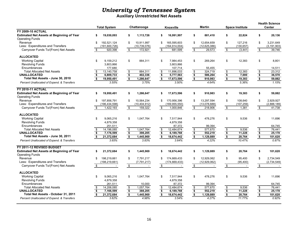**Auxiliary Unrestricted Net Assets**

|                                                  | <b>Total System</b>                  | Chattanooga                          | Knoxville               | <b>Martin</b>                        | <b>Space Institute</b>  | <b>Health Science</b><br><b>Center</b> |  |  |  |
|--------------------------------------------------|--------------------------------------|--------------------------------------|-------------------------|--------------------------------------|-------------------------|----------------------------------------|--|--|--|
| <b>FY 2009-10 ACTUAL</b>                         |                                      |                                      |                         |                                      |                         |                                        |  |  |  |
| <b>Estimated Net Assets at Beginning of Year</b> | 19,030,093                           | 1,113,726                            | 16.991.997              | \$                                   | \$                      | \$                                     |  |  |  |
| <b>Operating Funds</b>                           | \$                                   | \$                                   | \$                      | 881,410                              | 22,824                  | 20,136                                 |  |  |  |
| Revenue                                          | \$                                   | \$                                   | \$                      | \$                                   | \$                      | \$                                     |  |  |  |
|                                                  | 192.521.124                          | 10.911.997                           | 165.595.603             | 12.654.659                           | 127.216                 | 3.231.649                              |  |  |  |
| Less: Expenditures and Transfers                 | (191,600,726)                        | (10, 739, 076)                       | (164, 914, 004)         | (12,625,086)                         | (130, 657)              | (3, 191, 903)                          |  |  |  |
| Carryover Funds To/(From) Net Assets             | 920,398                              | \$                                   | \$                      | 29,573                               | \$                      | 39,746                                 |  |  |  |
|                                                  | -\$                                  | 172,921                              | 681,599                 | \$                                   | (3, 441)                | \$                                     |  |  |  |
| <b>ALLOCATED</b>                                 |                                      |                                      |                         |                                      |                         |                                        |  |  |  |
| <b>Working Capital</b>                           | \$                                   | \$                                   | \$                      | \$                                   | \$                      | \$                                     |  |  |  |
|                                                  | 9,159,212                            | 884,311                              | 7,984,453               | 269,264                              | 12,383                  | 8,801                                  |  |  |  |
| <b>Revolving Funds</b>                           | 3,803,866                            |                                      | 3,803,866               |                                      |                         |                                        |  |  |  |
| Encumbrances                                     | 177,680                              |                                      | 107,714                 | 55,455                               |                         | 14,511                                 |  |  |  |
| <b>Total Allocated Net Assets</b>                | 13,140,758                           | $\bullet$                            | \$                      | $\pmb{\mathfrak{P}}$                 | 12,383                  | $\boldsymbol{\theta}$                  |  |  |  |
|                                                  | \$                                   | 884,311                              | 11,896,033              | 324,719                              | $\pmb{\$}$              | 23,312                                 |  |  |  |
| <b>UNALLOCATED</b>                               | $\overline{\mathbf{s}}$              | \$                                   | $\overline{\bullet}$    | $\overline{\boldsymbol{\mathsf{s}}}$ | $\sqrt[6]{\frac{1}{2}}$ | $\bullet$                              |  |  |  |
|                                                  | 6,809,733                            | 402.336                              | 5,777,563               | 586.264                              | 7.000                   | 36,570                                 |  |  |  |
| Total Net Assets - June 30, 2010                 | \$                                   | $\overline{\mathbf{s}}$              | S.                      | \$                                   | $\overline{\mathbf{s}}$ | $\overline{\mathbf{s}}$                |  |  |  |
|                                                  | 19,950,491                           | 1,286,647                            | 17,673,596              | 910,983                              | 19,383                  | 59,882                                 |  |  |  |
| Percent Unallocated of Expend. & Transfers       | 3.55%                                | 3.75%                                | 3.50%                   | 4.64%                                | 5.36%                   | 1.15%                                  |  |  |  |
| <b>FY 2010-11 ACTUAL</b>                         |                                      |                                      |                         |                                      |                         |                                        |  |  |  |
| <b>Estimated Net Assets at Beginning of Year</b> | \$                                   | \$                                   | \$                      | \$                                   | \$                      | \$                                     |  |  |  |
| <b>Operating Funds</b>                           | 19,950,491                           | 1,286,647                            | 17,673,596              | 910,983                              | 19,383                  | 59,882                                 |  |  |  |
| Revenue                                          | \$                                   | 10.564.234                           | \$                      | \$                                   | \$                      | \$                                     |  |  |  |
|                                                  | 197.856.791                          | \$                                   | 170.956.396             | 13.297.594                           | 108.640                 | 2.929.927                              |  |  |  |
| Less: Expenditures and Transfers                 | (196, 434, 598)                      | (10, 404, 912)                       | (169, 955, 550)         | (13,078,688)                         | (107, 259)              | (2,888,189)                            |  |  |  |
| Carryover Funds To/(From) Net Assets             | \$                                   | \$                                   | \$                      | \$                                   | $\mathfrak s$           | \$                                     |  |  |  |
|                                                  | 1,422,193                            | 159,322                              | 1,000,846               | 218,906                              | 1,381                   | 41,738                                 |  |  |  |
| <b>ALLOCATED</b>                                 |                                      |                                      |                         |                                      |                         |                                        |  |  |  |
| <b>Working Capital</b>                           | \$                                   | 1,047,764                            | \$                      | 478.276                              | \$                      | \$                                     |  |  |  |
|                                                  | 9.065.216                            | \$                                   | 7.517.944               | \$                                   | 9.536                   | 11.696                                 |  |  |  |
| <b>Revolving Funds</b>                           | 4,879,358                            |                                      | 4.879.358               |                                      |                         |                                        |  |  |  |
| Encumbrances                                     | 251,511                              |                                      | 87,372                  | 99,394                               |                         | 64,745                                 |  |  |  |
| <b>Total Allocated Net Assets</b>                | 14,196,085                           | \$                                   | 12.484.674              | $$\mathbb{S}$$                       | 9,536                   | $\sqrt[6]{3}$                          |  |  |  |
|                                                  | \$                                   | 1,047,764                            | \$                      | 577.670                              | \$                      | 76,441                                 |  |  |  |
| <b>UNALLOCATED</b>                               | $\overline{\boldsymbol{\mathsf{s}}}$ | $\overline{\mathbf{3}}$              | \$                      | $\overline{\mathbf{S}}$              | $\overline{\bullet}$    | $\overline{\boldsymbol{\mathsf{s}}}$   |  |  |  |
|                                                  | 7,176,599                            | 398,205                              | 6,189,768               | 552,219                              | 11,228                  | 25,178                                 |  |  |  |
| Total Net Assets - June 30, 2011                 | $\overline{\mathbf{s}}$              | $\bullet$                            | $\overline{\mathbf{s}}$ | $\overline{\bullet}$                 | $\overline{\bullet}$    | $\bullet$                              |  |  |  |
|                                                  | 21,372,684                           | 1,445,969                            | 18,674,442              | 1,129,889                            | 20,764                  | 101,620                                |  |  |  |
| Percent Unallocated of Expend. & Transfers       | 3.65%                                | 3.83%                                | 3.64%                   | 4.22%                                | 10.47%                  | 0.87%                                  |  |  |  |
| FY 2011-12 REVISED BUDGET                        |                                      |                                      |                         |                                      |                         |                                        |  |  |  |
| <b>Estimated Net Assets at Beginning of Year</b> | 21,372,684                           | 1,445,969                            | \$                      | \$                                   | \$                      | 101,620                                |  |  |  |
| <b>Operating Funds</b>                           | \$                                   | \$                                   | 18,674,442              | 1,129,889                            | 20,764                  | \$                                     |  |  |  |
| Revenue                                          | $\mathfrak{L}$                       | \$                                   | \$                      | \$                                   | \$                      | \$                                     |  |  |  |
|                                                  | 198.219.661                          | 7.791.217                            | 174.669.433             | 12.929.062                           | 95.400                  | 2.734.549                              |  |  |  |
| Less: Expenditures and Transfers                 | (198, 219, 661)                      | (7,791,217)                          | (174, 669, 433)         | (12,929,062)                         | (95, 400)               | (2,734,549)                            |  |  |  |
| Carryover Funds To/(From) Net Assets             | \$                                   | \$                                   | \$                      | $\bullet$                            | $\sqrt{2}$              | \$                                     |  |  |  |
|                                                  | $\blacksquare$                       | $\sim$                               | $\sim$                  | $\sim$                               | $\sim$                  | $\sim$                                 |  |  |  |
| <b>ALLOCATED</b>                                 |                                      |                                      |                         |                                      |                         |                                        |  |  |  |
| <b>Working Capital</b>                           | \$                                   | 1,047,764                            | \$                      | \$                                   | \$                      | \$                                     |  |  |  |
|                                                  | 9,065,216                            | \$                                   | 7,517,944               | 478,276                              | 9,536                   | 11,696                                 |  |  |  |
| <b>Revolving Funds</b>                           | 4,879,358                            |                                      | 4,879,358               |                                      |                         |                                        |  |  |  |
| Encumbrances                                     | 261,511                              | 10,000                               | 87,372                  | 99,394                               |                         | 64.745                                 |  |  |  |
| <b>Total Allocated Net Assets</b>                | \$                                   | \$                                   | \$                      | $\,$                                 | 9,536                   | \$                                     |  |  |  |
|                                                  | 14,206,085                           | 1,057,764                            | 12,484,674              | 577.670                              | \$                      | 76,441                                 |  |  |  |
| <b>UNALLOCATED</b>                               | \$                                   | $\overline{\boldsymbol{\mathsf{s}}}$ | $\overline{\bullet}$    | $\overline{\bullet}$                 | $\overline{\mathbf{S}}$ | $\overline{\boldsymbol{\mathsf{s}}}$   |  |  |  |
|                                                  | 7,166,599                            | 388,205                              | 6,189,768               | 552,219                              | 11,228                  | 25,178                                 |  |  |  |
| Total Net Assets - October 31, 2011              | \$                                   | $\bullet$                            | $\bullet$               | $\bullet$                            | $\overline{\mathbf{S}}$ | $\bullet$                              |  |  |  |
|                                                  | 21,372,684                           | 1,445,969                            | 18,674,442              | 1,129,889                            | 20,764                  | 101,620                                |  |  |  |
| Percent Unallocated of Expend. & Transfers       | 3.62%                                | 4.98%                                | 3.54%                   | 4.27%                                | 11.77%                  | 0.92%                                  |  |  |  |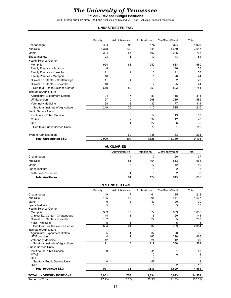### *The University of Tennessee*

### **FY 2012 Revised Budget Positions**

All Full-time and Part-time Positions (Including ARRA and MOE and Excluding Student Employees)

### **UNRESTRICTED E&G**

|                                    | Faculty | Administrative     | Professional   | Cler/Tech/Maint | Total |
|------------------------------------|---------|--------------------|----------------|-----------------|-------|
| Chattanooga                        | 434     | 96                 | 176            | 320             | 1,026 |
| Knoxville                          | 1,378   | 239                | 641            | 1.659           | 3,917 |
| Martin                             | 304     | 57                 | 107            | 296             | 765   |
| Space Institute                    | 23      | 8                  | 10             | 43              | 84    |
| <b>Health Science Center</b>       |         |                    |                |                 |       |
| Memphis                            | 554     | 81                 | 242            | 683             | 1,560 |
| Family Practice - Jackson          | 8       |                    | 4              | 46              | 58    |
| Family Practice - Knoxville        | 11      | $\overline{2}$     | 3              | 41              | 57    |
| Family Practice - Memphis          | 16      |                    |                | 26              | 44    |
| Clinical Ed. Center - Chattanooga  | 11      | 4                  | 3              | $\overline{2}$  | 20    |
| Clinical Ed. Center - Knoxville    | 10      | $\overline{2}$     | $\overline{7}$ | 25              | 44    |
| Sub-total Health Science Center    | 610     | 89                 | 259            | 823             | 1,781 |
| Institute of Agriculture           |         |                    |                |                 |       |
| Agricultural Experiment Station    | 94      | 17                 | 83             | 118             | 311   |
| <b>UT Extension</b>                | 57      | 10                 | 298            | 219             | 585   |
| Veterinary Medicine                | 98      | 8                  | 30             | 177             | 314   |
| Sub-total Institute of Agriculture | 249     | 35                 | 410            | 515             | 1,210 |
| <b>Public Service Units</b>        |         |                    |                |                 |       |
| Institute for Public Service       |         | 6                  | 14             | 13              | 33    |
| <b>MTAS</b>                        |         | 2                  | 34             | 12              | 48    |
| <b>CTAS</b>                        |         | 1                  | 27             | 6               | 35    |
| Sub-total Public Service Units     |         | 9                  | 76             | 31              | 116   |
| System Administration              |         | 60                 | 148            | 83              | 291   |
| <b>Total Unrestricted E&amp;G</b>  | 2,999   | 594                | 1,828          | 3,769           | 9,191 |
|                                    |         | <b>AUXILIARIES</b> |                |                 |       |
|                                    |         | Administrative     | Professional   | Cler/Tech/Maint | Total |

|                              | Administrative | Professional | Cler/Tech/Maint | Total |
|------------------------------|----------------|--------------|-----------------|-------|
| Chattanooga                  |                |              | 26              | 37    |
| Knoxville                    | 51             | 104          | 513             | 668   |
| Martin                       | 5              | 12           | 42              | 59    |
| Space Institute              |                |              |                 | 3     |
| <b>Health Science Center</b> |                |              | 32              | 33    |
| <b>Total Auxiliaries</b>     | 61             | 124          | 615             | 800   |

### **RESTRICTED E&G**

|                                        | Faculty | Administrative | Professional | Cler/Tech/Maint | Total  |
|----------------------------------------|---------|----------------|--------------|-----------------|--------|
| Chattanooga                            | 49      | 17             | 61           | 85              | 212    |
| Knoxville                              | 185     | 46             | 895          | 441             | 1,567  |
| Martin                                 | 6       | 5              | 40           | 20              | 70     |
| Space Institute                        | 5       |                | 8            | 5               | 17     |
| <b>Health Science Center</b>           |         |                |              |                 |        |
| Memphis                                | 383     | 17             | 577          | 659             | 1,635  |
| Clinical Ed. Center - Chattanooga      | 114     |                | 6            | 20              | 141    |
| Clinical Ed. Center - Knoxville        | 182     | 6              | 24           | 55              | 267    |
| FMU - Knoxville                        | 5       |                |              | 5               | 11     |
| Sub-total Health Science Center        | 684     | 24             | 607          | 739             | 2,054  |
| Institute of Agriculture               |         |                |              |                 |        |
| <b>Agricultural Experiment Station</b> | 5       |                | 32           | 28              | 65     |
| <b>UT Extension</b>                    | 4       | 2              | 163          | 296             | 465    |
| <b>Veterinary Medicine</b>             | 12      | 0              | 24           | 12              | 49     |
| Sub-total Institute of Agriculture     | 21      | 3              | 219          | 336             | 579    |
| <b>Public Service Units</b>            |         |                |              |                 |        |
| Institute for Public Service           | 0       |                | 41           |                 | 43     |
| <b>MTAS</b>                            |         |                | 3            | $\Omega$        | 3      |
| <b>CTAS</b>                            |         |                | 3            |                 | 3      |
| Sub-total Public Service Units         | 0       |                | 47           | 1               | 49     |
| <b>UWA</b>                             |         | 3              | 6            | $\overline{2}$  | 12     |
| <b>Total Restricted E&amp;G</b>        | 951     | 98             | 1,883        | 1,629           | 4,561  |
| <b>TOTAL UNIVERSITY POSITIONS</b>      | 3,951   | 753            | 3,834        | 6,013           | 14,551 |
| Percent of Total                       | 27.2%   | 5.2%           | 26.3%        | 41.3%           | 100.0% |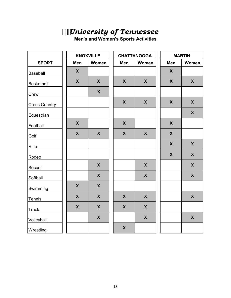# *University of Tennessee*

**Men's and Women's Sports Activities**

|                      |                           | <b>KNOXVILLE</b>          |                           | <b>CHATTANOOGA</b>        |                           | <b>MARTIN</b>      |
|----------------------|---------------------------|---------------------------|---------------------------|---------------------------|---------------------------|--------------------|
| <b>SPORT</b>         | Men                       | Women                     | Men                       | Women                     | Men                       | Women              |
| Baseball             | $\mathsf{X}$              |                           |                           |                           | X                         |                    |
| <b>Basketball</b>    | $\mathbf{X}$              | X                         | $\boldsymbol{X}$          | $\boldsymbol{\mathsf{X}}$ | X                         | $\boldsymbol{X}$   |
| Crew                 |                           | X                         |                           |                           |                           |                    |
| <b>Cross Country</b> |                           |                           | $\boldsymbol{X}$          | X                         | $\boldsymbol{\mathsf{X}}$ | X                  |
| Equestrian           |                           |                           |                           |                           |                           | $\boldsymbol{X}$   |
| Football             | $\mathbf x$               |                           | $\boldsymbol{X}$          |                           | $\mathsf{X}$              |                    |
| Golf                 | $\boldsymbol{\mathsf{X}}$ | $\boldsymbol{\mathsf{X}}$ | $\boldsymbol{X}$          | $\boldsymbol{X}$          | $\boldsymbol{\mathsf{X}}$ |                    |
| Rifle                |                           |                           |                           |                           | $\boldsymbol{\mathsf{X}}$ | $\boldsymbol{X}$   |
| Rodeo                |                           |                           |                           |                           | $\boldsymbol{X}$          | X                  |
| Soccer               |                           | $\pmb{\mathsf{X}}$        |                           | $\boldsymbol{\mathsf{X}}$ |                           | $\pmb{\mathsf{X}}$ |
| Softball             |                           | $\boldsymbol{X}$          |                           | X                         |                           | $\boldsymbol{X}$   |
| Swimming             | $\boldsymbol{\mathsf{X}}$ | X                         |                           |                           |                           |                    |
| Tennis               | $\mathbf x$               | $\boldsymbol{\mathsf{X}}$ | $\boldsymbol{\mathsf{X}}$ | $\boldsymbol{\mathsf{X}}$ |                           | $\pmb{\mathsf{X}}$ |
| <b>Track</b>         | $\mathbf{X}$              | X                         | $\boldsymbol{X}$          | X                         |                           |                    |
| Volleyball           |                           | $\boldsymbol{X}$          |                           | X                         |                           | $\boldsymbol{X}$   |
| Wrestling            |                           |                           | $\boldsymbol{\mathsf{X}}$ |                           |                           |                    |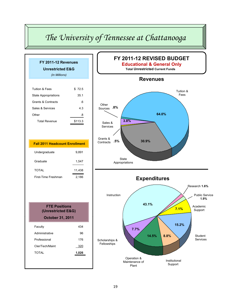# *The University of Tennessee at Chattanooga*

| FY 2011-12 Revenues                   |         |  |  |  |  |  |  |  |
|---------------------------------------|---------|--|--|--|--|--|--|--|
| <b>Unrestricted E&amp;G</b>           |         |  |  |  |  |  |  |  |
| (In Millions)                         |         |  |  |  |  |  |  |  |
|                                       |         |  |  |  |  |  |  |  |
| <b>Tuition &amp; Fees</b>             | \$72.5  |  |  |  |  |  |  |  |
| <b>State Appropriations</b>           | 35.1    |  |  |  |  |  |  |  |
| <b>Grants &amp; Contracts</b>         | .6      |  |  |  |  |  |  |  |
| Sales & Services                      | 4.3     |  |  |  |  |  |  |  |
| Other                                 | .8      |  |  |  |  |  |  |  |
| <b>Total Revenue</b>                  | \$113.3 |  |  |  |  |  |  |  |
|                                       |         |  |  |  |  |  |  |  |
|                                       |         |  |  |  |  |  |  |  |
| <b>Fall 2011 Headcount Enrollment</b> |         |  |  |  |  |  |  |  |
| Undergraduate                         | 9,891   |  |  |  |  |  |  |  |
| Graduate                              | 1,547   |  |  |  |  |  |  |  |
| <b>TOTAL</b>                          | 11,438  |  |  |  |  |  |  |  |
| First-Time Freshman                   | 2,186   |  |  |  |  |  |  |  |
|                                       |         |  |  |  |  |  |  |  |
|                                       |         |  |  |  |  |  |  |  |
| <b>FTE Positions</b>                  |         |  |  |  |  |  |  |  |
| (Unrestricted E&G)                    |         |  |  |  |  |  |  |  |
| <b>October 31, 2011</b>               |         |  |  |  |  |  |  |  |
|                                       |         |  |  |  |  |  |  |  |
| Faculty                               | 434     |  |  |  |  |  |  |  |
| Administrative                        | 96      |  |  |  |  |  |  |  |
| Professional                          | 176     |  |  |  |  |  |  |  |
| Cler/Tech/Maint                       | 320     |  |  |  |  |  |  |  |

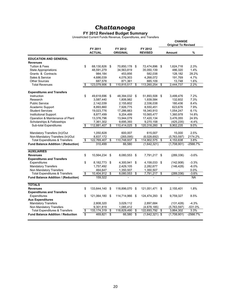### **FY 2012 Revised Budget Summary**

Unrestricted Current Funds Revenue, Expenditures, and Transfers

|                                                      |    |                          |    |                            |    |                           |     | <b>CHANGE</b><br><b>Original To Revised</b> |           |  |  |
|------------------------------------------------------|----|--------------------------|----|----------------------------|----|---------------------------|-----|---------------------------------------------|-----------|--|--|
|                                                      |    | FY 2011<br><b>ACTUAL</b> |    | FY 2012<br><b>ORIGINAL</b> |    | FY 2012<br><b>REVISED</b> |     | <b>Amount</b>                               | %         |  |  |
| <b>EDUCATION AND GENERAL</b>                         |    |                          |    |                            |    |                           |     |                                             |           |  |  |
| <b>Revenues</b>                                      |    |                          |    |                            |    |                           |     |                                             |           |  |  |
| <b>Tuition &amp; Fees</b>                            | \$ | 68,130,826               | \$ | 70,850,178 \$              |    | 72,474,896 \$             |     | 1,624,718                                   | 2.3%      |  |  |
| <b>State Appropriations</b>                          |    | 48,591,279               |    | 34,563,819                 |    | 35,050,139                |     | 486,320                                     | 1.4%      |  |  |
| Grants & Contracts                                   |    | 984,184                  |    | 453,856                    |    | 582,038                   |     | 128,182                                     | 28.2%     |  |  |
| Sales & Service                                      |    | 4,686,039                |    | 4,076,303                  |    | 4,268,072                 |     | 191,769                                     | 4.7%      |  |  |
| <b>Other Sources</b>                                 |    | 687,578                  |    | 871,361                    |    | 885,109                   |     | 13,748                                      | 1.6%      |  |  |
| <b>Total Revenues</b>                                | \$ | 123,079,906              | \$ | 110,815,517                | \$ | 113,260,254               | \$  | 2,444,737                                   | 2.2%      |  |  |
| <b>Expenditures and Transfers</b>                    |    |                          |    |                            |    |                           |     |                                             |           |  |  |
| Instruction                                          | \$ | 49,618,696               | \$ | 48,394,032 \$              |    | 51,893,508 \$             |     | 3,499,476                                   | 7.2%      |  |  |
| Research                                             |    | 3,587,440                |    | 1,806,982                  |    | 1,939,584                 |     | 132,602                                     | 7.3%      |  |  |
| <b>Public Service</b>                                |    | 2,142,039                |    | 2,155,602                  |    | 2,336,038                 |     | 180,436                                     | 8.4%      |  |  |
| Academic Support                                     |    | 8,893,860                |    | 7,926,775                  |    | 8,550,451                 |     | 623,676                                     | 7.9%      |  |  |
| <b>Student Services</b>                              |    | 19,023,776               |    | 17,286,663                 |    | 18,340,910                |     | 1,054,247                                   | 6.1%      |  |  |
| <b>Institutional Support</b>                         |    | 8,877,499                |    | 9,204,499                  |    | 10,565,477                |     | 1,360,978                                   | 14.8%     |  |  |
| Operation & Maintenance of Plant                     |    | 13,376,796               |    | 13,944,079                 |    | 17,420,134                |     | 3,476,055                                   | 24.9%     |  |  |
| Scholarships & Fellowships                           |    | 7,361,302                |    | 9,695,393                  |    | 9,270,158                 |     | (425, 235)                                  | $-4.4%$   |  |  |
| Sub-total Expenditures                               | \$ | 112,881,407              | \$ | 110,414,025                | \$ | 120,316,260               | \$  | 9,902,235                                   | 9.0%      |  |  |
| Mandatory Transfers (In)/Out                         |    | 1,050,828                |    | 600,007                    |    | 615.007                   |     | 15.000                                      | 2.5%      |  |  |
| Non-Mandatory Transfers (In)/Out                     |    | 8,837,172                |    | (265, 095)                 |    | (6,028,692)               |     | (5,763,597)                                 | 2174.2%   |  |  |
| <b>Total Expenditures &amp; Transfers</b>            | \$ | 122,769,407              | \$ | 110,748,937                | \$ | 114,902,575               | \$  | 4,153,638                                   | 3.8%      |  |  |
| <b>Fund Balance Addition / (Reduction)</b>           |    | 310,499                  |    | 66,580                     |    | (1,642,321)               |     | (1,708,901)                                 | -2566.7%  |  |  |
| <b>AUXILIARIES</b>                                   |    |                          |    |                            |    |                           |     |                                             |           |  |  |
| <b>Revenues</b>                                      | \$ | 10,564,234               | \$ | 8,080,553                  | \$ | 7,791,217                 | -\$ | (289, 336)                                  | $-3.6%$   |  |  |
| <b>Expenditures and Transfers</b>                    |    |                          |    |                            |    |                           |     |                                             |           |  |  |
| Expenditures                                         | \$ | 8,182,773                | \$ | 4,300,941                  | \$ | 4,158,033                 | -\$ | (142,908)                                   | $-3.3%$   |  |  |
| <b>Mandatory Transfers</b>                           |    | 1,757,492                |    | 2,429,105                  |    | 2,282,677                 |     | (146, 428)                                  | $-6.0%$   |  |  |
| Non Mandatory Transfers                              |    | 464,647                  |    | 1,350,507                  |    | 1,350,507                 |     |                                             | 0.0%      |  |  |
| <b>Total Expenditures &amp; Transfers</b>            | S  | 10,404,912               | S  | 8,080,553                  | \$ | 7,791,217                 | \$  | (289, 336)                                  | $-3.6%$   |  |  |
| <b>Fund Balance Addition / (Reduction)</b>           |    | 159,322                  |    |                            |    |                           |     |                                             | NA        |  |  |
| <b>TOTALS</b>                                        |    |                          |    |                            |    |                           |     |                                             |           |  |  |
| <b>Revenues</b><br><b>Expenditures and Transfers</b> | \$ | 133,644,140              | \$ | 118,896,070                | \$ | 121,051,471               | \$  | 2,155,401                                   | 1.8%      |  |  |
| Expenditures                                         | \$ | 121,064,180              | \$ | 114,714,966                | \$ | 124,474,293               | \$  | 9,759,327                                   | 8.5%      |  |  |
| <b>Aux Expenditures</b>                              |    |                          |    |                            |    |                           |     |                                             |           |  |  |
| <b>Mandatory Transfers</b>                           |    | 2,808,320                |    | 3,029,112                  |    | 2,897,684                 |     | (131, 428)                                  | $-4.3%$   |  |  |
| Non Mandatory Transfers                              |    | 9,301,819                |    | 1,085,412                  |    | (4,678,185)               |     | (5,763,597)                                 | $-531.0%$ |  |  |
| <b>Total Expenditures &amp; Transfers</b>            | S  | 133, 174, 319            | \$ | 118,829,490                | \$ | 122,693,792               | \$  | 3,864,302                                   | 3.3%      |  |  |
| <b>Fund Balance Addition / Reduction</b>             | S  | 469,821                  | \$ | 66,580                     | \$ | $(1,642,321)$ \$          |     | (1,708,901)                                 | -2566.7%  |  |  |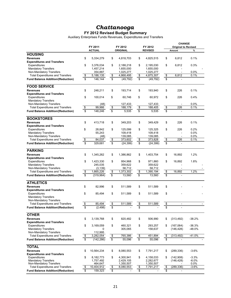### **FY 2012 Revised Budget Summary**

Auxiliary Enterprises Funds Revenues, Expenditures and Transfers

|                                          |                         |               |                          |                 |                         | <b>CHANGE</b>  |                         |                            |          |
|------------------------------------------|-------------------------|---------------|--------------------------|-----------------|-------------------------|----------------|-------------------------|----------------------------|----------|
|                                          |                         | FY 2011       |                          | FY 2012         |                         | FY 2012        |                         | <b>Original to Revised</b> |          |
|                                          |                         | <b>ACTUAL</b> |                          | <b>ORIGINAL</b> |                         | <b>REVISED</b> |                         | Amount                     | $\%$     |
| <b>HOUSING</b>                           |                         |               |                          |                 |                         |                |                         |                            |          |
| <b>Revenues</b>                          | \$                      | 5,334,279     | \$                       | 4,818,703       | \$                      | 4,825,515      | \$                      | 6,812                      | 0.1%     |
| <b>Expenditures and Transfers</b>        |                         |               |                          |                 |                         |                |                         |                            |          |
| Expenditures                             | \$                      | 3,376,034     | \$                       | 2,188,218       | \$                      | 2,195,030      | \$                      | 6,812                      | 0.3%     |
| <b>Mandatory Transfers</b>               |                         | 1,457,214     |                          | 1,655,000       |                         | 1,655,000      |                         |                            |          |
| Non-Mandatory Transfers                  |                         | 354,887       |                          | 1,025,277       |                         | 1,025,277      |                         |                            | 0.0%     |
| <b>Total Expenditures and Transfers</b>  | \$                      | 5,188,135     | \$                       | 4,868,495       | \$                      | 4,875,307      | \$                      | 6,812                      | 0.1%     |
|                                          | \$                      | 146,144       | \$                       |                 | \$                      |                | \$                      |                            |          |
| <b>Fund Balance Addition/(Reduction)</b> |                         |               |                          | (49, 792)       |                         | (49, 792)      |                         |                            |          |
| <b>FOOD SERVICE</b>                      |                         |               |                          |                 |                         |                |                         |                            |          |
| <b>Revenues</b>                          | \$                      | 248,211       | \$                       | 193,714         | \$                      | 193,940        | \$                      | 226                        | 0.1%     |
| <b>Expenditures and Transfers</b>        |                         |               |                          |                 |                         |                |                         |                            |          |
| Expenditures                             | \$                      | 100,014       | \$                       | 60,746          | \$                      | 60,972         | \$                      | 226                        | 0.4%     |
| <b>Mandatory Transfers</b>               |                         |               |                          |                 |                         |                |                         |                            |          |
| Non-Mandatory Transfers                  |                         | (48)          |                          | 127,433         |                         | 127,433        |                         |                            | 0.0%     |
| <b>Total Expenditures and Transfers</b>  | $\sqrt[6]{\frac{2}{5}}$ | 99,966        | \$                       | 188,179         | \$                      | 188,405        | \$                      | 226                        | 0.1%     |
| <b>Fund Balance Addition/(Reduction)</b> | $\overline{\mathbb{S}}$ | 148,246       | $\overline{\mathcal{S}}$ | 5,535           | $\overline{\mathbb{S}}$ | 5,535          | $\overline{\mathbb{S}}$ | $\mathbf{r}$               |          |
|                                          |                         |               |                          |                 |                         |                |                         |                            |          |
| <b>BOOKSTORES</b>                        |                         |               |                          |                 |                         |                |                         |                            |          |
| <b>Revenues</b>                          | \$                      | 413.718       | \$                       | 349.203         | \$                      | 349,429        | \$                      | 226                        | 0.1%     |
| <b>Expenditures and Transfers</b>        |                         |               |                          |                 |                         |                |                         |                            |          |
| Expenditures                             | \$                      | 28,842        | \$                       | 125,099         | \$                      | 125,325        | \$                      | 226                        | 0.2%     |
| <b>Mandatory Transfers</b>               |                         | 55,243        |                          | 109,418         |                         | 109,418        |                         | $\overline{\phantom{a}}$   | 0.0%     |
| Non-Mandatory Transfers                  |                         | (48)          |                          | 139,085         |                         | 139,085        |                         | $\blacksquare$             | 0.0%     |
| <b>Total Expenditures and Transfers</b>  | \$                      | 84,037        | $rac{1}{3}$              | 373,602         | \$                      | 373,828        | $\frac{3}{2}$           | 226                        | 0.1%     |
| <b>Fund Balance Addition/(Reduction)</b> |                         | 329,681       |                          | (24, 399)       |                         | (24, 399)      |                         |                            |          |
| <b>PARKING</b>                           |                         |               |                          |                 |                         |                |                         |                            |          |
|                                          |                         |               |                          |                 |                         |                |                         |                            |          |
| <b>Revenues</b>                          | \$                      | 1,345,262     | \$                       | 1,386,862       | \$                      | 1,403,754      | \$                      | 16,892                     | 1.2%     |
| <b>Expenditures and Transfers</b>        |                         |               |                          |                 |                         |                |                         |                            |          |
| Expenditures                             | \$                      | 1,423,330     | \$                       | 954,968         | \$                      | 971,860        | \$                      | 16,892                     | 1.8%     |
| <b>Mandatory Transfers</b>               |                         | 245,035       |                          | 359,622         |                         | 359,622        |                         |                            |          |
| Non-Mandatory Transfers                  |                         | (3, 139)      |                          | 58,712          |                         | 58,712         |                         |                            |          |
| <b>Total Expenditures and Transfers</b>  | \$                      | 1,665,226     | \$                       | 1,373,302       | \$                      | 1,390,194      | \$                      | 16,892                     | 1.2%     |
| <b>Fund Balance Addition/(Reduction)</b> | $\overline{\mathbb{S}}$ | (319, 964)    | $\overline{\mathbb{S}}$  | 13,560          | \$                      | 13,560         | \$                      |                            |          |
| <b>ATHLETICS</b>                         |                         |               |                          |                 |                         |                |                         |                            |          |
| <b>Revenues</b>                          | \$                      | 82,996        | \$                       | 511,589         | \$                      | 511,589        | \$                      |                            |          |
| <b>Expenditures and Transfers</b>        |                         |               |                          |                 |                         |                |                         |                            |          |
| Expenditures                             | \$                      | 85,494        | \$                       | 511,589         | \$                      | 511,589        | \$                      |                            |          |
| <b>Mandatory Transfers</b>               |                         |               |                          |                 |                         |                |                         |                            |          |
| Non-Mandatory Transfers                  |                         |               |                          |                 |                         |                |                         |                            |          |
| <b>Total Expenditures and Transfers</b>  | $\sqrt[6]{\frac{1}{2}}$ | 85,494        | \$                       | 511,589         | \$                      | 511,589        | \$                      | $\blacksquare$             |          |
| <b>Fund Balance Addition/(Reduction)</b> | \$                      |               | \$                       |                 | \$                      |                | \$                      |                            |          |
|                                          |                         | (2,498)       |                          |                 |                         |                |                         |                            |          |
| <b>OTHER</b>                             |                         |               |                          |                 |                         |                |                         |                            |          |
| <b>Revenues</b>                          | \$                      | 3,139,768     | \$                       | 820,482         | \$                      | 506,990        | \$                      | (313, 492)                 | $-38.2%$ |
| <b>Expenditures and Transfers</b>        |                         |               |                          |                 |                         |                |                         |                            |          |
| Expenditures                             | \$                      | 3,169,059     | \$                       | 460,321         | \$                      | 293,257        | \$                      | (167,064)                  | $-36.3%$ |
| <b>Mandatory Transfers</b>               |                         | 0             |                          | 305,065         |                         | 158,637        |                         | (146, 428)                 | $-48.0%$ |
| Non-Mandatory Transfers                  |                         | 112,995       |                          |                 |                         |                |                         |                            |          |
| <b>Total Expenditures and Transfers</b>  | \$                      | 3,282,054     | \$                       | 765,386         | \$                      | 451,894        | \$                      | (313, 492)                 | $-41.0%$ |
| <b>Fund Balance Addition/(Reduction)</b> | $\overline{\mathbf{3}}$ | (142, 286)    | \$                       | 55,096          | \$                      | 55,096         | \$                      |                            |          |
|                                          |                         |               |                          |                 |                         |                |                         |                            |          |
| <b>TOTAL</b>                             |                         |               |                          |                 |                         |                |                         |                            |          |
| <b>Revenues</b>                          | \$                      | 10,564,234    | \$                       | 8,080,553       | \$                      | 7,791,217      | \$                      | (289, 336)                 | $-3.6%$  |
| <b>Expenditures and Transfers</b>        |                         |               |                          |                 |                         |                |                         |                            |          |
| Expenditures                             | \$                      | 8,182,773     | \$                       | 4,300,941       | \$                      | 4,158,033      | \$                      | (142,908)                  | $-3.3%$  |
| <b>Mandatory Transfers</b>               |                         | 1,757,492     |                          | 2,429,105       |                         | 2,282,677      |                         | (146, 428)                 | -6.0%    |
| Non-Mandatory Transfers                  |                         | 464,647       |                          | 1,350,507       |                         | 1,350,507      |                         |                            | 0.0%     |
| <b>Total Expenditures and Transfers</b>  | \$                      | 10,404,912    | \$                       | 8,080,553       | \$                      | 7,791,217      | \$                      | (289, 336)                 | $-3.6%$  |
| <b>Fund Balance Addition/(Reduction)</b> | \$                      | 159,323       | \$                       |                 | \$                      |                | \$                      |                            |          |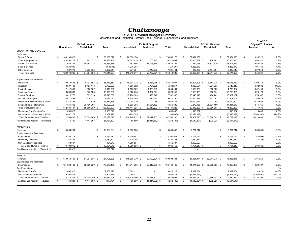#### **FY 2012 Revised Budget Summary** Restricted Current Funds Revenue, Expenditures, and Transfers Unrestricted and

| Unrestricted and Restricted Current Funds Revenue, Expenditures, and Transfers |
|--------------------------------------------------------------------------------|
|--------------------------------------------------------------------------------|

|                                           |              |                  | FY 2011 Actual     |               |              |                |      | FY 2012 Original       |               |               |                     | FY 2012 Revised   |               |              | <b>CHANGE</b><br><b>Original To Revised</b> |           |
|-------------------------------------------|--------------|------------------|--------------------|---------------|--------------|----------------|------|------------------------|---------------|---------------|---------------------|-------------------|---------------|--------------|---------------------------------------------|-----------|
|                                           |              | Unrestricted     | <b>Restricted</b>  | Total         |              | Unrestricted   |      | <b>Restricted</b>      | Total         |               | Unrestricted        | <b>Restricted</b> | Total         |              | Amount                                      | %         |
| <b>EDUCATION AND GENERAL</b>              |              |                  |                    |               |              |                |      |                        |               |               |                     |                   |               |              |                                             |           |
| Revenues                                  |              |                  |                    |               |              |                |      |                        |               |               |                     |                   |               |              |                                             |           |
| Tuition & Fees                            | $\mathbf{s}$ | 68,130,826       | $\mathcal{S}$      | 68.130.827    | \$           | 70.850.178     |      | $\mathbf{\hat{S}}$     | 70,850,178    | -S            | 72.474.896          | \$                | 72,474,896    | \$           | 1,624,718                                   | 2.3%      |
| <b>State Appropriations</b>               |              | 48,591,279 \$    | 843.177            | 49,434,456    |              | 34,563,819 \$  |      | 756,842                | 35,320,661    |               | 35,050,139 \$       | 756,842           | 35,806,981    |              | 486,320                                     | 1.4%      |
| Grants & Contracts                        |              | 984,184          | 45,983,173         | 46,967,358    |              | 453,856        |      | 43,195,876             | 43,649,732    |               | 582,038             | 44,723,529        | 45,305,567    |              | 1,655,835                                   | 3.8%      |
| Sales & Service                           |              | 4,686,039        |                    | 4,686,039     |              | 4,076,303      |      |                        | 4,076,303     |               | 4,268,072           |                   | 4,268,072     |              | 191,769                                     | 4.7%      |
| <b>Other Sources</b>                      |              | 687,578          | 7,235,336          | 7,922,914     |              | 871,361        |      | 6,749,803              | 7,621,164     |               | 885,109             | 7,434,004         | 8,319,113     |              | 697,949                                     | 9.2%      |
| <b>Total Revenues</b>                     | -S           | 123,079,906 \$   | 54,061,686 \$      | 177, 141, 594 | s.           | 110,815,517 \$ |      | 50,702,521 \$          | 161,518,038   | S.            | 113,260,254 \$      | 52,914,375 \$     | 166, 174, 629 | \$           | 4,656,591                                   | 2.9%      |
| <b>Expenditures and Transfers</b>         |              |                  |                    |               |              |                |      |                        |               |               |                     |                   |               |              |                                             |           |
| Instruction                               | -S           | 49.618.696 \$    | 6.794.856 \$       | 56,413,552    | \$           | 48.394.032 \$  |      | 6,484,975 \$           | 54,879,007    | -S            | 51.893.508 \$       | 6.784.975 \$      | 58,678,483    | S.           | 3,799,476                                   | 6.9%      |
| Research                                  |              | 3,587,440        | 5,165,143          | 8,752,583     |              | 1,806,982      |      | 3,701,235              | 5,508,217     |               | 1,939,584           | 4,201,235         | 6,140,819     |              | 632,602                                     | 11.5%     |
| <b>Public Service</b>                     |              | 2,142,039        | 1,903,987          | 4,046,026     |              | 2,155,602      |      | 1,878,829              | 4,034,431     |               | 2,336,038           | 1,900,829         | 4,236,867     |              | 202,436                                     | 5.0%      |
| Academic Support                          |              | 8,893,860        | 1,679,533          | 10,573,393    |              | 7,926,775      |      | 1,697,674              | 9,624,449     |               | 8,550,451           | 1,700,174         | 10,250,625    |              | 626,176                                     | 6.5%      |
| <b>Student Services</b>                   |              | 19,023,776       | 589,613            | 19,613,389    |              | 17,286,663     |      | 476,242                | 17,762,905    |               | 18,340,910          | 496,242           | 18,837,152    |              | 1,074,247                                   | 6.0%      |
| <b>Institutional Support</b>              |              | 8,877,499        | 214,522            | 9,092,021     |              | 9,204,499      |      | 216,691                | 9,421,190     |               | 10,565,477          | 241,591           | 10,807,068    |              | 1,385,878                                   | 14.7%     |
| Operation & Maintenance of Plant          |              | 13,376,796       | 839                | 13,377,635    |              | 13,944,079     |      | 68                     | 13,944,147    |               | 17,420,134          | 68                | 17,420,202    |              | 3,476,055                                   | 24.9%     |
| Scholarships & Fellowships                |              | 7.361.302        | 39.160.796         | 46,522,098    |              | 9.695.393      |      | 37.561.489             | 47,256,882    |               | 9.270.158           | 38.561.489        | 47,831,647    |              | 574.765                                     | 1.2%      |
| Sub-total Expenditures                    | \$           | 112,881,407 \$   | 55,509,289 \$      | 168,390,697   | s.           | 110,414,025    | - \$ | 52,017,203 \$          | 162,431,228   | \$            | 120,316,260 \$      | 53,886,603 \$     | 174,202,863   | \$           | 11,771,635                                  | 7.2%      |
| Mandatory Transfers (In)/Out              |              | 1,050,828        |                    | 1,050,828     |              | 600,007        |      |                        | 600,007       |               | 615,007             |                   | 615,007       |              | 15,000                                      | 2.5%      |
| Non-Mandatory Transfers (In)/Out          |              | 8,837,172        |                    | 8,837,172     |              | (265, 095)     |      |                        | (265, 095)    |               | (6,028,692)         |                   | (6,028,692)   |              | (5,763,597)                                 | 2174.2%   |
| <b>Total Expenditures &amp; Transfers</b> | \$           | 122,769,407 \$   | 55,509,289 \$      | 178,278,697   | s.           | 110,748,937    | - \$ | 52,017,203 \$          | 162,766,140   | $\mathbb{S}$  | 114,902,575 \$      | 53,886,603 \$     | 168,789,178   | \$           | 6,023,038                                   | 3.7%      |
| Fund Balance Addition / (Reduction)       |              | 310,499          | (1,447,603)        | (1, 137, 103) |              | 66,580         |      | (1,314,682)            | (1, 248, 102) |               | (1,642,321)         | (972, 228)        | (2,614,549)   |              |                                             |           |
| <b>AUXILIARIES</b>                        |              |                  |                    |               |              |                |      |                        |               |               |                     |                   |               |              |                                             |           |
| Revenues                                  | -S           | 10,564,234       | <sup>\$</sup>      | 10,564,234    | \$           | 8,080,553      |      | \$                     | 8,080,553     | \$            | 7,791,217           | -S                | 7,791,217     | \$           | (289, 336)                                  | $-3.6%$   |
| <b>Expenditures and Transfers</b>         |              |                  |                    |               |              |                |      |                        |               |               |                     |                   |               |              |                                             |           |
| Expenditures                              | -S           | 8,182,773        | \$                 | 8,182,773     | \$           | 4,300,941      |      | -S                     | 4,300,941     | <sup>\$</sup> | 4,158,033           | <sub>S</sub>      | 4,158,033     | \$           | (142,908)                                   | $-3.3%$   |
| <b>Mandatory Transfers</b>                |              | 1,757,492        |                    | 1,757,492     |              | 2,429,105      |      |                        | 2,429,105     |               | 2,282,677           |                   | 2,282,677     |              | (146, 428)                                  | $-6.0%$   |
| Non Mandatory Transfers                   |              | 464.647          |                    | 464,647       |              | 1.350.507      |      |                        | 1,350,507     |               | 1,350,507           |                   | 1,350,507     |              |                                             | 0.0%      |
| <b>Total Expenditures &amp; Transfers</b> | \$           | 10,404,912 \$    | - \$<br>$\sim$     | 10,404,912    | \$           | 8,080,553 \$   |      | $\mathbb{S}$<br>$\sim$ | 8,080,553     | \$            | 7,791,217 \$        | \$<br>$\sim$      | 7,791,217     | S.           | (289, 336)                                  | $-3.6%$   |
| Fund Balance Addition / (Reduction)       |              | 159.322          |                    | 159,322       |              |                |      |                        |               |               |                     |                   |               |              |                                             |           |
| <b>TOTALS</b>                             |              |                  |                    |               |              |                |      |                        |               |               |                     |                   |               |              |                                             |           |
| Revenues                                  | \$.          | 133,644,140 \$   | 54,061,686<br>- \$ | 187,705,828   | S.           | 118,896,070 \$ |      | 50,702,521<br>- \$     | 169,598,591   | - \$          | 121,051,471<br>- \$ | 52,914,375 \$     | 173,965,846   | \$           | 4,367,255                                   | 2.6%      |
| <b>Expenditures and Transfers</b>         |              |                  |                    |               |              |                |      |                        |               |               |                     |                   |               |              |                                             |           |
| Expenditures                              | -S           | 121,064,180 \$   | 55,509,289 \$      | 176,573,470   | \$           | 114,714,966 \$ |      | 52,017,203 \$          | 166,732,169   | S.            | 124,474,293<br>- \$ | 53,886,603 \$     | 178,360,896   | \$           | 11,628,727                                  | 7.0%      |
| <b>Aux Expenditures</b>                   |              |                  |                    |               |              |                |      |                        |               |               |                     |                   |               |              |                                             | <b>NA</b> |
| <b>Mandatory Transfers</b>                |              | 2,808,320        |                    | 2,808,320     |              | 3,029,112      |      |                        | 3,029,112     |               | 2,897,684           |                   | 2,897,684     |              | (131, 428)                                  | $-4.3%$   |
| Non Mandatory Transfers                   |              | 9,301,819        |                    | 9,301,819     |              | 1,085,412      |      |                        | 1,085,412     |               | (4,678,185)         |                   | (4,678,185)   |              | (5,763,597)                                 | $-531.0%$ |
| <b>Total Expenditures &amp; Transfers</b> | -S           | 133, 174, 319 \$ | 55,509,289<br>- \$ | 188,683,609   | s.           | 118,829,490 \$ |      | 52,017,203 \$          | 170,846,693   | S.            | 122,693,792 \$      | 53,886,603 \$     | 176,580,395   | $\mathbb{S}$ | 5,733,702                                   | 3.4%      |
| Fund Balance Addition / Reduction         | $\mathbb{S}$ | 469,821 \$       | $(1,447,603)$ \$   | (977, 781)    | $\mathbb{S}$ | 66,580 \$      |      | $(1,314,682)$ \$       | (1,248,102)   | \$            | $(1,642,321)$ \$    | $(972, 228)$ \$   | (2,614,549)   |              |                                             |           |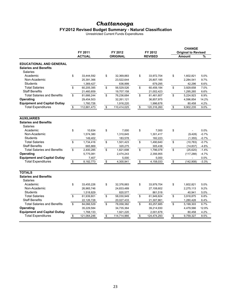### **FY2012 Revised Budget Summary - Natural Classification**

Unrestricted Current Funds Expenditures

|                                                                            | FY 2011           | FY 2012           | FY 2012           | <b>CHANGE</b><br><b>Original to Revised</b> |         |
|----------------------------------------------------------------------------|-------------------|-------------------|-------------------|---------------------------------------------|---------|
|                                                                            | <b>ACTUAL</b>     | <b>ORIGINAL</b>   | <b>REVISED</b>    | <b>Amount</b>                               | %       |
| <b>EDUCATIONAL AND GENERAL</b><br><b>Salaries and Benefits</b><br>Salaries |                   |                   |                   |                                             |         |
| Academic                                                                   | \$<br>33,444,592  | \$<br>32,369,883  | \$<br>33,972,704  | \$<br>1,602,821                             | 5.0%    |
| Non-Academic                                                               | 25,391,366        | 23,522,644        | 25,807,185        | 2,284,541                                   | 9.7%    |
| <b>Students</b>                                                            | 1,369,427         | 636,999           | 679,295           | 42,296                                      | 6.6%    |
| <b>Total Salaries</b>                                                      | \$<br>60,205,385  | \$<br>56,529,526  | \$<br>60,459,184  | \$<br>3,929,658                             | 7.0%    |
| <b>Staff Benefits</b>                                                      | 21,460,859        | 19,707,158        | 21,002,423        | 1,295,265                                   | 6.6%    |
| <b>Total Salaries and Benefits</b>                                         | \$<br>81,666,244  | \$<br>76,236,684  | \$<br>81,461,607  | \$<br>5,224,923                             | 6.9%    |
| Operating                                                                  | 29,454,503        | 32,261,121        | 36,857,975        | 4,596,854                                   | 14.2%   |
| <b>Equipment and Capital Outlay</b>                                        | 1,760,726         | 1,916,220         | 1,996,678         | 80,458                                      | 4.2%    |
| <b>Total Expenditures</b>                                                  | \$<br>112,881,473 | \$<br>110,414,025 | \$<br>120,316,260 | \$<br>9,902,235                             | 9.0%    |
|                                                                            |                   |                   |                   |                                             |         |
| <b>AUXILIARIES</b>                                                         |                   |                   |                   |                                             |         |
| <b>Salaries and Benefits</b>                                               |                   |                   |                   |                                             |         |
| <b>Salaries</b>                                                            |                   |                   |                   |                                             |         |
| Academic                                                                   | \$<br>10,634      | \$<br>7,000       | \$<br>7,000       | \$                                          | 0.0%    |
| Non-Academic                                                               | 1,574,380         | 1,310,845         | 1,301,417         | (9, 428)                                    | $-0.7%$ |
| <b>Students</b>                                                            | 149,402           | 183,578           | 182,223           | (1, 355)                                    | $-0.7%$ |
| <b>Total Salaries</b>                                                      | \$<br>1,734,416   | \$<br>1,501,423   | \$<br>1,490,640   | \$<br>(10, 783)                             | $-0.7%$ |
| <b>Staff Benefits</b>                                                      | 665,869           | 320,275           | 305,438           | (14, 837)                                   | $-4.6%$ |
| <b>Total Salaries and Benefits</b>                                         | \$<br>2,400,285   | \$<br>1,821,698   | \$<br>1,796,078   | \$<br>(25, 620)                             | $-1.4%$ |
| Operating                                                                  | 5,775,081         | 2,474,243         | 2,356,955         | (117, 288)                                  | $-4.7%$ |
| <b>Equipment and Capital Outlay</b>                                        | 7,407             | 5,000             | 5,000             |                                             | 0.0%    |
| <b>Total Expenditures</b>                                                  | \$<br>8,182,773   | \$<br>4,300,941   | \$<br>4,158,033   | \$<br>(142, 908)                            | $-3.3%$ |
|                                                                            |                   |                   |                   |                                             |         |
| <b>TOTALS</b>                                                              |                   |                   |                   |                                             |         |
| <b>Salaries and Benefits</b>                                               |                   |                   |                   |                                             |         |
| Salaries                                                                   |                   |                   |                   |                                             |         |
| Academic                                                                   | \$<br>33,455,226  | \$<br>32,376,883  | \$<br>33,979,704  | \$<br>1,602,821                             | 5.0%    |
| Non-Academic                                                               | 26,965,746        | 24,833,489        | 27,108,602        | 2,275,113                                   | 9.2%    |
| <b>Students</b>                                                            | 1,518,829         | 820,577           | 861,518           | 40,941                                      | 5.0%    |
| <b>Total Salaries</b>                                                      | \$<br>61,939,801  | \$<br>58,030,949  | \$<br>61.949.824  | \$<br>3,918,875                             | 6.8%    |
| <b>Staff Benefits</b>                                                      | 22,126,728        | 20,027,433        | 21,307,861        | 1,280,428                                   | 6.4%    |
| <b>Total Salaries and Benefits</b>                                         | \$<br>84,066,529  | \$<br>78,058,382  | \$<br>83,257,685  | \$<br>5,199,303                             | 6.7%    |
| Operating                                                                  | 35,229,584        | 34,735,364        | 39,214,930        | 4,479,566                                   | 12.9%   |
| <b>Equipment and Capital Outlay</b>                                        | 1,768,133         | 1,921,220         | 2,001,678         | 80,458                                      | 4.2%    |
| <b>Total Expenditures</b>                                                  | \$<br>121,064,246 | \$<br>114,714,966 | \$<br>124,474,293 | \$<br>9,759,327                             | 8.5%    |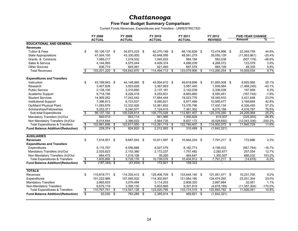### **Five-Year Budget Summary Comparison**

Current Funds Revenues, Expenditures and Transfers - UNRESTRICTED

|                                           |                          | FY 2008         |      | FY 2009        | FY 2010              |     | FY 2011        |     | FY 2012        |                             | <b>FIVE-YEAR CHANGE</b> |           |
|-------------------------------------------|--------------------------|-----------------|------|----------------|----------------------|-----|----------------|-----|----------------|-----------------------------|-------------------------|-----------|
|                                           |                          | <b>ACTUAL</b>   |      | <b>ACTUAL</b>  | <b>ACTUAL</b>        |     | <b>ACTUAL</b>  |     | <b>REVISED</b> |                             | Amount                  | ℅         |
| <b>EDUCATIONAL AND GENERAL</b>            |                          |                 |      |                |                      |     |                |     |                |                             |                         |           |
| <b>Revenues</b>                           |                          |                 |      |                |                      |     |                |     |                |                             |                         |           |
| <b>Tuition &amp; Fees</b>                 | \$                       | 50.126.137 \$   |      | 54,873,233 \$  | 62.270.149 \$        |     | 68.130.826 \$  |     | 72.474.896 \$  |                             | 22.348.759              | 44.6%     |
| <b>State Appropriations</b>               |                          | 47,004,100      |      | 43,330,000     | 45,848,095           |     | 48,591,279     |     | 35,050,139     |                             | (11, 953, 961)          | $-25.4%$  |
| Grants & Contracts                        |                          | 1,089,217       |      | 1.019.532      | 1,045,633            |     | 984,184        |     | 582,038        |                             | (507, 179)              | $-46.6%$  |
| Sales & Service                           |                          | 4,144,993       |      | 4,575,044      | 4,409,374            |     | 4,686,039      |     | 4,268,072      |                             | 123,079                 | 3.0%      |
| <b>Other Sources</b>                      |                          | 836,774         |      | 845,061        | 921,460              |     | 687,578        |     | 885,109        |                             | 48,335                  | 5.8%      |
| <b>Total Revenues</b>                     | \$                       | 103,201,220     | \$   | 104,642,870    | \$<br>114,494,712    | \$  | 123,079,906    | \$  | 113,260,254    | \$                          | 10,059,034              | 9.7%      |
| <b>Expenditures and Transfers</b>         |                          |                 |      |                |                      |     |                |     |                |                             |                         |           |
| Instruction                               | \$                       | 43,199,943 \$   |      | 44,148,995 \$  | 45,904,610 \$        |     | 49,618,696 \$  |     | 51,893,508 \$  |                             | 8,693,565               | 20.1%     |
| Research                                  |                          | 3,407,829       |      | 3,503,629      | 3,367,893            |     | 3,587,440      |     | 1,939,584      |                             | (1,468,245)             | $-43.1%$  |
| <b>Public Service</b>                     |                          | 2,138,100       |      | 2,310,690      | 2,137,161            |     | 2,142,039      |     | 2,336,038      |                             | 197,938                 | 9.3%      |
| Academic Support                          |                          | 8,718,195       |      | 8,226,418      | 8,253,831            |     | 8,893,860      |     | 8,550,451      |                             | (167, 744)              | $-1.9%$   |
| <b>Student Services</b>                   |                          | 14,909,262      |      | 17,042,542     | 17,864,444           |     | 19,023,776     |     | 18,340,910     |                             | 3,431,648               | 23.0%     |
| <b>Institutional Support</b>              |                          | 7,396,813       |      | 6,723,037      | 9,060,821            |     | 8,877,499      |     | 10,565,477     |                             | 3,168,664               | 42.8%     |
| Op/Maint Physical Plant                   |                          | 11,083,679      |      | 12,332,926     | 12,061,852           |     | 13,376,796     |     | 17,420,134     |                             | 6,336,455               | 57.2%     |
| Scholarships/Fellowships                  |                          | 5,253,371       |      | 6.240.577      | 7,124,415            |     | 7,361,302      |     | 9,270,158      |                             | 4,016,787               | 76.5%     |
| Sub-total Expenditures                    | $\sqrt[6]{\frac{2}{5}}$  | 96,107,192 \$   |      | 100,528,814    | \$<br>105,775,028    | \$  | 112,881,407    | -\$ | 120,316,260    | $\overline{\boldsymbol{s}}$ | 24,209,068              | 25.2%     |
| Mandatory Transfers (In)/Out              |                          | 840,010         |      | 923,114        | 941,966              |     | 1,050,828      |     | 615,007        |                             | (225,003)               | $-26.8%$  |
| Non Mandatory Transfers (In)/Out          |                          | 6,014,644       |      | 2,366,022      | 5,564,725            |     | 8,837,172      |     | (6,028,692)    |                             | (12,043,336)            | $-200.2%$ |
| <b>Total Expenditures &amp; Transfers</b> | \$                       | 102,961,846 \$  |      | 103,817,950    | \$<br>112,281,719    | \$  | 122,769,407 \$ |     | 114,902,575    | - \$                        | 11,940,729              | 11.6%     |
| <b>Fund Balance Addition/(Reduction)</b>  | \$                       | 239,374 \$      |      | 824,920        | \$<br>$2,212,993$ \$ |     | 310,499 \$     |     | (1,642,321)    |                             |                         |           |
|                                           |                          |                 |      |                |                      |     |                |     |                |                             |                         |           |
| <b>AUXILIARIES</b>                        |                          |                 |      |                |                      |     |                |     |                |                             |                         |           |
| <b>Revenues</b>                           | \$                       | 7,618,551 \$    |      | 9,687,542 \$   | 10,911,997 \$        |     | 10,564,234 \$  |     | 7,791,217 \$   |                             | 172,666                 | 2.3%      |
| <b>Expenditures and Transfers</b>         |                          |                 |      |                |                      |     |                |     |                |                             |                         |           |
| Expenditures                              |                          | 5,115,797       |      | 6,556,688      | 8,527,579            |     | 8,182,773      |     | 4,158,033      |                             | (957, 764)              | $-18.7%$  |
| Mandatory Transfers (In)/Out              |                          | 2,025,623       |      | 2,153,380      | 2,172,237            |     | 1,757,492      |     | 2,282,677      |                             | 257,054                 | 12.7%     |
| Non Mandatory Transfers (In)/Out          |                          | 664,475         |      | 1,019,108      | 39,260               |     | 464,647        |     | 1,350,507      |                             | 686,032                 | 103.2%    |
| <b>Total Expenditures &amp; Transfers</b> | $\overline{\mathcal{E}}$ | 7,805,895 \$    |      | 9,729,176      | \$<br>10,739,076     | \$  | 10,404,912 \$  |     | 7,791,217 \$   |                             | (14, 678)               | $-0.2%$   |
| <b>Fund Balance Addition/(Reduction)</b>  | ड                        | $(187, 344)$ \$ |      | $(41, 634)$ \$ | 172,921              | -\$ | 159,322        |     |                |                             |                         |           |
| <b>TOTALS</b>                             |                          |                 |      |                |                      |     |                |     |                |                             |                         |           |
| Revenues                                  | \$                       | 110,819,771 \$  |      | 114,330,412 \$ | 125,406,709 \$       |     | 133,644,140 \$ |     | 121,051,471 \$ |                             | 10,231,700              | 9.2%      |
| Expenditures                              |                          | 101,222,989     |      | 107,085,502    | 114,302,607          |     | 121,064,180    |     | 124,474,293    |                             | 23,251,304              | 23.0%     |
| <b>Mandatory Transfers</b>                |                          | 2,865,633       |      | 3,076,494      | 3,114,203            |     | 2,808,320      |     | 2,897,684      |                             | 32,051                  | 1.1%      |
| Non-Mandatory Transfers                   |                          | 6,679,119       |      | 3,385,130      | 5,603,985            |     | 9,301,819      |     | (4,678,185)    |                             | (11, 357, 304)          | $-170.0%$ |
| <b>Total Expenditures &amp; Transfers</b> | $\overline{\mathcal{E}}$ | 110,767,741     | - \$ | 113,547,126    | \$<br>123,020,795    | \$  | 133, 174, 319  | \$  | 122,693,792    | - \$                        | 11,926,051              | 10.8%     |
| <b>Fund Balance Addition/(Reduction)</b>  | $\overline{\mathbb{S}}$  | $52,030$ \$     |      | 783,286        | \$<br>$2,385,914$ \$ |     | 469.821 \$     |     | (1,642,321)    |                             |                         |           |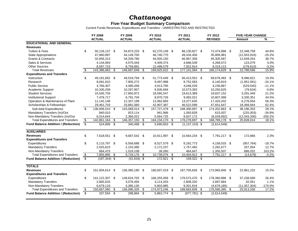### **Five-Year Budget Summary Comparison**

Current Funds Revenues, Expenditures and Transfers - UNRESTRICTED AND RESTRICTED

|                                            |                          | <b>FY 2008</b>  |     | FY 2009        |      | FY 2010        |     | FY 2011            | FY 2012           |      | <b>FIVE-YEAR CHANGE</b> |           |
|--------------------------------------------|--------------------------|-----------------|-----|----------------|------|----------------|-----|--------------------|-------------------|------|-------------------------|-----------|
|                                            |                          | <b>ACTUAL</b>   |     | <b>ACTUAL</b>  |      | <b>ACTUAL</b>  |     | <b>ACTUAL</b>      | <b>REVISED</b>    |      | <b>Amount</b>           | %         |
| <b>EDUCATIONAL AND GENERAL</b>             |                          |                 |     |                |      |                |     |                    |                   |      |                         |           |
| <b>Revenues</b>                            |                          |                 |     |                |      |                |     |                    |                   |      |                         |           |
| <b>Tuition &amp; Fees</b>                  | \$                       | 50,126,137 \$   |     | 54,873,233 \$  |      | 62,270,149 \$  |     | 68,130,827 \$      | 72,474,896 \$     |      | 22,348,759              | 44.6%     |
| <b>State Appropriations</b>                |                          | 47,860,897      |     | 44,149,700     |      | 46,740,770     |     | 49,434,456         | 35,806,981        |      | (12,053,916)            | $-25.2%$  |
| <b>Grants &amp; Contracts</b>              |                          | 32,656,313      |     | 34,339,780     |      | 44,005,150     |     | 46,967,358         | 45,305,567        |      | 12,649,254              | 38.7%     |
| Sales & Services                           |                          | 4,144,993       |     | 4,575,044      |      | 4,409,374      |     | 4,686,039          | 4,268,072         |      | 123,079                 | 3.0%      |
| <b>Other Sources</b>                       |                          | 8,597,723       |     | 8,759,891      |      | 12,499,579     |     | 7,922,914          | 8,319,113         |      | (278, 610)              | $-3.2%$   |
| <b>Total Revenues</b>                      | $\sqrt[6]{3}$            | 143,386,063 \$  |     | 146,697,648    | -\$  | 169,925,022    | -\$ | $177, 141, 594$ \$ | 166,174,629       | - \$ | 22,788,566              | 15.9%     |
| <b>Expenditures and Transfers</b>          |                          |                 |     |                |      |                |     |                    |                   |      |                         |           |
| Instruction                                | \$                       | 49,191,662 \$   |     | 49,518,794     | - \$ | 51,773,449 \$  |     | 56,413,552 \$      | 58,678,483 \$     |      | 9.486.821               | 19.3%     |
| Research                                   |                          | 8,091,910       |     | 7,905,272      |      | 9,497,988      |     | 8,752,583          | 6,140,819         |      | (1,951,091)             | $-24.1%$  |
| <b>Public Service</b>                      |                          | 4,766,407       |     | 4,485,056      |      | 4,013,795      |     | 4,046,026          | 4,236,867         |      | (529, 540)              | $-11.1%$  |
| Academic Support                           |                          | 10,330,259      |     | 10,297,957     |      | 9,935,694      |     | 10,573,393         | 10,250,625        |      | (79, 634)               | $-0.8%$   |
| <b>Student Services</b>                    |                          | 15,545,703      |     | 17,850,972     |      | 18,565,547     |     | 19,613,389         | 18,837,152        |      | 3,291,449               | 21.2%     |
| <b>Institutional Support</b>               |                          | 7,476,717       |     | 6,791,704      |      | 8,970,726      |     | 9,092,021          | 10,807,068        |      | 3,330,351               | 44.5%     |
| Operation & Maintenance of Plant           |                          | 11,142,148      |     | 12,337,199     |      | 12,062,893     |     | 13,377,635         | 17,420,202        |      | 6,278,054               | 56.3%     |
| Scholarships & Fellowships                 |                          | 29,461,703      |     | 33,881,060     |      | 42,907,387     |     | 46,522,098         | 47,831,647        |      | 18,369,944              | 62.4%     |
| Sub-total Expenditures                     | \$                       | 136,006,510 \$  |     | 143,068,014 \$ |      | 157,727,479    | \$  | 168,390,697 \$     | 174,202,863 \$    |      | 38,196,353              | 28.1%     |
| Mandatory Transfers (In)/Out               |                          | 840,010         |     | 923,114        |      | 941,966        |     | 1,050,828          | 615,007           |      | (225,003)               | $-26.8%$  |
| Non-Mandatory Transfers (In)/Out           |                          | 6.014.644       |     | 2,366,022      |      | 5.564.725      |     | 8.837.172          | (6,028,692)       |      | (12,043,336)            | $-200.2%$ |
| <b>Total Expenditures and Transfers</b>    | $\overline{\mathcal{G}}$ | 142,861,164 \$  |     | 146,357,150    | \$   | 164,234,170    | \$  | 178,278,697 \$     | 168,789,178 \$    |      | 25,928,014              | 18.1%     |
| <b>Fund Balance Addition / (Reduction)</b> | \$                       | 524,899 \$      |     | 340,498        | -\$  | 5,690,853 \$   |     | $(1, 137, 103)$ \$ | (2,614,549)       |      |                         |           |
|                                            |                          |                 |     |                |      |                |     |                    |                   |      |                         |           |
| <b>AUXILIARIES</b>                         |                          |                 |     |                |      |                |     |                    |                   |      |                         |           |
| <b>Revenues</b>                            | \$                       | 7,618,551 \$    |     | 9,687,542      | -\$  | 10,911,997 \$  |     | 10,564,234 \$      | 7,791,217 \$      |      | 172,666                 | 2.3%      |
| <b>Expenditures and Transfers</b>          |                          |                 |     |                |      |                |     |                    |                   |      |                         |           |
| Expenditures                               | \$                       | 5,115,797 \$    |     | 6,556,688 \$   |      | 8,527,579 \$   |     | 8,182,773          | 4,158,033 \$      |      | (957, 764)              | $-18.7%$  |
| <b>Mandatory Transfers</b>                 |                          | 2,025,623       |     | 2,153,380      |      | 2,172,237      |     | 1,757,492          | 2,282,677         |      | 257,054                 | 12.7%     |
| Non-Mandatory Transfers                    |                          | 664,475         |     | 1,019,108      |      | 39,260         |     | 464,647            | 1,350,507         |      | 686,032                 | 103.2%    |
| <b>Total Expenditures and Transfers</b>    | \$                       | 7,805,895 \$    |     | 9,729,176      | \$   | 10,739,076     | \$  | 10,404,912 \$      | $7,791,217$ \$    |      | (14, 678)               | $-0.2%$   |
| <b>Fund Balance Addition / (Reduction)</b> | $\overline{\mathbb{S}}$  | $(187, 344)$ \$ |     | $(41, 634)$ \$ |      | 172,921 \$     |     | 159,322 \$         |                   |      |                         |           |
|                                            |                          |                 |     |                |      |                |     |                    |                   |      |                         |           |
| <b>TOTALS</b>                              |                          |                 |     |                |      |                |     |                    |                   |      |                         |           |
| <b>Revenues</b>                            | \$                       | 151,004,614 \$  |     | 156,385,190    | -\$  | 180,837,019 \$ |     | 187,705,828 \$     | 173,965,846 \$    |      | 22,961,232              | 15.2%     |
| <b>Expenditures and Transfers</b>          |                          |                 |     |                |      |                |     |                    |                   |      |                         |           |
| Expenditures                               | \$                       | 141,122,307 \$  |     | 149,624,702 \$ |      | 166,255,058 \$ |     | 176,573,470 \$     | 178,360,896 \$    |      | 37,238,589              | 26.4%     |
| <b>Mandatory Transfers</b>                 |                          | 2,865,633       |     | 3,076,494      |      | 3,114,203      |     | 2,808,320          | 2,897,684         |      | 32,051                  | 1.1%      |
| Non-Mandatory Transfers                    |                          | 6,679,119       |     | 3,385,130      |      | 5,603,985      |     | 9,301,819          | (4,678,185)       |      | (11, 357, 304)          | $-170.0%$ |
| <b>Total Expenditures and Transfers</b>    | \$                       | 150,667,060     | -\$ | 156,086,326    | \$   | 174,973,246    | \$  | 188,683,609        | \$<br>176,580,395 | \$   | 25,913,336              | 17.2%     |
| <b>Fund Balance Addition / (Reduction)</b> | \$                       | 337,554 \$      |     | 298,864        | \$   | 5,863,774 \$   |     | $(977, 781)$ \$    | (2,614,549)       |      |                         |           |
|                                            |                          |                 |     |                |      |                |     |                    |                   |      |                         |           |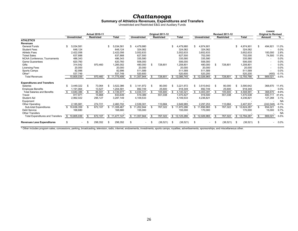# **Chattanooga**<br> **Summary of Athletics Revenues, Expenditures and Transfers**<br>
Unrestricted and Restricted E&G and Auxiliary Funds

|                                         |                                |     |                                            |    |              |    |                          |     |                                       |                 |                                |      |                                             |      |              |    | <b>CHANGE</b>                        |           |
|-----------------------------------------|--------------------------------|-----|--------------------------------------------|----|--------------|----|--------------------------|-----|---------------------------------------|-----------------|--------------------------------|------|---------------------------------------------|------|--------------|----|--------------------------------------|-----------|
|                                         | <b>Unrestricted</b>            |     | <b>Actual 2010-11</b><br><b>Restricted</b> |    | <b>Total</b> |    | <b>Unrestricted</b>      |     | Original 2011-12<br><b>Restricted</b> | <b>Total</b>    | <b>Unrestricted</b>            |      | <b>Revised 2011-12</b><br><b>Restricted</b> |      | <b>Total</b> |    | <b>Original to Revised</b><br>Amount | %         |
| <b>ATHLETICS</b>                        |                                |     |                                            |    |              |    |                          |     |                                       |                 |                                |      |                                             |      |              |    |                                      |           |
| <b>Revenues</b>                         |                                |     |                                            |    |              |    |                          |     |                                       |                 |                                |      |                                             |      |              |    |                                      |           |
| <b>General Funds</b>                    | 5,034,581<br>\$.               |     |                                            |    | ,034,581     | \$ | 4,479,980                |     |                                       | \$<br>4,479,980 | \$<br>4,974,901                |      |                                             |      | 4,974,901    | \$ | 494,921                              | 11.0%     |
| <b>Student Fees</b>                     | 648,124                        |     |                                            |    | 648.124      |    | 324,062                  |     |                                       | 324,062         | 324,062                        |      |                                             |      | 324,062      |    |                                      | 0.0%      |
| <b>Athletic Fees</b>                    | 2,422,056                      |     |                                            |    | 2,422,056    |    | 3,552,633                |     |                                       | 3,552,633       | 3,652,633                      |      |                                             |      | 3,652,633    |    | 100,000                              | 2.8%      |
| <b>Ticket Sales</b>                     | 637,888                        |     |                                            |    | 637,888      |    | 627,500                  |     |                                       | 627,500         | 702,000                        |      |                                             |      | 702,000      |    | 74,500                               | 11.9%     |
| NCAA Conference. Tournaments            | 486,343                        |     |                                            |    | 486.343      |    | 335,580                  |     |                                       | 335,580         | 335,580                        |      |                                             |      | 335,580      |    |                                      | 0.0%      |
| <b>Game Guarantees</b>                  | 620,760                        |     |                                            |    | 620,760      |    | 506,000                  |     |                                       | 506,000         | 506,000                        |      |                                             |      | 506,000      |    |                                      | 0.0%      |
| Gifts                                   | 314,542                        |     | 970,460                                    |    | ,285,002     |    | 480,000                  | £.  | 728,801                               | 1,208,801       | 480,000                        | \$   | 728,801                                     |      | 1,208,801    |    |                                      | 0.0%      |
| <b>Licensing Fees</b>                   | 20,000                         |     |                                            |    | 20,000       |    | 20,000                   |     |                                       | 20,000          | 20,000                         |      |                                             |      | 20,000       |    |                                      | 0.0%      |
| Sports Camps                            | 82,996                         |     |                                            |    | 82,996       |    | 511,589                  |     |                                       | 511.589         | 511,589                        |      |                                             |      | 511,589      |    |                                      | 0.0%      |
| Other*                                  | 537,749                        |     |                                            |    | 537,749      |    | 520,600                  |     |                                       | 520,600         | 520,200                        |      |                                             |      | 520,200      |    | (400)                                | $-0.1%$   |
| <b>Total Revenues</b>                   | 10,805,039                     |     | 970,460                                    |    | \$11,775,499 |    | \$11,357,944             | \$. | 728,801                               | \$12,086,745    | \$12,026,965                   | -S   | 728,801                                     |      | \$12,755,766 | S  | 669,021                              | 5.5%      |
|                                         |                                |     |                                            |    |              |    |                          |     |                                       |                 |                                |      |                                             |      |              |    |                                      |           |
| <b>Expenditures and Transfers</b>       |                                |     |                                            |    |              |    |                          |     |                                       |                 |                                |      |                                             |      |              |    |                                      |           |
| Salaries                                | 3,449,322<br>\$.               | S   | 73,064                                     | S  | 3,522,386    | \$ | 3.141.972                | \$  | 80,000                                | \$<br>3,221,972 | \$<br>3,510,642                | S.   | 80,000                                      | \$.  | 3,590,642    |    | 368,670                              | 11.4%     |
| <b>Employee Benefits</b>                | 1,191,064                      |     | 13,527                                     |    | 1,204,591    |    | 892,749                  |     | 25,600                                | 918,349         | 892,749                        |      | 25,600                                      |      | 918,349      |    |                                      | 0.0%      |
| <b>Total Salaries and Benefits</b>      | 4,640,386                      | \$. | 86,591                                     |    | 4.726.977    | \$ | 4.034.721                | £.  | 105.600                               | 4,140,321       | \$<br>4.403.391                | \$   | 105.600                                     |      | 4.508.991    | \$ | 368,670                              | 8.9%      |
| Travel                                  | 817,971                        |     | 15,668                                     |    | 833,639      |    | 519,389                  |     | 551,038                               | 1,070,427       | 919,500                        |      | 551,038                                     |      | 1,470,538    |    | 400,111                              | 37.4%     |
| <b>Student Aid</b>                      | 2,992,022                      |     | 295,127                                    |    | 3,287,149    |    | 4,109,533                |     |                                       | 4,109,533       | 4,236,821                      |      |                                             |      | 4,236,821    |    | 127,288                              | 3.1%      |
| Equipment                               |                                |     |                                            |    |              |    |                          |     |                                       |                 |                                |      |                                             |      |              |    |                                      | <b>NA</b> |
| <b>Other Operating</b>                  | 2,185,981                      |     | 274.721                                    |    | 2,460,702    |    | 2,539,301                |     | 110,684                               | 2,649,985       | 2,297,253                      |      | 110,684                                     |      | 2,407,937    |    | (242, 048)                           | $-9.1%$   |
| Sub-total Expenditures                  | 10,636,359<br>\$               |     | 672,107                                    | \$ | 11,308,467   | \$ | 11,202,944               | R   | 767,322                               | \$11,970,266    | \$11,856,965                   | \$.  | 767,322                                     | £.   | 12,624,287   | \$ | 654,021                              | 5.5%      |
| <b>Debt Service</b>                     | 168,680                        |     |                                            |    | 168,680      |    | 155,000                  |     |                                       | 155,000         | 170,000                        |      |                                             |      | 170,000      |    | 15,000                               | 9.7%      |
| <b>Other Transfers</b>                  |                                |     |                                            |    |              |    |                          |     |                                       |                 |                                |      |                                             |      |              |    |                                      | <b>NA</b> |
| <b>Total Expenditures and Transfers</b> | \$10,805,039                   | \$  | 672,107                                    |    | \$11,477,147 |    | \$11,357,944             | \$  | 767,322                               | \$12,125,266    | \$12,026,965                   | S.   | 767,322                                     |      | \$12,794,287 | \$ | 669,021                              | 5.5%      |
| <b>Revenues Less Expenditures</b>       | \$<br>$\overline{\phantom{a}}$ | -S  | 298,352                                    | £. | 298,352      | -S | $\overline{\phantom{a}}$ | \$  | (38, 521)                             | \$<br>(38, 521) | \$<br>$\overline{\phantom{a}}$ | - \$ | (38, 521)                                   | - \$ | (38, 521)    | \$ |                                      | $0.0\%$   |
|                                         |                                |     |                                            |    |              |    |                          |     |                                       |                 |                                |      |                                             |      |              |    |                                      |           |

\* Other includes program sales, concessions, parking, broadcasting, television, radio, internet, endowments, investments, sports camps, royalties, advertisements, sponsorships, and miscellaneous other.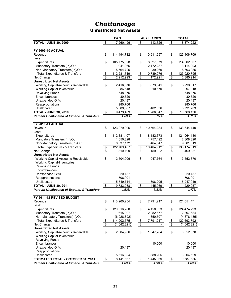### **Unrestricted Net Assets**

|                                                       | E&G               |                 | <b>AUXILIARIES</b> |                                  | <b>TOTAL</b>  |
|-------------------------------------------------------|-------------------|-----------------|--------------------|----------------------------------|---------------|
| <b>TOTAL - JUNE 30, 2009</b>                          | \$<br>7,260,496   | \$              | 1,113,726          | \$                               | 8,374,222     |
|                                                       |                   |                 |                    |                                  |               |
| <b>FY 2009-10 ACTUAL</b>                              |                   |                 |                    |                                  |               |
| Revenue                                               | \$<br>114,494,712 | \$              | 10,911,997         | \$                               | 125,406,709   |
| Less:                                                 |                   |                 |                    |                                  |               |
| Expenditures                                          | \$<br>105,775,028 | \$              | 8,527,579          | \$                               | 114,302,607   |
| Mandatory Transfers (In)/Out                          | 941,966           |                 | 2,172,237          |                                  | 3,114,203     |
| Non-Mandatory Transfers(In)/Out                       | 5,564,725         |                 | 39,260             |                                  | 5,603,985     |
| <b>Total Expenditures &amp; Transfers</b>             | \$<br>112,281,719 | \$              | 10,739,076         | \$                               | 123,020,795   |
| Net Change                                            | \$<br>2,212,993   | $\overline{\$}$ | 172,921            | $\overline{\boldsymbol{\theta}}$ | 2,385,914     |
| <b>Unrestricted Net Assets</b>                        |                   |                 |                    |                                  |               |
| <b>Working Capital-Accounts Receivable</b>            | \$<br>2,416,876   | \$              | 873,641            | \$                               | 3,290,517     |
| <b>Working Capital-Inventories</b>                    | 86,648            |                 | 10,670             |                                  | 97,318        |
| <b>Revolving Funds</b>                                | 548,875           |                 |                    |                                  | 548,875       |
| Encumbrances                                          | 30,520            |                 |                    |                                  | 30,520        |
| <b>Unexpended Gifts</b>                               | 20,437            |                 |                    |                                  | 20,437        |
| Reappropriations                                      | 980,766           |                 |                    |                                  | 980,766       |
| Unallocated                                           | 5,389,367         |                 | 402,336            |                                  | 5,791,703     |
| <b>TOTAL - JUNE 30, 2010</b>                          | \$<br>9,473,489   | \$              | 1,286,647          | \$                               | 10,760,136    |
| Percent Unallocated of Expend. & Transfers            | 4.80%             |                 | 3.75%              |                                  | 4.71%         |
| <b>FY 2010-11 ACTUAL</b>                              |                   |                 |                    |                                  |               |
| Revenue                                               | \$<br>123,079,906 | \$              | 10,564,234         | \$                               | 133,644,140   |
| Less:                                                 |                   |                 |                    |                                  |               |
| Expenditures                                          | \$<br>112,881,407 | \$              | 8,182,773          | \$                               | 121,064,180   |
| Mandatory Transfers (In)/Out                          | 1,050,828         |                 | 1,757,492          |                                  | 2,808,320     |
| Non-Mandatory Transfers(In)/Out                       | 8,837,172         |                 | 464,647            |                                  | 9,301,819     |
| <b>Total Expenditures &amp; Transfers</b>             | \$<br>122,769,407 | \$              | 10,404,912         | \$                               | 133, 174, 319 |
| Net Change                                            | \$<br>310,499     | $\overline{\$}$ | 159,322            | $\overline{\$}$                  | 469,821       |
| <b>Unrestricted Net Assets</b>                        |                   |                 |                    |                                  |               |
| Working Capital-Accounts Receivable                   | \$<br>2,504,906   | \$              | 1,047,764          | \$                               | 3,552,670     |
| <b>Working Capital-Inventories</b>                    |                   |                 |                    |                                  |               |
| <b>Revolving Funds</b>                                |                   |                 |                    |                                  |               |
| Encumbrances                                          |                   |                 |                    |                                  |               |
| <b>Unexpended Gifts</b>                               | 20,437            |                 |                    |                                  | 20,437        |
| Reappropriations                                      | 1,708,901         |                 |                    |                                  | 1,708,901     |
| Unallocated                                           | 5,549,744         |                 | 398,205            |                                  | 5,947,949     |
| <b>TOTAL - JUNE 30, 2011</b>                          | \$<br>9,783,988   | \$              | 1,445,969          | \$                               | 11,229,957    |
| <b>Percent Unallocated of Expend. &amp; Transfers</b> | 4.52%             |                 | 3.83%              |                                  | 4.47%         |
| FY 2011-12 REVISED BUDGET                             |                   |                 |                    |                                  |               |
| Revenue                                               | \$<br>113,260,254 | \$              | 7,791,217          | \$                               | 121,051,471   |
| Less:                                                 |                   |                 |                    |                                  |               |
| Expenditures                                          | \$<br>120,316,260 | \$              | 4,158,033          | \$                               | 124,474,293   |
| Mandatory Transfers (In)/Out                          | 615,007           |                 | 2,282,677          |                                  | 2,897,684     |
| Non-Mandatory Transfers(In)/Out                       | (6,028,692)       |                 | 1,350,507          |                                  | (4,678,185)   |
| <b>Total Expenditures &amp; Transfers</b>             | \$<br>114,902,575 | \$              | 7,791,217          | \$                               | 122,693,792   |
| Net Change                                            | \$<br>(1,642,321) | $\overline{\$}$ |                    | $\overline{\$}$                  | (1,642,321)   |
| <b>Unrestricted Net Assets</b>                        |                   |                 |                    |                                  |               |
| Working Capital-Accounts Receivable                   | \$<br>2,504,906   | \$              | 1,047,764          | \$                               | 3,552,670     |
| <b>Working Capital-Inventories</b>                    |                   |                 |                    |                                  |               |
| <b>Revolving Funds</b>                                |                   |                 |                    |                                  |               |
| Encumbrances                                          |                   |                 | 10,000             |                                  | 10,000        |
| <b>Unexpended Gifts</b>                               | 20,437            |                 |                    |                                  | 20,437        |
| Reappropriations                                      |                   |                 |                    |                                  |               |
| Unallocated                                           | 5,616,324         |                 | 388,205            |                                  | 6,004,529     |
| <b>ESTIMATED TOTAL - OCTOBER 31, 2011</b>             | \$<br>8,141,667   | \$              | 1,445,969          | \$                               | 9,587,636     |
| <b>Percent Unallocated of Expend. &amp; Transfers</b> | 4.89%             |                 | 4.98%              |                                  | 4.89%         |
|                                                       |                   |                 |                    |                                  |               |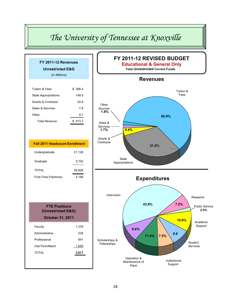# *The University of Tennessee at Knoxville*

| FY 2011-12 Revenues<br><b>Unrestricted E&amp;G</b><br>(In Millions)   |              |
|-----------------------------------------------------------------------|--------------|
|                                                                       |              |
| <b>Tuition &amp; Fees</b>                                             | \$288.4      |
| <b>State Appropriations</b>                                           | 148.0        |
| <b>Grants &amp; Contracts</b>                                         | 20.8         |
| Sales & Services                                                      | 7.8          |
| Other                                                                 | 8.7          |
| <b>Total Revenue</b>                                                  | \$473.7      |
|                                                                       |              |
| <b>Fall 2011 Headcount Enrollment</b>                                 |              |
| Undergraduate                                                         | 21,126       |
|                                                                       |              |
| Graduate                                                              | 5,702        |
| <b>TOTAL</b>                                                          | 26,828       |
| First-Time Freshman                                                   | 4,188        |
|                                                                       |              |
| <b>FTE Positions</b><br>(Unrestricted E&G)<br><b>October 31, 2011</b> |              |
|                                                                       |              |
| Faculty                                                               | 1,378        |
| Administrative                                                        | 239          |
| Professional                                                          | 641          |
| Cler/Tech/Maint                                                       | 1,659        |
| TOTAL                                                                 | <u>3,917</u> |

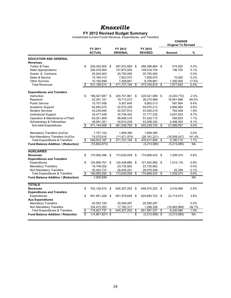### **FY 2012 Revised Budget Summary**

Unrestricted Current Funds Revenue, Expenditures, and Transfers

|                                            |                         |                          |                            |      |                           | <b>CHANGE</b><br><b>Original To Revised</b> |           |
|--------------------------------------------|-------------------------|--------------------------|----------------------------|------|---------------------------|---------------------------------------------|-----------|
|                                            |                         | FY 2011<br><b>ACTUAL</b> | FY 2012<br><b>ORIGINAL</b> |      | FY 2012<br><b>REVISED</b> | Amount                                      | %         |
| <b>EDUCATION AND GENERAL</b>               |                         |                          |                            |      |                           |                                             |           |
| Revenues                                   |                         |                          |                            |      |                           |                                             |           |
| <b>Tuition &amp; Fees</b>                  | \$                      | 259,350,505              | \$<br>287,872,959          | \$   | 288,388,884 \$            | 515,925                                     | 0.2%      |
| <b>State Appropriations</b>                |                         | 226,416,954              | 147,872,004                |      | 148,018,704               | 146,700                                     | 0.1%      |
| Grants & Contracts                         |                         | 25,044,943               | 20,750,000                 |      | 20,750,000                | $\blacksquare$                              | 0.0%      |
| Sales & Service                            |                         | 10,164,413               | 7,823,570                  |      | 7,838,570                 | 15,000                                      | 0.2%      |
| <b>Other Sources</b>                       |                         | 10,192,699               | 7,408,661                  |      | 8,708,661                 | 1.300.000                                   | 17.5%     |
| <b>Total Revenues</b>                      | \$                      | 531,169,514              | \$<br>471,727,194          | \$   | 473,704,819               | \$<br>1,977,625                             | 0.4%      |
| <b>Expenditures and Transfers</b>          |                         |                          |                            |      |                           |                                             |           |
| Instruction                                | \$                      | 196,427,687              | \$<br>225,741,861          | \$   | 220,521,089 \$            | (5,220,772)                                 | $-2.3%$   |
| Research                                   |                         | 22,291,101               | 19,713,072                 |      | 36,274,968                | 16,561,896                                  | 84.0%     |
| <b>Public Service</b>                      |                         | 10,707,456               | 9,307,649                  |      | 9,905,513                 | 597,864                                     | 6.4%      |
| <b>Academic Support</b>                    |                         | 62,693,075               | 52,073,229                 |      | 54,970,213                | 2,896,984                                   | 5.6%      |
| <b>Student Services</b>                    |                         | 43,234,940               | 42,537,812                 |      | 43,300,218                | 762,406                                     | 1.8%      |
| <b>Institutional Support</b>               |                         | 34,477,048               | 34,709,402                 |      | 37,717,235                | 3,007,833                                   | 8.7%      |
| Operation & Maintenance of Plant           |                         | 63,251,809               | 56,646,519                 |      | 57,242,172                | 595,653                                     | 1.1%      |
| Scholarships & Fellowships                 |                         | 38,061,351               | 40,810,239                 |      | 43,308,332                | 2,498,093                                   | 6.1%      |
| <b>Sub-total Expenditures</b>              | \$                      | 471,144,468              | \$<br>481,539,783          | \$   | 503,239,740               | \$<br>21,699,957                            | 4.5%      |
| Mandatory Transfers (In)/Out               |                         | 1,757,103                | 1,859,385                  |      | 1,859,385                 |                                             | 0.0%      |
| Non-Mandatory Transfers (In)/Out           |                         | 74,070,616               | (11, 671, 974)             |      | (28, 181, 221)            | (16, 509, 247)                              | 141.4%    |
| <b>Total Expenditures &amp; Transfers</b>  | \$                      | 546,972,187              | \$<br>471,727,194          | \$   | 476,917,904               | \$<br>5.190.710                             | 1.1%      |
| <b>Fund Balance Addition / (Reduction)</b> |                         | (15,802,673)             |                            |      | (3,213,085)               | (3,213,085)                                 | NA        |
| <b>AUXILIARIES</b>                         |                         |                          |                            |      |                           |                                             |           |
| <b>Revenues</b>                            | \$                      | 170,956,396              | \$<br>173,630,059          | \$   | 174,669,433               | \$<br>1,039,374                             | 0.6%      |
| <b>Expenditures and Transfers</b>          |                         |                          |                            |      |                           |                                             |           |
| Expenditures                               | \$                      | 120,806,761              | \$<br>120,439,866 \$       |      | 121,453,982 \$            | 1,014,116                                   | 0.8%      |
| <b>Mandatory Transfers</b>                 |                         | 18,746,052               | 23,735,902                 |      | 23,735,902                |                                             | 0.0%      |
| Non Mandatory Transfers                    |                         | 30,402,737               | 29,454,291                 |      | 29,479,549                | 25.258                                      | 0.1%      |
| <b>Total Expenditures &amp; Transfers</b>  | \$                      | 169,955,550              | \$<br>173,630,059          | \$   | 174,669,433               | \$<br>1,039,374                             | 0.6%      |
| <b>Fund Balance Addition / (Reduction)</b> |                         | 1,000,846                |                            |      |                           |                                             | <b>NA</b> |
| <b>TOTALS</b>                              |                         |                          |                            |      |                           |                                             |           |
| <b>Revenues</b>                            | \$                      | 702,125,910              | \$<br>645, 357, 253        | - \$ | 648,374,252               | \$<br>3,016,999                             | 0.5%      |
| <b>Expenditures and Transfers</b>          |                         |                          |                            |      |                           |                                             |           |
| Expenditures                               | \$                      | 591,951,229              | \$<br>601,979,649          | \$   | 624,693,722 \$            | 22,714,073                                  | 3.8%      |
| <b>Aux Expenditures</b>                    |                         |                          |                            |      |                           |                                             |           |
| <b>Mandatory Transfers</b>                 |                         | 20,503,155               | 25,595,287                 |      | 25,595,287                |                                             | 0.0%      |
| Non Mandatory Transfers                    |                         | 104,473,353              | 17,782,317                 |      | 1,298,328                 | (16, 483, 989)                              | $-92.7%$  |
| <b>Total Expenditures &amp; Transfers</b>  | \$                      | 716,927,737              | \$<br>645, 357, 253        | \$   | 651,587,337               | \$<br>6,230,084                             | 1.0%      |
| <b>Fund Balance Addition / Reduction</b>   | $\overline{\mathbb{S}}$ | $(14,801,827)$ \$        |                            | s    | $(3,213,085)$ \$          | (3,213,085)                                 | <b>NA</b> |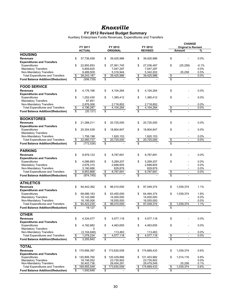### *Knoxville* **FY 2012 Revised Budget Summary**

Auxiliary Enterprises Funds Revenues, Expenditures and Transfers

|                                                                    |                         |                         |               |                         |                         |                         |                         | <b>CHANGE</b>              |              |
|--------------------------------------------------------------------|-------------------------|-------------------------|---------------|-------------------------|-------------------------|-------------------------|-------------------------|----------------------------|--------------|
|                                                                    |                         | FY 2011                 |               | FY 2012                 |                         | FY 2012                 |                         | <b>Original to Revised</b> |              |
| <b>HOUSING</b>                                                     |                         | <b>ACTUAL</b>           |               | <b>ORIGINAL</b>         |                         | <b>REVISED</b>          |                         | Amount                     | ℅            |
|                                                                    |                         |                         |               |                         |                         |                         |                         |                            |              |
| <b>Revenues</b>                                                    | \$                      | 37,736,458              | \$            | 39,425,986              | \$                      | 39,425,986              | \$                      |                            | 0.0%         |
| <b>Expenditures and Transfers</b><br>Expenditures                  | \$                      | 22,893,853              | \$            | 27,061,745              | \$                      | 27,036,487              | \$                      | (25, 258)                  | $-0.1\%$     |
| <b>Mandatory Transfers</b>                                         |                         | 5,859,825               |               | 7,047,297               |                         | 7,047,297               |                         |                            | 0.0%         |
| Non-Mandatory Transfers                                            |                         | 9,489,509               |               | 5,316,944               |                         | 5,342,202               |                         | 25,258                     | 0.5%         |
| <b>Total Expenditures and Transfers</b>                            | \$                      | 38,243,187              | \$            | 39,425,986              | \$                      | 39,425,986              | \$                      |                            | 0.0%         |
| <b>Fund Balance Addition/(Reduction)</b>                           | $\overline{\mathbb{S}}$ | (506, 729)              | \$            |                         | $\overline{\mathbb{S}}$ |                         | $\overline{\mathbb{S}}$ | ÷,                         |              |
| <b>FOOD SERVICE</b>                                                |                         |                         |               |                         |                         |                         |                         |                            |              |
| <b>Revenues</b>                                                    | \$                      | 4,176,166               | \$            | 4,104,264               | \$                      | 4,104,264               | \$                      |                            | 0.0%         |
| <b>Expenditures and Transfers</b>                                  |                         |                         |               |                         |                         |                         |                         |                            |              |
| Expenditures                                                       | \$                      | 1,252,430               | \$            | 1,385,412               | \$                      | 1,385,412               | \$                      |                            | 0.0%         |
| <b>Mandatory Transfers</b>                                         |                         | 67,851                  |               |                         |                         |                         |                         |                            |              |
| Non-Mandatory Transfers                                            |                         | 2,876,006               |               | 2,718,852               |                         | 2,718,852               |                         |                            | 0.0%         |
| <b>Total Expenditures and Transfers</b>                            | \$                      | 4,196,287               | \$            | 4,104,264               | $\boldsymbol{\theta}$   | 4,104,264               | \$                      | $\sim$                     | 0.0%         |
| <b>Fund Balance Addition/(Reduction)</b>                           | \$                      | (20, 121)               | \$            |                         | \$                      |                         | \$                      |                            |              |
| <b>BOOKSTORES</b>                                                  |                         |                         |               |                         |                         |                         |                         |                            |              |
| <b>Revenues</b>                                                    | \$                      | 21,288,211              | \$            | 20.725.000              | \$                      | 20,725,000              | \$                      |                            | 0.0%         |
| <b>Expenditures and Transfers</b>                                  |                         |                         |               |                         |                         |                         |                         |                            |              |
| Expenditures                                                       | \$                      | 20,304,539              | \$            | 18,804,847              | \$                      | 18,804,847              | \$                      |                            | 0.0%         |
| <b>Mandatory Transfers</b>                                         |                         |                         |               |                         |                         |                         |                         |                            |              |
| Non-Mandatory Transfers<br><b>Total Expenditures and Transfers</b> | \$                      | 1,756,198<br>22,060,737 | \$            | 1,920,153<br>20,725,000 |                         | 1,920,153<br>20,725,000 | \$                      | $\sim$                     | 0.0%<br>0.0% |
|                                                                    |                         |                         |               |                         | $\frac{1}{2}$           |                         | $\overline{\mathbb{S}}$ |                            |              |
| <b>Fund Balance Addition/(Reduction)</b>                           | \$                      | (772, 526)              | \$            |                         | \$                      |                         |                         |                            |              |
| <b>PARKING</b>                                                     |                         |                         |               |                         |                         |                         |                         |                            |              |
| <b>Revenues</b>                                                    | \$                      | 8,979,123               | \$            | 8,787,691               | \$                      | 8,787,691               | \$                      |                            | 0.0%         |
| <b>Expenditures and Transfers</b>                                  |                         |                         |               |                         |                         |                         |                         |                            |              |
| Expenditures                                                       | \$                      | 4,086,893               | \$            | 5,269,207               | \$                      | 5,269,207               | \$                      |                            | 0.0%         |
| <b>Mandatory Transfers</b>                                         |                         | 2,676,310               |               | 2,688,605               |                         | 2,688,605               |                         | ä,                         | 0.0%         |
| Non-Mandatory Transfers                                            |                         | 3,190,666               |               | 829,879                 |                         | 829,879                 |                         |                            | 0.0%         |
| <b>Total Expenditures and Transfers</b>                            | \$                      | 9,953,868               | $\frac{1}{2}$ | 8,787,691               | \$                      | 8,787,691               | \$                      | $\overline{a}$             | 0.0%         |
| <b>Fund Balance Addition/(Reduction)</b>                           | \$                      | (974, 745)              | \$            |                         | $\overline{\mathbb{S}}$ |                         | $\overline{\mathbb{S}}$ | ÷,                         |              |
| <b>ATHLETICS</b>                                                   |                         |                         |               |                         |                         |                         |                         |                            |              |
| <b>Revenues</b>                                                    | \$                      | 94,442,362              | \$            | 96,010,000              | \$                      | 97,049,374              | \$                      | 1,039,374                  | 1.1%         |
| <b>Expenditures and Transfers</b>                                  |                         |                         |               |                         |                         |                         |                         |                            |              |
| Expenditures                                                       | \$                      | 68,086,163              | \$            | 63,455,000              | \$                      | 64,494,374              | \$                      | 1,039,374                  | 1.6%         |
| <b>Mandatory Transfers</b>                                         |                         | 10,142,066              |               | 14,000,000              |                         | 14,000,000              |                         |                            | 0.0%         |
| Non-Mandatory Transfers                                            |                         | 16,195,006              |               | 18,555,000              |                         | 18,555,000              |                         |                            | 0.0%         |
| <b>Total Expenditures and Transfers</b>                            | \$                      | 94,423,235              | \$            | 96.010.000              | \$                      | 97,049,374              | \$                      | 1,039,374                  | 1.1%         |
| <b>Fund Balance Addition/(Reduction)</b>                           | \$                      | 19,127                  | \$            |                         | \$                      |                         |                         |                            |              |
| <b>OTHER</b>                                                       |                         |                         |               |                         |                         |                         |                         |                            |              |
| <b>Revenues</b>                                                    | \$                      | 4,334,077               | \$            | 4,577,118               | \$                      | 4,577,118               | \$                      |                            | 0.0%         |
| <b>Expenditures and Transfers</b>                                  |                         |                         |               |                         |                         |                         |                         |                            |              |
| Expenditures                                                       | \$                      | 4,182,882               | \$            | 4,463,655               | \$                      | 4,463,655               | \$                      |                            | 0.0%         |
| <b>Mandatory Transfers</b>                                         |                         | 0                       |               |                         |                         |                         |                         |                            |              |
| Non-Mandatory Transfers                                            |                         | (3, 104, 648)           |               | 113,463                 |                         | 113,463                 |                         |                            | 0.0%         |
| <b>Total Expenditures and Transfers</b>                            | \$                      | 1,078,234               | \$            | 4,577,118               | $\frac{1}{2}$           | 4,577,118               | \$                      |                            | 0.0%         |
| <b>Fund Balance Addition/(Reduction)</b>                           | \$                      | 3,255,842               | \$            |                         | \$                      |                         | \$                      | $\overline{a}$             |              |
| <b>TOTAL</b>                                                       |                         |                         |               |                         |                         |                         |                         |                            |              |
| <b>Revenues</b>                                                    | \$                      | 170,956,397             | \$            | 173,630,059             | \$                      | 174,669,433             | \$                      | 1,039,374                  | 0.6%         |
| <b>Expenditures and Transfers</b>                                  |                         |                         |               |                         |                         |                         |                         |                            |              |
| Expenditures                                                       | \$                      | 120,806,760             | \$            | 120,439,866             | \$                      | 121,453,982             | \$                      | 1,014,116                  | 0.8%         |
| <b>Mandatory Transfers</b>                                         |                         | 18,746,052              |               | 23,735,902              |                         | 23,735,902              |                         |                            | 0.0%         |
| Non-Mandatory Transfers                                            |                         | 30,402,736              |               | 29,454,291              |                         | 29,479,549              |                         | 25,258                     | 0.1%         |
| <b>Total Expenditures and Transfers</b>                            | \$                      | 169,955,549             | \$            | 173,630,059             | \$                      | 174,669,433             | \$                      | 1,039,374                  | 0.6%         |
| <b>Fund Balance Addition/(Reduction)</b>                           | \$                      | 1,000,848               | \$            |                         | \$                      |                         | \$                      | $\overline{\phantom{a}}$   |              |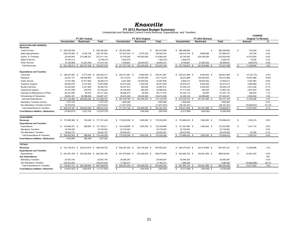**FY 2012 Revised Budget Summary** Unrestricted and Restricted Current Funds Revenue, Expenditures, and Transfers

|                                                 | FY 2011 Actual                            |                                           |                           |                     |                        |                |                        |                   |                |               | <b>CHANGE</b>              |           |
|-------------------------------------------------|-------------------------------------------|-------------------------------------------|---------------------------|---------------------|------------------------|----------------|------------------------|-------------------|----------------|---------------|----------------------------|-----------|
|                                                 | Unrestricted<br>Restricted<br>Total       |                                           |                           |                     | FY 2012 Original       |                |                        | FY 2012 Revised   |                |               | <b>Original To Revised</b> |           |
|                                                 |                                           |                                           |                           | <b>Unrestricted</b> | <b>Restricted</b>      | <b>Total</b>   | <b>Unrestricted</b>    | <b>Restricted</b> | Total          |               | Amount                     | %         |
| <b>EDUCATION AND GENERAL</b><br><b>Revenues</b> |                                           |                                           |                           |                     |                        |                |                        |                   |                |               |                            |           |
| Tuition & Fees                                  | \$ 259,350,505                            |                                           | \$ 259,350,505            | \$ 287,872,959      | -96                    | 287,872,959    | \$ 288,388,884         | $\mathbf{S}$      | 288,388,884    | \$            | 515,925                    | 0.2%      |
| <b>State Appropriations</b>                     | 226.416.954                               | 9,780,109<br>- \$                         | 236,197,063               | 147,872,004 \$      | 9,070,330              | 156,942,334    | 148,018,704 \$         | 9,666,969         | 157,685,673    |               | 743,339                    | 0.5%      |
| Grants & Contracts                              | 25.044.943                                | 212,366,221                               | 237,411,163               | 20,750,000          | 193,930,000            | 214,680,000    | 20,750,000             | 204,300,000       | 225,050,000    |               | 10,370,000                 | 4.8%      |
| Sales & Service                                 | 10,164,413                                |                                           | 10,164,413                | 7,823,570           |                        | 7,823,570      | 7,838,570              |                   | 7,838,570      |               | 15,000                     | 0.2%      |
| <b>Other Sources</b>                            | 10.192.699                                | 31.021.436                                | 41,214,135                | 7.408.661           | 29.244.670             | 36,653,331     | 8.708.661              | 27.650.000        | 36,358,661     |               | (294, 670)                 | $-0.8%$   |
| <b>Total Revenues</b>                           | -S                                        | 531,169,514 \$ 253,167,766 \$ 784,337,279 |                           | $$471,727,194$ \$   | 232,245,000 \$         | 703,972,194    | \$473,704,819 \$       | 241,616,969 \$    | 715,321,788    | $\mathbb{S}$  | 11,349,594                 | 1.6%      |
| <b>Expenditures and Transfers</b>               |                                           |                                           |                           |                     |                        |                |                        |                   |                |               |                            |           |
| Instruction                                     | \$196.427.687 \$                          | 9.777.630 \$                              | 206.205.317               | \$ 225,741,861 \$   | 8.500.000 \$           | 234.241.861    | \$ 220,521,089 \$      | 9.000.000 \$      | 229.521.089    | \$            | (4,720,772)                | $-2.0%$   |
| Research                                        | 22.291.101                                | 106.046.685                               | 128,337,786               | 19.713.072          | 97,000,000             | 116,713,072    | 36,274,968             | 100,000,000       | 136.274.968    |               | 19,561,896                 | 16.8%     |
| <b>Public Service</b>                           | 10,707,456                                | 27,677,963                                | 38,385,419                | 9,307,649           | 25,200,000             | 34,507,649     | 9,905,513              | 28,000,000        | 37,905,513     |               | 3,397,864                  | 9.8%      |
| Academic Support                                | 62,693,075                                | 8,181,623                                 | 70,874,698                | 52,073,229          | 7,200,000              | 59,273,229     | 54,970,213             | 8,300,000         | 63,270,213     |               | 3,996,984                  | 6.7%      |
| <b>Student Services</b>                         | 43,234,940                                | 2,321,804                                 | 45,556,744                | 42,537,812          | 350,000                | 42,887,812     | 43,300,218             | 2,200,000         | 45,500,218     |               | 2,612,406                  | 6.1%      |
| <b>Institutional Support</b>                    | 34.477.048                                | 279.276                                   | 34.756.324                | 34.709.402          | 280,000                | 34.989.402     | 37.717.235             | 280.000           | 37.997.235     |               | 3.007.833                  | 8.6%      |
| Operation & Maintenance of Plant                | 63,251,809                                | 59.243                                    | 63,311,052                | 56,646,519          | 65,000                 | 56,711,519     | 57,242,172             | 65,000            | 57,307,172     |               | 595,653                    | 1.1%      |
| Scholarships & Fellowships                      | 38.061.351                                | 95.596.066                                | 133.657.417               | 40.810.239          | 94.000.000             | 134,810,239    | 43.308.332             | 94.096.969        | 137,405,301    |               | 2.595.062                  | 1.9%      |
| Sub-total Expenditures                          | \$471,144,468 \$249,940,290 \$721,084,757 |                                           |                           | \$481,539,783 \$    | 232,595,000 \$         | 714,134,783    | \$ 503,239,740 \$      | 241,941,969 \$    | 745,181,709    | $\mathfrak s$ | 31,046,926                 | 4.3%      |
| Mandatory Transfers (In)/Out                    | 1,757,103                                 |                                           | 1,757,103                 | 1,859,385           |                        | 1,859,385      | 1,859,385              |                   | 1,859,385      |               |                            | 0.0%      |
| Non-Mandatory Transfers (In)/Out                | 74.070.616                                |                                           | 74,070,616                | (11, 671, 974)      |                        | (11, 671, 974) | (28, 181, 221)         |                   | (28, 181, 221) |               | (16, 509, 247)             | 141.4%    |
| <b>Total Expenditures &amp; Transfers</b>       | \$546,972,187 \$249,940,290 \$796,912,476 |                                           |                           | $$471,727,194$ \$   | 232,595,000 \$         | 704,322,194    | \$ 476,917,904 \$      | 241,941,969 \$    | 718,859,873    | $\mathfrak s$ | 14,537,679                 | 2.1%      |
| <b>Fund Balance Addition / (Reduction)</b>      | (15,802,673)                              | 3,227,476                                 | (12.575, 197)             |                     | (350,000)              | (350,000)      | (3,213,085)            | (325,000)         | (3,538,085)    |               |                            |           |
| <b>AUXILIARIES</b>                              |                                           |                                           |                           |                     |                        |                |                        |                   |                |               |                            |           |
| <b>Revenues</b>                                 | \$ 170,956,396 \$                         | 745.049                                   | - \$<br>171.701.445       | \$ 173,630,059 \$   | 1.900.000<br>- \$      | 175.530.059    | \$174,669,433 \$       | 1,900,000 \$      | 176,569,433    | \$            | 1.039.374                  | 0.6%      |
| <b>Expenditures and Transfers</b>               |                                           |                                           |                           |                     |                        |                |                        |                   |                |               |                            |           |
| Expenditures                                    | \$ 120,806,761 \$                         |                                           | 388,650 \$ 121,195,411    | \$ 120,439,866 \$   | 1.900.000 \$           | 122.339.866    | $$121,453,982$ \$      | 1,900,000 \$      | 123,353,982    | \$            | 1,014,116                  | 0.8%      |
| <b>Mandatory Transfers</b>                      | 18,746,052                                |                                           | 18,746,052                | 23,735,902          |                        | 23,735,902     | 23,735,902             |                   | 23,735,902     |               |                            | 0.0%      |
| Non Mandatory Transfers                         | 30.402.737                                |                                           | 30,402,737                | 29.454.291          |                        | 29,454,291     | 29.479.549             |                   | 29,479,549     |               | 25,258                     | 0.1%      |
| <b>Total Expenditures &amp; Transfers</b>       | \$ 169,955,550 \$                         |                                           | 388,650 \$ 170,344,200    | \$ 173,630,059 \$   | 1.900.000 \$           | 175,530,059    | \$ 174,669,433 \$      | 1.900.000 \$      | 176,569,433    | - \$          | 1.039.374                  | 0.6%      |
| Fund Balance Addition / (Reduction)             | 1,000,846                                 | 356.399                                   | 1,357,245                 |                     |                        |                |                        |                   |                |               |                            |           |
| <b>TOTALS</b>                                   |                                           |                                           |                           |                     |                        |                |                        |                   |                |               |                            |           |
| <b>Revenues</b>                                 | \$ 702,125,910 \$                         | 253,912,815 \$                            | 956,038,724               | \$ 645,357,253      | - \$<br>234,145,000 \$ | 879,502,253    | 648,374,252 \$<br>s.   | 243,516,969 \$    | 891,891,221    | \$            | 12,388,968                 | 1.4%      |
| <b>Expenditures and Transfers</b>               |                                           |                                           |                           |                     |                        |                |                        |                   |                |               |                            |           |
| Expenditures                                    | \$591,951,229 \$250,328,940 \$            |                                           | 842.280.168               | \$ 601.979.649      | - S<br>234,495,000 \$  | 836.474.649    | \$ 624,693,722 \$      | 243,841,969 \$    | 868,535,691    | \$            | 32,061,042                 | 3.8%      |
| <b>Aux Expenditures</b>                         |                                           |                                           |                           |                     |                        |                |                        |                   |                |               |                            | <b>NA</b> |
| <b>Mandatory Transfers</b>                      | 20.503.155                                |                                           | 20.503.155                | 25,595,287          |                        | 25,595,287     | 25,595,287             |                   | 25,595,287     |               |                            | 0.0%      |
| Non Mandatory Transfers                         | 104,473,353                               |                                           | 104,473,353               | 17,782,317          |                        | 17,782,317     | 1,298,328              |                   | 1,298,328      |               | (16, 483, 989)             | $-92.7%$  |
| <b>Total Expenditures &amp; Transfers</b>       | \$716,927,737 \$250,328,940 \$967,256,676 |                                           |                           | \$ 645,357,253 \$   | 234,495,000 \$         | 879,852,253    | $$651,587,337$ \$      | 243,841,969 \$    | 895,429,306    | $\mathbb{S}$  | 15,577,053                 | 1.8%      |
| <b>Fund Balance Addition / Reduction</b>        | $$(14,801,827)$ \$                        |                                           | 3,583,875 \$ (11,217,952) | s.                  | - \$<br>$(350,000)$ \$ | (350,000)      | s.<br>$(3,213,085)$ \$ | $(325,000)$ \$    | (3,538,085)    |               |                            |           |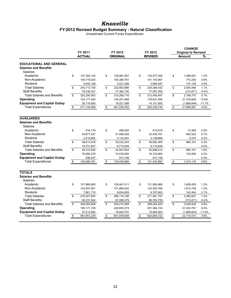### **FY2012 Revised Budget Summary - Natural Classification**

Unrestricted Current Funds Expenditures

|                                                                                   |                          |              |                            |                           | <b>CHANGE</b>                               |          |
|-----------------------------------------------------------------------------------|--------------------------|--------------|----------------------------|---------------------------|---------------------------------------------|----------|
|                                                                                   | FY 2011<br><b>ACTUAL</b> |              | FY 2012<br><b>ORIGINAL</b> | FY 2012<br><b>REVISED</b> | <b>Original to Revised</b><br><b>Amount</b> | %        |
|                                                                                   |                          |              |                            |                           |                                             |          |
| <b>EDUCATIONAL AND GENERAL</b><br><b>Salaries and Benefits</b><br><b>Salaries</b> |                          |              |                            |                           |                                             |          |
| Academic                                                                          | \$<br>127,352,104        | \$           | 128,981,957                | \$<br>130,577,048         | \$<br>1,595,091                             | 1.2%     |
| Non-Academic                                                                      | 108,719,524              |              | 100,380,761                | 101,153,987               | 773,226                                     | 0.8%     |
| <b>Students</b>                                                                   | 4,642,108                |              | 3,521,268                  | 3,658,397                 | 137,129                                     | 3.9%     |
| <b>Total Salaries</b>                                                             | \$<br>240,713,736        | \$           | 232,883,986                | \$<br>235,389,432         | \$<br>2,505,446                             | 1.1%     |
| <b>Staff Benefits</b>                                                             | 79,536,327               |              | 77,382,730                 | 77,067,059                | (315, 671)                                  | $-0.4%$  |
| <b>Total Salaries and Benefits</b>                                                | \$<br>320,250,063        | $\mathbb{S}$ | 310,266,716                | \$<br>312,456,491         | \$<br>2,189,775                             | 0.7%     |
| Operating                                                                         | 124, 177, 450            |              | 155,251,468                | 176,631,294               | 21,379,826                                  | 13.8%    |
| <b>Equipment and Capital Outlay</b>                                               | 26,716,955               |              | 16,021,599                 | 14, 151, 955              | (1,869,644)                                 | $-11.7%$ |
| <b>Total Expenditures</b>                                                         | \$<br>471,144,468        | \$           | 481,539,783                | \$<br>503,239,740         | \$<br>21,699,957                            | 4.5%     |
|                                                                                   |                          |              |                            |                           |                                             |          |
|                                                                                   |                          |              |                            |                           |                                             |          |
| <b>AUXILIARIES</b>                                                                |                          |              |                            |                           |                                             |          |
| <b>Salaries and Benefits</b>                                                      |                          |              |                            |                           |                                             |          |
| <b>Salaries</b>                                                                   |                          |              |                            |                           |                                             |          |
| Academic                                                                          | \$<br>516,779            | \$           | 499,554                    | \$<br>513,918             | \$<br>14,364                                | 2.9%     |
| Non-Academic                                                                      | 34,877,537               |              | 31,599,259                 | 32,439,781                | 840,522                                     | 2.7%     |
| <b>Students</b>                                                                   | 3,219,602                |              | 3,133,391                  | 3,138,666                 | 5,275                                       | 0.2%     |
| <b>Total Salaries</b>                                                             | \$<br>38,613,918         | \$           | 35,232,204                 | \$<br>36,092,365          | \$<br>860,161                               | 2.4%     |
| <b>Staff Benefits</b>                                                             | 10,701,627               |              | 9,715,649                  | 9,715,649                 |                                             | 0.0%     |
| <b>Total Salaries and Benefits</b>                                                | \$<br>49,315,545         | \$           | 44,947,853                 | \$<br>45,808,014          | \$<br>860,161                               | 1.9%     |
| Operating                                                                         | 70,994,279               |              | 74,578,905                 | 74,732,860                | 153,955                                     | 0.2%     |
| <b>Equipment and Capital Outlay</b>                                               | 496,937                  |              | 913,108                    | 913,108                   |                                             | 0.0%     |
| <b>Total Expenditures</b>                                                         | \$<br>120,806,761        | \$           | 120,439,866                | \$<br>121,453,982         | \$<br>1,014,116                             | 0.8%     |
|                                                                                   |                          |              |                            |                           |                                             |          |
| <b>TOTALS</b>                                                                     |                          |              |                            |                           |                                             |          |
| <b>Salaries and Benefits</b>                                                      |                          |              |                            |                           |                                             |          |
| <b>Salaries</b>                                                                   |                          |              |                            |                           |                                             |          |
| Academic                                                                          | \$<br>127,868,883        | \$           | 129,481,511                | \$<br>131,090,966         | \$<br>1,609,455                             | 1.2%     |
| Non-Academic                                                                      | 143,597,061              |              | 131,980,020                | 133,593,768               | 1,613,748                                   | 1.2%     |
| <b>Students</b>                                                                   | 7,861,710                |              | 6,654,659                  | 6,797,063                 | 142,404                                     | 2.1%     |
| <b>Total Salaries</b>                                                             | \$<br>279,327,654        | \$           | 268,116,190                | \$<br>271,481,797         | \$<br>3,365,607                             | 1.3%     |
| <b>Staff Benefits</b>                                                             | 90,237,954               |              | 87,098,379                 | 86,782,708                | (315, 671)                                  | $-0.4%$  |
| <b>Total Salaries and Benefits</b>                                                | \$<br>369,565,608        | \$           | 355,214,569                | \$<br>358,264,505         | \$<br>3,049,936                             | 0.9%     |
| Operating                                                                         | 195, 171, 729            |              | 229,830,373                | 251,364,154               | 21,533,781                                  | 9.4%     |
| <b>Equipment and Capital Outlay</b>                                               | 27,213,892               |              | 16,934,707                 | 15,065,063                | (1,869,644)                                 | $-11.0%$ |
| <b>Total Expenditures</b>                                                         | \$<br>591,951,229        | \$           | 601,979,649                | \$<br>624,693,722         | \$<br>22,714,073                            | 3.8%     |
|                                                                                   |                          |              |                            |                           |                                             |          |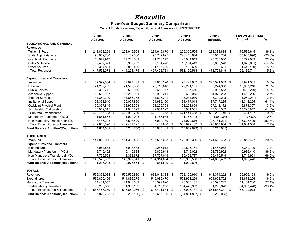### **Five-Year Budget Summary Comparison**

Current Funds Revenues, Expenditures and Transfers - UNRESTRICTED

|                                                     | FY 2008<br><b>ACTUAL</b>      |                              |      | FY 2009<br><b>ACTUAL</b>  |      | FY 2010<br><b>ACTUAL</b>  |     | FY 2011                      |     | FY 2012                   |               | <b>FIVE-YEAR CHANGE</b>   |           |  |
|-----------------------------------------------------|-------------------------------|------------------------------|------|---------------------------|------|---------------------------|-----|------------------------------|-----|---------------------------|---------------|---------------------------|-----------|--|
|                                                     |                               |                              |      |                           |      |                           |     | <b>ACTUAL</b>                |     | <b>REVISED</b>            | <b>Amount</b> |                           | ℅         |  |
| <b>EDUCATIONAL AND GENERAL</b>                      |                               |                              |      |                           |      |                           |     |                              |     |                           |               |                           |           |  |
| <b>Revenues</b>                                     |                               |                              |      |                           |      |                           |     |                              |     |                           |               |                           |           |  |
| <b>Tuition &amp; Fees</b>                           | \$                            | 211,853,269 \$               |      | 223,616,923 \$            |      | 234,649,870 \$            |     | 259,350,505 \$               |     | 288,388,884 \$            |               | 76,535,615                | 36.1%     |  |
| <b>State Appropriations</b>                         |                               | 198,919,700                  |      | 183.109.300               |      | 190,749,695               |     | 226,416,954                  |     | 148,018,704               |               | (50,900,996)              | $-25.6%$  |  |
| Grants & Contracts                                  |                               | 16,977,917                   |      | 17,710,089                |      | 21,713,277                |     | 25,044,943                   |     | 20,750,000                |               | 3,772,083                 | 22.2%     |  |
| Sales & Service                                     |                               | 9,462,371                    |      | 8,939,763                 |      | 9,154,470                 |     | 10,164,413                   |     | 7,838,570                 |               | (1,623,801)               | $-17.2%$  |  |
| <b>Other Sources</b>                                |                               | 10,354,821                   |      | 10,852,400                |      | 11,155,420                |     | 10,192,699                   |     | 8,708,661                 |               | (1,646,160)               | $-15.9%$  |  |
| <b>Total Revenues</b>                               | \$                            | 447,568,078                  | \$   | 444,228,475               | \$   | 467,422,731               | \$  | 531,169,514                  | \$  | 473,704,819               | \$            | 26,136,741                | 5.8%      |  |
| <b>Expenditures and Transfers</b>                   |                               |                              |      |                           |      |                           |     |                              |     |                           |               |                           |           |  |
| Instruction                                         | \$                            | 189,599,584 \$               |      | 187,077,401 \$            |      | 187,616,220 \$            |     | 196,427,687 \$               |     | 220,521,089 \$            |               | 30,921,505                | 16.3%     |  |
| Research                                            |                               | 21,207,752                   |      | 21,599,838                |      | 23,719,818                |     | 22,291,101                   |     | 36,274,968                |               | 15,067,216                | 71.0%     |  |
| <b>Public Service</b>                               |                               | 10,318,742                   |      | 9,589,069                 |      | 10,653,777                |     | 10,707,456                   |     | 9,905,513                 |               | (413, 229)                | $-4.0%$   |  |
|                                                     |                               | 53,519,997                   |      | 55,212,021                |      | 52,963,211                |     |                              |     | 54,970,213                |               | 1,450,216                 | 2.7%      |  |
| Academic Support<br><b>Student Services</b>         |                               | 44,360,249                   |      |                           |      | 44,806,301                |     | 62,693,075                   |     |                           |               |                           | $-2.4%$   |  |
| <b>Institutional Support</b>                        |                               | 23,368,940                   |      | 44,866,355<br>25,057,820  |      | 24,686,100                |     | 43,234,940<br>34,477,048     |     | 43,300,218<br>37,717,235  |               | (1,060,031)<br>14,348,295 | 61.4%     |  |
|                                                     |                               | 50,367,845                   |      |                           |      | 53,299,703                |     | 63,251,809                   |     |                           |               |                           | 13.6%     |  |
| Op/Maint Physical Plant<br>Scholarships/Fellowships |                               |                              |      | 53,922,393                |      |                           |     |                              |     | 57,242,172                |               | 6,874,327                 | 44.3%     |  |
| Sub-total Expenditures                              | \$                            | 30,012,515<br>422,755,623 \$ |      | 31,643,892<br>428,968,790 | \$   | 32,054,327<br>429,799,458 | \$  | 38,061,351<br>471,144,468 \$ |     | 43,308,332<br>503,239,740 | \$            | 13,295,817<br>80,484,117  | 19.0%     |  |
|                                                     |                               |                              |      |                           |      |                           |     |                              |     |                           |               |                           | 10.6%     |  |
| Mandatory Transfers (In)/Out                        |                               | 1,681,565                    |      | 1,900,005                 |      | 1,767,983                 |     | 1,757,103                    |     | 1,859,385                 |               | 177,820                   |           |  |
| Non Mandatory Transfers (In)/Out                    |                               | 18,446,208                   |      | 18,598,429                |      | 16,920,189                |     | 74,070,616                   |     | (28, 181, 221)            | \$            | (46, 627, 429)            | $-252.8%$ |  |
| <b>Total Expenditures &amp; Transfers</b>           | \$<br>$\overline{\mathsf{s}}$ | 442,883,396                  | \$   | 449,467,225               | \$   | 448,487,630               | \$  | 546,972,187 \$               |     | 476,917,904               |               | 34,034,508                | 7.7%      |  |
| <b>Fund Balance Addition/(Reduction)</b>            |                               | 4,684,682 \$                 |      | $(5,238,750)$ \$          |      | 18,935,101 \$             |     | $(15,802,673)$ \$            |     | (3,213,085)               |               |                           |           |  |
| <b>AUXILIARIES</b>                                  |                               |                              |      |                           |      |                           |     |                              |     |                           |               |                           |           |  |
| <b>Revenues</b>                                     | \$                            | 144,810,006 \$               |      | 151,368,405               | \$   | 165,595,603 \$            |     | 170,956,396 \$               |     | 174,669,433 \$            |               | 29,859,427                | 20.6%     |  |
| <b>Expenditures and Transfers</b>                   |                               |                              |      |                           |      |                           |     |                              |     |                           |               |                           |           |  |
| Expenditures                                        |                               | 113,064,873                  |      | 115,913,485               |      | 110,287,012               |     | 120,806,761                  |     | 121,453,982               |               | 8,389,109                 | 7.4%      |  |
| Mandatory Transfers (In)/Out                        |                               | 12,749,492                   |      | 19,140,684                |      | 16,829,943                |     | 18,746,052                   |     | 23,735,902                |               | 10,986,410                | 86.2%     |  |
| Non Mandatory Transfers (In)/Out                    |                               | 17,759,598                   |      | 13,338,672                |      | 37,797,049                |     | 30,402,737                   |     | 29,479,549                |               | 11,719,951                | 66.0%     |  |
| <b>Total Expenditures &amp; Transfers</b>           | S,                            | 143,573,963                  | - \$ | 148,392,841               | \$   | 164,914,004               | \$  | 169,955,550                  | \$  | 174,669,433               | \$            | 31,095,470                | 21.7%     |  |
| <b>Fund Balance Addition/(Reduction)</b>            | S.                            | $1,236,043$ \$               |      | 2,975,564                 | s,   | 681,599                   | -\$ | 1,000,846                    |     |                           |               |                           |           |  |
| <b>TOTALS</b>                                       |                               |                              |      |                           |      |                           |     |                              |     |                           |               |                           |           |  |
| Revenues                                            | \$                            | 592,378,084 \$               |      | 595,596,880               | - \$ | 633,018,334 \$            |     | 702,125,910 \$               |     | 648,374,252 \$            |               | 55,996,168                | 9.5%      |  |
| Expenditures                                        |                               | 535,820,496                  |      | 544.882.275               |      | 540.086.470               |     | 591,951,229                  |     | 624,693,722               |               | 88.873.226                | 16.6%     |  |
| <b>Mandatory Transfers</b>                          |                               | 14,431,057                   |      | 21,040,689                |      | 18,597,926                |     | 20,503,155                   |     | 25,595,287                |               | 11,164,230                | 77.4%     |  |
| Non-Mandatory Transfers                             |                               | 36,205,806                   |      | 31,937,102                |      | 54,717,238                |     | 104,473,353                  |     | 1,298,328                 |               | (34, 907, 478)            | $-96.4%$  |  |
| <b>Total Expenditures &amp; Transfers</b>           | \$                            | 586,457,359                  | \$   | 597,860,066               | \$   | 613,401,634               | \$  | 716,927,737                  | -\$ | 651,587,337               | \$            | 65,129,978                | 11.1%     |  |
| <b>Fund Balance Addition/(Reduction)</b>            | s.                            | $5,920,725$ \$               |      | $(2,263,186)$ \$          |      | 19,616,700 \$             |     | $(14,801,827)$ \$            |     | (3,213,085)               |               |                           |           |  |
|                                                     |                               |                              |      |                           |      |                           |     |                              |     |                           |               |                           |           |  |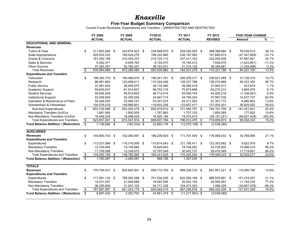### **Five-Year Budget Summary Comparison**

Current Funds Revenues, Expenditures and Transfers - UNRESTRICTED AND RESTRICTED

|                                            | <b>FY 2008</b>          |                |    | FY 2009         |      | FY2010         |     | FY 2011                      | FY 2012           |      | <b>FIVE-YEAR CHANGE</b> |           |  |
|--------------------------------------------|-------------------------|----------------|----|-----------------|------|----------------|-----|------------------------------|-------------------|------|-------------------------|-----------|--|
|                                            |                         | <b>ACTUAL</b>  |    | <b>ACTUAL</b>   |      | <b>ACTUAL</b>  |     | <b>ACTUAL</b>                | <b>REVISED</b>    |      | Amount                  | %         |  |
| <b>EDUCATIONAL AND GENERAL</b>             |                         |                |    |                 |      |                |     |                              |                   |      |                         |           |  |
| <b>Revenues</b>                            |                         |                |    |                 |      |                |     |                              |                   |      |                         |           |  |
| <b>Tuition &amp; Fees</b>                  | \$                      | 211,853,269 \$ |    | 223,616,923 \$  |      | 234,649,870 \$ |     | 259,350,505 \$               | 288,388,884 \$    |      | 76,535,615              | 36.1%     |  |
| <b>State Appropriations</b>                |                         | 205,033,532    |    | 189,024,279     |      | 199,222,980    |     | 236, 197, 062                | 157,685,673       |      | (47, 347, 859)          | $-23.1%$  |  |
| Grants & Contracts                         |                         | 167,052,159    |    | 210,044,257     |      | 210,720,110    |     | 237,411,163                  | 225,050,000       |      | 57,997,841              | 34.7%     |  |
| Sales & Services                           |                         | 9,462,371      |    | 8,939,763       |      | 9,154,470      |     | 10,164,413                   | 7,838,570         |      | (1,623,801)             | $-17.2%$  |  |
| <b>Other Sources</b>                       |                         | 37,593,357     |    | 40,760,257      |      | 39,753,531     |     | 41,214,135                   | 36,358,661        |      | (1,234,696)             | $-3.3%$   |  |
| <b>Total Revenues</b>                      | \$                      | 630,994,688    | \$ | 672,385,480     | \$   | 693,500,960    | \$  | 784,337,278                  | \$<br>715,321,788 | \$   | 84,327,100              | 13.4%     |  |
| <b>Expenditures and Transfers</b>          |                         |                |    |                 |      |                |     |                              |                   |      |                         |           |  |
| Instruction                                | \$                      | 198,392,779 \$ |    | 194,489,919     | \$   | 195,041,791 \$ |     | 206,205,317 \$               | 229,521,089       | - \$ | 31,128,310              | 15.7%     |  |
| Research                                   |                         | 86,951,663     |    | 123,499,411     |      | 115,324,446    |     | 128,337,786                  | 136,274,968       |      | 49,323,305              | 56.7%     |  |
| <b>Public Service</b>                      |                         | 37,481,634     |    | 36,835,570      |      | 38,133,080     |     | 38,385,419                   | 37,905,513        |      | 423,879                 | 1.1%      |  |
| Academic Support                           |                         | 59,605,637     |    | 61,914,837      |      | 58,753,716     |     | 70,874,698                   | 63,270,213        |      | 3,664,576               | 6.1%      |  |
| <b>Student Services</b>                    |                         | 46,836,309     |    | 46,919,825      |      | 46,714,014     |     | 45,556,744                   | 45,500,218        |      | (1,336,091)             | $-2.9%$   |  |
| <b>Institutional Support</b>               |                         | 23,459,508     |    | 25,455,026      |      | 24,847,714     |     | 34,756,324                   | 37,997,235        |      | 14,537,727              | 62.0%     |  |
| Operation & Maintenance of Plant           |                         | 50,426,520     |    | 53,946,191      |      | 53,301,615     |     | 63,311,052                   | 57,307,172        |      | 6,880,652               | 13.6%     |  |
| Scholarships & Fellowships                 |                         | 100,576,019    |    | 108,988,601     |      | 118,803,236    |     | 133,657,417                  | 137,405,301       |      | 36,829,282              | 36.6%     |  |
| Sub-total Expenditures                     | \$                      | 603,730,068 \$ |    | 652,049,379 \$  |      | 650.919.612 \$ |     | 721,084,757 \$               | 745,181,709 \$    |      | 141,451,641             | 23.4%     |  |
| Mandatory Transfers (In)/Out               |                         | 1,681,565      |    | 1,900,005       |      | 1,767,983      |     | 1,757,103                    | 1,859,385         |      | 177,820                 | 10.6%     |  |
| Non-Mandatory Transfers (In)/Out           |                         | 18.446.208     |    | 18,598,429      |      | 16.920.189     |     | 74.070.616                   | (28, 181, 221)    |      | (46.627.429)            | $-252.8%$ |  |
| <b>Total Expenditures and Transfers</b>    | $\overline{\mathbf{3}}$ | 623,857,841 \$ |    | 672,547,814     | -\$  | 669,607,784    | \$  | 796,912,476 \$               | 718,859,873       | \$   | 95,002,032              | 15.2%     |  |
| <b>Fund Balance Addition / (Reduction)</b> | \$                      | 7,136,846 \$   |    | $(162, 334)$ \$ |      | 23,893,176 \$  |     | $\overline{(12,575,198)}$ \$ | (3,538,085)       |      |                         |           |  |
|                                            |                         |                |    |                 |      |                |     |                              |                   |      |                         |           |  |
| <b>AUXILIARIES</b>                         |                         |                |    |                 |      |                |     |                              |                   |      |                         |           |  |
| <b>Revenues</b>                            | \$                      | 145,800,743 \$ |    | 152,260,461     | -\$  | 166,209,833 \$ |     | 171,701,445 \$               | 176,569,433 \$    |      | 30,768,690              | 21.1%     |  |
| <b>Expenditures and Transfers</b>          |                         |                |    |                 |      |                |     |                              |                   |      |                         |           |  |
| Expenditures                               | \$                      | 113,531,066 \$ |    | 116,316,008 \$  |      | 110,614,643 \$ |     | 121,195,411 \$               | 123,353,982 \$    |      | 9,822,916               | 8.7%      |  |
| <b>Mandatory Transfers</b>                 |                         | 12,749,492     |    | 19,140,684      |      | 16,829,943     |     | 18,746,052                   | 23,735,902        |      | 10,986,410              | 86.2%     |  |
| Non-Mandatory Transfers                    |                         | 17,759,598     |    | 13,338,672      |      | 37,797,049     |     | 30,402,737                   | 29,479,549        |      | 11,719,951              | 66.0%     |  |
| <b>Total Expenditures and Transfers</b>    | \$                      | 144,040,156 \$ |    | 148,795,365     | \$   | 165,241,635    | \$  | 170,344,200 \$               | 176,569,433 \$    |      | 32,529,277              | 22.6%     |  |
| Fund Balance Addition / (Reduction)        | \$                      | 1,760,587 \$   |    | 3,465,097       | - \$ | 968,198 \$     |     | 1,357,245 \$                 |                   |      |                         |           |  |
|                                            |                         |                |    |                 |      |                |     |                              |                   |      |                         |           |  |
| <b>TOTALS</b>                              |                         |                |    |                 |      |                |     |                              |                   |      |                         |           |  |
| <b>Revenues</b>                            | \$                      | 776,795,431 \$ |    | 824,645,941     | \$   | 859,710,793 \$ |     | 956,038,723 \$               | 891,891,221 \$    |      | 115,095,790             | 14.8%     |  |
| <b>Expenditures and Transfers</b>          |                         |                |    |                 |      |                |     |                              |                   |      |                         |           |  |
| Expenditures                               | \$                      | 717,261,134 \$ |    | 768,365,388     | -\$  | 761,534,255 \$ |     | 842,280,168 \$               | 868,535,691 \$    |      | 151,274,557             | 21.1%     |  |
| <b>Mandatory Transfers</b>                 |                         | 14,431,057     |    | 21,040,689      |      | 18,597,926     |     | 20,503,155                   | 25,595,287        |      | 11,164,230              | 77.4%     |  |
| Non-Mandatory Transfers                    |                         | 36,205,806     |    | 31,937,102      |      | 54,717,238     |     | 104,473,353                  | 1,298,328         |      | (34, 907, 478)          | $-96.4%$  |  |
| <b>Total Expenditures and Transfers</b>    | \$                      | 767,897,997 \$ |    | 821,343,178     | \$   | 834,849,419    | -\$ | 967,256,676                  | \$<br>895,429,306 | - \$ | 127,531,309             | 16.6%     |  |
| Fund Balance Addition / (Reduction)        | \$                      | 8,897,434 \$   |    | 3,302,763       | -\$  | 24,861,374 \$  |     | $(11, 217, 953)$ \$          | (3,538,085)       |      |                         |           |  |
|                                            |                         |                |    |                 |      |                |     |                              |                   |      |                         |           |  |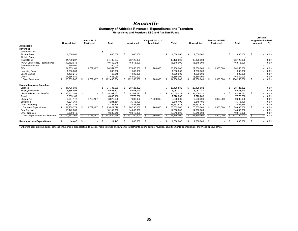#### *Knoxville*

#### **Summary of Athletics Revenues, Expenditures and Transfers Unrestricted and Restricted E&G and Auxiliary Funds**

|                                         | Actual 2011 |                     |      |                   |           |             |                     |    | Original 2011-12  |     |             | <b>Revised 2011-12</b> |                     |    |                   |  | <b>CHANGE</b><br><b>Original to Revised</b> |        |                                     |               |
|-----------------------------------------|-------------|---------------------|------|-------------------|-----------|-------------|---------------------|----|-------------------|-----|-------------|------------------------|---------------------|----|-------------------|--|---------------------------------------------|--------|-------------------------------------|---------------|
|                                         |             | <b>Unrestricted</b> |      | <b>Restricted</b> |           | Total       | <b>Unrestricted</b> |    | <b>Restricted</b> |     | Total       |                        | <b>Unrestricted</b> |    | <b>Restricted</b> |  | <b>Total</b>                                | Amount |                                     | $\frac{9}{6}$ |
| <b>ATHLETICS</b>                        |             |                     |      |                   |           |             |                     |    |                   |     |             |                        |                     |    |                   |  |                                             |        |                                     |               |
| <b>Revenues</b>                         |             |                     |      |                   |           |             |                     |    |                   |     |             |                        |                     |    |                   |  |                                             |        |                                     |               |
| <b>General Funds</b>                    |             |                     |      |                   | -S        |             |                     |    |                   |     |             |                        |                     |    |                   |  |                                             |        |                                     |               |
| <b>Student Fees</b>                     |             | 1,000,000           |      |                   |           | 1,000,000   | 1,000,000           |    |                   | \$. | 1,000,000   |                        | 1,000,000           |    |                   |  | 1,000,000                                   | \$.    | $-0.0\%$                            |               |
| <b>Athletic Fees</b>                    |             |                     |      |                   |           |             |                     |    |                   |     |             |                        |                     |    |                   |  |                                             |        |                                     |               |
| <b>Ticket Sales</b>                     |             | 34,799,207          |      |                   |           | 34,799,207  | 38,125,000          |    |                   |     | 38,125,000  |                        | 38,125,000          |    |                   |  | 38,125,000                                  |        | $0.0\%$                             |               |
| NCAA Conference, Tournaments            |             | 19,462,045          |      |                   |           | 19,462,045  | 16,515,000          |    |                   |     | 16.515.000  |                        | 16,515,000          |    |                   |  | 16,515,000                                  |        |                                     | 0.0%          |
| <b>Game Guarantees</b>                  |             | 250,000             |      |                   |           | 250,000     |                     |    |                   |     |             |                        |                     |    |                   |  |                                             |        |                                     |               |
| Gifts                                   |             | 24,765,161          |      | 1,789,497         |           | 26,554,657  | 27,050,000          | S  | 1,900,000         |     | 28,950,000  |                        | 27,050,000          |    | 1,900,000         |  | 28,950,000                                  |        |                                     | 0.0%          |
| <b>Licensing Fees</b>                   |             | 1,300,000           |      |                   |           | 1,300,000   | 1,300,000           |    |                   |     | 1,300,000   |                        | 1,300,000           |    |                   |  | 1,300,000                                   |        |                                     | 0.0%          |
| Sports Camps                            |             | 1,463,215           |      |                   |           | 1,463,215   | 1,500,000           |    |                   |     | 1,500,000   |                        | 1,500,000           |    |                   |  | 1,500,000                                   |        |                                     | 0.0%          |
| Other*                                  |             | 17,666,080          |      |                   |           | 17,666,080  | 16,860,000          |    |                   |     | 16,860,000  |                        | 16,860,000          |    |                   |  | 16,860,000                                  |        |                                     | 0.0%          |
| <b>Total Revenues</b>                   |             | 100,705,707         | - \$ | 1,789,497         | £.        | 102,495,204 | 102,350,000         | \$ | 1,900,000         | \$. | 104,250,000 |                        | 102,350,000         |    | 1,900,000         |  | \$ 104,250,000                              | \$.    | $\overline{\phantom{a}}$            | 0.0%          |
| <b>Expenditures and Transfers</b>       |             |                     |      |                   |           |             |                     |    |                   |     |             |                        |                     |    |                   |  |                                             |        |                                     |               |
| Salaries                                | £.          | 31,705,089          |      |                   | £.        | 31,705,089  | 28,425,882          |    |                   |     | 28.425.882  |                        | 28,425,882          |    |                   |  | 28,425,882                                  |        |                                     | 0.0%          |
| <b>Employee Benefits</b>                |             | 6,656,493           |      |                   |           | 6,656,493   | 6,083,140           |    |                   |     | 6,083,140   |                        | 6,083,140           |    |                   |  | 6,083,140                                   |        |                                     | 0.0%          |
| <b>Total Salaries and Benefits</b>      |             | 38,361,583          | \$   |                   | <b>.S</b> | 38,361,583  | 34,509,022          | \$ |                   | \$  | 34,509,022  |                        | 34,509,022          |    |                   |  | 34,509,022                                  | \$     |                                     | 0.0%          |
| Travel                                  |             | 6,835,168           |      |                   |           | 6,835,168   | 7,770,200           |    |                   |     | 7,770,200   |                        | 7,770,200           |    |                   |  | 7,770,200                                   |        |                                     | 0.0%          |
| <b>Student Aid</b>                      |             | 7,084,142           |      | 1,789,497         |           | 8,873,639   | 7,688,000           |    | 1,900,000         |     | 9,588,000   |                        | 7,688,000           |    | 1,900,000         |  | 9,588,000                                   |        |                                     | 0.0%          |
| Equipment                               |             | 4,201,361           |      |                   |           | 4,201,361   | 3,315,100           |    |                   |     | 3,315,100   |                        | 3,315,100           |    |                   |  | 3,315,100                                   |        |                                     | 0.0%          |
| Other Operating                         |             | 24,757,326          |      |                   |           | 24,757,326  | 23,452,678          |    |                   |     | 23,452,678  |                        | 23,452,678          |    |                   |  | 23,452,678                                  |        |                                     | 0.0%          |
| Sub-total Expenditures                  |             | 81,239,579          | £.   | 1,789,497         |           | 83,029,076  | 76,735,000          | £. | 1,900,000         |     | 78,635,000  |                        | 76,735,000          |    | 1,900,000         |  | 78,635,000                                  | \$.    |                                     | 0.0%          |
| Debt Service                            |             | 10.142.066          |      |                   |           | 10,142,066  | 14.000.000          |    |                   |     | 14.000.000  |                        | 14,000,000          |    |                   |  | 14,000,000                                  |        |                                     | 0.0%          |
| <b>Other Transfers</b>                  |             | 9,309,616           |      |                   |           | 9,309,616   | 10,615,000          |    |                   |     | 10,615,000  |                        | 10,615,000          |    |                   |  | 10,615,000                                  |        |                                     | 0.0%          |
| <b>Total Expenditures and Transfers</b> |             | 100,691,261         |      | .789.497          |           | 102,480,758 | 101,350,000         | \$ | .900.000          |     | 103,250,000 |                        | 101,350,000         |    | 1,900,000         |  | 103,250,000                                 |        |                                     | 0.0%          |
| <b>Revenues Less Expenditures</b>       | \$          | 14,447              | \$.  | $\sim$            | - \$      | 14.447      | 1.000.000           | \$ |                   |     | 1.000.000   | \$                     | 1.000.000           | \$ |                   |  | 1,000,000                                   | -S     | $0.0\%$<br>$\overline{\phantom{a}}$ |               |

\* Other includes program sales, concessions, parking, broadcasting, television, radio, internet, endowments, investments, sports camps, royalties, advertisements, sponsorships, and miscellaneous other.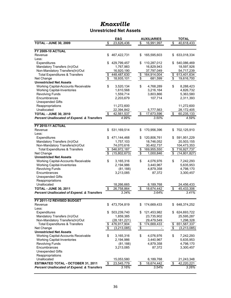### *Knoxville* **Unrestricted Net Assets**

|                                                       |                                  | E&G            |                                  | <b>AUXILIARIES</b> |                                  | <b>TOTAL</b>   |
|-------------------------------------------------------|----------------------------------|----------------|----------------------------------|--------------------|----------------------------------|----------------|
| <b>TOTAL - JUNE 30, 2009</b>                          | \$                               | 23,626,436     | \$                               | 16,991,997         | \$                               | 40,618,433     |
|                                                       |                                  |                |                                  |                    |                                  |                |
| <b>FY 2009-10 ACTUAL</b>                              |                                  |                |                                  |                    |                                  |                |
| Revenue                                               | \$                               | 467,422,731    | \$                               | 165,595,603        | \$                               | 633,018,334    |
| Less:                                                 |                                  |                |                                  |                    |                                  |                |
| Expenditures                                          | \$                               | 429,799,457    | \$                               | 110,287,012        | \$                               | 540,086,469    |
| Mandatory Transfers (In)/Out                          |                                  | 1,767,983      |                                  | 16,829,943         |                                  | 18,597,926     |
| Non-Mandatory Transfers(In)/Out                       |                                  | 16,920,190     |                                  | 37,797,049         |                                  | 54,717,239     |
| <b>Total Expenditures &amp; Transfers</b>             | \$                               | 448,487,630    | \$                               | 164,914,004        | \$                               | 613,401,634    |
| Net Change                                            | \$                               | 18,935,101     | \$                               | 681,599            | \$                               | 19,616,700     |
| <b>Unrestricted Net Assets</b>                        |                                  |                |                                  |                    |                                  |                |
| Working Capital-Accounts Receivable                   | \$                               | 3,520,134      | \$                               | 4,768,289          | \$                               | 8,288,423      |
| <b>Working Capital-Inventories</b>                    |                                  | 1,610,568      |                                  | 3,216,164          |                                  | 4,826,732      |
| <b>Revolving Funds</b>                                |                                  | 1,559,714      |                                  | 3,803,866          |                                  | 5,363,580      |
| Encumbrances                                          |                                  | 2,203,679      |                                  | 107,714            |                                  | 2,311,393      |
| <b>Unexpended Gifts</b>                               |                                  |                |                                  |                    |                                  |                |
| Reappropriations                                      |                                  | 11,272,600     |                                  |                    |                                  | 11,272,600     |
| Unallocated                                           |                                  | 22,394,842     |                                  | 5,777,563          |                                  | 28,172,405     |
| <b>TOTAL - JUNE 30, 2010</b>                          | \$                               | 42,561,537     | \$                               | 17,673,596         | \$                               | 60,235,133     |
| <b>Percent Unallocated of Expend. &amp; Transfers</b> |                                  | 4.99%          |                                  | 3.50%              |                                  | 4.59%          |
|                                                       |                                  |                |                                  |                    |                                  |                |
| <b>FY 2010-11 ACTUAL</b>                              |                                  |                |                                  |                    |                                  |                |
| Revenue                                               | \$                               | 531,169,514    | \$                               | 170,956,396        | \$                               | 702,125,910    |
| Less:                                                 |                                  |                |                                  |                    |                                  |                |
| Expenditures                                          | \$                               | 471,144,468    | \$                               | 120,806,761        | \$                               | 591,951,229    |
| Mandatory Transfers (In)/Out                          |                                  | 1,757,103      |                                  | 18,746,052         |                                  | 20,503,155     |
| Non-Mandatory Transfers(In)/Out                       |                                  | 74,070,616     |                                  | 30,402,737         |                                  | 104,473,353    |
| <b>Total Expenditures &amp; Transfers</b>             | \$                               | 546,972,187    | \$                               | 169,955,550        | \$                               | 716,927,737    |
| Net Change                                            | $\overline{\$}$                  | (15,802,673)   | $\overline{\boldsymbol{\theta}}$ | 1,000,846          | $\overline{\boldsymbol{\theta}}$ | (14, 801, 827) |
| <b>Unrestricted Net Assets</b>                        |                                  |                |                                  |                    |                                  |                |
| Working Capital-Accounts Receivable                   | \$                               | 3,165,316      | \$                               | 4,076,976          | \$                               | 7,242,293      |
| <b>Working Capital-Inventories</b>                    |                                  | 2,194,986      |                                  | 3,440,967          |                                  | 5,635,953      |
| <b>Revolving Funds</b>                                |                                  | (81, 188)      |                                  | 4,879,358          |                                  | 4,798,170      |
| Encumbrances                                          |                                  | 3,213,085      |                                  | 87,372             |                                  | 3,300,457      |
| <b>Unexpended Gifts</b>                               |                                  |                |                                  |                    |                                  |                |
| Reappropriations                                      |                                  |                |                                  |                    |                                  |                |
| Unallocated                                           |                                  | 18,266,665     |                                  | 6,189,768          |                                  | 24,456,433     |
| <b>TOTAL - JUNE 30, 2011</b>                          | \$                               | 26,758,864     | \$                               | 18,674,442         | \$                               | 45,433,306     |
| <b>Percent Unallocated of Expend. &amp; Transfers</b> |                                  | 3.34%          |                                  | 3.64%              |                                  | 3.41%          |
|                                                       |                                  |                |                                  |                    |                                  |                |
| FY 2011-12 REVISED BUDGET                             |                                  |                |                                  |                    |                                  |                |
| Revenue                                               | \$                               | 473,704,819    | \$                               | 174,669,433        | \$                               | 648,374,252    |
| Less:                                                 |                                  |                |                                  |                    |                                  |                |
| Expenditures                                          | S                                | 503,239,740    | S.                               | 121,453,982        | \$                               | 624,693,722    |
| Mandatory Transfers (In)/Out                          |                                  | 1,859,385      |                                  | 23,735,902         |                                  | 25,595,287     |
| Non-Mandatory Transfers(In)/Out                       |                                  | (28, 181, 221) |                                  | 29,479,549         |                                  | 1,298,328      |
| <b>Total Expenditures &amp; Transfers</b>             | \$                               | 476,917,904    | \$                               | 174,669,433        | \$                               | 651,587,337    |
| Net Change                                            | $\overline{\boldsymbol{\theta}}$ | (3,213,085)    | $\overline{\boldsymbol{\theta}}$ |                    | $\overline{\boldsymbol{\theta}}$ | (3,213,085)    |
| <b>Unrestricted Net Assets</b>                        |                                  |                |                                  |                    |                                  |                |
| Working Capital-Accounts Receivable                   | \$                               | 3,165,316      | \$                               | 4,076,976          | \$                               | 7,242,293      |
| <b>Working Capital-Inventories</b>                    |                                  | 2,194,986      |                                  | 3,440,967          |                                  | 5,635,953      |
| <b>Revolving Funds</b>                                |                                  | (81, 188)      |                                  | 4,879,358          |                                  | 4,798,170      |
| Encumbrances                                          |                                  | 3,213,085      |                                  | 87,372             |                                  | 3,300,457      |
| <b>Unexpended Gifts</b>                               |                                  |                |                                  |                    |                                  |                |
| Reappropriations                                      |                                  |                |                                  |                    |                                  |                |
| Unallocated                                           |                                  | 15,053,580     |                                  | 6,189,768          |                                  | 21,243,348     |
| <b>ESTIMATED TOTAL - OCTOBER 31, 2011</b>             | \$                               | 23,545,779     | \$                               | 18,674,442         | \$                               | 42,220,221     |
| <b>Percent Unallocated of Expend. &amp; Transfers</b> |                                  | 3.16%          |                                  | 3.54%              |                                  | 3.26%          |
|                                                       |                                  |                |                                  |                    |                                  |                |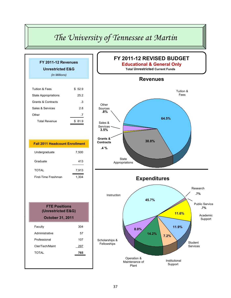## *The University of Tennessee at Martin*

| FY 2011-12 Revenues<br><b>Unrestricted E&amp;G</b> |        |
|----------------------------------------------------|--------|
| (In Millions)                                      |        |
|                                                    |        |
| <b>Tuition &amp; Fees</b>                          | \$52.9 |
| <b>State Appropriations</b>                        | 25.2   |
| <b>Grants &amp; Contracts</b>                      | .3     |
| Sales & Services                                   | 2.8    |
| Other                                              | .7     |
| <b>Total Revenue</b>                               | \$81.9 |
|                                                    |        |
|                                                    |        |
| <b>Fall 2011 Headcount Enrollment</b>              |        |
| Undergraduate                                      | 7,500  |
| Graduate                                           | 413    |
| <b>TOTAL</b>                                       | 7,913  |
| First-Time Freshman                                | 1,304  |
|                                                    |        |
|                                                    |        |
| <b>FTE Positions</b>                               |        |
| (Unrestricted E&G)                                 |        |
| <b>October 31, 2011</b>                            |        |
| Faculty                                            | 304    |
| Administrative                                     | 57     |
| Professional                                       | 107    |
|                                                    |        |
| Cler/Tech/Maint                                    | 297    |

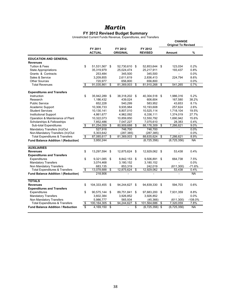### *Martin* **FY 2012 Revised Budget Summary**

Unrestricted Current Funds Revenue, Expenditures, and Transfers

|                                            |                         |                          |                            |      |                           | <b>CHANGE</b><br><b>Original To Revised</b> |           |
|--------------------------------------------|-------------------------|--------------------------|----------------------------|------|---------------------------|---------------------------------------------|-----------|
|                                            |                         | FY 2011<br><b>ACTUAL</b> | FY 2012<br><b>ORIGINAL</b> |      | FY 2012<br><b>REVISED</b> | Amount                                      | $\%$      |
| <b>EDUCATION AND GENERAL</b>               |                         |                          |                            |      |                           |                                             |           |
| <b>Revenues</b>                            |                         |                          |                            |      |                           |                                             |           |
| <b>Tuition &amp; Fees</b>                  | \$                      | 51,531,567               | \$<br>52,730,610           | \$   | 52,853,644 \$             | 123,034                                     | 0.2%      |
| <b>State Appropriations</b>                |                         | 35,319,979               | 25,024,474                 |      | 25,217,911                | 193,437                                     | 0.8%      |
| Grants & Contracts                         |                         | 253,484                  | 345,500                    |      | 345,500                   |                                             | 0.0%      |
| Sales & Service                            |                         | 3,209,855                | 2,611,619                  |      | 2,836,413                 | 224,794                                     | 8.6%      |
| <b>Other Sources</b>                       |                         | 720,977                  | 656,800                    |      | 656.800                   |                                             | $0.0\%$   |
| <b>Total Revenues</b>                      | \$                      | 91,035,861               | \$<br>81,369,003           | \$   | 81,910,268                | \$<br>541.265                               | 0.7%      |
| <b>Expenditures and Transfers</b>          |                         |                          |                            |      |                           |                                             |           |
| Instruction                                | \$                      | 35,942,289               | \$<br>38,318,202 \$        |      | 40,304,518                | \$<br>1,986,316                             | 5.2%      |
| Research                                   |                         | 1,186,432                | 439,024                    |      | 606,604                   | 167,580                                     | 38.2%     |
| <b>Public Service</b>                      |                         | 652,228                  | 540,299                    |      | 583,952                   | 43,653                                      | 8.1%      |
| Academic Support                           |                         | 10,306,733               | 9,935,984                  |      | 10,193,608                | 257,624                                     | 2.6%      |
| <b>Student Services</b>                    |                         | 10,130,141               | 8,807,010                  |      | 10,525,114                | 1,718,104                                   | 19.5%     |
| <b>Institutional Support</b>               |                         | 4,861,677                | 4,962,092                  |      | 6,336,111                 | 1,374,019                                   | 27.7%     |
| Operation & Maintenance of Plant           |                         | 10,322,073               | 10,859,850                 |      | 12,550,792                | 1,690,942                                   | 15.6%     |
| Scholarships & Fellowships                 |                         | 7,852,486                | 7,047,227                  |      | 7,075,610                 | 28,383                                      | 0.4%      |
| Sub-total Expenditures                     | \$                      | 81,254,059               | \$<br>80,909,688           | \$   | 88,176,309                | \$<br>7,266,621                             | 9.0%      |
| Mandatory Transfers (In)/Out               |                         | 527,916                  | 746,700                    |      | 746,700                   | $\overline{\phantom{a}}$                    | $0.0\%$   |
| Non-Mandatory Transfers (In)/Out           |                         | 5,303,642                | (287, 385)                 |      | (287, 385)                | $\overline{a}$                              | 0.0%      |
| <b>Total Expenditures &amp; Transfers</b>  | \$                      | 87,085,617               | \$<br>81,369,003           | \$   | 88,635,624                | \$<br>7,266,621                             | 8.9%      |
| <b>Fund Balance Addition / (Reduction)</b> |                         | 3,950,244                |                            |      | (6, 725, 356)             | (6, 725, 356)                               | <b>NA</b> |
| <b>AUXILIARIES</b>                         |                         |                          |                            |      |                           |                                             |           |
| <b>Revenues</b>                            | \$                      | 13,297,594               | \$<br>12,875,624           | - \$ | 12,929,062 \$             | 53,438                                      | 0.4%      |
| <b>Expenditures and Transfers</b>          |                         |                          |                            |      |                           |                                             |           |
| Expenditures                               | \$                      | 9,321,085                | \$<br>8,842,153            | \$   | 9,506,891 \$              | 664,738                                     | 7.5%      |
| <b>Mandatory Transfers</b>                 |                         | 3,074,468                | 3,180,152                  |      | 3,180,152                 |                                             | 0.0%      |
| Non Mandatory Transfers                    |                         | 683,135                  | 853,319                    |      | 242.019                   | (611, 300)                                  | $-71.6%$  |
| <b>Total Expenditures &amp; Transfers</b>  | $\overline{\$}$         | 13,078,688               | \$<br>12,875,624           | \$   | 12,929,062                | \$<br>53,438                                | 0.4%      |
| <b>Fund Balance Addition / (Reduction)</b> |                         | 218,906                  |                            |      |                           |                                             | <b>NA</b> |
| <b>TOTALS</b>                              |                         |                          |                            |      |                           |                                             |           |
| <b>Revenues</b>                            | \$                      | 104,333,455              | \$<br>94,244,627 \$        |      | 94,839,330                | \$<br>594,703                               | 0.6%      |
| <b>Expenditures and Transfers</b>          |                         |                          |                            |      |                           |                                             |           |
| Expenditures                               | \$                      | 90,575,144               | \$<br>89,751,841           | \$   | 97,683,200 \$             | 7,931,359                                   | 8.8%      |
| <b>Mandatory Transfers</b>                 |                         | 3,602,384                | 3,926,852                  |      | 3,926,852                 |                                             | 0.0%      |
| Non Mandatory Transfers                    |                         | 5,986,777                | 565,934                    |      | (45, 366)                 | (611, 300)                                  | $-108.0%$ |
| <b>Total Expenditures &amp; Transfers</b>  | \$                      | 100,164,305              | \$<br>94,244,627           | \$   | 101,564,686               | \$<br>7,320,059                             | 7.8%      |
| <b>Fund Balance Addition / Reduction</b>   | $\overline{\mathbb{S}}$ | 4, 169, 150              | \$                         | \$   | $(6,725,356)$ \$          | (6,725,356)                                 | <b>NA</b> |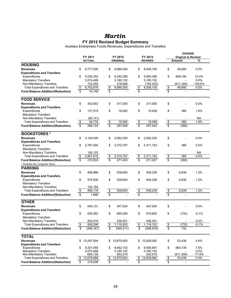### *Martin*

#### **FY 2012 Revised Budget Summary**

Auxiliary Enterprises Funds Revenues, Expenditures and Transfers

|                                                                           | FY 2011              |                         | FY 2012         |                      | FY 2012                 |                         | <b>CHANGE</b><br><b>Original to Revised</b> |           |
|---------------------------------------------------------------------------|----------------------|-------------------------|-----------------|----------------------|-------------------------|-------------------------|---------------------------------------------|-----------|
|                                                                           | <b>ACTUAL</b>        |                         | <b>ORIGINAL</b> |                      | <b>REVISED</b>          |                         | <b>Amount</b>                               | %         |
| <b>HOUSING</b>                                                            |                      |                         |                 |                      |                         |                         |                                             |           |
| <b>Revenues</b>                                                           | \$                   | \$                      | 8,889,300       | \$                   | 8,936,100               |                         | 46,800                                      | 0.5%      |
|                                                                           | 8,777,026            |                         |                 |                      |                         | \$                      |                                             |           |
| <b>Expenditures and Transfers</b><br>Expenditures                         | \$<br>5,535,352      | \$                      | 5,292,280       | \$                   | 5,950,380               | \$                      | 658,100                                     | 12.4%     |
| <b>Mandatory Transfers</b>                                                | 3,074,468            |                         | 3,180,152       |                      | 3,180,152               |                         | $\overline{\phantom{a}}$                    | 0.0%      |
|                                                                           |                      |                         | 416,868         |                      |                         |                         | (611, 300)                                  | $-146.6%$ |
| Non-Mandatory Transfers                                                   | 153,058<br>8,762,878 |                         | 8,889,300       |                      | (194, 432)<br>8,936,100 |                         | 46,800                                      | 0.5%      |
| <b>Total Expenditures and Transfers</b>                                   | \$                   | \$                      |                 | <u>\$</u>            |                         | $\frac{1}{2}$           |                                             |           |
| <b>Fund Balance Addition/(Reduction)</b>                                  | \$<br>14,148         | \$                      |                 | \$                   |                         | \$                      |                                             |           |
| <b>FOOD SERVICE</b>                                                       |                      |                         |                 |                      |                         |                         |                                             |           |
| <b>Revenues</b>                                                           | \$<br>342,902        | \$                      | 317,000         | \$                   | 317,000                 | \$                      |                                             | 0.0%      |
| <b>Expenditures and Transfers</b>                                         |                      |                         |                 |                      |                         |                         |                                             |           |
| Expenditures                                                              | \$<br>137,919        | \$                      | 19,092          | \$                   | 19,458                  | \$                      | 366                                         | 1.9%      |
| <b>Mandatory Transfers</b>                                                |                      |                         |                 |                      |                         |                         |                                             |           |
| Non-Mandatory Transfers                                                   | (93, 141)            |                         |                 |                      |                         |                         |                                             | <b>NA</b> |
| <b>Total Expenditures and Transfers</b>                                   | \$<br>44,778         | $\overline{\mathbf{e}}$ | 19,092          | $\pmb{\mathfrak{S}}$ | 19,458                  | $\frac{1}{2}$           | 366                                         | 1.9%      |
| <b>Fund Balance Addition/(Reduction)</b>                                  | \$<br>298,124        | \$                      | 297,908         | \$                   | 297,542                 | $\overline{\$}$         | (366)                                       |           |
| <b>BOOKSTORES*</b>                                                        |                      |                         |                 |                      |                         |                         |                                             |           |
| <b>Revenues</b>                                                           | \$<br>3,140,549      | \$                      | 2,582,200       | \$                   | 2,582,200               | \$                      |                                             | 0.0%      |
| <b>Expenditures and Transfers</b>                                         |                      |                         |                 |                      |                         |                         |                                             |           |
| Expenditures                                                              | \$<br>2,767,494      | \$                      | 2,310,797       | \$                   | 2,311,163               | \$                      | 366                                         | 0.0%      |
| <b>Mandatory Transfers</b>                                                |                      |                         |                 |                      |                         |                         |                                             |           |
| Non-Mandatory Transfers                                                   | 100,122              |                         |                 |                      |                         |                         |                                             | NА        |
| <b>Total Expenditures and Transfers</b>                                   | \$<br>2,867,616      | \$                      | 2,310,797       | $\frac{1}{2}$        | 2,311,163               | $\pmb{\mathfrak{z}}$    | 366                                         | 0.0%      |
|                                                                           | \$<br>272,933        | $\overline{\$}$         | 271,403         | \$                   | 271,037                 | \$                      | (366)                                       |           |
| <b>Fund Balance Addition/(Reduction)</b><br>* Includes the Computer Store |                      |                         |                 |                      |                         |                         |                                             |           |
|                                                                           |                      |                         |                 |                      |                         |                         |                                             |           |
| <b>PARKING</b>                                                            |                      |                         |                 |                      |                         |                         |                                             |           |
| <b>Revenues</b>                                                           | \$<br>496,986        | \$                      | 539,600         | \$                   | 546,238                 | \$                      | 6,638                                       | 1.2%      |
| <b>Expenditures and Transfers</b>                                         |                      |                         |                 |                      |                         |                         |                                             |           |
| Expenditures                                                              | \$<br>374,938        | \$                      | 539,600         | \$                   | 546,238                 | \$                      | 6,638                                       | 1.2%      |
| <b>Mandatory Transfers</b>                                                |                      |                         |                 |                      |                         |                         |                                             |           |
| Non-Mandatory Transfers                                                   | 120,180              |                         |                 |                      |                         |                         |                                             |           |
| <b>Total Expenditures and Transfers</b>                                   | \$<br>495,118        | $\frac{1}{2}$           | 539,600         | $\frac{1}{2}$        | 546,238                 | $\frac{6}{9}$           | 6,638                                       | 1.2%      |
| <b>Fund Balance Addition/(Reduction)</b>                                  | \$<br>1,868          | \$                      |                 | \$                   |                         |                         |                                             |           |
| <b>OTHER</b>                                                              |                      |                         |                 |                      |                         |                         |                                             |           |
| <b>Revenues</b>                                                           | \$<br>540,131        | \$                      | 547,524         | \$                   | 547,524                 | \$                      |                                             | 0.0%      |
| <b>Expenditures and Transfers</b>                                         |                      |                         |                 |                      |                         |                         |                                             |           |
| Expenditures                                                              | \$<br>505,382        | \$                      | 680,384         | \$                   | 679,652                 | \$                      | (732)                                       | $-0.1%$   |
| <b>Mandatory Transfers</b>                                                |                      |                         |                 |                      |                         |                         |                                             |           |
| Non-Mandatory Transfers                                                   | 402,916              |                         | 436,451         |                      | 436,451                 |                         | $\overline{\phantom{a}}$                    | 0.0%      |
| <b>Total Expenditures and Transfers</b>                                   | \$<br>908,298        | \$                      | 1,116,835       | \$                   | 1,116,103               | $\pmb{\mathfrak{s}}$    | (732)                                       | $-0.1%$   |
| <b>Fund Balance Addition/(Reduction)</b>                                  | \$<br>(368, 167)     | \$                      | (569, 311)      | \$                   | (568, 579)              | $\overline{\mathbf{S}}$ | 732                                         |           |
|                                                                           |                      |                         |                 |                      |                         |                         |                                             |           |
| <b>TOTAL</b>                                                              |                      |                         |                 |                      |                         |                         |                                             |           |
| <b>Revenues</b>                                                           | \$<br>13,297,594     | \$                      | 12,875,624      | \$                   | 12,929,062              | \$                      | 53,438                                      | 0.4%      |
| <b>Expenditures and Transfers</b>                                         |                      |                         |                 |                      |                         |                         |                                             |           |
| Expenditures                                                              | \$<br>9,321,085      | \$                      | 8,842,153       | \$                   | 9,506,891               | \$                      | 664,738                                     | 7.5%      |
| <b>Mandatory Transfers</b>                                                | 3,074,468            |                         | 3,180,152       |                      | 3,180,152               |                         |                                             | 0.0%      |
| Non-Mandatory Transfers                                                   | 683,135              |                         | 853,319         |                      | 242,019                 |                         | (611, 300)                                  | $-71.6%$  |
| <b>Total Expenditures and Transfers</b>                                   | \$<br>13,078,688     | \$                      | 12,875,624      | \$                   | 12,929,062              | \$                      | 53,438                                      | 0.4%      |
| <b>Fund Balance Addition/(Reduction)</b>                                  | \$<br>218,906        | \$                      |                 | \$                   |                         | \$                      | $\qquad \qquad \blacksquare$                |           |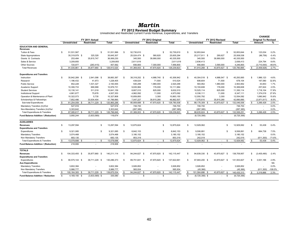### *Martin*

#### **FY 2012 Revised Budget Summary** Unrestricted and Restricted Current Funds Revenue, Expenditures, and Transfers

|                                                 |    |                     |                  |             |    |                     |                    |               |             |                  |                        |             |     | <b>CHANGE</b>              |           |
|-------------------------------------------------|----|---------------------|------------------|-------------|----|---------------------|--------------------|---------------|-------------|------------------|------------------------|-------------|-----|----------------------------|-----------|
|                                                 |    |                     | FY 2011 Actual   |             |    |                     | FY 2012 Original   |               |             |                  | FY 2012 Revised        |             |     | <b>Original To Revised</b> |           |
|                                                 |    | <b>Unrestricted</b> | Restricted       | Total       |    | <b>Unrestricted</b> | Restricted         | <b>Total</b>  |             | Unrestricted     | <b>Restricted</b>      | Total       |     | Amount                     | ℅         |
| <b>EDUCATION AND GENERAL</b><br><b>Revenues</b> |    |                     |                  |             |    |                     |                    |               |             |                  |                        |             |     |                            |           |
| Tuition & Fees                                  | \$ | 51,531,567          | <sub>S</sub>     | 51,531,566  | \$ | 52,730,610          | \$                 | 52,730,610    | s           | 52,853,644       | S                      | 52,853,644  | \$. | 123.034                    | 0.2%      |
| State Appropriations                            |    | 35,319,979 \$       | 325,328          | 35,645,307  |    | 25,024,474 \$       | 580,820            | 25,605,294    |             | 25,217,911 \$    | 290,627                | 25,508,538  |     | (96, 756)                  | $-0.4%$   |
| Grants & Contracts                              |    | 253,484             | 35,815,747       | 36,069,230  |    | 345,500             | 39,990,000         | 40,335,500    |             | 345,500          | 39,990,000             | 40,335,500  |     | $\overline{\phantom{a}}$   | 0.0%      |
| Sales & Service                                 |    | 3,209,855           |                  | 3,209,855   |    | 2,611,619           |                    | 2,611,619     |             | 2,836,413        |                        | 2,836,413   |     | 224,794                    | 8.6%      |
| <b>Other Sources</b>                            |    | 720.977             | (263, 415)       | 457,562     |    | 656.800             | 7,300,000          | 7,956,800     |             | 656.800          | 3,590,000              | 4,246,800   |     | (3,710,000)                | $-46.6%$  |
| <b>Total Revenues</b>                           | s. | 91,035,861 \$       | 35,877,660 \$    | 126,913,520 | -S | 81,369,003 \$       | 47,870,820 \$      | 129,239,823   | s.          | 81,910,268 \$    | 43,870,627 \$          | 125,780,895 | S.  | (3,458,928)                | $-2.7%$   |
| <b>Expenditures and Transfers</b>               |    |                     |                  |             |    |                     |                    |               |             |                  |                        |             |     |                            |           |
| Instruction                                     | \$ | 35,942,289 \$       | 2,941,098 \$     | 38,883,387  | -S | 38,318,202 \$       | 4,988,740 \$       | 43,306,942    | \$          | 40,304,518 \$    | 4,988,547 \$           | 45,293,065  | -96 | 1,986,123                  | 4.6%      |
| Research                                        |    | 1,186,432           | 41,973           | 1,228,405   |    | 439,024             | 71,500             | 510,524       |             | 606,604          | 71,500                 | 678,104     |     | 167,580                    | 32.8%     |
| <b>Public Service</b>                           |    | 652,228             | 1,531,327        | 2,183,555   |    | 540,299             | 1,980,000          | 2,520,299     |             | 583,952          | 1,980,000              | 2,563,952   |     | 43,653                     | 1.7%      |
| Academic Support                                |    | 10,306,733          | 669,998          | 10,976,731  |    | 9,935,984           | 176,000            | 10,111,984    |             | 10,193,608       | 176,000                | 10,369,608  |     | 257,624                    | 2.5%      |
| <b>Student Services</b>                         |    | 10,130,141          | 511,018          | 10,641,159  |    | 8,807,010           | 825,000            | 9,632,010     |             | 10,525,114       | 825,000                | 11,350,114  |     | 1,718,104                  | 17.8%     |
| <b>Institutional Support</b>                    |    | 4,861,677           | 75,676           | 4,937,353   |    | 4,962,092           | 11,000             | 4,973,092     |             | 6,336,111        | 11,000                 | 6,347,111   |     | 1,374,019                  | 27.6%     |
| Operation & Maintenance of Plant                |    | 10,322,073          | 5,735            | 10,327,808  |    | 10,859,850          | 3,300              | 10,863,150    |             | 12,550,792       | 3,300                  | 12,554,092  |     | 1,690,942                  | 15.6%     |
| Scholarships & Fellowships                      |    | 7,852,486           | 33,934,404       | 41,786,890  |    | 7,047,227           | 39,815,280         | 46,862,507    |             | 7,075,610        | 35,815,280             | 42,890,890  |     | (3,971,617)                | $-8.5%$   |
| Sub-total Expenditures                          | S. | 81,254,059 \$       | 39,711,229 \$    | 120,965,288 | \$ | 80,909,688 \$       | 47,870,820 \$      | 128,780,508   | $\mathbb S$ | 88,176,309 \$    | 43,870,627 \$          | 132,046,936 | \$  | 3,266,428                  | 2.5%      |
| Mandatory Transfers (In)/Out                    |    | 527,916             |                  | 527,916     |    | 746,700             |                    | 746,700       |             | 746,700          |                        | 746,700     |     |                            | 0.0%      |
| Non-Mandatory Transfers (In)/Out                |    | 5,303,642           |                  | 5,303,642   |    | (287, 385)          |                    | (287, 385)    |             | (287, 385)       |                        | (287, 385)  |     | $\overline{\phantom{a}}$   | 0.0%      |
| <b>Total Expenditures &amp; Transfers</b>       | \$ | 87,085,617 \$       | 39,711,229 \$    | 126,796,846 | S. | 81,369,003 \$       | 47,870,820 \$      | 129,239,823   | s.          | 88,635,624 \$    | 43,870,627 \$          | 132,506,251 | \$. | 3,266,428                  | 2.5%      |
| Fund Balance Addition / (Reduction)             |    | 3,950,244           | (3,833,569)      | 116,674     |    |                     |                    |               |             | (6,725,356)      |                        | (6,725,356) |     |                            |           |
| <b>AUXILIARIES</b>                              |    |                     |                  |             |    |                     |                    |               |             |                  |                        |             |     |                            |           |
| <b>Revenues</b>                                 | S  | 13,297,594          | -\$              | 13,297,594  | -S | 12,875,624          | \$                 | 12,875,624    | \$          | 12,929,062       | <b>S</b>               | 12,929,062  | -S  | 53,438                     | 0.4%      |
| <b>Expenditures and Transfers</b>               |    |                     |                  |             |    |                     |                    |               |             |                  |                        |             |     |                            |           |
| Expenditures                                    | S  | 9,321,085           | <sub>S</sub>     | 9,321,085   | \$ | 8,842,153           | \$                 | 8,842,153     | s           | 9,506,891        | <b>S</b>               | 9,506,891   | -96 | 664,738                    | 7.5%      |
| <b>Mandatory Transfers</b>                      |    | 3,074,468           |                  | 3,074,468   |    | 3,180,152           |                    | 3,180,152     |             | 3,180,152        |                        | 3,180,152   |     |                            | 0.0%      |
| Non Mandatory Transfers                         |    | 683.135             |                  | 683,135     |    | 853.319             |                    | 853,319       |             | 242.019          |                        | 242,019     |     | (611, 300)                 | $-71.6%$  |
| <b>Total Expenditures &amp; Transfers</b>       | S  | 13,078,688 \$       | s.<br>$\sim$     | 13,078,688  | S. | 12,875,624 \$       | - \$<br>۰.         | 12,875,624    | s.          | 12,929,062 \$    | -S<br>$\sim$           | 12,929,062  | -S  | 53.438                     | 0.4%      |
| Fund Balance Addition / (Reduction)             |    | 218,906             |                  | 218,906     |    |                     |                    |               |             |                  |                        |             |     |                            |           |
| <b>TOTALS</b>                                   |    |                     |                  |             |    |                     |                    |               |             |                  |                        |             |     |                            |           |
| <b>Revenues</b>                                 | S. | 104,333,455 \$      | 35.877.660<br>-S | 140.211.114 | -S | 94,244,627 \$       | 47.870.820<br>- \$ | 142.115.447   | \$          | 94,839,330 \$    | 43,870,627 \$          | 138,709,957 | \$  | (3,405,490)                | $-2.4%$   |
| <b>Expenditures and Transfers</b>               |    |                     |                  |             |    |                     |                    |               |             |                  |                        |             |     |                            |           |
| Expenditures                                    | S. | 90.575.144 \$       | 39,711,229 \$    | 130.286.373 | -S | 89.751.841 \$       | 47,870,820 \$      | 137.622.661   | \$          | 97.683.200 \$    | 43,870,627 \$          | 141,553,827 | s.  | 3,931,166                  | 2.9%      |
| <b>Aux Expenditures</b>                         |    |                     |                  |             |    |                     |                    |               |             |                  |                        |             |     |                            | <b>NA</b> |
| <b>Mandatory Transfers</b>                      |    | 3,602,384           |                  | 3,602,384   |    | 3,926,852           |                    | 3,926,852     |             | 3,926,852        |                        | 3,926,852   |     |                            | 0.0%      |
| Non Mandatory Transfers                         |    | 5.986.777           |                  | 5,986,777   |    | 565,934             |                    | 565.934       |             | (45, 366)        |                        | (45, 366)   |     | (611, 300)                 | $-108.0%$ |
| <b>Total Expenditures &amp; Transfers</b>       | \$ | 100,164,305 \$      | 39,711,229 \$    | 139,875,534 | \$ | 94,244,627 \$       | 47,870,820 \$      | 142, 115, 447 | \$          | 101,564,686 \$   | 43,870,627 \$          | 145,435,313 | \$  | 3,319,866                  | 2.3%      |
| <b>Fund Balance Addition / Reduction</b>        | s. | 4,169,150 \$        | $(3,833,569)$ \$ | 335,580     | \$ | S.                  | - \$<br>÷,         |               | \$          | $(6,725,356)$ \$ | $\mathbb{S}$<br>$\sim$ | (6,725,356) |     |                            |           |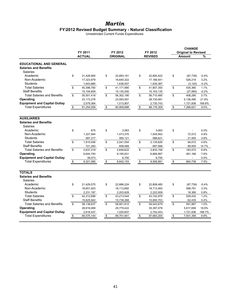### *Martin* **FY2012 Revised Budget Summary - Natural Classification**

Unrestricted Current Funds Expenditures

|                                                                            | FY 2011<br><b>ACTUAL</b> | FY 2012      | FY 2012          | <b>CHANGE</b><br><b>Original to Revised</b> |                 |         |
|----------------------------------------------------------------------------|--------------------------|--------------|------------------|---------------------------------------------|-----------------|---------|
|                                                                            |                          |              | <b>ORIGINAL</b>  | <b>REVISED</b>                              | <b>Amount</b>   | %       |
| <b>EDUCATIONAL AND GENERAL</b><br><b>Salaries and Benefits</b><br>Salaries |                          |              |                  |                                             |                 |         |
| Academic                                                                   | \$                       | 21,428,900   | \$<br>22,893,161 | \$<br>22,805,422                            | \$<br>(87, 739) | $-0.4%$ |
| Non-Academic                                                               |                          | 17,323,979   | 16,640,322       | 17,166,541                                  | 526,219         | 3.2%    |
| <b>Students</b>                                                            |                          | 1,643,880    | 1,638,507        | 1,635,387                                   | (3, 120)        | $-0.2%$ |
| <b>Total Salaries</b>                                                      | \$                       | 40,396,760   | \$<br>41,171,990 | \$<br>41,607,350                            | \$<br>435,360   | 1.1%    |
| <b>Staff Benefits</b>                                                      |                          | 15,104,659   | 15,130,200       | 15,103,135                                  | (27,065)        | $-0.2%$ |
| <b>Total Salaries and Benefits</b>                                         | \$                       | 55,501,418   | \$<br>56,302,190 | \$<br>56,710,485                            | \$<br>408,295   | 0.7%    |
| Operating                                                                  |                          | 23, 173, 276 | 23,593,591       | 28,730,081                                  | 5,136,490       | 21.8%   |
| <b>Equipment and Capital Outlay</b>                                        |                          | 2,579,364    | 1,013,907        | 2,735,743                                   | 1,721,836       | 169.8%  |
| <b>Total Expenditures</b>                                                  | \$                       | 81,254,059   | \$<br>80,909,688 | \$<br>88,176,309                            | \$<br>7,266,621 | 9.0%    |
|                                                                            |                          |              |                  |                                             |                 |         |
| <b>AUXILIARIES</b>                                                         |                          |              |                  |                                             |                 |         |
| <b>Salaries and Benefits</b>                                               |                          |              |                  |                                             |                 |         |
| <b>Salaries</b>                                                            |                          |              |                  |                                             |                 |         |
| Academic                                                                   | \$                       | 675          | \$<br>3,063      | \$<br>3,063                                 | \$              | 0.0%    |
| Non-Academic                                                               |                          | 1,327,944    | 1,473,370        | 1,545,942                                   | 72,572          | 4.9%    |
| <b>Students</b>                                                            |                          | 587,317      | 565,121          | 586,621                                     | 21,500          | 3.8%    |
| <b>Total Salaries</b>                                                      | \$                       | 1,915,936    | \$<br>2,041,554  | \$<br>2,135,626                             | \$<br>94,072    | 4.6%    |
| <b>Staff Benefits</b>                                                      |                          | 721,283      | 608,068          | 697,568                                     | 89,500          | 14.7%   |
| <b>Total Salaries and Benefits</b>                                         | \$                       | 2,637,219    | \$<br>2,649,622  | \$<br>2,833,194                             | \$<br>183,572   | 6.9%    |
| Operating                                                                  |                          | 6,644,793    | 6,185,831        | 6,666,997                                   | 481.166         | 7.8%    |
| <b>Equipment and Capital Outlay</b>                                        |                          | 39,073       | 6,700            | 6,700                                       |                 | 0.0%    |
| <b>Total Expenditures</b>                                                  | \$                       | 9,321,085    | \$<br>8,842,153  | \$<br>9,506,891                             | \$<br>664,738   | 7.5%    |
| <b>TOTALS</b>                                                              |                          |              |                  |                                             |                 |         |
| <b>Salaries and Benefits</b><br>Salaries                                   |                          |              |                  |                                             |                 |         |
| Academic                                                                   | \$                       | 21,429,575   | \$<br>22,896,224 | \$<br>22,808,485                            | \$<br>(87, 739) | $-0.4%$ |
| Non-Academic                                                               |                          | 18,651,923   | 18,113,692       | 18,712,483                                  | 598,791         | 3.3%    |
| <b>Students</b>                                                            |                          | 2,231,197    | 2,203,628        | 2,222,008                                   | 18,380          | 0.8%    |
| <b>Total Salaries</b>                                                      | \$                       | 42,312,696   | \$<br>43,213,544 | \$<br>43,742,976                            | \$<br>529,432   | 1.2%    |
| <b>Staff Benefits</b>                                                      |                          | 15,825,942   | 15,738,268       | 15,800,703                                  | 62,435          | 0.4%    |
| <b>Total Salaries and Benefits</b>                                         | \$                       | 58,138,637   | \$<br>58,951,812 | \$<br>59,543,679                            | \$<br>591,867   | 1.0%    |
| Operating                                                                  |                          | 29,818,069   | 29,779,422       | 35,397,078                                  | 5,617,656       | 18.9%   |
| <b>Equipment and Capital Outlay</b>                                        |                          | 2,618,437    | 1,020,607        | 2,742,443                                   | 1,721,836       | 168.7%  |
| <b>Total Expenditures</b>                                                  | \$                       | 90,575,144   | \$<br>89,751,841 | \$<br>97,683,200                            | \$<br>7,931,359 | 8.8%    |
|                                                                            |                          |              |                  |                                             |                 |         |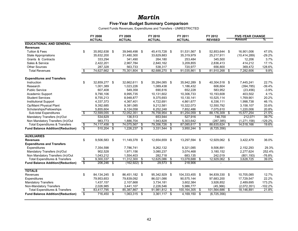#### *Martin* **Five-Year Budget Summary Comparison**

Current Funds Revenues, Expenditures and Transfers - UNRESTRICTED

|                                           |                         | FY 2008         |      | FY 2009         | FY 2010             |      | FY 2011        |      | FY 2012        |      | <b>FIVE-YEAR CHANGE</b> |           |
|-------------------------------------------|-------------------------|-----------------|------|-----------------|---------------------|------|----------------|------|----------------|------|-------------------------|-----------|
|                                           |                         | <b>ACTUAL</b>   |      | <b>ACTUAL</b>   | <b>ACTUAL</b>       |      | <b>ACTUAL</b>  |      | <b>REVISED</b> |      | Amount                  | ℅         |
| <b>EDUCATIONAL AND GENERAL</b>            |                         |                 |      |                 |                     |      |                |      |                |      |                         |           |
| <b>Revenues</b>                           |                         |                 |      |                 |                     |      |                |      |                |      |                         |           |
| <b>Tuition &amp; Fees</b>                 | \$                      | 35,952,638 \$   |      | 39,948,498      | \$<br>45,415,728 \$ |      | 51,531,567 \$  |      | 52,853,644 \$  |      | 16,901,006              | 47.0%     |
| <b>State Appropriations</b>               |                         | 35,632,200      |      | 31,480,300      | 33,629,883          |      | 35,319,979     |      | 25,217,911     |      | (10, 414, 289)          | $-29.2%$  |
| Grants & Contracts                        |                         | 333,294         |      | 341,490         | 264,180             |      | 253,484        |      | 345,500        |      | 12,206                  | 3.7%      |
| Sales & Service                           |                         | 2,422,201       |      | 2,967,784       | 2,840,162           |      | 3,209,855      |      | 2,836,413      |      | 414,212                 | 17.1%     |
| <b>Other Sources</b>                      |                         | 287,328         |      | 563,733         | 538,317             |      | 720,977        |      | 656.800        |      | 369,472                 | 128.6%    |
| <b>Total Revenues</b>                     | $\bullet$               | 74,627,662      | \$   | 75,301,804      | \$<br>82,688,270    | \$   | 91,035,861     | \$   | 81,910,268     | \$   | 7,282,606               | 9.8%      |
| <b>Expenditures and Transfers</b>         |                         |                 |      |                 |                     |      |                |      |                |      |                         |           |
| Instruction                               | \$                      | 32,859,277 \$   |      | 32,662,611 \$   | 35,284,085 \$       |      | 35,942,289 \$  |      | 40,304,518 \$  |      | 7.445.241               | 22.7%     |
| Research                                  |                         | 1,001,389       |      | 1,023,226       | 1,089,438           |      | 1,186,432      |      | 606.604        |      | (394, 785)              | $-39.4%$  |
| Public Service                            |                         | 607,408         |      | 549.358         | 690.616             |      | 652,228        |      | 583.952        |      | (23, 456)               | $-3.9%$   |
| Academic Support                          |                         | 9,790,106       |      | 8,995,735       | 10,131,602          |      | 10.306.733     |      | 10,193,608     |      | 403.502                 | 4.1%      |
| <b>Student Services</b>                   |                         | 8,755,213       |      | 8,948,877       | 9,375,693           |      | 10,130,141     |      | 10,525,114     |      | 1,769,901               | 20.2%     |
| <b>Institutional Support</b>              |                         | 4,337,373       |      | 4,367,401       | 4,722,691           |      | 4,861,677      |      | 6,336,111      |      | 1,998,738               | 46.1%     |
| Op/Maint Physical Plant                   |                         | 9,392,685       |      | 9,381,085       | 9,212,581           |      | 10,322,073     |      | 12,550,792     |      | 3,158,107               | 33.6%     |
| Scholarships/Fellowships                  |                         | 5,855,604       |      | 6,124,058       | 6,252,248           |      | 7,852,486      |      | 7,075,610      |      | 1,220,006               | 20.8%     |
| Sub-total Expenditures                    | s,                      | 72,599,055      | \$   | 72,052,351      | \$<br>76,758,954    | \$   | 81,254,059     | \$   | 88,176,309     | \$   | 15,577,254              | 21.5%     |
| Mandatory Transfers (In)/Out              |                         | 534,629         |      | 136,513         | 653,944             |      | 527,916        |      | 746,700        |      | 212,071                 | 39.7%     |
| Non Mandatory Transfers (In)/Out          |                         | 983,773         |      | 1,886,704       | 1,943,828           |      | 5,303,642      |      | (287, 385)     |      | (1,271,158)             | $-129.2%$ |
| <b>Total Expenditures &amp; Transfers</b> | \$                      | 74,117,458      | - \$ | 74,075,567      | \$<br>79,356,726    | S    | 87,085,617 \$  |      | 88,635,624     | - \$ | 14,518,166              | 19.6%     |
| <b>Fund Balance Addition/(Reduction)</b>  | $\overline{\mathbb{S}}$ | 510,204         | - \$ | 1,226,237       | \$<br>3,331,544     | - \$ | 3,950,244      | - \$ | (6, 725, 356)  |      |                         |           |
| <b>AUXILIARIES</b>                        |                         |                 |      |                 |                     |      |                |      |                |      |                         |           |
| <b>Revenues</b>                           | \$                      | 9,506,583 \$    |      | 11,149,378      | \$<br>12,654,659 \$ |      | 13,297,594 \$  |      | 12,929,062 \$  |      | 3,422,479               | 36.0%     |
| <b>Expenditures and Transfers</b>         |                         |                 |      |                 |                     |      |                |      |                |      |                         |           |
| Expenditures                              |                         | 7,354,598       |      | 7,786,741       | 9,262,132           |      | 9,321,085      |      | 9,506,891      |      | 2,152,293               | 29.3%     |
| Mandatory Transfers (In)/Out              |                         | 902,528         |      | 1,971,156       | 3,080,237           |      | 3,074,468      |      | 3,180,152      |      | 2,277,624               | 252.4%    |
| Non Mandatory Transfers (In)/Out          |                         | 1,043,212       |      | 1,554,403       | 282,718             |      | 683,135        |      | 242,019        |      | (801, 193)              | $-76.8%$  |
| <b>Total Expenditures &amp; Transfers</b> | $\overline{\mathbf{s}}$ | 9,300,337       | - \$ | 11,312,300      | \$<br>12,625,086    | \$   | 13,078,688     | \$   | 12,929,062     | \$   | 3,628,725               | 39.0%     |
| <b>Fund Balance Addition/(Reduction)</b>  | $\overline{\mathbf{s}}$ | $206,246$ \$    |      | $(162, 922)$ \$ | $29,573$ \$         |      | 218,906        |      |                |      |                         |           |
| <b>TOTALS</b>                             |                         |                 |      |                 |                     |      |                |      |                |      |                         |           |
| Revenues                                  | \$                      | 84, 134, 245 \$ |      | 86.451.182 \$   | 95,342,929 \$       |      | 104,333,455 \$ |      | 94.839.330 \$  |      | 10,705,085              | 12.7%     |
| Expenditures                              |                         | 79,953,653      |      | 79,839,092      | 86,021,086          |      | 90,575,144     |      | 97,683,200     |      | 17,729,547              | 22.2%     |
| <b>Mandatory Transfers</b>                |                         | 1,437,157       |      | 2,107,668       | 3,734,181           |      | 3,602,384      |      | 3,926,852      |      | 2,489,695               | 173.2%    |
| Non-Mandatory Transfers                   |                         | 2,026,985       |      | 3,441,107       | 2,226,546           |      | 5,986,777      |      | (45, 366)      |      | (2,072,351)             | $-102.2%$ |
| <b>Total Expenditures &amp; Transfers</b> | $\overline{\$}$         | 83,417,795 \$   |      | 85,387,867      | \$<br>91,981,812    | - \$ | 100,164,305    | -\$  | 101,564,686    | \$   | 18,146,891              | 21.8%     |
| <b>Fund Balance Addition/(Reduction)</b>  | \$                      | 716,450 \$      |      | $1,063,315$ \$  | $3,361,117$ \$      |      | $4,169,150$ \$ |      | (6, 725, 356)  |      |                         |           |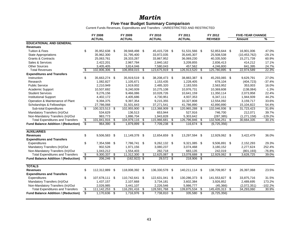#### *Martin* **Five-Year Budget Summary Comparison**

Current Funds Revenues, Expenditures and Transfers - UNRESTRICTED AND RESTRICTED

|                                            | FY 2008                              |                |      | FY 2009         |      | FY 2010        |     | FY 2011        | FY 2012              |      | <b>FIVE-YEAR CHANGE</b> |           |
|--------------------------------------------|--------------------------------------|----------------|------|-----------------|------|----------------|-----|----------------|----------------------|------|-------------------------|-----------|
|                                            |                                      | <b>ACTUAL</b>  |      | <b>ACTUAL</b>   |      | <b>ACTUAL</b>  |     | <b>ACTUAL</b>  | <b>REVISED</b>       |      | Amount                  | %         |
| <b>EDUCATIONAL AND GENERAL</b>             |                                      |                |      |                 |      |                |     |                |                      |      |                         |           |
| <b>Revenues</b>                            |                                      |                |      |                 |      |                |     |                |                      |      |                         |           |
| <b>Tuition &amp; Fees</b>                  | \$                                   | 35,952,638 \$  |      | 39,948,498      | - \$ | 45,415,728 \$  |     | 51,531,566 \$  | 52,853,644 \$        |      | 16,901,006              | 47.0%     |
| <b>State Appropriations</b>                |                                      | 35,962,300     |      | 31,795,400      |      | 33,972,035     |     | 35,645,307     | 25,508,538           |      | (10, 453, 762)          | $-29.1%$  |
| <b>Grants &amp; Contracts</b>              |                                      | 25,063,761     |      | 28,333,287      |      | 33,867,952     |     | 36,069,230     | 40,335,500           |      | 15,271,739              | 60.9%     |
| Sales & Services                           |                                      | 2,422,201      |      | 2,967,784       |      | 2,840,162      |     | 3,209,855      | 2,836,413            |      | 414,212                 | 17.1%     |
| <b>Other Sources</b>                       |                                      | 3,405,405      |      | 3,814,046       |      | 7,580,043      |     | 457,562        | 4,246,800            |      | 841,395                 | 24.7%     |
| <b>Total Revenues</b>                      | \$                                   | 102,806,306    | \$   | 106,859,015     | -\$  | 123,675,919    | -\$ | 126,913,520    | \$<br>125,780,895    | \$   | 22,974,589              | 22.3%     |
| <b>Expenditures and Transfers</b>          |                                      |                |      |                 |      |                |     |                |                      |      |                         |           |
| Instruction                                | \$                                   | 35,663,274 \$  |      | 35,919,519      | -\$  | 38,208,473 \$  |     | 38,883,387 \$  | 45,293,065           | - \$ | 9,629,791               | 27.0%     |
| Research                                   |                                      | 1,082,827      |      | 1,105,671       |      | 1,153,435      |     | 1,228,405      | 678.104              |      | (404, 723)              | $-37.4%$  |
| <b>Public Service</b>                      |                                      | 2,210,949      |      | 1,919,002       |      | 2,485,320      |     | 2,183,555      | 2,563,952            |      | 353,003                 | 16.0%     |
| Academic Support                           |                                      | 10,507,692     |      | 9,240,939       |      | 10,275,108     |     | 10,976,731     | 10,369,608           |      | (138,084)               | $-1.3%$   |
| <b>Student Services</b>                    |                                      | 9,276,156      |      | 9,466,086       |      | 10,028,726     |     | 10,641,159     | 11,350,114           |      | 2,073,958               | 22.4%     |
| <b>Institutional Support</b>               |                                      | 4,402,172      |      | 4,405,686       |      | 4,730,951      |     | 4,937,353      | 6,347,111            |      | 1,944,939               | 44.2%     |
| Operation & Maintenance of Plant           |                                      | 9,394,375      |      | 9,397,354       |      | 9,215,355      |     | 10,327,808     | 12,554,092           |      | 3,159,717               | 33.6%     |
| Scholarships & Fellowships                 |                                      | 27,786,068     |      | 31,501,643      |      | 37,271,541     |     | 41,786,890     | 42,890,890           |      | 15,104,822              | 54.4%     |
| Sub-total Expenditures                     | $\mathfrak{s}$                       | 100,323,513 \$ |      | 102,955,900     | -\$  | 113,368,909    | \$  | 120,965,288    | \$<br>132,046,936 \$ |      | 31,723,423              | 31.6%     |
| Mandatory Transfers (In)/Out               |                                      | 534,629        |      | 136,513         |      | 653,944        |     | 527,916        | 746,700              |      | 212,071                 | 39.7%     |
| Non-Mandatory Transfers (In)/Out           |                                      | 983,773        |      | 1,886,704       |      | 1,943,828      |     | 5,303,642      | (287, 385)           |      | (1, 271, 158)           | $-129.2%$ |
| <b>Total Expenditures and Transfers</b>    | s,                                   | 101,841,916    | -\$  | 104,979,116     | \$   | 115,966,681    | \$  | 126,796,846    | \$<br>132,506,251    | \$   | 30,664,335              | 30.1%     |
| <b>Fund Balance Addition / (Reduction)</b> | $\overline{\boldsymbol{\mathsf{s}}}$ | $964,390$ \$   |      | 1,879,899       | -\$  | 7,709,238 \$   |     | 116,674 \$     | (6,725,356)          |      |                         |           |
|                                            |                                      |                |      |                 |      |                |     |                |                      |      |                         |           |
| <b>AUXILIARIES</b>                         |                                      |                |      |                 |      |                |     |                |                      |      |                         |           |
| <b>Revenues</b>                            | \$                                   | 9,506,583 \$   |      | 11,149,378      | -\$  | 12,654,659 \$  |     | 13,297,594 \$  | 12,929,062 \$        |      | 3,422,479               | 36.0%     |
| <b>Expenditures and Transfers</b>          |                                      |                |      |                 |      |                |     |                |                      |      |                         |           |
| Expenditures                               | \$                                   | 7,354,598 \$   |      | 7,786,741       | -\$  | 9,262,132 \$   |     | 9,321,085 \$   | 9,506,891 \$         |      | 2,152,293               | 29.3%     |
| Mandatory Transfers (In)/Out               |                                      | 902,528        |      | 1.971.156       |      | 3,080,237      |     | 3,074,468      | 3,180,152            |      | 2,277,624               | 252.4%    |
| Non-Mandatory Transfers (In)/Out           |                                      | 1.043.212      |      | 1,554,403       |      | 282,718        |     | 683,135        | 242,019              |      | (801, 193)              | $-76.8%$  |
| <b>Total Expenditures and Transfers</b>    | \$                                   | 9,300,337 \$   |      | 11,312,300      | \$   | 12,625,087     | \$  | 13,078,688     | \$<br>12,929,062     | - \$ | 3,628,725               | 39.0%     |
| <b>Fund Balance Addition / (Reduction)</b> | $\overline{\mathfrak{s}}$            | $206,246$ \$   |      | $(162, 922)$ \$ |      | $29,572$ \$    |     | 218,906        | \$                   |      |                         |           |
|                                            |                                      |                |      |                 |      |                |     |                |                      |      |                         |           |
| <b>TOTALS</b>                              |                                      |                |      |                 |      |                |     |                |                      |      |                         |           |
| <b>Revenues</b>                            | \$                                   | 112,312,889 \$ |      | 118,008,392 \$  |      | 136,330,578 \$ |     | 140,211,114 \$ | 138,709,957 \$       |      | 26,397,068              | 23.5%     |
| <b>Expenditures and Transfers</b>          |                                      |                |      |                 |      |                |     |                |                      |      |                         |           |
| Expenditures                               | \$                                   | 107,678,111 \$ |      | 110,742,641     | -\$  | 122,631,041 \$ |     | 130,286,373 \$ | 141,553,827 \$       |      | 33,875,716              | 31.5%     |
| Mandatory Transfers (In)/Out               |                                      | 1,437,157      |      | 2,107,668       |      | 3,734,181      |     | 3,602,384      | 3,926,852            |      | 2,489,695               | 173.2%    |
| Non-Mandatory Transfers (In)/Out           |                                      | 2,026,985      |      | 3,441,107       |      | 2,226,546      |     | 5,986,777      | (45, 366)            |      | (2,072,351)             | $-102.2%$ |
| <b>Total Expenditures and Transfers</b>    | $\overline{\$}$                      | 111,142,253    | - \$ | 116,291,416     | \$   | 128,591,768    | \$  | 139,875,534    | \$<br>145,435,313    | \$   | 34,293,060              | 30.9%     |
| <b>Fund Balance Addition / (Reduction)</b> | $\overline{\mathcal{S}}$             | 1,170,636 \$   |      | 1,716,976       | -\$  | 7,738,810 \$   |     | 335,580 \$     | (6, 725, 356)        |      |                         |           |
|                                            |                                      |                |      |                 |      |                |     |                |                      |      |                         |           |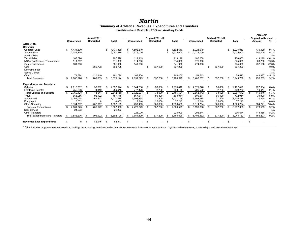#### *Martin*

#### **Summary of Athletics Revenues, Expenditures and Transfers**

**Unrestricted and Restricted E&G and Auxiliary Funds**

|                                         | Actual 2011 |                     |     |                   |      |           |                | Original 2011-12 |                   |      |              |     |                          | <b>Revised 2011-12</b> |                   |    |              | <b>CHANGE</b><br><b>Original to Revised</b> |           |                |
|-----------------------------------------|-------------|---------------------|-----|-------------------|------|-----------|----------------|------------------|-------------------|------|--------------|-----|--------------------------|------------------------|-------------------|----|--------------|---------------------------------------------|-----------|----------------|
|                                         |             | <b>Unrestricted</b> |     | <b>Restricted</b> |      | Total     |                | Unrestricted     | <b>Restricted</b> |      | <b>Total</b> |     | Unrestricted             |                        | <b>Restricted</b> |    | <b>Total</b> |                                             | Amount    | %              |
| <b>ATHLETICS</b>                        |             |                     |     |                   |      |           |                |                  |                   |      |              |     |                          |                        |                   |    |              |                                             |           |                |
| <b>Revenues</b>                         |             |                     |     |                   |      |           |                |                  |                   |      |              |     |                          |                        |                   |    |              |                                             |           |                |
| <b>General Funds</b>                    |             | 4.431.339           |     |                   |      | .431.339  |                | 4,592,610        |                   |      | 1,592,610    |     | 5,023,019                |                        |                   | \$ | 5,023,019    |                                             | 430,409   | 9.4%           |
| <b>Student Fees</b>                     |             | 2,081,875           |     |                   |      | 2,081,875 | $\mathfrak{L}$ | 1,975,000        |                   | \$   | ,975,000     | \$  | 2,075,000                |                        |                   |    | 2,075,000    |                                             | 100,000   | 5.1%           |
| <b>Athletic Fees</b>                    |             |                     |     |                   |      |           |                |                  |                   |      |              |     |                          |                        |                   |    |              |                                             |           | N <sub>A</sub> |
| <b>Ticket Sales</b>                     |             | 107,596             |     |                   |      | 107,596   |                | 119,119          |                   |      | 119,119      |     | 100,000                  |                        |                   |    | 100,000      |                                             | (19, 119) | $-16.1%$       |
| NCAA Conference. Tournaments            |             | 511,882             |     |                   |      | 511,882   |                | 314,300          |                   |      | 314,300      |     | 375,000                  |                        |                   |    | 375,000      |                                             | 60,700    | 19.3%          |
| <b>Game Guarantees</b>                  |             | 681,000             |     |                   |      | 681,000   |                | 541,900          |                   |      | 541,900      |     | 774,000                  |                        |                   |    | 774,000      |                                             | 232,100   | 42.8%          |
| Gifts                                   |             |                     |     | 669,728           |      | 669,728   |                |                  | \$<br>537,200     |      | 537,200      |     |                          |                        | 537,200           |    | 537,200      |                                             |           | 0.0%           |
| <b>Licensing Fees</b>                   |             |                     |     |                   |      |           |                |                  |                   |      |              |     |                          |                        |                   |    |              |                                             |           | <b>NA</b>      |
| Sports Camps                            |             |                     |     |                   |      |           |                |                  |                   |      |              |     |                          |                        |                   |    |              |                                             |           | <b>NA</b>      |
| Other*                                  |             | 71.584              |     | 120.140           |      | 191.724   |                | 108.400          |                   |      | 108.400      |     | 59,513                   |                        |                   |    | 59,513       |                                             | (48.887)  | $-45.1%$       |
| <b>Total Revenues</b>                   |             | 7,885,276           |     | 789,869           |      | 8,675,144 |                | 7,651,329        | \$<br>537,200     | \$   | 8,188,529    | \$  | 8,406,532                | \$.                    | 537,200           | \$ | 8,943,732    | \$.                                         | 755,203   | 9.2%           |
| <b>Expenditures and Transfers</b>       |             |                     |     |                   |      |           |                |                  |                   |      |              |     |                          |                        |                   |    |              |                                             |           |                |
| Salaries                                | \$          | 2,013,832           | \$  | 38,692            | S    | 2,052,524 | \$             | 1,944,616        | \$<br>30,800      | \$   | 1,975,416    | \$  | 2,071,620                | \$                     | 30,800            | \$ | 2,102,420    |                                             | 127,004   | 6.4%           |
| <b>Employee Benefits</b>                |             | 755.296             |     | 4,349             |      | 759,645   |                | 777.478          | 2,700             |      | 780.178      |     | 796.522                  |                        | 2.700             |    | 799.222      |                                             | 19.044    | 2.4%           |
| <b>Total Salaries and Benefits</b>      |             | 2.769.128           | \$  | 43.041            |      | 2.812.169 |                | 2,722,094        | \$<br>33,500      |      | 2.755.594    | \$  | 2.868.142                | \$.                    | 33,500            |    | 2.901.642    | \$                                          | 146.048   | 5.3%           |
| Travel                                  |             | 665.056             |     | 92.122            |      | 757.178   |                | 567,614          | 95,400            |      | 663.014      |     | 606.614                  |                        | 95,400            |    | 702.014      |                                             | 39,000    | 5.9%           |
| <b>Student Aid</b>                      |             | 3,262,044           |     | 169,442           |      | 3.431.486 |                | 3,393,898        | 77,300            |      | 3,471,198    |     | 3,398,188                |                        | 77,300            |    | 3.475.488    |                                             | 4,290     | 0.1%           |
| Equipment                               |             | 10,052              |     |                   |      | 10,052    |                | 12,240           | 25,000            |      | 37.240       |     | 12,240                   |                        | 25,000            |    | 37.240       |                                             |           | 0.0%           |
| <b>Other Operating</b>                  |             | .154,792            |     | 402,317           |      | 1,557,109 |                | 730,483          | 306,000           |      | 1,036,483    |     | 1,314,704                |                        | 306,000           |    | 1,620,704    |                                             | 584,221   | 56.4%          |
| Sub-total Expenditures                  | \$.         | 7,861,073           | \$  | 706,922           |      | 8,567,995 | \$             | 7,426,329        | \$<br>537,200     | £.   | ,963,529     | \$. | 8,199,888                | \$                     | 537,200           | ፍ  | 8,737,088    | \$                                          | 773,559   | 9.7%           |
| Debt Service                            |             | 24,203              |     |                   |      | 24,203    |                |                  |                   |      |              |     |                          |                        |                   |    |              |                                             |           | N <sub>A</sub> |
| <b>Other Transfers</b>                  |             |                     |     |                   |      |           |                | 225,000          |                   |      | 225,000      |     | 206,644                  |                        |                   |    | 206.644      |                                             | (18, 356) | $-8.2%$        |
| <b>Total Expenditures and Transfers</b> | \$          | 7,885,276           | \$  | 706,922           |      | 8,592,198 | \$             | 7,651,329        | \$<br>537,200     | \$   | 8,188,529    | \$  | 8,406,532                | \$                     | 537,200           | \$ | 8,943,732    | \$                                          | 755,203   | 9.2%           |
| <b>Revenues Less Expenditures</b>       | \$          | <sup>0</sup>        | \$. | 82,946            | - \$ | 82,947    | \$.            |                  | \$                | - \$ |              | £   | $\overline{\phantom{a}}$ | ς.                     |                   | \$ |              | ٩                                           |           |                |

\* Other includes program sales, concessions, parking, broadcasting, television, radio, internet, endowments, investments, sports camps, royalties, advertisements, sponsorships, and miscellaneous other.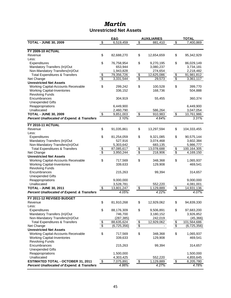### *Martin* **Unrestricted Net Assets**

|                                                       |                                        | E&G                     |                 | <b>AUXILIARIES</b> |                          | <b>TOTAL</b> |
|-------------------------------------------------------|----------------------------------------|-------------------------|-----------------|--------------------|--------------------------|--------------|
| <b>TOTAL - JUNE 30, 2009</b>                          | $\overline{\mathbf{e}}$                | 6,519,459               | $\overline{\$}$ | 881,410            | \$                       | 7,400,869    |
|                                                       |                                        |                         |                 |                    |                          |              |
| <b>FY 2009-10 ACTUAL</b>                              |                                        |                         |                 |                    |                          |              |
| Revenue                                               | \$                                     | 82,688,270              | \$              | 12,654,659         | \$                       | 95,342,929   |
| Less:                                                 |                                        |                         |                 |                    |                          |              |
| Expenditures                                          | \$                                     | 76,758,954              | \$              | 9,270,195          | \$                       | 86,029,149   |
| Mandatory Transfers (In)/Out                          |                                        | 653,944                 |                 | 3,080,237          |                          | 3,734,181    |
| Non-Mandatory Transfers(In)/Out                       |                                        | 1,943,828               |                 | 274,654            |                          | 2,218,482    |
| <b>Total Expenditures &amp; Transfers</b>             |                                        | 79,356,726              | \$              | 12,625,086         | $$\mathbb{S}$$           | 91,981,812   |
| Net Change                                            | $\frac{6}{9}$                          | 3,331,544               | $\overline{\$}$ | 29,573             | $\overline{\mathcal{E}}$ | 3,361,117    |
| <b>Unrestricted Net Assets</b>                        |                                        |                         |                 |                    |                          |              |
| Working Capital-Accounts Receivable                   | \$                                     | 299,242                 | \$              | 100,528            | \$                       | 399,770      |
| <b>Working Capital-Inventories</b>                    |                                        | 336,152                 |                 | 168,736            |                          | 504,888      |
| <b>Revolving Funds</b>                                |                                        |                         |                 |                    |                          |              |
| Encumbrances                                          |                                        | 304,919                 |                 | 55,455             |                          | 360,374      |
| <b>Unexpended Gifts</b>                               |                                        |                         |                 |                    |                          |              |
| Reappropriations                                      |                                        | 6,449,900               |                 |                    |                          | 6,449,900    |
| Unallocated                                           |                                        | 2,460,790               |                 | 586,264            |                          | 3,047,054    |
| <b>TOTAL - JUNE 30, 2009</b>                          | $\frac{1}{2}$                          | 9,851,003               | $\frac{1}{2}$   | 910,983            | $\frac{1}{2}$            | 10,761,986   |
| <b>Percent Unallocated of Expend. &amp; Transfers</b> |                                        | 3.10%                   |                 | 4.64%              |                          | 3.31%        |
|                                                       |                                        |                         |                 |                    |                          |              |
| <b>FY 2010-11 ACTUAL</b>                              |                                        |                         |                 |                    |                          |              |
| Revenue                                               | \$                                     | 91,035,861              | \$              | 13,297,594         | \$                       | 104,333,455  |
| Less:                                                 |                                        |                         |                 |                    |                          |              |
| Expenditures                                          | \$                                     | 81,254,059              | \$              | 9,321,085          | \$                       | 90,575,144   |
| Mandatory Transfers (In)/Out                          |                                        | 527,916                 |                 | 3,074,468          |                          | 3,602,384    |
| Non-Mandatory Transfers(In)/Out                       |                                        | 5,303,642               |                 | 683,135            |                          | 5,986,777    |
| <b>Total Expenditures &amp; Transfers</b>             | $\frac{1}{2}$                          | 87,085,617              | $\frac{6}{3}$   | 13,078,688         | $\frac{1}{2}$            | 100,164,305  |
| Net Change                                            |                                        | 3,950,244               |                 | 218,906            |                          | 4,169,150    |
| <b>Unrestricted Net Assets</b>                        |                                        |                         |                 |                    |                          |              |
| Working Capital-Accounts Receivable                   | \$                                     | 717,569                 | \$              | 348,368            | \$                       | 1,065,937    |
| <b>Working Capital-Inventories</b>                    |                                        | 339,633                 |                 | 129,908            |                          | 469,541      |
| <b>Revolving Funds</b>                                |                                        |                         |                 |                    |                          |              |
| Encumbrances                                          |                                        | 215,263                 |                 | 99,394             |                          | 314,657      |
| <b>Unexpended Gifts</b>                               |                                        |                         |                 |                    |                          |              |
| Reappropriations<br>Unallocated                       |                                        | 9,000,000               |                 | 552,220            |                          | 9,000,000    |
| <b>TOTAL - JUNE 30, 2011</b>                          | $\overline{\boldsymbol{\mathfrak{s}}}$ | 3,528,781<br>13,801,247 |                 |                    |                          | 4,081,001    |
|                                                       |                                        |                         | $\frac{1}{2}$   | 1,129,889          | $\frac{1}{2}$            | 14,931,136   |
| <b>Percent Unallocated of Expend. &amp; Transfers</b> |                                        | 4.05%                   |                 | 4.22%              |                          | 4.07%        |
| FY 2011-12 REVISED BUDGET                             |                                        |                         |                 |                    |                          |              |
| Revenue                                               | \$                                     | 81,910,268              | \$              | 12,929,062         | \$                       | 94,839,330   |
| Less:                                                 |                                        |                         |                 |                    |                          |              |
| Expenditures                                          | \$                                     | 88,176,309              | \$              | 9,506,891          | \$                       | 97,683,200   |
| Mandatory Transfers (In)/Out                          |                                        | 746,700                 |                 | 3,180,152          |                          | 3,926,852    |
| Non-Mandatory Transfers(In)/Out                       |                                        | (287, 385)              |                 | 242,019            |                          | (45, 366)    |
| <b>Total Expenditures &amp; Transfers</b>             | $\frac{6}{3}$                          | 88,635,624              | $\frac{6}{3}$   | 12,929,062         | $\boldsymbol{\theta}$    | 101,564,686  |
| Net Change                                            |                                        | (6,725,356)             |                 |                    | $\overline{\$}$          | (6,725,356)  |
| <b>Unrestricted Net Assets</b>                        |                                        |                         |                 |                    |                          |              |
| <b>Working Capital-Accounts Receivable</b>            | \$                                     | 717,569                 | \$              | 348,368            | \$                       | 1,065,937    |
| <b>Working Capital-Inventories</b>                    |                                        | 339,633                 |                 | 129,908            |                          | 469,541      |
| <b>Revolving Funds</b>                                |                                        |                         |                 |                    |                          |              |
| Encumbrances                                          |                                        | 215,263                 |                 | 99,394             |                          | 314,657      |
| <b>Unexpended Gifts</b>                               |                                        |                         |                 |                    |                          |              |
| Reappropriations                                      |                                        | 1,500,000               |                 |                    |                          | 1,500,000    |
| Unallocated                                           |                                        | 4,303,425               |                 | 552,220            |                          | 4,855,645    |
| <b>ESTIMATED TOTAL - OCTOBER 31, 2011</b>             | $\frac{1}{2}$                          | 7,075,891               | $\frac{1}{2}$   | 1,129,889          | $\frac{1}{2}$            | 8,205,780    |
| <b>Percent Unallocated of Expend. &amp; Transfers</b> |                                        | 4.86%                   |                 | 4.27%              |                          | 4.78%        |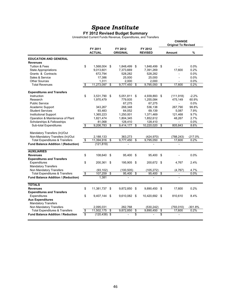#### **FY 2012 Revised Budget Summary**

Unrestricted Current Funds Revenue, Expenditures, and Transfers

|                                                      |                                      |                          |    |                            |      |                           |      | <b>CHANGE</b><br><b>Original To Revised</b> |           |
|------------------------------------------------------|--------------------------------------|--------------------------|----|----------------------------|------|---------------------------|------|---------------------------------------------|-----------|
|                                                      |                                      | FY 2011<br><b>ACTUAL</b> |    | FY 2012<br><b>ORIGINAL</b> |      | FY 2012<br><b>REVISED</b> |      | <b>Amount</b>                               | %         |
| <b>EDUCATION AND GENERAL</b>                         |                                      |                          |    |                            |      |                           |      |                                             |           |
| <b>Revenues</b>                                      |                                      |                          |    |                            |      |                           |      |                                             |           |
| <b>Tuition &amp; Fees</b>                            | \$                                   | 1,568,004                | \$ | 1,848,499                  | \$   | 1,848,499 \$              |      |                                             | 0.0%      |
| <b>State Appropriations</b>                          |                                      | 9,013,601                |    | 7,373,669                  |      | 7,391,269                 |      | 17,600                                      | 0.2%      |
| Grants & Contracts                                   |                                      | 672,794                  |    | 528,282                    |      | 528,282                   |      | ÷,                                          | 0.0%      |
| Sales & Service                                      |                                      | 17,386                   |    | 25,000                     |      | 25,000                    |      | $\overline{a}$                              | 0.0%      |
| <b>Other Sources</b>                                 |                                      | 1.311                    |    | 2.000                      |      | 2.000                     |      |                                             | 0.0%      |
| <b>Total Revenues</b>                                | $\overline{\mathcal{S}}$             | 11,273,097               | \$ | 9,777,450                  | \$   | 9,795,050                 | \$   | 17,600                                      | 0.2%      |
| <b>Expenditures and Transfers</b>                    |                                      |                          |    |                            |      |                           |      |                                             |           |
| Instruction                                          | \$                                   | 3,531,790                | \$ | 5,051,811                  | \$   | 4,939,893 \$              |      | (111, 918)                                  | $-2.2%$   |
| Research                                             |                                      | 1,970,479                |    | 779,935                    |      | 1,255,084                 |      | 475,149                                     | 60.9%     |
| <b>Public Service</b>                                |                                      |                          |    | 67,275                     |      | 67,275                    |      |                                             | 0.0%      |
| Academic Support                                     |                                      | 343,267                  |    | 268,348                    |      | 536,138                   |      | 267,790                                     | 99.8%     |
| <b>Student Services</b>                              |                                      | 93.483                   |    | 64.052                     |      | 69,139                    |      | 5.087                                       | 7.9%      |
| <b>Institutional Support</b>                         |                                      | 1,365,223                |    | 1,250,001                  |      | 1,371,469                 |      | 121,468                                     | 9.7%      |
| Operation & Maintenance of Plant                     |                                      | 1,821,474                |    | 1,804,345                  |      | 1,852,612                 |      | 48,267                                      | 2.7%      |
| Scholarships & Fellowships                           |                                      | 81,068                   |    | 128,410                    |      | 128,410                   |      | $\overline{a}$                              | 0.0%      |
| Sub-total Expenditures                               | \$                                   | 9,206,783                | \$ | 9,414,177                  | \$   | 10,220,020                | \$   | 805,843                                     | 8.6%      |
| Mandatory Transfers (In)/Out                         |                                      |                          |    |                            |      |                           |      |                                             |           |
| Non-Mandatory Transfers (In)/Out                     |                                      | 2,188,133                |    | 363,273                    |      | (424, 970)                |      | (788, 243)                                  | $-217.0%$ |
| <b>Total Expenditures &amp; Transfers</b>            | \$                                   | 11,394,916               | \$ | 9,777,450                  | \$   | 9.795.050                 | \$   | 17,600                                      | 0.2%      |
| <b>Fund Balance Addition / (Reduction)</b>           |                                      | (121, 819)               |    |                            |      |                           |      |                                             |           |
| <b>AUXILIARIES</b>                                   |                                      |                          |    |                            |      |                           |      |                                             |           |
| <b>Revenues</b>                                      | \$                                   | 108,640                  | \$ | 95.400                     | - \$ | 95.400                    | - \$ |                                             | 0.0%      |
| <b>Expenditures and Transfers</b>                    |                                      |                          |    |                            |      |                           |      |                                             |           |
| Expenditures                                         | \$                                   | 200,361                  | \$ | 195,905                    | -\$  | 200.672 \$                |      | 4.767                                       | 2.4%      |
| <b>Mandatory Transfers</b>                           |                                      |                          |    |                            |      |                           |      |                                             |           |
| Non Mandatory Transfers                              |                                      | (93, 102)                |    | (100, 505)                 |      | (105, 272)                |      | (4, 767)                                    | 4.7%      |
| <b>Total Expenditures &amp; Transfers</b>            | $\overline{\boldsymbol{\mathsf{z}}}$ | 107,259                  | \$ | 95,400                     | \$   | 95,400                    | \$   | $\blacksquare$                              | 0.0%      |
| Fund Balance Addition / (Reduction)                  |                                      | 1,381                    |    |                            |      |                           |      |                                             |           |
| <b>TOTALS</b>                                        |                                      |                          |    |                            |      |                           |      |                                             |           |
| <b>Revenues</b><br><b>Expenditures and Transfers</b> | \$                                   | 11,381,737               | \$ | 9,872,850                  | \$   | 9,890,450                 | \$   | 17,600                                      | 0.2%      |
| Expenditures                                         | \$                                   | 9,407,144                | \$ | 9,610,082 \$               |      | 10,420,692 \$             |      | 810,610                                     | 8.4%      |
| <b>Aux Expenditures</b>                              |                                      |                          |    |                            |      |                           |      |                                             |           |
| <b>Mandatory Transfers</b>                           |                                      |                          |    |                            |      |                           |      |                                             |           |
| Non Mandatory Transfers                              |                                      | 2,095,031                |    | 262,768                    |      | (530, 242)                |      | (793, 010)                                  | $-301.8%$ |
| <b>Total Expenditures &amp; Transfers</b>            | \$                                   | 11,502,175               | \$ | 9.872.850                  | \$   | 9,890,450                 | \$   | 17,600                                      | 0.2%      |
| <b>Fund Balance Addition / Reduction</b>             | s.                                   | $(120, 438)$ \$          |    |                            | s    |                           | S    |                                             |           |
|                                                      |                                      |                          |    |                            |      |                           |      |                                             |           |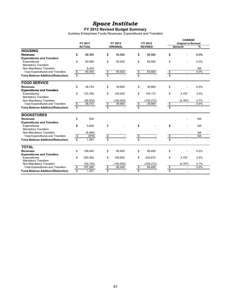#### **FY 2012 Revised Budget Summary**

Auxiliary Enterprises Funds Revenues, Expenditures and Transfers

|                                          |                          |               |                         |                 |                         |                | <b>CHANGE</b>           |                            |           |  |  |
|------------------------------------------|--------------------------|---------------|-------------------------|-----------------|-------------------------|----------------|-------------------------|----------------------------|-----------|--|--|
|                                          |                          | FY 2011       |                         | FY 2012         |                         | FY 2012        |                         | <b>Original to Revised</b> |           |  |  |
|                                          |                          | <b>ACTUAL</b> |                         | <b>ORIGINAL</b> |                         | <b>REVISED</b> |                         | <b>Amount</b>              | %         |  |  |
| <b>HOUSING</b>                           |                          |               |                         |                 |                         |                |                         |                            |           |  |  |
| <b>Revenues</b>                          | \$                       | 69,393        | \$                      | 55,500          | \$                      | 55,500         | \$                      |                            | 0.0%      |  |  |
| <b>Expenditures and Transfers</b>        |                          |               |                         |                 |                         |                |                         |                            |           |  |  |
| Expenditures                             | \$                       | 60,959        | \$                      | 55,500          | \$                      | 55,500         | \$                      |                            | 0.0%      |  |  |
| <b>Mandatory Transfers</b>               |                          |               |                         |                 |                         |                |                         |                            |           |  |  |
| Non-Mandatory Transfers                  |                          | 8,434         |                         |                 |                         |                |                         |                            | <b>NA</b> |  |  |
| <b>Total Expenditures and Transfers</b>  |                          | 69,393        | $\bullet$               | 55,500          |                         | 55,500         | $\frac{1}{2}$           | $\bar{\phantom{a}}$        | 0.0%      |  |  |
| <b>Fund Balance Addition/(Reduction)</b> | $\frac{1}{2}$            |               | s                       |                 | $\frac{1}{\sqrt[3]{5}}$ |                | S                       |                            |           |  |  |
| <b>FOOD SERVICE</b>                      |                          |               |                         |                 |                         |                |                         |                            |           |  |  |
| <b>Revenues</b>                          | \$                       | 38,743        | \$                      | 39,900          | \$                      | 39,900         | \$                      |                            | 0.0%      |  |  |
| <b>Expenditures and Transfers</b>        |                          |               |                         |                 |                         |                |                         |                            |           |  |  |
| Expenditures                             | \$                       | 133,795       | \$                      | 140,405         | \$                      | 145,172        | \$                      | 4.767                      | 3.4%      |  |  |
| <b>Mandatory Transfers</b>               |                          |               |                         |                 |                         |                |                         |                            |           |  |  |
| Non-Mandatory Transfers                  |                          | (95, 052)     |                         | (100, 505)      |                         | (105, 272)     |                         | (4,767)                    | 4.7%      |  |  |
| <b>Total Expenditures and Transfers</b>  | \$                       | 38,743        | \$                      | 39,900          |                         | 39,900         | \$                      | $\overline{\phantom{a}}$   | 0.0%      |  |  |
| <b>Fund Balance Addition/(Reduction)</b> | $\overline{\mathcal{S}}$ |               | \$                      |                 | $\frac{s}{s}$           |                | $\overline{\mathbb{S}}$ |                            |           |  |  |
| <b>BOOKSTORES</b>                        |                          |               |                         |                 |                         |                |                         |                            |           |  |  |
| <b>Revenues</b>                          | \$                       | 504           |                         |                 |                         |                |                         |                            | <b>NA</b> |  |  |
| <b>Expenditures and Transfers</b>        |                          |               |                         |                 |                         |                |                         |                            |           |  |  |
| Expenditures                             | \$                       | 5,608         | \$                      |                 | \$                      |                | \$                      |                            | <b>NA</b> |  |  |
| <b>Mandatory Transfers</b>               |                          |               |                         |                 |                         |                |                         |                            |           |  |  |
| Non-Mandatory Transfers                  |                          | (6, 484)      |                         |                 |                         |                |                         |                            | <b>NA</b> |  |  |
| <b>Total Expenditures and Transfers</b>  | $\sqrt[6]{\frac{2}{5}}$  | (876)         | \$                      |                 |                         |                | \$                      | $\overline{\phantom{a}}$   | <b>NA</b> |  |  |
| <b>Fund Balance Addition/(Reduction)</b> |                          | 1,381         | $\overline{\mathbb{S}}$ |                 | မှာ <mark>မှ</mark> ာ   |                | $\overline{\mathbb{S}}$ |                            |           |  |  |
| <b>TOTAL</b>                             |                          |               |                         |                 |                         |                |                         |                            |           |  |  |
| <b>Revenues</b>                          | \$                       | 108,640       | \$                      | 95,400          | \$                      | 95,400         | \$                      |                            | 0.0%      |  |  |
| <b>Expenditures and Transfers</b>        |                          |               |                         |                 |                         |                |                         |                            |           |  |  |
| Expenditures                             | \$                       | 200,362       | \$                      | 195,905         | \$                      | 200,672        | \$                      | 4,767                      | 2.4%      |  |  |
| <b>Mandatory Transfers</b>               |                          |               |                         |                 |                         |                |                         |                            |           |  |  |
| Non-Mandatory Transfers                  |                          | (93, 102)     |                         | (100, 505)      |                         | (105, 272)     |                         | (4, 767)                   | 4.7%      |  |  |
| <b>Total Expenditures and Transfers</b>  | $\bullet$                | 107,260       | $\frac{1}{2}$           | 95,400          | $\frac{s}{s}$           | 95,400         | မှ မှ                   | ÷,                         | 0.0%      |  |  |
| <b>Fund Balance Addition/(Reduction)</b> | $\overline{\mathbb{S}}$  | 1,381         | $\overline{\mathbf{s}}$ |                 |                         |                |                         |                            |           |  |  |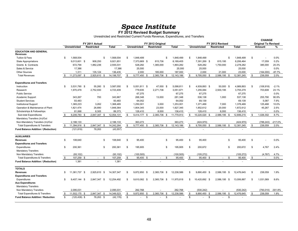## *Space Inst itut e* **FY 2012 Revised Budget Summary**

Unrestricted and Restricted Current Funds Revenue, Expenditures, and Transfers

|                                                 |                       |      |                   |              |     |                     |      |                   |              |      |                     |                   |      |            | CHANGE |                            |           |
|-------------------------------------------------|-----------------------|------|-------------------|--------------|-----|---------------------|------|-------------------|--------------|------|---------------------|-------------------|------|------------|--------|----------------------------|-----------|
|                                                 |                       |      | FY 2011 Actual    |              |     |                     |      | FY 2012 Original  |              |      |                     | FY 2012 Revised   |      |            |        | <b>Original To Revised</b> |           |
|                                                 | <b>Unrestricted</b>   |      | <b>Restricted</b> | <b>Total</b> |     | <b>Unrestricted</b> |      | <b>Restricted</b> | <b>Total</b> |      | <b>Unrestricted</b> | <b>Restricted</b> |      | Total      |        | Amount                     | %         |
| <b>EDUCATION AND GENERAL</b><br><b>Revenues</b> |                       |      |                   |              |     |                     |      |                   |              |      |                     |                   |      |            |        |                            |           |
| Tuition & Fees                                  | \$<br>1,568,004       |      | -S                | 1,568,004    | \$  | 1,848,499           |      | \$                | 1,848,499    | - \$ | 1,848,499           |                   | S.   | 1,848,499  | \$     |                            | 0.0%      |
| <b>State Appropriations</b>                     | 9,013,601 \$          |      | 908,250           | 9,921,851    |     | 7,373,669 \$        |      | 815,736           | 8,189,405    |      | 7,391,269 \$        | 815,195           |      | 8,206,464  |        | 17,059                     | 0.2%      |
| Grants & Contracts                              | 672,794               |      | 1,882,236         | 2,555,031    |     | 528,282             |      | 1,365,000         | 1,893,282    |      | 528,282             | 1,750,000         |      | 2,278,282  |        | 385,000                    | 20.3%     |
| Sales & Service                                 | 17,386                |      |                   | 17,386       |     | 25,000              |      |                   | 25,000       |      | 25,000              |                   |      | 25,000     |        |                            | 0.0%      |
| <b>Other Sources</b>                            | 1,311                 |      | 135,124           | 136,435      |     | 2,000               |      | 185,000           | 187,000      |      | 2,000               | 21,000            |      | 23,000     |        | (164,000)                  | $-87.7%$  |
| <b>Total Revenues</b>                           | 11,273,097            | - \$ | 2,925,610<br>- \$ | 14,198,707   | \$  | 9,777,450           | Я.   | 2,365,736<br>- \$ | 12,143,186   | - \$ | 9,795,050<br>- \$   | 2,586,195         | - \$ | 12,381,245 | S.     | 238,059                    | 2.0%      |
| <b>Expenditures and Transfers</b>               |                       |      |                   |              |     |                     |      |                   |              |      |                     |                   |      |            |        |                            |           |
| Instruction                                     | \$<br>3.531.790 \$    |      | 55.260 \$         | 3,587,050    | \$. | 5,051,811 \$        |      | 47,000 \$         | 5,098,811    | - \$ | 4,939,893 \$        | 50.000 \$         |      | 4,989,893  | \$.    | (108, 918)                 | $-2.1%$   |
| Research                                        | 1,970,479             |      | 2,752,930         | 4,723,409    |     | 779,935             |      | 2,271,736         | 3,051,671    |      | 1,255,084           | 2,500,195         |      | 3,755,279  |        | 703,608                    | 23.1%     |
| <b>Public Service</b>                           |                       |      |                   |              |     | 67,275              |      |                   | 67,275       |      | 67,275              |                   |      | 67,275     |        |                            | 0.0%      |
| Academic Support                                | 343,267               |      | 700               | 343,967      |     | 268,348             |      | 13,000            | 281,348      |      | 536,138             | 1,000             |      | 537,138    |        | 255,790                    | 90.9%     |
| <b>Student Services</b>                         | 93,483                |      | $\blacksquare$    | 93,483       |     | 64,052              |      |                   | 64,052       |      | 69,139              |                   |      | 69,139     |        | 5,087                      | 7.9%      |
| <b>Institutional Support</b>                    | 1,365,223             |      | 3.262             | 1,368,485    |     | 1,250,001           |      | 3,000             | 1,253,001    |      | 1,371,469           | 7,000             |      | 1,378,469  |        | 125,468                    | 10.0%     |
| Operation & Maintenance of Plant                | 1,821,474             |      | 26,890            | 1,848,364    |     | 1,804,345           |      | 23,000            | 1,827,345    |      | 1,852,612           | 20,000            |      | 1,872,612  |        | 45,267                     | 2.5%      |
| Scholarships & Fellowships                      | 81,068                |      | 8,305             | 89,373       |     | 128,410             |      | 8,000             | 136,410      |      | 128,410             | 8,000             |      | 136,410    |        |                            | 0.0%      |
| Sub-total Expenditures                          | 9,206,783             | - \$ | 2,847,347         | 12,054,131   | \$  | 9,414,177           | - \$ | 2,365,736 \$      | 11,779,913   | Яб.  | 10,220,020<br>- \$  | 2,586,195         | - \$ | 12,806,215 | Яб.    | 1,026,302                  | 8.7%      |
| Mandatory Transfers (In)/Out                    |                       |      |                   |              |     |                     |      |                   |              |      |                     |                   |      |            |        |                            |           |
| Non-Mandatory Transfers (In)/Out                | 2,188,133             |      |                   | 2,188,133    |     | 363,273             |      |                   | 363,273      |      | (424, 970)          |                   |      | (424, 970) |        | (788, 243)                 | $-217.0%$ |
| <b>Total Expenditures &amp; Transfers</b>       | 11,394,916 \$         |      | 2,847,347<br>. ጽ  | 14,242,264   | \$  | 9.777.450           | - \$ | 2,365,736<br>- \$ | 12, 143, 186 | - \$ | 9,795,050<br>- \$   | 2,586,195         | - \$ | 12,381,245 | - \$   | 238,059                    | 2.0%      |
| Fund Balance Addition / (Reduction)             | (121, 819)            |      | 78,263            | (43, 557)    |     |                     |      |                   |              |      |                     |                   |      |            |        |                            |           |
| <b>AUXILIARIES</b>                              |                       |      |                   |              |     |                     |      |                   |              |      |                     |                   |      |            |        |                            |           |
| <b>Revenues</b>                                 | \$<br>108,640         |      | \$                | 108,640      | \$  | 95,400              |      | \$                | 95,400       | \$   | 95,400              |                   | S.   | 95,400     | \$     |                            | 0.0%      |
| <b>Expenditures and Transfers</b>               |                       |      |                   |              |     |                     |      |                   |              |      |                     |                   |      |            |        |                            |           |
| Expenditures                                    | \$<br>200,361         |      | \$                | 200,361      | \$  | 195,905             |      | \$                | 195,905      | -\$  | 200,672             |                   | S.   | 200,672    | \$     | 4.767                      | 2.4%      |
| <b>Mandatory Transfers</b>                      |                       |      |                   |              |     |                     |      |                   |              |      |                     |                   |      |            |        |                            |           |
| Non Mandatory Transfers                         | (93, 102)             |      |                   | (93, 102)    |     | (100, 505)          |      |                   | (100, 505)   |      | (105, 272)          |                   |      | (105, 272) |        | (4, 767)                   | 4.7%      |
| <b>Total Expenditures &amp; Transfers</b>       | \$<br>107,259         | \$   | \$<br>$\sim$      | 107,259      | \$  | 95,400              | - \$ | \$                | 95,400       | \$   | 95,400<br>\$        |                   | S.   | 95,400     | \$     |                            | 0.0%      |
| Fund Balance Addition / (Reduction)             | 1,381                 |      |                   | 1,381        |     |                     |      |                   |              |      |                     |                   |      |            |        |                            |           |
| <b>TOTALS</b>                                   |                       |      |                   |              |     |                     |      |                   |              |      |                     |                   |      |            |        |                            |           |
| <b>Revenues</b>                                 | \$<br>11,381,737      | -\$  | 2,925,610 \$      | 14,307,347   | \$  | 9,872,850 \$        |      | 2,365,736<br>- \$ | 12,238,586   | \$   | 9,890,450 \$        | 2,586,195         | \$   | 12,476,645 | \$     | 238,059                    | 1.9%      |
| <b>Expenditures and Transfers</b>               |                       |      |                   |              |     |                     |      |                   |              |      |                     |                   |      |            |        |                            |           |
| Expenditures                                    | \$<br>9.407.144 \$    |      | 2.847.347<br>- \$ | 12.254.492   | \$. | 9.610.082 \$        |      | 2.365.736<br>- \$ | 11.975.818   | - \$ | 10,420,692 \$       | 2.586.195         | - \$ | 13.006.887 | \$     | 1.031.069                  | 8.6%      |
| <b>Aux Expenditures</b>                         |                       |      |                   |              |     |                     |      |                   |              |      |                     |                   |      |            |        |                            |           |
| <b>Mandatory Transfers</b>                      |                       |      |                   |              |     |                     |      |                   |              |      |                     |                   |      |            |        |                            |           |
| Non Mandatory Transfers                         | 2,095,031             |      |                   | 2,095,031    |     | 262,768             |      |                   | 262,768      |      | (530, 242)          |                   |      | (530, 242) |        | (793, 010)                 | $-301.8%$ |
| <b>Total Expenditures &amp; Transfers</b>       | \$<br>11,502,175 \$   |      | 2,847,347 \$      | 14,349,523   | \$  | 9,872,850           | - \$ | 2,365,736 \$      | 12,238,586   | \$   | 9,890,450 \$        | 2,586,195 \$      |      | 12,476,645 | \$     | 238,059                    | 1.9%      |
| <b>Fund Balance Addition / Reduction</b>        | \$<br>$(120, 438)$ \$ |      | 78.263 \$         | (42, 176)    | \$  |                     | S.   | \$                |              | \$   | \$                  | $\sim$            | \$   |            |        |                            |           |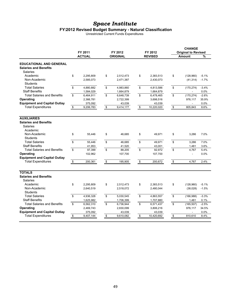#### **FY2012 Revised Budget Summary - Natural Classification**

Unrestricted Current Funds Expenditures

|                                                                            | FY 2011<br><b>ACTUAL</b> | FY 2012   | FY 2012         | <b>CHANGE</b><br><b>Original to Revised</b> |                  |         |
|----------------------------------------------------------------------------|--------------------------|-----------|-----------------|---------------------------------------------|------------------|---------|
|                                                                            |                          |           | <b>ORIGINAL</b> | <b>REVISED</b>                              | <b>Amount</b>    | %       |
| <b>EDUCATIONAL AND GENERAL</b><br><b>Salaries and Benefits</b><br>Salaries |                          |           |                 |                                             |                  |         |
| Academic                                                                   | \$                       | 2,295,809 | \$<br>2,512,473 | \$<br>2,383,513                             | \$<br>(128,960)  | $-5.1%$ |
| Non-Academic<br><b>Students</b>                                            |                          | 2,585,073 | 2,471,387       | 2,430,073                                   | (41, 314)        | $-1.7%$ |
| <b>Total Salaries</b>                                                      | \$                       | 4,880,882 | \$<br>4,983,860 | \$<br>4,813,586                             | \$<br>(170, 274) | $-3.4%$ |
| <b>Staff Benefits</b>                                                      |                          | 1,584,029 | 1,664,879       | 1,664,879                                   |                  | 0.0%    |
| <b>Total Salaries and Benefits</b>                                         | \$                       | 6,464,911 | \$<br>6,648,739 | \$<br>6,478,465                             | \$<br>(170, 274) | $-2.6%$ |
| Operating                                                                  |                          | 2,366,781 | 2,722,399       | 3,698,516                                   | 976,117          | 35.9%   |
| <b>Equipment and Capital Outlay</b>                                        |                          | 375,092   | 43,039          | 43,039                                      |                  | 0.0%    |
| <b>Total Expenditures</b>                                                  | \$                       | 9,206,783 | \$<br>9,414,177 | \$<br>10,220,020                            | \$<br>805,843    | 8.6%    |
|                                                                            |                          |           |                 |                                             |                  |         |
| <b>AUXILIARIES</b>                                                         |                          |           |                 |                                             |                  |         |
| <b>Salaries and Benefits</b><br>Salaries<br>Academic                       |                          |           |                 |                                             |                  |         |
| Non-Academic                                                               | \$                       | 55,446    | \$<br>46,685    | \$<br>49,971                                | \$<br>3,286      | 7.0%    |
| Students                                                                   |                          |           |                 |                                             |                  |         |
| <b>Total Salaries</b>                                                      | \$                       | 55,446    | \$<br>46,685    | \$<br>49,971                                | \$<br>3,286      | 7.0%    |
| <b>Staff Benefits</b>                                                      |                          | 41,953    | 41,520          | 43,001                                      | 1,481            | 3.6%    |
| <b>Total Salaries and Benefits</b>                                         | \$                       | 97,399    | \$<br>88,205    | \$<br>92,972                                | \$<br>4.767      | 5.4%    |
| Operating                                                                  |                          | 102,962   | 107,700         | 107,700                                     | ÷,               | 0.0%    |
| <b>Equipment and Capital Outlay</b>                                        |                          |           |                 |                                             |                  |         |
| <b>Total Expenditures</b>                                                  | $\boldsymbol{\$}$        | 200,361   | \$<br>195,905   | \$<br>200,672                               | \$<br>4,767      | 2.4%    |
|                                                                            |                          |           |                 |                                             |                  |         |
| <b>TOTALS</b>                                                              |                          |           |                 |                                             |                  |         |
| <b>Salaries and Benefits</b><br><b>Salaries</b>                            |                          |           |                 |                                             |                  |         |
| Academic                                                                   | \$                       | 2,295,809 | \$<br>2.512.473 | \$<br>2.383.513                             | \$<br>(128, 960) | $-5.1%$ |
| Non-Academic                                                               |                          | 2,640,519 | 2,518,072       | 2,480,044                                   | (38,028)         | $-1.5%$ |
| <b>Students</b>                                                            |                          |           |                 |                                             |                  |         |
| <b>Total Salaries</b>                                                      | \$                       | 4,936,328 | \$<br>5,030,545 | \$<br>4,863,557                             | \$<br>(166, 988) | $-3.3%$ |
| <b>Staff Benefits</b>                                                      |                          | 1,625,982 | 1,706,399       | 1,707,880                                   | 1,481            | 0.1%    |
| <b>Total Salaries and Benefits</b>                                         | \$                       | 6,562,310 | \$<br>6,736,944 | \$<br>6,571,437                             | \$<br>(165, 507) | $-2.5%$ |
| Operating                                                                  |                          | 2,469,743 | 2,830,099       | 3,806,216                                   | 976,117          | 34.5%   |
| <b>Equipment and Capital Outlay</b>                                        |                          | 375,092   | 43,039          | 43,039                                      |                  | 0.0%    |
| <b>Total Expenditures</b>                                                  | \$                       | 9,407,144 | \$<br>9,610,082 | \$<br>10,420,692                            | \$<br>810.610    | 8.4%    |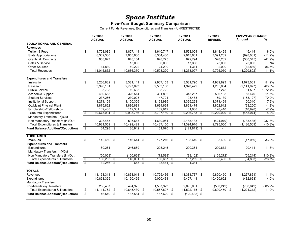#### **Five-Year Budget Summary Comparison**

Current Funds Revenues, Expenditures and Transfers - UNRESTRICTED

|                                           |                         | FY 2008       |      | FY 2009        |                 | FY 2010       |                         | FY 2011         | FY 2012          | <b>FIVE-YEAR CHANGE</b> |           |
|-------------------------------------------|-------------------------|---------------|------|----------------|-----------------|---------------|-------------------------|-----------------|------------------|-------------------------|-----------|
|                                           |                         | <b>ACTUAL</b> |      | <b>ACTUAL</b>  |                 | <b>ACTUAL</b> |                         | <b>ACTUAL</b>   | <b>REVISED</b>   | Amount                  | ℅         |
| <b>EDUCATIONAL AND GENERAL</b>            |                         |               |      |                |                 |               |                         |                 |                  |                         |           |
| <b>Revenues</b>                           |                         |               |      |                |                 |               |                         |                 |                  |                         |           |
| Tuition & Fees                            | \$                      | 1.703.085 \$  |      | 1.827.144 \$   |                 | 1.610.747 \$  |                         | 1,568,004 \$    | 1.848.499 \$     | 145,414                 | 8.5%      |
| <b>State Appropriations</b>               |                         | 8,389,300     |      | 7,955,900      |                 | 8,304,400     |                         | 9,013,601       | 7,391,269        | (998, 031)              | $-11.9%$  |
| Grants & Contracts                        |                         | 908.627       |      | 848.104        |                 | 628.775       |                         | 672,794         | 528,282          | (380, 345)              | $-41.9%$  |
| Sales & Service                           |                         |               |      | 15,000         |                 | 30,000        |                         | 17,386          | 25,000           | 25,000                  | <b>NA</b> |
| <b>Other Sources</b>                      |                         | 14.839        |      | 40,222         |                 | 24,299        |                         | 1,311           | 2,000            | (12, 839)               | $-86.5%$  |
| <b>Total Revenues</b>                     | \$                      | 11.015.852    | \$   | 10,686,370     | \$              | 10,598,220    | \$                      | 11,273,097      | \$<br>9,795,050  | \$<br>(1,220,802)       | $-11.1%$  |
| <b>Expenditures and Transfers</b>         |                         |               |      |                |                 |               |                         |                 |                  |                         |           |
| Instruction                               | \$                      | 3,266,832 \$  |      | $3,381,141$ \$ |                 | 2,907,153 \$  |                         | 3,531,790 \$    | 4,939,893 \$     | 1,673,061               | 51.2%     |
| Research                                  |                         | 3,396,161     |      | 2,797,093      |                 | 2,503,180     |                         | 1,970,479       | 1,255,084        | (2, 141, 077)           | $-63.0%$  |
| <b>Public Service</b>                     |                         | 5,738         |      | 19.693         |                 | 8,722         |                         |                 | 67,275           | 61,537                  | 1072.4%   |
| Academic Support                          |                         | 480,668       |      | 326,514        |                 | 301,892       |                         | 343,267         | 536,138          | 55,470                  | 11.5%     |
| <b>Student Services</b>                   |                         | 237,266       |      | 230,028        |                 | 147,721       |                         | 93,483          | 69,139           | (168, 127)              | $-70.9%$  |
| <b>Institutional Support</b>              |                         | 1,271,159     |      | 1,150,305      |                 | 1,123,985     |                         | 1,365,223       | 1,371,469        | 100,310                 | 7.9%      |
| Op/Maint Physical Plant                   |                         | 1,875,862     |      | 1,886,681      |                 | 1,694,624     |                         | 1,821,474       | 1,852,612        | (23, 250)               | $-1.2%$   |
| Scholarships/Fellowships                  |                         | 139,408       |      | 112,331        |                 | 109,912       |                         | 81,068          | 128,410          | (10, 998)               | $-7.9%$   |
| Sub-total Expenditures                    | \$                      | 10,673,094    | \$   | 9,903,786      | \$              | 8,797,189     | \$                      | 9,206,783       | \$<br>10,220,020 | \$<br>(453, 074)        | $-4.2%$   |
| Mandatory Transfers (In)/Out              |                         |               |      |                |                 |               |                         |                 |                  |                         |           |
| Non Mandatory Transfers (In)/Out          |                         | 308,465       |      | 595,643        |                 | 1,639,961     |                         | 2,188,133       | (424, 970)       | (733, 435)              | $-237.8%$ |
| <b>Total Expenditures &amp; Transfers</b> | \$                      | 10,981,559    | - \$ | 10,499,429     | \$              | 10,437,150    | \$                      | 11,394,916 \$   | 9,795,050        | \$<br>(1, 186, 509)     | $-10.8%$  |
| <b>Fund Balance Addition/(Reduction)</b>  | $\overline{\mathbb{S}}$ | 34,293        | - \$ | 186,942        | -\$             | 161,070       | $\overline{\mathbf{s}}$ | $(121, 819)$ \$ |                  |                         |           |
|                                           |                         |               |      |                |                 |               |                         |                 |                  |                         |           |
| <b>AUXILIARIES</b>                        |                         |               |      |                |                 |               |                         |                 |                  |                         |           |
| <b>Revenues</b>                           | \$                      | 142,459 \$    |      | 146,644        | \$              | 127,216 \$    |                         | 108,640 \$      | 95,400 \$        | (47, 059)               | $-33.0%$  |
| <b>Expenditures and Transfers</b>         |                         |               |      |                |                 |               |                         |                 |                  |                         |           |
| Expenditures                              |                         | 180,261       |      | 246.669        |                 | 203,245       |                         | 200,361         | 200.672          | 20,411                  | 11.3%     |
| Mandatory Transfers (In)/Out              |                         |               |      |                |                 |               |                         |                 |                  |                         |           |
| Non Mandatory Transfers (In)/Out          |                         | (50,058)      |      | (100, 668)     |                 | (72, 588)     |                         | (93, 102)       | (105, 272)       | (55, 214)               | 110.3%    |
| <b>Total Expenditures &amp; Transfers</b> | $\overline{\$}$         | 130,203       | - \$ | 146.001        | \$              | 130.657       | \$                      | $107,259$ \$    | 95,400           | \$<br>(34, 803)         | $-26.7%$  |
| <b>Fund Balance Addition/(Reduction)</b>  | $\overline{\mathbb{S}}$ | 12,256        | -\$  | 643            | $\overline{\$}$ | $(3,441)$ \$  |                         | 1,381           |                  |                         |           |
| <b>TOTALS</b>                             |                         |               |      |                |                 |               |                         |                 |                  |                         |           |
| Revenues                                  | \$                      | 11,158,311 \$ |      | 10,833,014 \$  |                 | 10,725,436 \$ |                         | 11,381,737 \$   | 9,890,450 \$     | (1,267,861)             | $-11.4%$  |
| Expenditures                              |                         | 10,853,355    |      | 10,150,455     |                 | 9,000,434     |                         | 9,407,144       | 10,420,692       | (432, 663)              | $-4.0%$   |
| <b>Mandatory Transfers</b>                |                         |               |      |                |                 |               |                         |                 |                  |                         |           |
| Non-Mandatory Transfers                   |                         | 258.407       |      | 494,975        |                 | 1,567,373     |                         | 2.095.031       | (530, 242)       | (788, 649)              | $-305.2%$ |
| <b>Total Expenditures &amp; Transfers</b> | $\overline{\$}$         | 11,111,762    | -\$  | 10,645,430     | க               | 10,567,807    | \$                      | 11,502,175 \$   | 9,890,450        | \$<br>(1,221,312)       | $-11.0%$  |
| <b>Fund Balance Addition/(Reduction)</b>  | \$                      | 46.549 \$     |      | 187,584        | \$              | 157,629       | s,                      | $(120, 438)$ \$ |                  |                         |           |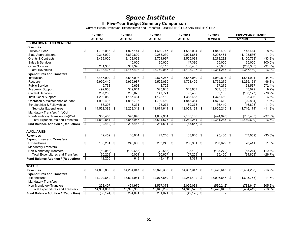#### **Five-Year Budget Summary Comparison**

Current Funds Revenues, Expenditures and Transfers - UNRESTRICTED AND RESTRICTED

|                                            |                          | FY 2008            | FY 2009       |     | FY 2010       | FY 2011             |                         | FY 2012        |      | <b>FIVE-YEAR CHANGE</b> |           |
|--------------------------------------------|--------------------------|--------------------|---------------|-----|---------------|---------------------|-------------------------|----------------|------|-------------------------|-----------|
|                                            |                          | <b>ACTUAL</b>      | <b>ACTUAL</b> |     | <b>ACTUAL</b> | <b>ACTUAL</b>       |                         | <b>REVISED</b> |      | <b>Amount</b>           | %         |
| <b>EDUCATIONAL AND GENERAL</b>             |                          |                    |               |     |               |                     |                         |                |      |                         |           |
| <b>Revenues</b>                            |                          |                    |               |     |               |                     |                         |                |      |                         |           |
| <b>Tuition &amp; Fees</b>                  | \$                       | 1,703,085 \$       | 1,827,144 \$  |     | 1,610,747 \$  | 1,568,004 \$        |                         | 1,848,499 \$   |      | 145.414                 | 8.5%      |
| <b>State Appropriations</b>                |                          | 9,315,000          | 8,839,800     |     | 9,268,230     | 9,921,851           |                         | 8,206,464      |      | (1, 108, 536)           | $-11.9%$  |
| <b>Grants &amp; Contracts</b>              |                          | 3,439,005          | 3,158,063     |     | 2,751,997     | 2,555,031           |                         | 2,278,282      |      | (1, 160, 723)           | $-33.8%$  |
| Sales & Services                           |                          |                    | 15,000        |     | 30,000        | 17,386              |                         | 25,000         |      | 25,000                  | 100.0%    |
| <b>Other Sources</b>                       |                          | 281,335            | 307,396       |     | 88,113        | 136,435             |                         | 23,000         |      | (258, 335)              | $-91.8%$  |
| <b>Total Revenues</b>                      | $\overline{\mathcal{E}}$ | 14,738,425<br>- \$ | 14, 147, 403  | \$  | 13,749,087    | \$<br>14, 198, 707  | $\overline{\mathbf{s}}$ | 12,381,245     | - \$ | (2, 357, 180)           | $-16.0%$  |
| <b>Expenditures and Transfers</b>          |                          |                    |               |     |               |                     |                         |                |      |                         |           |
| Instruction                                | \$                       | 3,447,992 \$       | 3,537,093     | \$  | 2,877,267 \$  | 3,587,050 \$        |                         | 4,989,893 \$   |      | 1,541,901               | 44.7%     |
| Research                                   |                          | 6,990,440          | 5,959,987     |     | 5,522,069     | 4,723,409           |                         | 3,755,279      |      | (3,235,161)             | $-46.3%$  |
| <b>Public Service</b>                      |                          | 5,738              | 19,693        |     | 8,722         |                     |                         | 67,275         |      | 61,537                  | 1072.4%   |
| Academic Support                           |                          | 492,066            | 349.014       |     | 325,943       | 343.967             |                         | 537.138        |      | 45,072                  | 9.2%      |
| <b>Student Services</b>                    |                          | 237,266            | 230,028       |     | 147,721       | 93,483              |                         | 69.139         |      | (168, 127)              | $-70.9%$  |
| <b>Institutional Support</b>               |                          | 1,293,083          | 1,157,461     |     | 1,128,160     | 1,368,485           |                         | 1,378,469      |      | 85,386                  | 6.6%      |
| Operation & Maintenance of Plant           |                          | 1,902,496          | 1,886,705     |     | 1,739,459     | 1,848,364           |                         | 1,872,612      |      | (29, 884)               | $-1.6%$   |
| Scholarships & Fellowships                 |                          | 153,308            | 118.331       |     | 125,274       | 89,373              |                         | 136,410        |      | (16, 898)               | $-11.0%$  |
| Sub-total Expenditures                     | \$                       | $14,522,389$ \$    | 13,258,312 \$ |     | 11,874,614 \$ | 12,054,131          | \$                      | 12,806,215 \$  |      | (1,716,174)             | $-11.8%$  |
| Mandatory Transfers (In)/Out               |                          |                    |               |     |               |                     |                         |                |      |                         |           |
| Non-Mandatory Transfers (In)/Out           |                          | 308,465            | 595,643       |     | 1,639,961     | 2,188,133           |                         | (424, 970)     |      | (733, 435)              | $-237.8%$ |
| <b>Total Expenditures and Transfers</b>    | $\overline{\mathcal{E}}$ | 14.830.854 \$      | 13.853.955    | \$  | 13,514,575    | \$<br>14.242.264    | -\$                     | 12,381,245     | \$   | (2,449,609)             | $-16.5%$  |
| Fund Balance Addition / (Reduction)        | $\overline{\mathsf{s}}$  | $(92, 430)$ \$     | 293,448       | -\$ | $234,511$ \$  | $(43, 557)$ \$      |                         |                |      |                         |           |
|                                            |                          |                    |               |     |               |                     |                         |                |      |                         |           |
| <b>AUXILIARIES</b>                         |                          |                    |               |     |               |                     |                         |                |      |                         |           |
| <b>Revenues</b>                            | \$                       | 142,459 \$         | 146.644       | -\$ | 127,216 \$    | 108,640 \$          |                         | 95.400 \$      |      | (47,059)                | $-33.0%$  |
| <b>Expenditures and Transfers</b>          |                          |                    |               |     |               |                     |                         |                |      |                         |           |
| Expenditures                               | \$                       | 180,261 \$         | 246,669       | \$  | 203,245 \$    | 200,361 \$          |                         | 200,672 \$     |      | 20,411                  | 11.3%     |
| <b>Mandatory Transfers</b>                 |                          |                    |               |     |               |                     |                         |                |      |                         |           |
| Non-Mandatory Transfers                    |                          | (50,058)           | (100, 668)    |     | (72, 588)     | (93, 102)           |                         | (105.272)      |      | (55, 214)               | 110.3%    |
| <b>Total Expenditures and Transfers</b>    | \$                       | 130,203<br>-\$     | 146.001       | \$  | 130.657       | \$<br>107,259       | \$                      | 95,400         | -\$  | (34.803)                | $-26.7%$  |
| Fund Balance Addition / (Reduction)        | $\overline{\mathbb{S}}$  | $12,256$ \$        | 643           | -\$ | $(3,441)$ \$  | $1,381$ \$          |                         | $\overline{a}$ |      |                         |           |
|                                            |                          |                    |               |     |               |                     |                         |                |      |                         |           |
| <b>TOTALS</b>                              |                          |                    |               |     |               |                     |                         |                |      |                         |           |
| <b>Revenues</b>                            | \$                       | 14,880,883 \$      | 14,294,047 \$ |     | 13,876,303 \$ | 14,307,347 \$       |                         | 12,476,645 \$  |      | (2,404,238)             | $-16.2%$  |
| <b>Expenditures and Transfers</b>          |                          |                    |               |     |               |                     |                         |                |      |                         |           |
| Expenditures                               | \$                       | 14,702,650 \$      | 13,504,981    | \$  | 12,077,859 \$ | 12,254,492 \$       |                         | 13,006,887 \$  |      | (1,695,763)             | $-11.5%$  |
| <b>Mandatory Transfers</b>                 |                          |                    |               |     |               |                     |                         |                |      |                         |           |
| Non-Mandatory Transfers                    |                          | 258,407            | 494,975       |     | 1,567,373     | 2,095,031           |                         | (530, 242)     |      | (788, 649)              | $-305.2%$ |
| <b>Total Expenditures and Transfers</b>    | $\overline{\mathcal{E}}$ | 14,961,057<br>- \$ | 13,999,956    | \$  | 13,645,232    | \$<br>14,349,523 \$ |                         | 12,476,645     | -\$  | (2,484,412)             | $-16.6%$  |
| <b>Fund Balance Addition / (Reduction)</b> | s,                       | $(80, 174)$ \$     | 294,091       | \$  | $231,071$ \$  | $(42, 176)$ \$      |                         |                |      |                         |           |
|                                            |                          |                    |               |     |               |                     |                         |                |      |                         |           |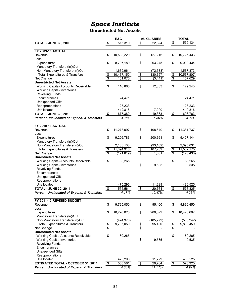#### **Unrestricted Net Assets**

|                                                       |                 | E&G                    |                 | <b>AUXILIARIES</b> |                                    | <b>TOTAL</b> |
|-------------------------------------------------------|-----------------|------------------------|-----------------|--------------------|------------------------------------|--------------|
| <b>TOTAL - JUNE 30, 2009</b>                          | $\frac{1}{2}$   | 516,310                | \$              | 22,824             | \$                                 | 539,134      |
|                                                       |                 |                        |                 |                    |                                    |              |
| <b>FY 2009-10 ACTUAL</b>                              |                 |                        |                 |                    |                                    |              |
| Revenue                                               | \$              | 10,598,220             | \$              | 127,216            | \$                                 | 10,725,436   |
| Less:                                                 |                 |                        |                 |                    |                                    |              |
| Expenditures                                          | \$              | 8,797,189              | \$              | 203,245            | \$                                 | 9,000,434    |
| Mandatory Transfers (In)/Out                          |                 |                        |                 |                    |                                    |              |
| Non-Mandatory Transfers(In)/Out                       |                 | 1,639,961              |                 | (72, 588)          |                                    | 1,567,373    |
| <b>Total Expenditures &amp; Transfers</b>             |                 | 10,437,150             |                 | 130,657            | $\frac{1}{2}$                      | 10,567,807   |
| Net Change                                            | $\frac{6}{9}$   | 161,070                | $\frac{6}{9}$   | (3, 441)           | $\overline{\boldsymbol{\epsilon}}$ | 157,629      |
| <b>Unrestricted Net Assets</b>                        |                 |                        |                 |                    |                                    |              |
| Working Capital-Accounts Receivable                   | \$              | 116,860                | \$              | 12,383             | \$                                 | 129,243      |
| <b>Working Capital-Inventories</b>                    |                 |                        |                 |                    |                                    |              |
| <b>Revolving Funds</b>                                |                 |                        |                 |                    |                                    |              |
| Encumbrances                                          |                 | 24,471                 |                 |                    |                                    | 24,471       |
| <b>Unexpended Gifts</b>                               |                 |                        |                 |                    |                                    |              |
| Reappropriations                                      |                 | 123,233                |                 |                    |                                    | 123,233      |
| Unallocated                                           |                 | 412,816                |                 | 7,000              |                                    | 419,816      |
| <b>TOTAL - JUNE 30, 2010</b>                          | \$              | 677,380                | $\frac{1}{2}$   | 19,383             | $\frac{1}{2}$                      | 696,763      |
| <b>Percent Unallocated of Expend. &amp; Transfers</b> |                 | 3.96%                  |                 | 5.36%              |                                    | 3.97%        |
|                                                       |                 |                        |                 |                    |                                    |              |
| <b>FY 2010-11 ACTUAL</b>                              |                 |                        |                 |                    |                                    |              |
| Revenue                                               | \$              | 11,273,097             | \$              | 108,640            | \$                                 | 11,381,737   |
| Less:                                                 |                 |                        |                 |                    |                                    |              |
| Expenditures                                          | \$              | 9,206,783              | \$              | 200,361            | \$                                 | 9,407,144    |
| Mandatory Transfers (In)/Out                          |                 |                        |                 |                    |                                    |              |
| Non-Mandatory Transfers(In)/Out                       |                 | 2,188,133              |                 | (93, 102)          |                                    | 2,095,031    |
| <b>Total Expenditures &amp; Transfers</b>             | \$              | 11,394,916             | $\frac{1}{2}$   | 107,259            | \$                                 | 11,502,175   |
| Net Change                                            | $\overline{\$}$ | (121, 819)             | $\overline{\$}$ | 1,381              | $\sqrt{3}$                         | (120, 438)   |
| <b>Unrestricted Net Assets</b>                        |                 |                        |                 |                    |                                    |              |
| Working Capital-Accounts Receivable                   | \$              | 80,265                 |                 |                    | \$                                 | 80,265       |
| <b>Working Capital-Inventories</b>                    |                 |                        | \$              | 9,535              |                                    | 9,535        |
| <b>Revolving Funds</b>                                |                 |                        |                 |                    |                                    |              |
| Encumbrances                                          |                 |                        |                 |                    |                                    |              |
| <b>Unexpended Gifts</b>                               |                 |                        |                 |                    |                                    |              |
| Reappropriations                                      |                 |                        |                 |                    |                                    |              |
| Unallocated                                           |                 | 475,296                |                 | 11,229             |                                    | 486,525      |
| <b>TOTAL - JUNE 30, 2011</b>                          | $\frac{1}{2}$   | 555,561                | $\frac{1}{2}$   | 20,764             | $\frac{1}{2}$                      | 576,325      |
| <b>Percent Unallocated of Expend. &amp; Transfers</b> |                 | 4.17%                  |                 | 10.47%             |                                    | 4.23%        |
|                                                       |                 |                        |                 |                    |                                    |              |
| FY 2011-12 REVISED BUDGET                             |                 |                        |                 |                    |                                    |              |
| Revenue                                               | \$              | 9,795,050              | \$              | 95,400             | \$                                 | 9,890,450    |
| Less:                                                 |                 |                        |                 |                    |                                    |              |
| Expenditures                                          | \$              | 10,220,020             | \$              | 200,672            | \$                                 | 10,420,692   |
| Mandatory Transfers (In)/Out                          |                 |                        |                 |                    |                                    |              |
| Non-Mandatory Transfers(In)/Out                       |                 | (424, 970)             |                 | (105, 272)         |                                    | (530, 242)   |
| <b>Total Expenditures &amp; Transfers</b>             | \$              | $\overline{9,795,050}$ | \$              | 95,400             | \$                                 | 9,890,450    |
| Net Change                                            | \$              |                        | \$              |                    | \$                                 |              |
| <b>Unrestricted Net Assets</b>                        |                 |                        |                 |                    |                                    |              |
| Working Capital-Accounts Receivable                   | \$              | 80,265                 |                 |                    | \$                                 | 80,265       |
|                                                       |                 |                        | \$              | 9,535              |                                    |              |
| <b>Working Capital-Inventories</b>                    |                 |                        |                 |                    |                                    | 9,535        |
| <b>Revolving Funds</b>                                |                 |                        |                 |                    |                                    |              |
| Encumbrances                                          |                 |                        |                 |                    |                                    |              |
| <b>Unexpended Gifts</b>                               |                 |                        |                 |                    |                                    |              |
| Reappropriations                                      |                 |                        |                 |                    |                                    |              |
| Unallocated                                           |                 | 475,296                |                 | 11,229             |                                    | 486,525      |
| <b>ESTIMATED TOTAL - OCTOBER 31, 2011</b>             | $\frac{1}{2}$   | 555,561                | $\frac{1}{2}$   | 20,764             | $\sqrt[6]{\frac{1}{2}}$            | 576,325      |
| <b>Percent Unallocated of Expend. &amp; Transfers</b> |                 | 4.85%                  |                 | 11.77%             |                                    | 4.92%        |
|                                                       |                 |                        |                 |                    |                                    |              |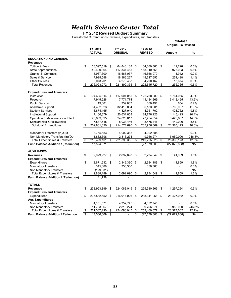#### **FY 2012 Revised Budget Summary**

Unrestricted Current Funds Revenue, Expenditures, and Transfers

|                                            |                                  |                          |    |                            |     |                           | <b>CHANGE</b><br><b>Original To Revised</b> |           |
|--------------------------------------------|----------------------------------|--------------------------|----|----------------------------|-----|---------------------------|---------------------------------------------|-----------|
|                                            |                                  | FY 2011<br><b>ACTUAL</b> |    | FY 2012<br><b>ORIGINAL</b> |     | FY 2012<br><b>REVISED</b> | Amount                                      | %         |
| <b>EDUCATION AND GENERAL</b>               |                                  |                          |    |                            |     |                           |                                             |           |
| <b>Revenues</b>                            |                                  |                          |    |                            |     |                           |                                             |           |
| <b>Tuition &amp; Fees</b>                  | \$                               | 58,597,519               | \$ | 64,848,138 \$              |     | 64,860,366 \$             | 12.228                                      | 0.0%      |
| <b>State Appropriations</b>                |                                  | 140,490,364              |    | 117,334,465                |     | 118,310,558               | 976,093                                     | 0.8%      |
| Grants & Contracts                         |                                  | 15,937,300               |    | 16,565,037                 |     | 16,566,979                | 1,942                                       | 0.0%      |
| Sales & Service                            |                                  | 17,925,588               |    | 18,366,227                 |     | 18,617,655                | 251,428                                     | 1.4%      |
| <b>Other Sources</b>                       |                                  | 3.073.201                |    | 4,276,488                  |     | 4.290.162                 | 13.674                                      | 0.3%      |
| <b>Total Revenues</b>                      | \$                               | 236,023,972              | \$ | 221,390,355                | \$  | 222,645,720               | \$<br>1,255,365                             | 0.6%      |
| <b>Expenditures and Transfers</b>          |                                  |                          |    |                            |     |                           |                                             |           |
| Instruction                                | \$                               | 104,695,814              | \$ | 117,004,015 \$             |     | 122,768,080 \$            | 5,764,065                                   | 4.9%      |
| Research                                   |                                  | 7,945,528                |    | 7,771,774                  |     | 11,184,269                | 3,412,495                                   | 43.9%     |
| <b>Public Service</b>                      |                                  | 19,801                   |    | 359,837                    |     | 360,491                   | 654                                         | 0.2%      |
| Academic Support                           |                                  | 34,402,323               |    | 32,416,864                 |     | 36,183,801                | 3,766,937                                   | 11.6%     |
| <b>Student Services</b>                    |                                  | 3,874,165                |    | 4,327,940                  |     | 4,751,702                 | 423.762                                     | 9.8%      |
| <b>Institutional Support</b>               |                                  | 17,166,379               |    | 20,631,803                 |     | 24,778,226                | 4,146,423                                   | 20.1%     |
| Operation & Maintenance of Plant           |                                  | 26,869,395               |    | 24,026,017                 |     | 27,454,854                | 3,428,837                                   | 14.3%     |
| Scholarships & Fellowships                 |                                  | 7,887,615                |    | 8,033,446                  |     | 8,475,446                 | 442,000                                     | 5.5%      |
| <b>Sub-total Expenditures</b>              | \$                               | 202,861,020              | \$ | 214,571,696                | \$  | 235,956,869               | \$<br>21,385,173                            | 10.0%     |
| Mandatory Transfers (In)/Out               |                                  | 3,755,683                |    | 4,002,385                  |     | 4,002,385                 |                                             | 0.0%      |
| Non-Mandatory Transfers (In)/Out           |                                  | 11,882,398               |    | 2,816,274                  |     | 9.766.274                 | 6.950.000                                   | 246.8%    |
| <b>Total Expenditures &amp; Transfers</b>  | \$                               | 218,499,101              | \$ | 221,390,355                | \$  | 249,725,528               | \$<br>28,335,173                            | 12.8%     |
| Fund Balance Addition / (Reduction)        |                                  | 17,524,871               |    |                            |     | (27,079,808)              | (27,079,808)                                | <b>NA</b> |
| <b>AUXILIARIES</b>                         |                                  |                          |    |                            |     |                           |                                             |           |
| <b>Revenues</b>                            | \$                               | 2,929,927                | \$ | 2,692,690                  | \$  | 2,734,549                 | \$<br>41.859                                | 1.6%      |
| <b>Expenditures and Transfers</b>          |                                  |                          |    |                            |     |                           |                                             |           |
| Expenditures                               | \$                               | 2,671,632                | \$ | 2,342,330                  | \$  | 2,384,189                 | \$<br>41,859                                | 1.8%      |
| <b>Mandatory Transfers</b>                 |                                  | 345,888                  |    | 350,360                    |     | 350,360                   |                                             | 0.0%      |
| Non Mandatory Transfers                    |                                  | (129, 331)               |    |                            |     |                           |                                             | <b>NA</b> |
| <b>Total Expenditures &amp; Transfers</b>  | $\overline{\boldsymbol{\theta}}$ | 2,888,189                | \$ | 2,692,690                  | \$  | 2,734,549                 | \$<br>41,859                                | 1.6%      |
| <b>Fund Balance Addition / (Reduction)</b> |                                  | 41,738                   |    |                            |     |                           |                                             |           |
| <b>TOTALS</b>                              |                                  |                          |    |                            |     |                           |                                             |           |
| <b>Revenues</b>                            | \$                               | 238,953,899              | \$ | 224,083,045                | \$  | 225,380,269               | \$<br>1,297,224                             | 0.6%      |
| <b>Expenditures and Transfers</b>          |                                  |                          |    |                            |     |                           |                                             |           |
| Expenditures                               | \$                               | 205,532,652              | \$ | 216,914,026                | -\$ | 238,341,058               | \$<br>21,427,032                            | 9.9%      |
| <b>Aux Expenditures</b>                    |                                  |                          |    |                            |     |                           |                                             |           |
| <b>Mandatory Transfers</b>                 |                                  | 4,101,571                |    | 4,352,745                  |     | 4,352,745                 |                                             | 0.0%      |
| Non Mandatory Transfers                    |                                  | 11,753,067               |    | 2,816,274                  |     | 9,766,274                 | 6,950,000                                   | 246.8%    |
| <b>Total Expenditures &amp; Transfers</b>  | \$                               | 221,387,290              | \$ | 224,083,045                | \$  | 252,460,077               | \$<br>28,377,032                            | 12.7%     |
| <b>Fund Balance Addition / Reduction</b>   | s.                               | 17,566,609               | S  |                            | s   | $(27,079,808)$ \$         | (27,079,808)                                | <b>NA</b> |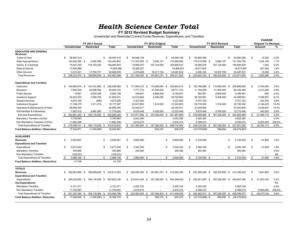**FY 2012 Revised Budget Summary**

Unrestricted and Restricted Current Funds Revenue, Expenditures, and Transfers

|                                           |                       |                           |             |                      |                        |                            |                         |                                  | <b>CHANGE</b> |    |                            |           |
|-------------------------------------------|-----------------------|---------------------------|-------------|----------------------|------------------------|----------------------------|-------------------------|----------------------------------|---------------|----|----------------------------|-----------|
|                                           |                       | FY 2011 Actual            |             |                      | FY 2012 Original       |                            |                         | FY 2012 Revised                  |               |    | <b>Original To Revised</b> |           |
|                                           | <b>Unrestricted</b>   | <b>Restricted</b>         | Total       | Unrestricted         | <b>Restricted</b>      | Total                      | <b>Unrestricted</b>     | <b>Restricted</b>                | Total         |    | Amount                     | %         |
| <b>EDUCATION AND GENERAL</b><br>Revenues  |                       |                           |             |                      |                        |                            |                         |                                  |               |    |                            |           |
| Tuition & Fees                            | 58,597,519<br>\$      |                           | 58,597,519  | 64,848,138<br>\$     |                        | 64,848,138<br>\$           | 64,860,366<br>\$        | \$.                              | 64,860,366    | \$ | 12,228                     | 0.0%      |
| <b>State Appropriations</b>               | 140,490,364 \$        | 2,950,496                 | 143,440,860 | 117,334,465 \$       | 2,646,141              | 119,980,606                | 118,310,558 \$          | 2,994,197                        | 121,304,755   |    | 1,324,149                  | 1.1%      |
| Grants & Contracts                        | 15,937,300            | 176, 153, 353             | 192,090,653 | 16,565,037           | 167,124,000            | 183,689,037                | 16,566,979              | 167,124,000                      | 183,690,979   |    | 1,942                      | 0.0%      |
| Sales & Service                           | 17,925,588            |                           | 17,925,588  | 18,366,227           |                        | 18,366,227                 | 18,617,655              |                                  | 18,617,655    |    | 251,428                    | 1.4%      |
| <b>Other Sources</b>                      | 3,073,201             | 17,755,777                | 20,828,978  | 4,276,488            | 18,211,134             | 22,487,622                 | 4,290,162               | 18,207,759                       | 22,497,921    |    | 10,299                     | 0.0%      |
| <b>Total Revenues</b>                     | 236,023,972 \$<br>\$  | 196,859,626 \$            | 432,883,598 | 221,390,355<br>\$    | 187,981,275 \$<br>- \$ | 409,371,630                | 222,645,720<br>\$.      | 188,325,956<br>- \$<br>- \$      | 410,971,676   |    | 1,600,046                  | 0.4%      |
| <b>Expenditures and Transfers</b>         |                       |                           |             |                      |                        |                            |                         |                                  |               |    |                            |           |
| Instruction                               | 104,695,814 \$<br>\$  | 124, 143, 085 \$          | 228,838,899 | \$<br>117,004,015 \$ | 115,900,000 \$         | 232,904,015                | \$ 122,768,080 \$       | 115,900,000 \$                   | 238,668,080   | \$ | 5,764,065                  | 2.5%      |
| Research                                  | 7.945.528             | 52.696.592                | 60,642,120  | 7.771.774            | 51,000,000             | 58,771,774                 | 11,184,269              | 51.000.000                       | 62.184.269    |    | 3,412,495                  | 5.8%      |
| <b>Public Service</b>                     | 19,801                | 8,829,398                 | 8,849,199   | 359,837              | 8,806,000              | 9,165,837                  | 360,491                 | 8,806,000                        | 9,166,491     |    | 654                        | 0.0%      |
| Academic Support                          | 34,402,323            | 7,549,708                 | 41,952,031  | 32,416,864           | 6,306,000              | 38,722,864                 | 36,183,801              | 6,306,000                        | 42,489,801    |    | 3,766,937                  | 9.7%      |
| <b>Student Services</b>                   | 3,874,165             | (880)                     | 3,873,285   | 4,327,940            |                        | 4,327,940                  | 4,751,702               |                                  | 4,751,702     |    | 423,762                    | 9.8%      |
| <b>Institutional Support</b>              | 17,166,379            | 1,011,218                 | 18,177,597  | 20,631,803           | 1,014,000              | 21,645,803                 | 24,778,226              | 1,014,000                        | 25,792,226    |    | 4,146,423                  | 19.2%     |
| Operation & Maintenance of Plant          | 26,869,395            |                           | 26,869,395  | 24,026,017           |                        | 24,026,017                 | 27,454,854              |                                  | 27,454,854    |    | 3,428,837                  | 14.3%     |
| Scholarships & Fellowships                | 7.887.615             | 3.890.385                 | 11,778,000  | 8.033.446            | 4.300.000              | 12,333,446                 | 8,475,446               | 4,300,000                        | 12,775,446    |    | 442,000                    | 3.6%      |
| Sub-total Expenditures                    | 202,861,020 \$<br>\$  | 198,119,506 \$            | 400,980,526 | $$214,571,696$ \$    | 187,326,000 \$         | 401,897,696                | \$<br>235,956,869 \$    | 187,326,000 \$                   | 423,282,869   | \$ | 21,385,173                 | 5.3%      |
| Mandatory Transfers (In)/Out              | 3,755,683             |                           | 3,755,683   | 4,002,385            |                        | 4,002,385                  | 4,002,385               |                                  | 4,002,385     |    |                            | 0.0%      |
| Non-Mandatory Transfers (In)/Out          | 11.882.398            |                           | 11.882.398  | 2.816.274            |                        | 2,816,274                  | 9.766.274               |                                  | 9,766,274     |    | 6.950.000                  | 246.8%    |
| <b>Total Expenditures &amp; Transfers</b> | 218,499,101 \$<br>\$. | 198,119,506 \$            | 416,618,607 | $$221,390,355$ \$    | 187,326,000 \$         | 408,716,355                | $$249,725,528$ \$       | 187,326,000 \$                   | 437,051,528   | S. | 28,335,173                 | 6.9%      |
| Fund Balance Addition / (Reduction)       | 17,524,871            | (1,259,880)               | 16,264,991  |                      | 655,275                | 655,275                    | (27,079,808)            | 999,956                          | (26,079,852)  |    |                            |           |
| <b>AUXILIARIES</b>                        |                       |                           |             |                      |                        |                            |                         |                                  |               |    |                            |           |
| <b>Revenues</b>                           | \$<br>2,929,927       | £.                        | 2,929,927   | \$<br>2,692,690      |                        | \$<br>2.692.690            | \$<br>2,734,549         | \$                               | 2.734.549     | \$ | 41,859                     | 1.6%      |
| <b>Expenditures and Transfers</b>         |                       |                           |             |                      |                        |                            |                         |                                  |               |    |                            |           |
| Expenditures                              | 2,671,632<br>\$.      | \$                        | 2,671,632   | \$<br>2,342,330      |                        | 2,342,330<br>\$            | 2,384,189<br>\$         | \$                               | 2,384,189     | \$ | 41,859                     | 1.8%      |
| <b>Mandatory Transfers</b>                | 345,888               |                           | 345,888     | 350,360              |                        | 350,360                    | 350,360                 |                                  | 350,360       |    |                            | 0.0%      |
| Non Mandatory Transfers                   | (129, 331)            |                           | (129, 331)  |                      |                        |                            |                         |                                  |               |    |                            | <b>NA</b> |
| <b>Total Expenditures &amp; Transfers</b> | 2,888,189 \$<br>-\$   | £.<br>$\sim$              | 2,888,189   | 2,692,690 \$<br>\$.  |                        | 2,692,690<br>\$            | 2,734,549<br>\$         | - \$<br>\$                       | 2,734,549     | \$ | 41,859                     | 1.6%      |
| Fund Balance Addition / (Reduction)       | 41,738                |                           | 41,738      |                      |                        |                            |                         |                                  |               |    |                            |           |
| <b>TOTALS</b>                             |                       |                           |             |                      |                        |                            |                         |                                  |               |    |                            |           |
| Revenues                                  | \$<br>238.953.899     | 196,859,626<br>\$<br>- \$ | 435,813,525 | s.<br>224,083,045    | - \$<br>187,981,275 \$ | 412,064,320                | \$ 225,380,269          | 188,325,956<br>- \$<br>- \$      | 413,706,225   | \$ | 1,641,905                  | 0.4%      |
| <b>Expenditures and Transfers</b>         |                       |                           |             |                      |                        |                            |                         |                                  |               |    |                            |           |
| Expenditures                              | 205,532,652 \$<br>\$  | 198,119,506<br>\$         | 403,652,158 | \$<br>216,914,026 \$ | 187,326,000 \$         | 404,240,026                | $$238,341,058$ \$       | 187,326,000 \$                   | 425,667,058   | \$ | 21,427,032                 | 5.3%      |
| <b>Aux Expenditures</b>                   |                       |                           |             |                      |                        |                            |                         |                                  |               |    |                            | <b>NA</b> |
| <b>Mandatory Transfers</b>                | 4,101,571             |                           | 4,101,571   | 4,352,745            |                        | 4,352,745                  | 4,352,745               |                                  | 4,352,745     |    |                            | 0.0%      |
| Non Mandatory Transfers                   | 11,753,067            |                           | 11,753,067  | 2,816,274            |                        | 2,816,274                  | 9,766,274               |                                  | 9,766,274     |    | 6,950,000                  | 246.8%    |
| <b>Total Expenditures &amp; Transfers</b> | \$<br>221,387,290 \$  | 198,119,506 \$            | 419,506,796 | $$224,083,045$ \$    |                        | 187,326,000 \$ 411,409,045 |                         | \$ 252,460,077 \$ 187,326,000 \$ | 439,786,077   | \$ | 28,377,032                 | 6.9%      |
| <b>Fund Balance Addition / Reduction</b>  | 17,566,609 \$<br>\$   | $(1,259,880)$ \$          | 16,306,729  | S.                   | S.<br>655,275 \$       | 655,275                    | $(27,079,808)$ \$<br>\$ | 999,956 \$                       | (26.079.852)  |    |                            |           |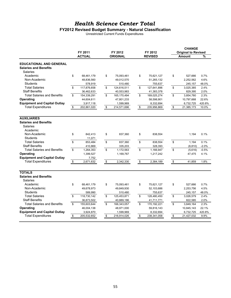#### **FY2012 Revised Budget Summary - Natural Classification**

Unrestricted Current Funds Expenditures

|                                                                            |             |               |                   |                   |                                      | <b>CHANGE</b> |         |
|----------------------------------------------------------------------------|-------------|---------------|-------------------|-------------------|--------------------------------------|---------------|---------|
|                                                                            |             | FY 2011       | FY 2012           | FY 2012           | <b>Original to Revised</b><br>Amount |               |         |
|                                                                            |             | <b>ACTUAL</b> | <b>ORIGINAL</b>   | <b>REVISED</b>    |                                      |               | %       |
| <b>EDUCATIONAL AND GENERAL</b><br><b>Salaries and Benefits</b><br>Salaries |             |               |                   |                   |                                      |               |         |
| Academic                                                                   | \$          | 68,461,179    | \$<br>75,093,461  | \$<br>75,621,127  | \$                                   | 527,666       | 0.7%    |
| Non-Academic                                                               |             | 48,836,560    | 49,012,570        | 51,265,132        |                                      | 2,252,562     | 4.6%    |
| <b>Students</b>                                                            |             | 578,919       | 510,480           | 755,637           |                                      | 245,157       | 48.0%   |
| <b>Total Salaries</b>                                                      | \$          | 117,876,658   | \$<br>124,616,511 | \$<br>127,641,896 | \$                                   | 3,025,385     | 2.4%    |
| <b>Staff Benefits</b>                                                      |             | 36,462,633    | 40,553,983        | 41,383,378        |                                      | 829,395       | 2.0%    |
| <b>Total Salaries and Benefits</b>                                         | \$          | 154,339,291   | \$<br>165,170,494 | \$<br>169,025,274 | \$                                   | 3,854,780     | 2.3%    |
| Operating                                                                  |             | 44,604,611    | 47,801,233        | 58,598,901        |                                      | 10,797,668    | 22.6%   |
| <b>Equipment and Capital Outlay</b>                                        |             | 3,917,118     | 1,599,969         | 8,332,694         |                                      | 6,732,725     | 420.8%  |
| <b>Total Expenditures</b>                                                  | \$          | 202,861,020   | \$<br>214,571,696 | \$<br>235,956,869 | \$                                   | 21,385,173    | 10.0%   |
|                                                                            |             |               |                   |                   |                                      |               |         |
| <b>AUXILIARIES</b><br><b>Salaries and Benefits</b>                         |             |               |                   |                   |                                      |               |         |
| Salaries<br>Academic                                                       |             |               |                   |                   |                                      |               |         |
| Non-Academic                                                               | \$          | 842,413       | \$<br>837,360     | \$<br>838,554     |                                      | 1,194         | 0.1%    |
| <b>Students</b>                                                            |             | 11,071        |                   |                   |                                      |               |         |
| <b>Total Salaries</b>                                                      | \$          | 853,484       | \$<br>837,360     | \$<br>838,554     | \$                                   | 1,194         | 0.1%    |
| <b>Staff Benefits</b>                                                      |             | 410,869       | 335,203           | 328,393           |                                      | (6, 810)      | $-2.0%$ |
| <b>Total Salaries and Benefits</b>                                         | $\mathbb S$ | 1,264,353     | \$<br>1,172,563   | \$<br>1,166,947   | \$                                   | (5,616)       | $-0.5%$ |
| Operating                                                                  |             | 1,399,527     | 1,169,767         | 1,217,242         |                                      | 47,475        | 4.1%    |
| <b>Equipment and Capital Outlay</b>                                        |             | 7,752         |                   |                   |                                      |               |         |
| <b>Total Expenditures</b>                                                  | \$          | 2,671,632     | \$<br>2,342,330   | \$<br>2,384,189   | \$                                   | 41,859        | 1.8%    |
|                                                                            |             |               |                   |                   |                                      |               |         |
| <b>TOTALS</b>                                                              |             |               |                   |                   |                                      |               |         |
| <b>Salaries and Benefits</b><br>Salaries                                   |             |               |                   |                   |                                      |               |         |
| Academic                                                                   | \$          | 68,461,179    | \$<br>75,093,461  | \$<br>75,621,127  | \$                                   | 527,666       | 0.7%    |
| Non-Academic                                                               |             | 49,678,973    | 49,849,930        | 52,103,686        |                                      | 2,253,756     | 4.5%    |
| Students                                                                   |             | 589,990       | 510,480           | 755,637           |                                      | 245,157       | 48.0%   |
| <b>Total Salaries</b>                                                      | \$          | 118.730.142   | \$<br>125,453,871 | \$<br>128,480,450 | \$                                   | 3,026,579     | 2.4%    |
| <b>Staff Benefits</b>                                                      |             | 36,873,502    | 40,889,186        | 41,711,771        |                                      | 822,585       | 2.0%    |
| <b>Total Salaries and Benefits</b>                                         | \$          | 155,603,644   | \$<br>166,343,057 | \$<br>170,192,221 | \$                                   | 3,849,164     | 2.3%    |
| Operating                                                                  |             | 46,004,138    | 48,971,000        | 59,816,143        |                                      | 10,845,143    | 22.1%   |
| <b>Equipment and Capital Outlay</b>                                        |             | 3,924,870     | 1,599,969         | 8,332,694         |                                      | 6,732,725     | 420.8%  |
| <b>Total Expenditures</b>                                                  | \$          | 205,532,652   | \$<br>216,914,026 | \$<br>238,341,058 | \$                                   | 21,427,032    | 9.9%    |
|                                                                            |             |               |                   |                   |                                      |               |         |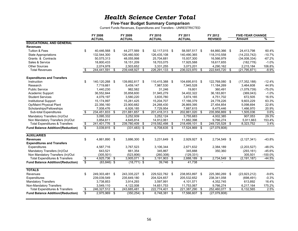#### **Five-Year Budget Summary Comparison**

Current Funds Revenues, Expenditures and Transfers - UNRESTRICTED

|                                           |                          | FY 2008            | FY 2009         |      | FY 2010        |     | FY 2011        | FY 2012           |                      | <b>FIVE-YEAR CHANGE</b> |            |
|-------------------------------------------|--------------------------|--------------------|-----------------|------|----------------|-----|----------------|-------------------|----------------------|-------------------------|------------|
|                                           |                          | <b>ACTUAL</b>      | <b>ACTUAL</b>   |      | <b>ACTUAL</b>  |     | <b>ACTUAL</b>  | <b>REVISED</b>    |                      | <b>Amount</b>           | %          |
| <b>EDUCATIONAL AND GENERAL</b>            |                          |                    |                 |      |                |     |                |                   |                      |                         |            |
| <b>Revenues</b>                           |                          |                    |                 |      |                |     |                |                   |                      |                         |            |
| <b>Tuition &amp; Fees</b>                 | \$                       | 40,446,568 \$      | 44,277,569 \$   |      | 52,117,015 \$  |     | 58,597,517 \$  | 64,860,366 \$     |                      | 24,413,798              | 60.4%      |
| <b>State Appropriations</b>               |                          | 132,544,300        | 126,460,500     |      | 126,435,108    |     | 140,490,365    | 118,310,558       |                      | (14, 233, 742)          | $-10.7%$   |
| Grants & Contracts                        |                          | 50,575,313         | 48,055,998      |      | 25,704,681     |     | 15,937,300     | 16,566,979        |                      | (34,008,334)            | $-67.2%$   |
| Sales & Service                           |                          | 18,800,433         | 18,151,209      |      | 18,703,075     |     | 17,925,588     | 18,617,655        |                      | (182, 778)              | $-1.0%$    |
| <b>Other Sources</b>                      |                          | 2,074,978          | 2,503,652       |      | 3,331,255      |     | 3,073,201      | 4,290,162         |                      | 2,215,184               | 106.8%     |
| <b>Total Revenues</b>                     | \$                       | 244,441,591<br>\$  | 239,448,927     | \$   | 226, 291, 133  | \$  | 236,023,970    | \$<br>222,645,720 | -\$                  | (21, 795, 871)          | $-8.9%$    |
| <b>Expenditures and Transfers</b>         |                          |                    |                 |      |                |     |                |                   |                      |                         |            |
| Instruction                               | \$                       | 140,120,268 \$     | 139,892,817 \$  |      | 110,415,388 \$ |     | 104,695,815 \$ | 122,768,080 \$    |                      | (17, 352, 188)          | $-12.4%$   |
| Research                                  |                          | 7,719,661          | 5,459,147       |      | 7,987,530      |     | 7,945,528      | 11,184,269        |                      | 3,464,608               | 44.9%      |
| <b>Public Service</b>                     |                          | 1,440,230          | 982.582         |      | 31,246         |     | 19,801         | 360,491           |                      | (1,079,739)             | $-75.0%$   |
| Academic Support                          |                          | 36,552,844         | 35,858,600      |      | 31,945,279     |     | 34,402,322     | 36,183,801        |                      | (369, 043)              | $-1.0%$    |
| <b>Student Services</b>                   |                          | 4,079,197          | 3,580,220       |      | 3,835,780      |     | 3,874,165      | 4,751,702         |                      | 672,505                 | 16.5%      |
| <b>Institutional Support</b>              |                          | 15,174,997         | 15,281,425      |      | 15,204,707     |     | 17,166,379     | 24,778,226        |                      | 9,603,229               | 63.3%      |
| Op/Maint Physical Plant                   |                          | 22,356,160         | 23,900,682      |      | 24,268,430     |     | 26,869,395     | 27,454,854        |                      | 5,098,694               | 22.8%      |
| Scholarships/Fellowships                  |                          | 7,008,476          | 6,926,185       |      | 7,729,954      |     | 7,887,615      | 8,475,446         |                      | 1,466,970               | 20.9%      |
| Sub-total Expenditures                    | \$                       | 234,451,833 \$     | 231,881,657     | \$   | 201,418,313    | -\$ | 202,861,020 \$ | 235,956,869       | $\overline{\bullet}$ | 1,505,036               | 0.6%       |
| Mandatory Transfers (In)/Out              |                          | 3,095,332          | 3,252,939       |      | 3,252,124      |     | 3,755,683      | 4,002,385         |                      | 907,053                 | 29.3%      |
| Non Mandatory Transfers (In)/Out          |                          | 3,854,611          | 4,645,814       |      | 14,912,061     |     | 11,882,398     | 9,766,274         |                      | 5,911,663               | 153.4%     |
| <b>Total Expenditures &amp; Transfers</b> | \$                       | 241,401,776<br>-\$ | 239,780,409     | \$   | 219,582,498    | \$  | 218,499,101    | \$<br>249,725,528 | \$                   | 8,323,752               | 3.4%       |
| <b>Fund Balance Addition/(Reduction)</b>  | $\overline{\mathbb{S}}$  | $3,039,815$ \$     | $(331, 483)$ \$ |      | 6.708.635 \$   |     | 17,524,869 \$  | (27,079,808)      |                      |                         |            |
|                                           |                          |                    |                 |      |                |     |                |                   |                      |                         |            |
| <b>AUXILIARIES</b>                        |                          |                    |                 |      |                |     |                |                   |                      |                         |            |
| <b>Revenues</b>                           | \$                       | 4,861,890 \$       | 3,886,300       | -\$  | 3,231,649 \$   |     | 2,929,927 \$   | 2,734,549         | - \$                 | (2, 127, 341)           | $-43.8%$   |
| <b>Expenditures and Transfers</b>         |                          |                    |                 |      |                |     |                |                   |                      |                         |            |
| Expenditures                              |                          | 4,587,716          | 3,767,523       |      | 3,106,344      |     | 2,671,632      | 2,384,189         |                      | (2,203,527)             | $-48.0%$   |
| Mandatory Transfers (In)/Out              |                          | 643,521            | 661,354         |      | 345.867        |     | 345,888        | 350,360           |                      | (293, 161)              | $-45.6%$   |
| Non Mandatory Transfers (In)/Out          |                          | (305, 501)         | (523, 806)      |      | (260, 308)     |     | (129, 331)     |                   |                      | 305,501                 | $-100.0\%$ |
| <b>Total Expenditures &amp; Transfers</b> | $\overline{\mathcal{E}}$ | 4,925,736<br>-\$   | 3.905.071       | \$   | 3.191.903      | \$  | 2,888,189      | \$<br>2.734.549   | s,                   | (2, 191, 187)           | $-44.5%$   |
| <b>Fund Balance Addition/(Reduction)</b>  | $\overline{\mathbb{S}}$  | $(63, 846)$ \$     | $(18, 771)$ \$  |      | $39,746$ \$    |     | 41,738         |                   |                      |                         |            |
| <b>TOTALS</b>                             |                          |                    |                 |      |                |     |                |                   |                      |                         |            |
| Revenues                                  | \$                       | 249,303,481 \$     | 243,335,227     | - \$ | 229,522,782 \$ |     | 238,953,897 \$ | 225,380,269       | - \$                 | (23, 923, 212)          | $-9.6%$    |
| Expenditures                              |                          | 239,039,549        | 235,649,180     |      | 204,524,657    |     | 205,532,652    | 238,341,058       |                      | (698, 491)              | $-0.3%$    |
| <b>Mandatory Transfers</b>                |                          | 3,738,853          | 3,914,293       |      | 3,597,991      |     | 4,101,571      | 4,352,745         |                      | 613,892                 | 16.4%      |
| Non-Mandatory Transfers                   |                          | 3,549,110          | 4,122,008       |      | 14,651,753     |     | 11,753,067     | 9,766,274         |                      | 6,217,164               | 175.2%     |
| <b>Total Expenditures &amp; Transfers</b> | \$                       | 246,327,512 \$     | 243,685,481     | \$   | 222,774,401    | -\$ | 221,387,290 \$ | 252,460,077 \$    |                      | 6,132,565               | 2.5%       |
| <b>Fund Balance Addition/(Reduction)</b>  | $\overline{\mathsf{s}}$  | $2,975,969$ \$     | $(350, 254)$ \$ |      | $6,748,381$ \$ |     | 17,566,607 \$  | (27,079,808)      |                      |                         |            |
|                                           |                          |                    |                 |      |                |     |                |                   |                      |                         |            |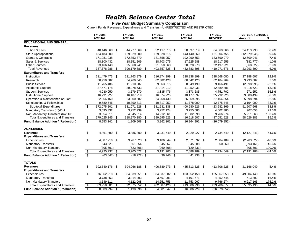#### **Five-Year Budget Summary Comparison**

Current Funds Revenues, Expenditures and Transfers - UNRESTRICTED AND RESTRICTED

|                                            |                                                    | FY 2008        |     | FY 2009        | FY 2010              | FY 2011        |      | FY 2012        |      | <b>FIVE-YEAR CHANGE</b> |           |
|--------------------------------------------|----------------------------------------------------|----------------|-----|----------------|----------------------|----------------|------|----------------|------|-------------------------|-----------|
|                                            |                                                    | <b>ACTUAL</b>  |     | <b>ACTUAL</b>  | <b>ACTUAL</b>        | <b>ACTUAL</b>  |      | <b>REVISED</b> |      | Amount                  | %         |
| <b>EDUCATIONAL AND GENERAL</b>             |                                                    |                |     |                |                      |                |      |                |      |                         |           |
| <b>Revenues</b>                            |                                                    |                |     |                |                      |                |      |                |      |                         |           |
| <b>Tuition &amp; Fees</b>                  | \$                                                 | 40,446,568 \$  |     | 44,277,569 \$  | 52,117,015 \$        | 58,597,519 \$  |      | 64,860,366 \$  |      | 24,413,798              | 60.4%     |
| <b>State Appropriations</b>                |                                                    | 134,183,800    |     | 129,029,000    | 129,328,515          | 143,440,860    |      | 121,304,755    |      | (12,879,045)            | $-9.6%$   |
| <b>Grants &amp; Contracts</b>              |                                                    | 171,081,038    |     | 172,853,870    | 181,658,957          | 192,090,653    |      | 183,690,979    |      | 12,609,941              | 7.4%      |
| Sales & Services                           |                                                    | 18,800,432     |     | 18,151,209     | 18,703,075           | 17,925,588     |      | 18,617,655     |      | (182, 777)              | $-1.0%$   |
| <b>Other Sources</b>                       |                                                    | 23,166,448     |     | 25,868,241     | 21,850,063           | 20,828,978     |      | 22,497,921     |      | (668, 527)              | $-2.9%$   |
| <b>Total Revenues</b>                      | \$                                                 | 387,678,286 \$ |     | 390,179,889    | \$<br>403,657,625 \$ | 432,883,598    | \$   | 410,971,676 \$ |      | 23,293,390              | 6.0%      |
| <b>Expenditures and Transfers</b>          |                                                    |                |     |                |                      |                |      |                |      |                         |           |
| Instruction                                | \$                                                 | 211,479,473 \$ |     | 221.763.879 \$ | 216,874,399 \$       | 228,838,899    | - \$ | 238,668,080 \$ |      | 27,188,607              | 12.9%     |
| Research                                   |                                                    | 58,950,582     |     | 54,760,045     | 62,382,428           | 60,642,120     |      | 62,184,269     |      | 3,233,687               | 5.5%      |
| <b>Public Service</b>                      |                                                    | 11,765,486     |     | 11,210,987     | 9,363,015            | 8,849,199      |      | 9,166,491      |      | (2,598,995)             | $-22.1%$  |
| Academic Support                           |                                                    | 37,571,178     |     | 39,278,733     | 37,314,912           | 41,952,031     |      | 42,489,801     |      | 4,918,623               | 13.1%     |
| <b>Student Services</b>                    |                                                    | 4,080,050      |     | 3,579,670      | 3,835,476            | 3,873,285      |      | 4,751,702      |      | 671,652                 | 16.5%     |
| <b>Institutional Support</b>               |                                                    | 16,291,727     |     | 16,187,219     | 16,674,725           | 18,177,597     |      | 25,792,226     |      | 9,500,499               | 58.3%     |
| Operation & Maintenance of Plant           |                                                    | 22,356,160     |     | 23,900,682     | 24,268,430           | 26,869,395     |      | 27,454,854     |      | 5,098,694               | 22.8%     |
| Scholarships & Fellowships                 |                                                    | 9,580,546      |     | 10,390,313     | 10,817,952           | 11,778,000     |      | 12,775,446     |      | 3,194,900               | 33.3%     |
| Sub-total Expenditures                     | \$                                                 | 372,075,201 \$ |     | 381,071,528 \$ | 381,531,338 \$       | 400,980,526    | \$   | 423,282,869 \$ |      | 51,207,668              | 13.8%     |
| Mandatory Transfers (In)/Out               |                                                    | 3,095,332      |     | 3,252,939      | 3,252,124            | 3,755,683      |      | 4,002,385      |      | 907,053                 | 29.3%     |
| Non-Mandatory Transfers (In)/Out           |                                                    | 3,854,611      |     | 4,645,814      | 14,912,061           | 11,882,398     |      | 9,766,274      |      | 5,911,663               | 153.4%    |
| <b>Total Expenditures and Transfers</b>    | \$                                                 | 379,025,145 \$ |     | 388,970,280    | \$<br>399,695,523 \$ | 416,618,607    | - \$ | 437,051,528 \$ |      | 58,026,383              | 15.3%     |
| <b>Fund Balance Addition / (Reduction)</b> | \$                                                 | 8,653,141      | -\$ | 1,209,608 \$   | 3,962,101 \$         | 16,264,991     | - \$ | (26,079,852)   |      |                         |           |
| <b>AUXILIARIES</b>                         |                                                    |                |     |                |                      |                |      |                |      |                         |           |
| <b>Revenues</b>                            |                                                    |                |     |                |                      |                |      |                |      |                         |           |
|                                            | \$                                                 | 4,861,890 \$   |     | 3,886,300 \$   | 3,231,649 \$         | 2,929,927 \$   |      | 2,734,549 \$   |      | (2, 127, 341)           | $-44.6%$  |
| <b>Expenditures and Transfers</b>          |                                                    |                |     |                |                      |                |      |                |      |                         |           |
| Expenditures                               | \$                                                 | 4.587.716 \$   |     | 3.767.523 \$   | 3,106,344 \$         | 2,671,632 \$   |      | 2,384,189 \$   |      | (2,203,527)             | $-48.0%$  |
| <b>Mandatory Transfers</b>                 |                                                    | 643,521        |     | 661,354        | 345,867              | 345,888        |      | 350,360        |      | (293, 161)              | $-45.6%$  |
| Non-Mandatory Transfers                    |                                                    | (305, 501)     |     | (523, 806)     | (260, 308)           | (129, 331)     |      |                |      | 305,501                 | $-100.0%$ |
| <b>Total Expenditures and Transfers</b>    | $\sqrt[6]{\frac{1}{2}}$<br>$\overline{\mathbf{s}}$ | 4,925,737      | \$  | 3,905,072 \$   | 3,191,903 \$         | 2,888,189      | \$   | 2,734,549      | - \$ | (2, 191, 188)           | $-44.5%$  |
| <b>Fund Balance Addition / (Reduction)</b> |                                                    | $(63, 847)$ \$ |     | $(18, 772)$ \$ | 39,746 \$            | 41,738         | - \$ | $\blacksquare$ |      |                         |           |
| <b>TOTALS</b>                              |                                                    |                |     |                |                      |                |      |                |      |                         |           |
| <b>Revenues</b>                            | \$                                                 | 392,540,176 \$ |     | 394,066,188 \$ | 406,889,273 \$       | 435,813,525 \$ |      | 413.706.225 \$ |      | 21,166,049              | 5.4%      |
| <b>Expenditures and Transfers</b>          |                                                    |                |     |                |                      |                |      |                |      |                         |           |
| Expenditures                               | \$                                                 | 376,662,918 \$ |     | 384,839,051 \$ | 384,637,682 \$       | 403,652,158    | - \$ | 425,667,058 \$ |      | 49,004,140              | 13.0%     |
| <b>Mandatory Transfers</b>                 |                                                    | 3,738,853      |     | 3,914,293      | 3,597,991            | 4,101,571      |      | 4,352,745      |      | 613,892                 | 16.4%     |
| Non-Mandatory Transfers                    |                                                    | 3,549,111      |     | 4,122,008      | 14,651,753           | 11,753,067     |      | 9,766,274      |      | 6,217,163               | 175.2%    |
| <b>Total Expenditures and Transfers</b>    | \$                                                 | 383,950,881    | \$  | 392,875,352    | \$<br>402,887,426 \$ | 419,506,796    | \$   | 439,786,077 \$ |      | 55,835,196              | 14.5%     |
| <b>Fund Balance Addition / (Reduction)</b> | $\overline{\mathcal{S}}$                           | 8,589,294 \$   |     | 1,190,836 \$   | 4,001,847 \$         | 16,306,729 \$  |      | (26,079,852)   |      |                         |           |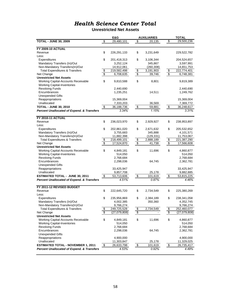**Unrestricted Net Assets**

|                                                       |                          | E&G          |               | <b>AUXILIARIES</b> |                         | <b>TOTAL</b> |
|-------------------------------------------------------|--------------------------|--------------|---------------|--------------------|-------------------------|--------------|
| <b>TOTAL - JUNE 30, 2009</b>                          | $\overline{\mathbf{e}}$  | 29,480,101   | \$            | 20,135             | \$                      | 29,500,236   |
|                                                       |                          |              |               |                    |                         |              |
| <b>FY 2009-10 ACTUAL</b>                              |                          |              |               |                    |                         |              |
|                                                       |                          |              |               |                    |                         |              |
| Revenue                                               | \$                       | 226,291,133  | \$            | 3,231,649          |                         | 229,522,782  |
| Less:                                                 |                          |              |               |                    |                         |              |
| Expenditures                                          | \$                       | 201,418,313  | \$            | 3,106,344          |                         | 204,524,657  |
| Mandatory Transfers (In)/Out                          |                          | 3,252,124    |               | 345,867            |                         | 3,597,991    |
| Non-Mandatory Transfers(In)/Out                       |                          | 14,912,061   |               | (260, 308)         |                         | 14,651,753   |
| <b>Total Expenditures &amp; Transfers</b>             | \$                       | 219,582,498  |               | 3,191,903          |                         | 222,774,401  |
| Net Change                                            | $\overline{\mathcal{S}}$ | 6,708,635    | $\frac{3}{3}$ | 39,746             | $\frac{6}{3}$           | 6,748,381    |
| <b>Unrestricted Net Assets</b>                        |                          |              |               |                    |                         |              |
| Working Capital-Accounts Receivable                   | \$                       | 9,810,588    | \$            | 8,801              |                         | 9,819,389    |
|                                                       |                          |              |               |                    |                         |              |
| <b>Working Capital-Inventories</b>                    |                          |              |               |                    |                         |              |
| <b>Revolving Funds</b>                                |                          | 2,440,690    |               |                    |                         | 2,440,690    |
| Encumbrances                                          |                          | 1,235,251    |               | 14,511             |                         | 1,249,762    |
| Unexpended Gifts                                      |                          |              |               |                    |                         |              |
| Reappropriations                                      |                          | 15,369,004   |               |                    |                         | 15,369,004   |
| Unallocated                                           |                          | 7,333,203    |               | 36,569             |                         | 7,369,772    |
| <b>TOTAL - JUNE 30, 2010</b>                          | $\frac{1}{2}$            | 36,188,736   | $\frac{1}{2}$ | 59,881             | \$                      | 36,248,617   |
| <b>Percent Unallocated of Expend. &amp; Transfers</b> |                          | 3.34%        |               | 1.15%              |                         | 3.31%        |
|                                                       |                          |              |               |                    |                         |              |
|                                                       |                          |              |               |                    |                         |              |
| <b>FY 2010-11 ACTUAL</b>                              |                          |              |               |                    |                         |              |
| Revenue                                               | \$                       | 236,023,970  | \$            | 2,929,927          | \$                      | 238,953,897  |
| Less:                                                 |                          |              |               |                    |                         |              |
| Expenditures                                          | \$                       | 202,861,020  | \$            | 2,671,632          | \$                      | 205,532,652  |
| Mandatory Transfers (In)/Out                          |                          | 3,755,683    |               | 345,888            |                         | 4,101,571    |
| Non-Mandatory Transfers(In)/Out                       |                          | 11,882,398   |               | (129,331)          |                         | 11,753,067   |
| <b>Total Expenditures &amp; Transfers</b>             | \$                       | 218,499,101  | \$            | 2,888,189          | \$                      | 221,387,290  |
| Net Change                                            | \$                       | 17,524,870   | \$            | 41,738             | $\sqrt[6]{\frac{2}{5}}$ | 17,566,608   |
|                                                       |                          |              |               |                    |                         |              |
| <b>Unrestricted Net Assets</b>                        |                          |              |               |                    |                         |              |
| Working Capital-Accounts Receivable                   | \$                       | 4,849,181    | \$            | 11,696             | \$                      | 4,860,877    |
| <b>Working Capital-Inventories</b>                    |                          | 514,050      |               |                    |                         | 514,050      |
| <b>Revolving Funds</b>                                |                          | 2,768,684    |               |                    |                         | 2,768,684    |
| Encumbrances                                          |                          | 2,298,036    |               | 64,745             |                         | 2,362,781    |
| <b>Unexpended Gifts</b>                               |                          |              |               |                    |                         |              |
| Reappropriations                                      |                          | 33,425,947   |               |                    |                         | 33,425,947   |
| Unallocated                                           |                          | 9,857,708    |               | 25,178             |                         | 9,882,885    |
|                                                       |                          |              |               |                    |                         |              |
| <b>ESTIMATED TOTAL - JUNE 30, 2011</b>                | \$                       | 53,713,606   | \$            | 101,619            | \$                      | 53,815,225   |
| <b>Percent Unallocated of Expend. &amp; Transfers</b> |                          | 4.51%        |               | 0.87%              |                         | 4.46%        |
|                                                       |                          |              |               |                    |                         |              |
| FY 2011-12 REVISED BUDGET                             |                          |              |               |                    |                         |              |
| Revenue                                               | \$                       | 222,645,720  | \$            | 2,734,549          | \$                      | 225,380,269  |
| Less:                                                 |                          |              |               |                    |                         |              |
| Expenditures                                          | \$                       | 235,956,869  | \$            | 2,384,189          | \$                      | 238,341,058  |
| Mandatory Transfers (In)/Out                          |                          | 4,002,385    |               | 350,360            |                         | 4,352,745    |
| Non-Mandatory Transfers(In)/Out                       |                          |              |               |                    |                         |              |
|                                                       |                          | 9,766,274    |               |                    |                         | 9,766,274    |
| <b>Total Expenditures &amp; Transfers</b>             | \$                       | 249,725,528  | \$            | 2,734,549          | $\boldsymbol{\theta}$   | 252,460,077  |
| Net Change                                            | \$                       | (27,079,808) | \$            |                    | \$                      | (27,079,808) |
| <b>Unrestricted Net Assets</b>                        |                          |              |               |                    |                         |              |
| Working Capital-Accounts Receivable                   | \$                       | 4,849,181    | \$            | 11,696             | \$                      | 4,860,877    |
| <b>Working Capital-Inventories</b>                    |                          | 514,050      |               |                    |                         | 514,050      |
| <b>Revolving Funds</b>                                |                          | 2,768,684    |               |                    |                         | 2,768,684    |
| Encumbrances                                          |                          |              |               | 64,745             |                         |              |
|                                                       |                          | 2,298,036    |               |                    |                         | 2,362,781    |
| <b>Unexpended Gifts</b>                               |                          |              |               |                    |                         |              |
| Reappropriations                                      |                          | 4,900,000    |               |                    |                         | 4,900,000    |
| Unallocated                                           |                          | 11,303,847   |               | 25,178             |                         | 11,329,025   |
| <b>ESTIMATED TOTAL - NOVEMBER 1, 2011</b>             | \$                       | 26,633,798   | \$            | 101,619            | $\frac{1}{2}$           | 26,735,417   |
| <b>Percent Unallocated of Expend. &amp; Transfers</b> |                          | 4.53%        |               | 0.92%              |                         | 4.49%        |
|                                                       |                          |              |               |                    |                         |              |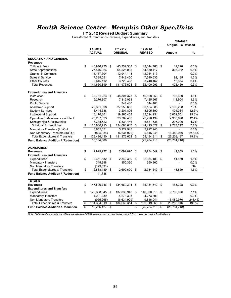### *Health Science Center - Memphis Other Spec.Units*

**FY 2012 Revised Budget Summary**

Unrestricted Current Funds Revenue, Expenditures, and Transfers

|                                           |                         |                          |                            |                         |                           | <b>CHANGE</b><br><b>Original To Revised</b> |           |
|-------------------------------------------|-------------------------|--------------------------|----------------------------|-------------------------|---------------------------|---------------------------------------------|-----------|
|                                           |                         | FY 2011<br><b>ACTUAL</b> | FY 2012<br><b>ORIGINAL</b> |                         | FY 2012<br><b>REVISED</b> | Amount                                      | %         |
| <b>EDUCATION AND GENERAL</b>              |                         |                          |                            |                         |                           |                                             |           |
| <b>Revenues</b>                           |                         |                          |                            |                         |                           |                                             |           |
| <b>Tuition &amp; Fees</b>                 | \$                      | 40,946,925               | \$<br>43,332,538           | \$                      | 43,344,766 \$             | 12,228                                      | 0.0%      |
| <b>State Appropriations</b>               |                         | 77,546,026               | 64,525,035                 |                         | 64,830,417                | 305,382                                     | 0.5%      |
| Grants & Contracts                        |                         | 16, 167, 704             | 12,944,113                 |                         | 12,944,113                |                                             | $0.0\%$   |
| Sales & Service                           |                         | 7,385,051                | 7,448,450                  |                         | 7,540,635                 | 92,185                                      | 1.2%      |
| <b>Other Sources</b>                      |                         | 2,615,112                | 3,726,488                  |                         | 3,740,162                 | 13,674                                      | 0.4%      |
| <b>Total Revenues</b>                     | \$                      | 144,660,819              | \$<br>131,976,624          | \$                      | 132,400,093               | \$<br>423,469                               | 0.3%      |
| <b>Expenditures and Transfers</b>         |                         |                          |                            |                         |                           |                                             |           |
| Instruction                               | \$                      | 38,761,223               | \$<br>45,804,373           | \$                      | 46,508,053                | \$<br>703,680                               | 1.5%      |
| Research                                  |                         | 5,276,307                | 7,312,063                  |                         | 7,425,967                 | 113,904                                     | 1.6%      |
| <b>Public Service</b>                     |                         |                          | 344,400                    |                         | 344,400                   | $\overline{\phantom{0}}$                    | 0.0%      |
| Academic Support                          |                         | 29,351,698               | 27,956,650                 |                         | 30,154,888                | 2,198,238                                   | 7.9%      |
| <b>Student Services</b>                   |                         | 3,444,538                | 3,201,806                  |                         | 3,605,890                 | 404,084                                     | 12.6%     |
| <b>Institutional Support</b>              |                         | 16,176,801               | 19,965,403                 |                         | 23,024,954                | 3,059,551                                   | 15.3%     |
| Operation & Maintenance of Plant          |                         | 26,267,623               | 23,769,469                 |                         | 26,720,139                | 2,950,670                                   | 12.4%     |
| Scholarships & Fellowships                |                         | 6,388,523                | 6,334,446                  |                         | 6,631,536                 | 297,090                                     | 4.7%      |
| Sub-total Expenditures                    | \$                      | 125,666,713              | \$<br>134,688,610          | \$                      | 144,415,827               | \$<br>9,727,217                             | 7.2%      |
| Mandatory Transfers (In)/Out              |                         | 3,655,351                | 3,922,943                  |                         | 3,922,943                 |                                             | 0.0%      |
| Non-Mandatory Transfers (In)/Out          |                         | (825, 934)               | (6,634,929)                |                         | 9,846,041                 | 16,480,970                                  | $-248.4%$ |
| <b>Total Expenditures &amp; Transfers</b> | \$                      | 128,496,130              | \$<br>131,976,624          | \$                      | 158,184,811               | \$<br>26,208,187                            | 19.9%     |
| Fund Balance Addition / (Reduction)       |                         | 16,164,689               |                            |                         | (25, 784, 718)            | (25, 784, 718)                              |           |
| <b>AUXILIARIES</b>                        |                         |                          |                            |                         |                           |                                             |           |
| <b>Revenues</b>                           | \$                      | 2,929,927                | \$<br>2,692,690            | \$                      | 2,734,549                 | \$<br>41,859                                | 1.6%      |
| <b>Expenditures and Transfers</b>         |                         |                          |                            |                         |                           |                                             |           |
| Expenditures                              | \$                      | 2,671,632                | \$<br>2,342,330            | \$                      | 2,384,189                 | \$<br>41,859                                | 1.8%      |
| <b>Mandatory Transfers</b>                |                         | 345,888                  | 350,360                    |                         | 350,360                   | $\overline{a}$                              | 0.0%      |
| Non Mandatory Transfers                   |                         | (129, 331)               |                            |                         |                           |                                             | <b>NA</b> |
| <b>Total Expenditures &amp; Transfers</b> | $\overline{\mathbf{e}}$ | 2,888,189                | \$<br>2,692,690            | \$                      | 2,734,549                 | \$<br>41,859                                | 1.6%      |
| Fund Balance Addition / (Reduction)       |                         | 41,738                   |                            |                         |                           |                                             |           |
| <b>TOTALS</b>                             |                         |                          |                            |                         |                           |                                             |           |
| <b>Revenues</b>                           | \$                      | 147,590,746              | \$<br>134,669,314          | - \$                    | 135, 134, 642             | \$<br>465,328                               | 0.3%      |
| <b>Expenditures and Transfers</b>         |                         |                          |                            |                         |                           |                                             |           |
| Expenditures                              | \$                      | 128,338,345              | \$<br>137,030,940          | \$                      | 146,800,016 \$            | 9,769,076                                   | 7.1%      |
| <b>Mandatory Transfers</b>                |                         | 4,001,239                | 4,273,303                  |                         | 4,273,303                 |                                             | 0.0%      |
| Non Mandatory Transfers                   |                         | (955, 265)               | (6,634,929)                |                         | 9,846,041                 | 16,480,970                                  | $-248.4%$ |
| <b>Total Expenditures &amp; Transfers</b> | \$                      | 131,384,319              | \$<br>134,669,314          | \$                      | 160,919,360               | \$<br>26,250,046                            | 19.5%     |
| <b>Fund Balance Addition / Reduction</b>  | s.                      | 16,206,427               | \$<br>$\blacksquare$       | $\overline{\mathbb{S}}$ | $(25,784,718)$ \$         | (25, 784, 718)                              |           |
|                                           |                         |                          |                            |                         |                           |                                             |           |

Note: E&G transfers include the difference between COMU revenues and expenditures, since COMU does not have a fund balance.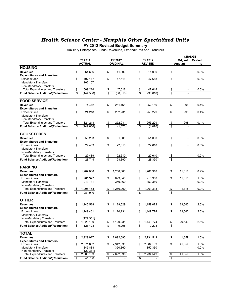### *Health Science Center - Memphis Other Specialized Units*

**FY 2012 Revised Budget Summary**

Auxiliary Enterprises Funds Revenues, Expenditures and Transfers

| FY 2011<br>FY 2012<br>FY 2012<br><b>Original to Revised</b><br><b>ACTUAL</b><br><b>ORIGINAL</b><br><b>REVISED</b><br><b>Amount</b><br><b>HOUSING</b><br><b>Revenues</b><br>\$<br>\$<br>\$<br>\$<br>364,686<br>11,000<br>11,000<br><b>Expenditures and Transfers</b><br>\$<br>407,117<br>\$<br>47,618<br>\$<br>47,618<br>\$<br>Expenditures<br><b>Mandatory Transfers</b><br>102,107<br>Non-Mandatory Transfers<br>$\frac{1}{2}$<br>509,224<br>$\frac{1}{2}$<br>47,618<br>$\frac{1}{2}$<br>47,618<br>$\frac{6}{3}$<br><b>Total Expenditures and Transfers</b><br>$\blacksquare$<br>\$<br>$\overline{\mathbb{S}}$<br>\$<br>(144, 538)<br>(36, 618)<br>(36, 618)<br><b>Fund Balance Addition/(Reduction)</b><br><b>FOOD SERVICE</b><br>\$<br>\$<br>251,161<br>\$<br>998<br>74,412<br>\$<br>252.159<br><b>Revenues</b><br><b>Expenditures and Transfers</b><br>\$<br>\$<br>\$<br>\$<br>Expenditures<br>324,218<br>252,231<br>253,229<br>998<br><b>Mandatory Transfers</b><br>Non-Mandatory Transfers<br>\$<br>324,218<br>252,231<br>253,229<br><b>Total Expenditures and Transfers</b><br>\$<br>\$<br>\$<br>998<br>$\overline{\mathcal{S}}$<br>$\overline{\$}$<br>$\overline{\mathbf{s}}$<br>\$<br>(249, 806)<br>(1,070)<br>(1,070)<br><b>Fund Balance Addition/(Reduction)</b><br><b>BOOKSTORES</b><br>\$<br>\$<br>\$<br><b>Revenues</b><br>58,233<br>51,000<br>\$<br>51,000<br>L,<br><b>Expenditures and Transfers</b><br>\$<br>\$<br>22,610<br>\$<br>22,610<br>\$<br>Expenditures<br>29,489<br><b>Mandatory Transfers</b><br>Non-Mandatory Transfers<br><b>Total Expenditures and Transfers</b><br>$\frac{6}{3}$<br>29,489<br>22,610<br>22,610<br>$\frac{1}{2}$<br>$\frac{3}{3}$<br>$\frac{1}{2}$<br>$\blacksquare$<br>\$<br>28,744<br>28,390<br>\$<br>28,390<br><b>Fund Balance Addition/(Reduction)</b><br><b>PARKING</b><br>\$<br><b>Revenues</b><br>\$<br>1,287,068<br>\$<br>1,250,000<br>\$<br>1,261,318<br>11,318<br><b>Expenditures and Transfers</b><br>Expenditures<br>\$<br>761,377<br>\$<br>899,640<br>\$<br>910,958<br>\$<br>11,318<br><b>Mandatory Transfers</b><br>243,781<br>350,360<br>350,360<br>Non-Mandatory Transfers<br><b>Total Expenditures and Transfers</b><br>$\frac{1}{3}$<br>1,250,000<br>1,261,318<br>11,318<br>1,005,158<br>\$<br>$\frac{3}{2}$<br>\$<br><b>Fund Balance Addition/(Reduction)</b><br>281,910<br><b>OTHER</b><br>1,129,529<br>1,159,072<br>\$<br>2.6%<br>\$<br>1,145,528<br>\$<br>\$<br>29,543<br><b>Revenues</b><br><b>Expenditures and Transfers</b><br>\$<br>Expenditures<br>1,149,431<br>\$<br>1,120,231<br>\$<br>1,149,774<br>29,543<br>2.6%<br>\$<br><b>Mandatory Transfers</b><br>Non-Mandatory Transfers<br>(129, 331)<br>1,120,231<br>\$<br>1,149,774<br>\$<br>29,543<br><b>Total Expenditures and Transfers</b><br>\$<br>1,020,100<br>\$<br><b>Fund Balance Addition/(Reduction)</b><br>\$<br>125,428<br>\$<br>9,298<br>\$<br>9,298<br>\$<br><b>TOTAL</b><br>2,692,690<br>\$<br>41,859<br><b>Revenues</b><br>\$<br>2,929,927<br>\$<br>2,734,549<br>\$ |  |  |  |  | <b>CHANGE</b> |         |
|-------------------------------------------------------------------------------------------------------------------------------------------------------------------------------------------------------------------------------------------------------------------------------------------------------------------------------------------------------------------------------------------------------------------------------------------------------------------------------------------------------------------------------------------------------------------------------------------------------------------------------------------------------------------------------------------------------------------------------------------------------------------------------------------------------------------------------------------------------------------------------------------------------------------------------------------------------------------------------------------------------------------------------------------------------------------------------------------------------------------------------------------------------------------------------------------------------------------------------------------------------------------------------------------------------------------------------------------------------------------------------------------------------------------------------------------------------------------------------------------------------------------------------------------------------------------------------------------------------------------------------------------------------------------------------------------------------------------------------------------------------------------------------------------------------------------------------------------------------------------------------------------------------------------------------------------------------------------------------------------------------------------------------------------------------------------------------------------------------------------------------------------------------------------------------------------------------------------------------------------------------------------------------------------------------------------------------------------------------------------------------------------------------------------------------------------------------------------------------------------------------------------------------------------------------------------------------------------------------------------------------------------------------------------------------------------------------------------------------------------------------------------------------------------------------------------------------------------------------------------------------------------------------------------------------------------------------------------------------------------------------------|--|--|--|--|---------------|---------|
|                                                                                                                                                                                                                                                                                                                                                                                                                                                                                                                                                                                                                                                                                                                                                                                                                                                                                                                                                                                                                                                                                                                                                                                                                                                                                                                                                                                                                                                                                                                                                                                                                                                                                                                                                                                                                                                                                                                                                                                                                                                                                                                                                                                                                                                                                                                                                                                                                                                                                                                                                                                                                                                                                                                                                                                                                                                                                                                                                                                                             |  |  |  |  |               |         |
|                                                                                                                                                                                                                                                                                                                                                                                                                                                                                                                                                                                                                                                                                                                                                                                                                                                                                                                                                                                                                                                                                                                                                                                                                                                                                                                                                                                                                                                                                                                                                                                                                                                                                                                                                                                                                                                                                                                                                                                                                                                                                                                                                                                                                                                                                                                                                                                                                                                                                                                                                                                                                                                                                                                                                                                                                                                                                                                                                                                                             |  |  |  |  |               | %       |
|                                                                                                                                                                                                                                                                                                                                                                                                                                                                                                                                                                                                                                                                                                                                                                                                                                                                                                                                                                                                                                                                                                                                                                                                                                                                                                                                                                                                                                                                                                                                                                                                                                                                                                                                                                                                                                                                                                                                                                                                                                                                                                                                                                                                                                                                                                                                                                                                                                                                                                                                                                                                                                                                                                                                                                                                                                                                                                                                                                                                             |  |  |  |  |               |         |
|                                                                                                                                                                                                                                                                                                                                                                                                                                                                                                                                                                                                                                                                                                                                                                                                                                                                                                                                                                                                                                                                                                                                                                                                                                                                                                                                                                                                                                                                                                                                                                                                                                                                                                                                                                                                                                                                                                                                                                                                                                                                                                                                                                                                                                                                                                                                                                                                                                                                                                                                                                                                                                                                                                                                                                                                                                                                                                                                                                                                             |  |  |  |  |               | 0.0%    |
|                                                                                                                                                                                                                                                                                                                                                                                                                                                                                                                                                                                                                                                                                                                                                                                                                                                                                                                                                                                                                                                                                                                                                                                                                                                                                                                                                                                                                                                                                                                                                                                                                                                                                                                                                                                                                                                                                                                                                                                                                                                                                                                                                                                                                                                                                                                                                                                                                                                                                                                                                                                                                                                                                                                                                                                                                                                                                                                                                                                                             |  |  |  |  |               |         |
|                                                                                                                                                                                                                                                                                                                                                                                                                                                                                                                                                                                                                                                                                                                                                                                                                                                                                                                                                                                                                                                                                                                                                                                                                                                                                                                                                                                                                                                                                                                                                                                                                                                                                                                                                                                                                                                                                                                                                                                                                                                                                                                                                                                                                                                                                                                                                                                                                                                                                                                                                                                                                                                                                                                                                                                                                                                                                                                                                                                                             |  |  |  |  |               | 0.0%    |
|                                                                                                                                                                                                                                                                                                                                                                                                                                                                                                                                                                                                                                                                                                                                                                                                                                                                                                                                                                                                                                                                                                                                                                                                                                                                                                                                                                                                                                                                                                                                                                                                                                                                                                                                                                                                                                                                                                                                                                                                                                                                                                                                                                                                                                                                                                                                                                                                                                                                                                                                                                                                                                                                                                                                                                                                                                                                                                                                                                                                             |  |  |  |  |               |         |
|                                                                                                                                                                                                                                                                                                                                                                                                                                                                                                                                                                                                                                                                                                                                                                                                                                                                                                                                                                                                                                                                                                                                                                                                                                                                                                                                                                                                                                                                                                                                                                                                                                                                                                                                                                                                                                                                                                                                                                                                                                                                                                                                                                                                                                                                                                                                                                                                                                                                                                                                                                                                                                                                                                                                                                                                                                                                                                                                                                                                             |  |  |  |  |               |         |
|                                                                                                                                                                                                                                                                                                                                                                                                                                                                                                                                                                                                                                                                                                                                                                                                                                                                                                                                                                                                                                                                                                                                                                                                                                                                                                                                                                                                                                                                                                                                                                                                                                                                                                                                                                                                                                                                                                                                                                                                                                                                                                                                                                                                                                                                                                                                                                                                                                                                                                                                                                                                                                                                                                                                                                                                                                                                                                                                                                                                             |  |  |  |  |               | 0.0%    |
|                                                                                                                                                                                                                                                                                                                                                                                                                                                                                                                                                                                                                                                                                                                                                                                                                                                                                                                                                                                                                                                                                                                                                                                                                                                                                                                                                                                                                                                                                                                                                                                                                                                                                                                                                                                                                                                                                                                                                                                                                                                                                                                                                                                                                                                                                                                                                                                                                                                                                                                                                                                                                                                                                                                                                                                                                                                                                                                                                                                                             |  |  |  |  |               |         |
|                                                                                                                                                                                                                                                                                                                                                                                                                                                                                                                                                                                                                                                                                                                                                                                                                                                                                                                                                                                                                                                                                                                                                                                                                                                                                                                                                                                                                                                                                                                                                                                                                                                                                                                                                                                                                                                                                                                                                                                                                                                                                                                                                                                                                                                                                                                                                                                                                                                                                                                                                                                                                                                                                                                                                                                                                                                                                                                                                                                                             |  |  |  |  |               |         |
|                                                                                                                                                                                                                                                                                                                                                                                                                                                                                                                                                                                                                                                                                                                                                                                                                                                                                                                                                                                                                                                                                                                                                                                                                                                                                                                                                                                                                                                                                                                                                                                                                                                                                                                                                                                                                                                                                                                                                                                                                                                                                                                                                                                                                                                                                                                                                                                                                                                                                                                                                                                                                                                                                                                                                                                                                                                                                                                                                                                                             |  |  |  |  |               | 0.4%    |
|                                                                                                                                                                                                                                                                                                                                                                                                                                                                                                                                                                                                                                                                                                                                                                                                                                                                                                                                                                                                                                                                                                                                                                                                                                                                                                                                                                                                                                                                                                                                                                                                                                                                                                                                                                                                                                                                                                                                                                                                                                                                                                                                                                                                                                                                                                                                                                                                                                                                                                                                                                                                                                                                                                                                                                                                                                                                                                                                                                                                             |  |  |  |  |               |         |
|                                                                                                                                                                                                                                                                                                                                                                                                                                                                                                                                                                                                                                                                                                                                                                                                                                                                                                                                                                                                                                                                                                                                                                                                                                                                                                                                                                                                                                                                                                                                                                                                                                                                                                                                                                                                                                                                                                                                                                                                                                                                                                                                                                                                                                                                                                                                                                                                                                                                                                                                                                                                                                                                                                                                                                                                                                                                                                                                                                                                             |  |  |  |  |               | 0.4%    |
|                                                                                                                                                                                                                                                                                                                                                                                                                                                                                                                                                                                                                                                                                                                                                                                                                                                                                                                                                                                                                                                                                                                                                                                                                                                                                                                                                                                                                                                                                                                                                                                                                                                                                                                                                                                                                                                                                                                                                                                                                                                                                                                                                                                                                                                                                                                                                                                                                                                                                                                                                                                                                                                                                                                                                                                                                                                                                                                                                                                                             |  |  |  |  |               |         |
|                                                                                                                                                                                                                                                                                                                                                                                                                                                                                                                                                                                                                                                                                                                                                                                                                                                                                                                                                                                                                                                                                                                                                                                                                                                                                                                                                                                                                                                                                                                                                                                                                                                                                                                                                                                                                                                                                                                                                                                                                                                                                                                                                                                                                                                                                                                                                                                                                                                                                                                                                                                                                                                                                                                                                                                                                                                                                                                                                                                                             |  |  |  |  |               |         |
|                                                                                                                                                                                                                                                                                                                                                                                                                                                                                                                                                                                                                                                                                                                                                                                                                                                                                                                                                                                                                                                                                                                                                                                                                                                                                                                                                                                                                                                                                                                                                                                                                                                                                                                                                                                                                                                                                                                                                                                                                                                                                                                                                                                                                                                                                                                                                                                                                                                                                                                                                                                                                                                                                                                                                                                                                                                                                                                                                                                                             |  |  |  |  |               | 0.4%    |
|                                                                                                                                                                                                                                                                                                                                                                                                                                                                                                                                                                                                                                                                                                                                                                                                                                                                                                                                                                                                                                                                                                                                                                                                                                                                                                                                                                                                                                                                                                                                                                                                                                                                                                                                                                                                                                                                                                                                                                                                                                                                                                                                                                                                                                                                                                                                                                                                                                                                                                                                                                                                                                                                                                                                                                                                                                                                                                                                                                                                             |  |  |  |  |               |         |
|                                                                                                                                                                                                                                                                                                                                                                                                                                                                                                                                                                                                                                                                                                                                                                                                                                                                                                                                                                                                                                                                                                                                                                                                                                                                                                                                                                                                                                                                                                                                                                                                                                                                                                                                                                                                                                                                                                                                                                                                                                                                                                                                                                                                                                                                                                                                                                                                                                                                                                                                                                                                                                                                                                                                                                                                                                                                                                                                                                                                             |  |  |  |  |               |         |
|                                                                                                                                                                                                                                                                                                                                                                                                                                                                                                                                                                                                                                                                                                                                                                                                                                                                                                                                                                                                                                                                                                                                                                                                                                                                                                                                                                                                                                                                                                                                                                                                                                                                                                                                                                                                                                                                                                                                                                                                                                                                                                                                                                                                                                                                                                                                                                                                                                                                                                                                                                                                                                                                                                                                                                                                                                                                                                                                                                                                             |  |  |  |  |               | 0.0%    |
|                                                                                                                                                                                                                                                                                                                                                                                                                                                                                                                                                                                                                                                                                                                                                                                                                                                                                                                                                                                                                                                                                                                                                                                                                                                                                                                                                                                                                                                                                                                                                                                                                                                                                                                                                                                                                                                                                                                                                                                                                                                                                                                                                                                                                                                                                                                                                                                                                                                                                                                                                                                                                                                                                                                                                                                                                                                                                                                                                                                                             |  |  |  |  |               |         |
|                                                                                                                                                                                                                                                                                                                                                                                                                                                                                                                                                                                                                                                                                                                                                                                                                                                                                                                                                                                                                                                                                                                                                                                                                                                                                                                                                                                                                                                                                                                                                                                                                                                                                                                                                                                                                                                                                                                                                                                                                                                                                                                                                                                                                                                                                                                                                                                                                                                                                                                                                                                                                                                                                                                                                                                                                                                                                                                                                                                                             |  |  |  |  |               | 0.0%    |
|                                                                                                                                                                                                                                                                                                                                                                                                                                                                                                                                                                                                                                                                                                                                                                                                                                                                                                                                                                                                                                                                                                                                                                                                                                                                                                                                                                                                                                                                                                                                                                                                                                                                                                                                                                                                                                                                                                                                                                                                                                                                                                                                                                                                                                                                                                                                                                                                                                                                                                                                                                                                                                                                                                                                                                                                                                                                                                                                                                                                             |  |  |  |  |               |         |
|                                                                                                                                                                                                                                                                                                                                                                                                                                                                                                                                                                                                                                                                                                                                                                                                                                                                                                                                                                                                                                                                                                                                                                                                                                                                                                                                                                                                                                                                                                                                                                                                                                                                                                                                                                                                                                                                                                                                                                                                                                                                                                                                                                                                                                                                                                                                                                                                                                                                                                                                                                                                                                                                                                                                                                                                                                                                                                                                                                                                             |  |  |  |  |               |         |
|                                                                                                                                                                                                                                                                                                                                                                                                                                                                                                                                                                                                                                                                                                                                                                                                                                                                                                                                                                                                                                                                                                                                                                                                                                                                                                                                                                                                                                                                                                                                                                                                                                                                                                                                                                                                                                                                                                                                                                                                                                                                                                                                                                                                                                                                                                                                                                                                                                                                                                                                                                                                                                                                                                                                                                                                                                                                                                                                                                                                             |  |  |  |  |               | 0.0%    |
|                                                                                                                                                                                                                                                                                                                                                                                                                                                                                                                                                                                                                                                                                                                                                                                                                                                                                                                                                                                                                                                                                                                                                                                                                                                                                                                                                                                                                                                                                                                                                                                                                                                                                                                                                                                                                                                                                                                                                                                                                                                                                                                                                                                                                                                                                                                                                                                                                                                                                                                                                                                                                                                                                                                                                                                                                                                                                                                                                                                                             |  |  |  |  |               |         |
|                                                                                                                                                                                                                                                                                                                                                                                                                                                                                                                                                                                                                                                                                                                                                                                                                                                                                                                                                                                                                                                                                                                                                                                                                                                                                                                                                                                                                                                                                                                                                                                                                                                                                                                                                                                                                                                                                                                                                                                                                                                                                                                                                                                                                                                                                                                                                                                                                                                                                                                                                                                                                                                                                                                                                                                                                                                                                                                                                                                                             |  |  |  |  |               |         |
|                                                                                                                                                                                                                                                                                                                                                                                                                                                                                                                                                                                                                                                                                                                                                                                                                                                                                                                                                                                                                                                                                                                                                                                                                                                                                                                                                                                                                                                                                                                                                                                                                                                                                                                                                                                                                                                                                                                                                                                                                                                                                                                                                                                                                                                                                                                                                                                                                                                                                                                                                                                                                                                                                                                                                                                                                                                                                                                                                                                                             |  |  |  |  |               | 0.9%    |
|                                                                                                                                                                                                                                                                                                                                                                                                                                                                                                                                                                                                                                                                                                                                                                                                                                                                                                                                                                                                                                                                                                                                                                                                                                                                                                                                                                                                                                                                                                                                                                                                                                                                                                                                                                                                                                                                                                                                                                                                                                                                                                                                                                                                                                                                                                                                                                                                                                                                                                                                                                                                                                                                                                                                                                                                                                                                                                                                                                                                             |  |  |  |  |               |         |
|                                                                                                                                                                                                                                                                                                                                                                                                                                                                                                                                                                                                                                                                                                                                                                                                                                                                                                                                                                                                                                                                                                                                                                                                                                                                                                                                                                                                                                                                                                                                                                                                                                                                                                                                                                                                                                                                                                                                                                                                                                                                                                                                                                                                                                                                                                                                                                                                                                                                                                                                                                                                                                                                                                                                                                                                                                                                                                                                                                                                             |  |  |  |  |               | 1.3%    |
|                                                                                                                                                                                                                                                                                                                                                                                                                                                                                                                                                                                                                                                                                                                                                                                                                                                                                                                                                                                                                                                                                                                                                                                                                                                                                                                                                                                                                                                                                                                                                                                                                                                                                                                                                                                                                                                                                                                                                                                                                                                                                                                                                                                                                                                                                                                                                                                                                                                                                                                                                                                                                                                                                                                                                                                                                                                                                                                                                                                                             |  |  |  |  |               | 0.0%    |
|                                                                                                                                                                                                                                                                                                                                                                                                                                                                                                                                                                                                                                                                                                                                                                                                                                                                                                                                                                                                                                                                                                                                                                                                                                                                                                                                                                                                                                                                                                                                                                                                                                                                                                                                                                                                                                                                                                                                                                                                                                                                                                                                                                                                                                                                                                                                                                                                                                                                                                                                                                                                                                                                                                                                                                                                                                                                                                                                                                                                             |  |  |  |  |               |         |
|                                                                                                                                                                                                                                                                                                                                                                                                                                                                                                                                                                                                                                                                                                                                                                                                                                                                                                                                                                                                                                                                                                                                                                                                                                                                                                                                                                                                                                                                                                                                                                                                                                                                                                                                                                                                                                                                                                                                                                                                                                                                                                                                                                                                                                                                                                                                                                                                                                                                                                                                                                                                                                                                                                                                                                                                                                                                                                                                                                                                             |  |  |  |  |               | 0.9%    |
|                                                                                                                                                                                                                                                                                                                                                                                                                                                                                                                                                                                                                                                                                                                                                                                                                                                                                                                                                                                                                                                                                                                                                                                                                                                                                                                                                                                                                                                                                                                                                                                                                                                                                                                                                                                                                                                                                                                                                                                                                                                                                                                                                                                                                                                                                                                                                                                                                                                                                                                                                                                                                                                                                                                                                                                                                                                                                                                                                                                                             |  |  |  |  |               |         |
|                                                                                                                                                                                                                                                                                                                                                                                                                                                                                                                                                                                                                                                                                                                                                                                                                                                                                                                                                                                                                                                                                                                                                                                                                                                                                                                                                                                                                                                                                                                                                                                                                                                                                                                                                                                                                                                                                                                                                                                                                                                                                                                                                                                                                                                                                                                                                                                                                                                                                                                                                                                                                                                                                                                                                                                                                                                                                                                                                                                                             |  |  |  |  |               |         |
|                                                                                                                                                                                                                                                                                                                                                                                                                                                                                                                                                                                                                                                                                                                                                                                                                                                                                                                                                                                                                                                                                                                                                                                                                                                                                                                                                                                                                                                                                                                                                                                                                                                                                                                                                                                                                                                                                                                                                                                                                                                                                                                                                                                                                                                                                                                                                                                                                                                                                                                                                                                                                                                                                                                                                                                                                                                                                                                                                                                                             |  |  |  |  |               |         |
|                                                                                                                                                                                                                                                                                                                                                                                                                                                                                                                                                                                                                                                                                                                                                                                                                                                                                                                                                                                                                                                                                                                                                                                                                                                                                                                                                                                                                                                                                                                                                                                                                                                                                                                                                                                                                                                                                                                                                                                                                                                                                                                                                                                                                                                                                                                                                                                                                                                                                                                                                                                                                                                                                                                                                                                                                                                                                                                                                                                                             |  |  |  |  |               |         |
|                                                                                                                                                                                                                                                                                                                                                                                                                                                                                                                                                                                                                                                                                                                                                                                                                                                                                                                                                                                                                                                                                                                                                                                                                                                                                                                                                                                                                                                                                                                                                                                                                                                                                                                                                                                                                                                                                                                                                                                                                                                                                                                                                                                                                                                                                                                                                                                                                                                                                                                                                                                                                                                                                                                                                                                                                                                                                                                                                                                                             |  |  |  |  |               |         |
|                                                                                                                                                                                                                                                                                                                                                                                                                                                                                                                                                                                                                                                                                                                                                                                                                                                                                                                                                                                                                                                                                                                                                                                                                                                                                                                                                                                                                                                                                                                                                                                                                                                                                                                                                                                                                                                                                                                                                                                                                                                                                                                                                                                                                                                                                                                                                                                                                                                                                                                                                                                                                                                                                                                                                                                                                                                                                                                                                                                                             |  |  |  |  |               |         |
|                                                                                                                                                                                                                                                                                                                                                                                                                                                                                                                                                                                                                                                                                                                                                                                                                                                                                                                                                                                                                                                                                                                                                                                                                                                                                                                                                                                                                                                                                                                                                                                                                                                                                                                                                                                                                                                                                                                                                                                                                                                                                                                                                                                                                                                                                                                                                                                                                                                                                                                                                                                                                                                                                                                                                                                                                                                                                                                                                                                                             |  |  |  |  |               |         |
|                                                                                                                                                                                                                                                                                                                                                                                                                                                                                                                                                                                                                                                                                                                                                                                                                                                                                                                                                                                                                                                                                                                                                                                                                                                                                                                                                                                                                                                                                                                                                                                                                                                                                                                                                                                                                                                                                                                                                                                                                                                                                                                                                                                                                                                                                                                                                                                                                                                                                                                                                                                                                                                                                                                                                                                                                                                                                                                                                                                                             |  |  |  |  |               | 2.6%    |
|                                                                                                                                                                                                                                                                                                                                                                                                                                                                                                                                                                                                                                                                                                                                                                                                                                                                                                                                                                                                                                                                                                                                                                                                                                                                                                                                                                                                                                                                                                                                                                                                                                                                                                                                                                                                                                                                                                                                                                                                                                                                                                                                                                                                                                                                                                                                                                                                                                                                                                                                                                                                                                                                                                                                                                                                                                                                                                                                                                                                             |  |  |  |  |               |         |
|                                                                                                                                                                                                                                                                                                                                                                                                                                                                                                                                                                                                                                                                                                                                                                                                                                                                                                                                                                                                                                                                                                                                                                                                                                                                                                                                                                                                                                                                                                                                                                                                                                                                                                                                                                                                                                                                                                                                                                                                                                                                                                                                                                                                                                                                                                                                                                                                                                                                                                                                                                                                                                                                                                                                                                                                                                                                                                                                                                                                             |  |  |  |  |               |         |
|                                                                                                                                                                                                                                                                                                                                                                                                                                                                                                                                                                                                                                                                                                                                                                                                                                                                                                                                                                                                                                                                                                                                                                                                                                                                                                                                                                                                                                                                                                                                                                                                                                                                                                                                                                                                                                                                                                                                                                                                                                                                                                                                                                                                                                                                                                                                                                                                                                                                                                                                                                                                                                                                                                                                                                                                                                                                                                                                                                                                             |  |  |  |  |               | 1.6%    |
| <b>Expenditures and Transfers</b>                                                                                                                                                                                                                                                                                                                                                                                                                                                                                                                                                                                                                                                                                                                                                                                                                                                                                                                                                                                                                                                                                                                                                                                                                                                                                                                                                                                                                                                                                                                                                                                                                                                                                                                                                                                                                                                                                                                                                                                                                                                                                                                                                                                                                                                                                                                                                                                                                                                                                                                                                                                                                                                                                                                                                                                                                                                                                                                                                                           |  |  |  |  |               |         |
| Expenditures<br>\$<br>2,342,330<br>\$<br>\$<br>2,671,632<br>\$<br>2,384,189<br>41,859                                                                                                                                                                                                                                                                                                                                                                                                                                                                                                                                                                                                                                                                                                                                                                                                                                                                                                                                                                                                                                                                                                                                                                                                                                                                                                                                                                                                                                                                                                                                                                                                                                                                                                                                                                                                                                                                                                                                                                                                                                                                                                                                                                                                                                                                                                                                                                                                                                                                                                                                                                                                                                                                                                                                                                                                                                                                                                                       |  |  |  |  |               | 1.8%    |
| <b>Mandatory Transfers</b><br>350,360<br>345,888<br>350,360                                                                                                                                                                                                                                                                                                                                                                                                                                                                                                                                                                                                                                                                                                                                                                                                                                                                                                                                                                                                                                                                                                                                                                                                                                                                                                                                                                                                                                                                                                                                                                                                                                                                                                                                                                                                                                                                                                                                                                                                                                                                                                                                                                                                                                                                                                                                                                                                                                                                                                                                                                                                                                                                                                                                                                                                                                                                                                                                                 |  |  |  |  |               | $0.0\%$ |
| Non-Mandatory Transfers<br>(129, 331)                                                                                                                                                                                                                                                                                                                                                                                                                                                                                                                                                                                                                                                                                                                                                                                                                                                                                                                                                                                                                                                                                                                                                                                                                                                                                                                                                                                                                                                                                                                                                                                                                                                                                                                                                                                                                                                                                                                                                                                                                                                                                                                                                                                                                                                                                                                                                                                                                                                                                                                                                                                                                                                                                                                                                                                                                                                                                                                                                                       |  |  |  |  |               |         |
| 2,734,549<br><b>Total Expenditures and Transfers</b><br>2,692,690<br>$\boldsymbol{\theta}$<br>41,859<br>$\frac{3}{2}$<br>2,888,189<br>\$<br>\$                                                                                                                                                                                                                                                                                                                                                                                                                                                                                                                                                                                                                                                                                                                                                                                                                                                                                                                                                                                                                                                                                                                                                                                                                                                                                                                                                                                                                                                                                                                                                                                                                                                                                                                                                                                                                                                                                                                                                                                                                                                                                                                                                                                                                                                                                                                                                                                                                                                                                                                                                                                                                                                                                                                                                                                                                                                              |  |  |  |  |               | 1.6%    |
| \$<br>\$<br>\$<br><b>Fund Balance Addition/(Reduction)</b><br>41,738<br>\$                                                                                                                                                                                                                                                                                                                                                                                                                                                                                                                                                                                                                                                                                                                                                                                                                                                                                                                                                                                                                                                                                                                                                                                                                                                                                                                                                                                                                                                                                                                                                                                                                                                                                                                                                                                                                                                                                                                                                                                                                                                                                                                                                                                                                                                                                                                                                                                                                                                                                                                                                                                                                                                                                                                                                                                                                                                                                                                                  |  |  |  |  |               |         |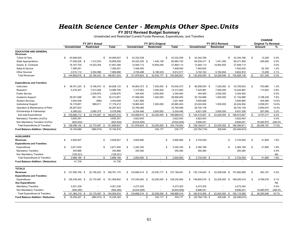## *Health Science Center - Memphis Other Spec.Units*<br>FY 2012 Revised Budget Summary

Unrestricted and Restricted Current Funds Revenue, Expenditures, and Transfers

|                                                 |                        |                           |             |    |                     |                   |      |              |      |                     |                 |                         |      | <b>CHANGE</b>              |           |
|-------------------------------------------------|------------------------|---------------------------|-------------|----|---------------------|-------------------|------|--------------|------|---------------------|-----------------|-------------------------|------|----------------------------|-----------|
|                                                 |                        | FY 2011 Actual            |             |    |                     | FY 2012 Original  |      |              |      |                     | FY 2012 Revised |                         |      | <b>Original To Revised</b> |           |
|                                                 | <b>Unrestricted</b>    | <b>Restricted</b>         | Total       |    | <b>Unrestricted</b> | <b>Restricted</b> |      | <b>Total</b> |      | <b>Unrestricted</b> | Restricted      | <b>Total</b>            |      | Amount                     | ℅         |
| <b>EDUCATION AND GENERAL</b><br><b>Revenues</b> |                        |                           |             |    |                     |                   |      |              |      |                     |                 |                         |      |                            |           |
| Tuition & Fees                                  | 40,946,925<br>\$       | \$.                       | 40.946.927  | \$ | 43.332.538          |                   | \$   | 43,332,538   | \$   | 43,344,766          |                 | \$<br>43.344.766        | \$   | 12.228                     | 0.0%      |
| <b>State Appropriations</b>                     | 77,546,026 \$          | 1,312,533                 | 78,858,559  |    | 64,525,035 \$       | 1,440,148         |      | 65,965,183   |      | 64,830,417 \$       | 1,441,392       | 66,271,809              |      | 306,626                    | 0.5%      |
| Grants & Contracts                              | 16, 167, 704           | 15,523,304                | 31,691,008  |    | 12,944,113          | 14,904,000        |      | 27,848,113   |      | 12,944,113          | 14,904,000      | 27,848,113              |      |                            | 0.0%      |
| Sales & Service                                 | 7,385,051              |                           | 7,385,051   |    | 7,448,450           |                   |      | 7,448,450    |      | 7,540,635           |                 | 7,540,635               |      | 92.185                     | 1.2%      |
| <b>Other Sources</b>                            | 2,615,112              | 5,354,586                 | 7,969,698   |    | 3,726,488           | 6,186,029         |      | 9,912,517    |      | 3,740,162           | 6,182,654       | 9,922,816               |      | 10,299                     | 0.1%      |
| <b>Total Revenues</b>                           | 144,660,819 \$<br>- \$ | 22,190,423 \$             | 166,851,243 | \$ | 131,976,624<br>- \$ | 22,530,177 \$     |      | 154,506,801  | \$   | 132,400,093<br>- \$ | 22,528,046 \$   | 154,928,139             | S.   | 421,338                    | 0.3%      |
| <b>Expenditures and Transfers</b>               |                        |                           |             |    |                     |                   |      |              |      |                     |                 |                         |      |                            |           |
| Instruction                                     | 38,761,223 \$<br>\$    | 8,166,910 \$              | 46,928,133  | \$ | 45,804,373 \$       | 7,200,000 \$      |      | 53,004,373   | \$   | 46,508,053 \$       | 7,200,000 \$    | 53,708,053              | \$   | 703,680                    | 1.3%      |
| Research                                        | 5,276,307              | 7,813,458                 | 13,089,765  |    | 7,312,063           | 7,000,000         |      | 14,312,063   |      | 7,425,967           | 7,000,000       | 14,425,967              |      | 113,904                    | 0.8%      |
| <b>Public Service</b>                           |                        | 2,539,870                 | 2,539,870   |    | 344,400             | 3,000,000         |      | 3,344,400    |      | 344,400             | 3,000,000       | 3,344,400               |      |                            | 0.0%      |
| Academic Support                                | 29,351,698             | 961,153                   | 30,312,851  |    | 27,956,650          | 1,000,000         |      | 28,956,650   |      | 30,154,888          | 1,000,000       | 31, 154, 888            |      | 2,198,238                  | 7.6%      |
| <b>Student Services</b>                         | 3,444,538              | (880)                     | 3,443,658   |    | 3,201,806           |                   |      | 3,201,806    |      | 3,605,890           |                 | 3,605,890               |      | 404,084                    | 12.6%     |
| <b>Institutional Support</b>                    | 16,176,801             | 999,611                   | 17,176,412  |    | 19,965,403          | 1,000,000         |      | 20,965,403   |      | 23,024,954          | 1,000,000       | 24,024,954              |      | 3,059,551                  | 14.6%     |
| Operation & Maintenance of Plant                | 26,267,623             |                           | 26,267,623  |    | 23,769,469          |                   |      | 23,769,469   |      | 26,720,139          |                 | 26,720,139              |      | 2,950,670                  | 12.4%     |
| Scholarships & Fellowships                      | 6.388.523              | 2,690,375                 | 9,078,898   |    | 6.334.446           | 3.000.000         |      | 9,334,446    |      | 6,631,536           | 3,000,000       | 9,631,536               |      | 297.090                    | 3.2%      |
| Sub-total Expenditures                          | 125,666,713 \$<br>\$   | 23,170,497 \$             | 148,837,210 | \$ | 134,688,610<br>- \$ | 22,200,000 \$     |      | 156,888,610  | \$   | 144,415,827 \$      | 22,200,000 \$   | 166,615,827             | - \$ | 9,727,217                  | 6.2%      |
| Mandatory Transfers (In)/Out                    | 3,655,351              |                           | 3,655,351   |    | 3,922,943           |                   |      | 3,922,943    |      | 3,922,943           |                 | 3,922,943               |      |                            | 0.0%      |
| Non-Mandatory Transfers (In)/Out                | (825.934)              |                           | (825.934)   |    | (6.634.929)         |                   |      | (6.634.929)  |      | 9.846.041           |                 | 9.846.041               |      | 16,480,970                 | $-248.4%$ |
| <b>Total Expenditures &amp; Transfers</b>       | 128,496,130 \$<br>\$   | 23,170,497 \$             | 151,666,627 |    | $$131,976,624$ \$   | 22,200,000 \$     |      | 154,176,624  |      | $$158,184,811$ \$   | 22,200,000 \$   | 180,384,811             | \$   | 26,208,187                 | 17.0%     |
| Fund Balance Addition / (Reduction)             | 16, 164, 689           | (980, 074)                | 15,184,616  |    |                     | 330,177           |      | 330,177      |      | (25, 784, 718)      | 328,046         | (25, 456, 672)          |      |                            |           |
| <b>AUXILIARIES</b>                              |                        |                           |             |    |                     |                   |      |              |      |                     |                 |                         |      |                            |           |
| <b>Revenues</b>                                 | 2,929,927<br>\$        | \$                        | 2,929,927   | \$ | 2,692,690           |                   | \$   | 2,692,690    | \$   | 2,734,549           |                 | 2,734,549<br>\$         | \$   | 41,859                     | 1.6%      |
| <b>Expenditures and Transfers</b>               |                        |                           |             |    |                     |                   |      |              |      |                     |                 |                         |      |                            |           |
| Expenditures                                    | \$<br>2,671,632        | \$                        | 2,671,632   | -S | 2,342,330           |                   | \$   | 2,342,330    | - \$ | 2,384,189           |                 | - \$<br>2,384,189       | \$   | 41,859                     | 1.8%      |
| <b>Mandatory Transfers</b>                      | 345,888                |                           | 345,888     |    | 350,360             |                   |      | 350,360      |      | 350,360             |                 | 350,360                 |      |                            | 0.0%      |
| Non Mandatory Transfers                         | (129, 331)             |                           | (129, 331)  |    |                     |                   |      |              |      |                     |                 |                         |      |                            | <b>NA</b> |
| <b>Total Expenditures &amp; Transfers</b>       | 2,888,189 \$<br>- \$   | \$<br>$\sim$              | 2,888,189   | \$ | 2,692,690 \$        | $\sim$            | \$   | 2,692,690    | - \$ | 2,734,549 \$        | $\sim$          | 2,734,549<br>-\$        | - \$ | 41,859                     | 1.6%      |
| Fund Balance Addition / (Reduction)             | 41,738                 |                           | 41,738      |    |                     |                   |      |              |      |                     |                 |                         |      |                            |           |
| <b>TOTALS</b>                                   |                        |                           |             |    |                     |                   |      |              |      |                     |                 |                         |      |                            |           |
| Revenues                                        | \$<br>147,590,746      | 22,190,423<br>- \$<br>-\$ | 169,781,170 | \$ | 134,669,314<br>- \$ | 22,530,177        | - \$ | 157,199,491  |      | $$135,134,642$ \$   | 22,528,046      | 157,662,688<br>- \$     | \$   | 463,197                    | 0.3%      |
| <b>Expenditures and Transfers</b>               |                        |                           |             |    |                     |                   |      |              |      |                     |                 |                         |      |                            |           |
| Expenditures                                    | 128,338,345 \$<br>\$   | 23,170,497 \$             | 151,508,842 | \$ | 137,030,940<br>- \$ | 22,200,000 \$     |      | 159,230,940  |      | $$146,800,016$ \$   | 22,200,000 \$   | 169,000,016             | \$   | 9,769,076                  | 6.1%      |
| <b>Aux Expenditures</b>                         |                        |                           |             |    |                     |                   |      |              |      |                     |                 |                         |      |                            | <b>NA</b> |
| <b>Mandatory Transfers</b>                      | 4,001,239              |                           | 4,001,239   |    | 4,273,303           |                   |      | 4,273,303    |      | 4,273,303           |                 | 4,273,303               |      |                            | 0.0%      |
| Non Mandatory Transfers                         | (955.265)              |                           | (955, 265)  |    | (6,634,929)         |                   |      | (6,634,929)  |      | 9,846,041           |                 | 9,846,041               |      | 16,480,970                 | -248.4%   |
| <b>Total Expenditures &amp; Transfers</b>       | S.<br>131,384,319 \$   | 23,170,497<br>\$          | 154,554,816 | \$ | 134,669,314 \$      | 22,200,000        | \$   | 156,869,314  | \$   | 160,919,360<br>-\$  | 22,200,000      | <b>S</b><br>183,119,360 | \$   | 26,250,046                 | 16.7%     |
| <b>Fund Balance Addition / Reduction</b>        | \$<br>16,206,427 \$    | $(980.074)$ \$            | 15,226,354  | \$ | S.                  | 330,177 \$        |      | 330,177      | \$   | $(25,784,718)$ \$   | 328,046         | (25, 456, 672)<br>- \$  |      |                            |           |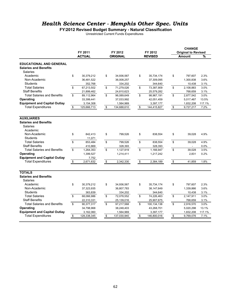### *Health Science Center - Memphis Other Spec. Units*

**FY2012 Revised Budget Summary - Natural Classification**

Unrestricted Current Funds Expenditures

| FY 2011<br>FY 2012<br>FY 2012<br><b>Original to Revised</b><br>%<br><b>ACTUAL</b><br><b>ORIGINAL</b><br><b>REVISED</b><br>Amount<br><b>EDUCATIONAL AND GENERAL</b><br><b>Salaries and Benefits</b><br><b>Salaries</b><br>Academic<br>\$<br>30,379,212<br>\$<br>\$<br>35,734,174<br>\$<br>797,607<br>2.3%<br>34,936,567<br>Non-Academic<br>36,481,522<br>36,008,257<br>37,309,095<br>1,300,838<br>3.6%<br><b>Students</b><br>352,768<br>334,202<br>344,640<br>3.1%<br>10,438<br><b>Total Salaries</b><br>\$<br>\$<br>\$<br>\$<br>67,213,502<br>71,279,026<br>73,387,909<br>2,108,883<br>3.0%<br><b>Staff Benefits</b><br>21,899,462<br>24,810,623<br>25,579,282<br>768,659<br>3.1%<br><b>Total Salaries and Benefits</b><br>\$<br>89,112,964<br>\$<br>96,089,649<br>\$<br>98,967,191<br>\$<br>2,877,542<br>3.0%<br>Operating<br>33,399,441<br>37,033,992<br>42,051,459<br>5,017,467<br>13.5%<br><b>Equipment and Capital Outlay</b><br>1,564,969<br>1,832,208<br>117.1%<br>3,154,308<br>3,397,177<br><b>Total Expenditures</b><br>\$<br>125,666,713<br>\$<br>\$<br>\$<br>9,727,217<br>7.2%<br>134,688,610<br>144,415,827<br><b>Salaries and Benefits</b><br>Salaries<br>Academic<br>Non-Academic<br>\$<br>842.413<br>\$<br>799.526<br>\$<br>\$<br>39.028<br>4.9%<br>838,554<br><b>Students</b><br>11,071<br><b>Total Salaries</b><br>\$<br>\$<br>\$<br>\$<br>853,484<br>799,526<br>838,554<br>39,028<br>4.9%<br><b>Staff Benefits</b><br>328,393<br>328,393<br>0.0%<br>410,869<br>÷.<br>\$<br><b>Total Salaries and Benefits</b><br>\$<br>\$<br>\$<br>1,264,353<br>1,127,919<br>1,166,947<br>39,028<br>3.5%<br>1,399,527<br>1,214,411<br>1,217,242<br>2.831<br>0.2%<br><b>Equipment and Capital Outlay</b><br>7,752<br><b>Total Expenditures</b><br>\$<br>\$<br>2,342,330<br>\$<br>\$<br>1.8%<br>2,671,632<br>2,384,189<br>41,859<br><b>TOTALS</b><br><b>Salaries and Benefits</b><br><b>Salaries</b><br>Academic<br>\$<br>30,379,212<br>\$<br>34,936,567<br>\$<br>35,734,174<br>\$<br>797,607<br>2.3%<br>Non-Academic<br>3.6%<br>37,323,935<br>36,807,783<br>38,147,649<br>1,339,866<br>Students<br>363,839<br>344,640<br>3.1%<br>334,202<br>10,438<br><b>Total Salaries</b><br>\$<br>\$<br>\$<br>\$<br>3.0%<br>68,066,986<br>72,078,552<br>74,226,463<br>2,147,911<br><b>Staff Benefits</b><br>3.1%<br>25,139,016<br>25,907,675<br>768,659<br>22,310,331<br><b>Total Salaries and Benefits</b><br>\$<br>\$<br>\$<br>\$<br>90,377,317<br>97,217,568<br>2,916,570<br>3.0%<br>100,134,138<br>13.1%<br>34,798,968<br>38,248,403<br>43,268,701<br>5,020,298<br>3,162,060<br>1,564,969<br>3,397,177<br>1,832,208<br>117.1%<br><b>Total Expenditures</b><br>\$<br>128,338,345<br>\$<br>137,030,940<br>\$<br>146,800,016<br>\$<br>7.1%<br>9,769,076 |                                     |  |  |  | <b>CHANGE</b> |  |
|----------------------------------------------------------------------------------------------------------------------------------------------------------------------------------------------------------------------------------------------------------------------------------------------------------------------------------------------------------------------------------------------------------------------------------------------------------------------------------------------------------------------------------------------------------------------------------------------------------------------------------------------------------------------------------------------------------------------------------------------------------------------------------------------------------------------------------------------------------------------------------------------------------------------------------------------------------------------------------------------------------------------------------------------------------------------------------------------------------------------------------------------------------------------------------------------------------------------------------------------------------------------------------------------------------------------------------------------------------------------------------------------------------------------------------------------------------------------------------------------------------------------------------------------------------------------------------------------------------------------------------------------------------------------------------------------------------------------------------------------------------------------------------------------------------------------------------------------------------------------------------------------------------------------------------------------------------------------------------------------------------------------------------------------------------------------------------------------------------------------------------------------------------------------------------------------------------------------------------------------------------------------------------------------------------------------------------------------------------------------------------------------------------------------------------------------------------------------------------------------------------------------------------------------------------------------------------------------------------------------------------------------------------------------------------------------------------------------------------------------|-------------------------------------|--|--|--|---------------|--|
|                                                                                                                                                                                                                                                                                                                                                                                                                                                                                                                                                                                                                                                                                                                                                                                                                                                                                                                                                                                                                                                                                                                                                                                                                                                                                                                                                                                                                                                                                                                                                                                                                                                                                                                                                                                                                                                                                                                                                                                                                                                                                                                                                                                                                                                                                                                                                                                                                                                                                                                                                                                                                                                                                                                                              |                                     |  |  |  |               |  |
|                                                                                                                                                                                                                                                                                                                                                                                                                                                                                                                                                                                                                                                                                                                                                                                                                                                                                                                                                                                                                                                                                                                                                                                                                                                                                                                                                                                                                                                                                                                                                                                                                                                                                                                                                                                                                                                                                                                                                                                                                                                                                                                                                                                                                                                                                                                                                                                                                                                                                                                                                                                                                                                                                                                                              |                                     |  |  |  |               |  |
|                                                                                                                                                                                                                                                                                                                                                                                                                                                                                                                                                                                                                                                                                                                                                                                                                                                                                                                                                                                                                                                                                                                                                                                                                                                                                                                                                                                                                                                                                                                                                                                                                                                                                                                                                                                                                                                                                                                                                                                                                                                                                                                                                                                                                                                                                                                                                                                                                                                                                                                                                                                                                                                                                                                                              |                                     |  |  |  |               |  |
|                                                                                                                                                                                                                                                                                                                                                                                                                                                                                                                                                                                                                                                                                                                                                                                                                                                                                                                                                                                                                                                                                                                                                                                                                                                                                                                                                                                                                                                                                                                                                                                                                                                                                                                                                                                                                                                                                                                                                                                                                                                                                                                                                                                                                                                                                                                                                                                                                                                                                                                                                                                                                                                                                                                                              |                                     |  |  |  |               |  |
|                                                                                                                                                                                                                                                                                                                                                                                                                                                                                                                                                                                                                                                                                                                                                                                                                                                                                                                                                                                                                                                                                                                                                                                                                                                                                                                                                                                                                                                                                                                                                                                                                                                                                                                                                                                                                                                                                                                                                                                                                                                                                                                                                                                                                                                                                                                                                                                                                                                                                                                                                                                                                                                                                                                                              |                                     |  |  |  |               |  |
|                                                                                                                                                                                                                                                                                                                                                                                                                                                                                                                                                                                                                                                                                                                                                                                                                                                                                                                                                                                                                                                                                                                                                                                                                                                                                                                                                                                                                                                                                                                                                                                                                                                                                                                                                                                                                                                                                                                                                                                                                                                                                                                                                                                                                                                                                                                                                                                                                                                                                                                                                                                                                                                                                                                                              |                                     |  |  |  |               |  |
|                                                                                                                                                                                                                                                                                                                                                                                                                                                                                                                                                                                                                                                                                                                                                                                                                                                                                                                                                                                                                                                                                                                                                                                                                                                                                                                                                                                                                                                                                                                                                                                                                                                                                                                                                                                                                                                                                                                                                                                                                                                                                                                                                                                                                                                                                                                                                                                                                                                                                                                                                                                                                                                                                                                                              |                                     |  |  |  |               |  |
|                                                                                                                                                                                                                                                                                                                                                                                                                                                                                                                                                                                                                                                                                                                                                                                                                                                                                                                                                                                                                                                                                                                                                                                                                                                                                                                                                                                                                                                                                                                                                                                                                                                                                                                                                                                                                                                                                                                                                                                                                                                                                                                                                                                                                                                                                                                                                                                                                                                                                                                                                                                                                                                                                                                                              |                                     |  |  |  |               |  |
|                                                                                                                                                                                                                                                                                                                                                                                                                                                                                                                                                                                                                                                                                                                                                                                                                                                                                                                                                                                                                                                                                                                                                                                                                                                                                                                                                                                                                                                                                                                                                                                                                                                                                                                                                                                                                                                                                                                                                                                                                                                                                                                                                                                                                                                                                                                                                                                                                                                                                                                                                                                                                                                                                                                                              |                                     |  |  |  |               |  |
|                                                                                                                                                                                                                                                                                                                                                                                                                                                                                                                                                                                                                                                                                                                                                                                                                                                                                                                                                                                                                                                                                                                                                                                                                                                                                                                                                                                                                                                                                                                                                                                                                                                                                                                                                                                                                                                                                                                                                                                                                                                                                                                                                                                                                                                                                                                                                                                                                                                                                                                                                                                                                                                                                                                                              |                                     |  |  |  |               |  |
|                                                                                                                                                                                                                                                                                                                                                                                                                                                                                                                                                                                                                                                                                                                                                                                                                                                                                                                                                                                                                                                                                                                                                                                                                                                                                                                                                                                                                                                                                                                                                                                                                                                                                                                                                                                                                                                                                                                                                                                                                                                                                                                                                                                                                                                                                                                                                                                                                                                                                                                                                                                                                                                                                                                                              |                                     |  |  |  |               |  |
|                                                                                                                                                                                                                                                                                                                                                                                                                                                                                                                                                                                                                                                                                                                                                                                                                                                                                                                                                                                                                                                                                                                                                                                                                                                                                                                                                                                                                                                                                                                                                                                                                                                                                                                                                                                                                                                                                                                                                                                                                                                                                                                                                                                                                                                                                                                                                                                                                                                                                                                                                                                                                                                                                                                                              |                                     |  |  |  |               |  |
|                                                                                                                                                                                                                                                                                                                                                                                                                                                                                                                                                                                                                                                                                                                                                                                                                                                                                                                                                                                                                                                                                                                                                                                                                                                                                                                                                                                                                                                                                                                                                                                                                                                                                                                                                                                                                                                                                                                                                                                                                                                                                                                                                                                                                                                                                                                                                                                                                                                                                                                                                                                                                                                                                                                                              |                                     |  |  |  |               |  |
|                                                                                                                                                                                                                                                                                                                                                                                                                                                                                                                                                                                                                                                                                                                                                                                                                                                                                                                                                                                                                                                                                                                                                                                                                                                                                                                                                                                                                                                                                                                                                                                                                                                                                                                                                                                                                                                                                                                                                                                                                                                                                                                                                                                                                                                                                                                                                                                                                                                                                                                                                                                                                                                                                                                                              | <b>AUXILIARIES</b>                  |  |  |  |               |  |
|                                                                                                                                                                                                                                                                                                                                                                                                                                                                                                                                                                                                                                                                                                                                                                                                                                                                                                                                                                                                                                                                                                                                                                                                                                                                                                                                                                                                                                                                                                                                                                                                                                                                                                                                                                                                                                                                                                                                                                                                                                                                                                                                                                                                                                                                                                                                                                                                                                                                                                                                                                                                                                                                                                                                              |                                     |  |  |  |               |  |
|                                                                                                                                                                                                                                                                                                                                                                                                                                                                                                                                                                                                                                                                                                                                                                                                                                                                                                                                                                                                                                                                                                                                                                                                                                                                                                                                                                                                                                                                                                                                                                                                                                                                                                                                                                                                                                                                                                                                                                                                                                                                                                                                                                                                                                                                                                                                                                                                                                                                                                                                                                                                                                                                                                                                              |                                     |  |  |  |               |  |
|                                                                                                                                                                                                                                                                                                                                                                                                                                                                                                                                                                                                                                                                                                                                                                                                                                                                                                                                                                                                                                                                                                                                                                                                                                                                                                                                                                                                                                                                                                                                                                                                                                                                                                                                                                                                                                                                                                                                                                                                                                                                                                                                                                                                                                                                                                                                                                                                                                                                                                                                                                                                                                                                                                                                              |                                     |  |  |  |               |  |
|                                                                                                                                                                                                                                                                                                                                                                                                                                                                                                                                                                                                                                                                                                                                                                                                                                                                                                                                                                                                                                                                                                                                                                                                                                                                                                                                                                                                                                                                                                                                                                                                                                                                                                                                                                                                                                                                                                                                                                                                                                                                                                                                                                                                                                                                                                                                                                                                                                                                                                                                                                                                                                                                                                                                              |                                     |  |  |  |               |  |
|                                                                                                                                                                                                                                                                                                                                                                                                                                                                                                                                                                                                                                                                                                                                                                                                                                                                                                                                                                                                                                                                                                                                                                                                                                                                                                                                                                                                                                                                                                                                                                                                                                                                                                                                                                                                                                                                                                                                                                                                                                                                                                                                                                                                                                                                                                                                                                                                                                                                                                                                                                                                                                                                                                                                              |                                     |  |  |  |               |  |
|                                                                                                                                                                                                                                                                                                                                                                                                                                                                                                                                                                                                                                                                                                                                                                                                                                                                                                                                                                                                                                                                                                                                                                                                                                                                                                                                                                                                                                                                                                                                                                                                                                                                                                                                                                                                                                                                                                                                                                                                                                                                                                                                                                                                                                                                                                                                                                                                                                                                                                                                                                                                                                                                                                                                              |                                     |  |  |  |               |  |
|                                                                                                                                                                                                                                                                                                                                                                                                                                                                                                                                                                                                                                                                                                                                                                                                                                                                                                                                                                                                                                                                                                                                                                                                                                                                                                                                                                                                                                                                                                                                                                                                                                                                                                                                                                                                                                                                                                                                                                                                                                                                                                                                                                                                                                                                                                                                                                                                                                                                                                                                                                                                                                                                                                                                              |                                     |  |  |  |               |  |
|                                                                                                                                                                                                                                                                                                                                                                                                                                                                                                                                                                                                                                                                                                                                                                                                                                                                                                                                                                                                                                                                                                                                                                                                                                                                                                                                                                                                                                                                                                                                                                                                                                                                                                                                                                                                                                                                                                                                                                                                                                                                                                                                                                                                                                                                                                                                                                                                                                                                                                                                                                                                                                                                                                                                              |                                     |  |  |  |               |  |
|                                                                                                                                                                                                                                                                                                                                                                                                                                                                                                                                                                                                                                                                                                                                                                                                                                                                                                                                                                                                                                                                                                                                                                                                                                                                                                                                                                                                                                                                                                                                                                                                                                                                                                                                                                                                                                                                                                                                                                                                                                                                                                                                                                                                                                                                                                                                                                                                                                                                                                                                                                                                                                                                                                                                              | Operating                           |  |  |  |               |  |
|                                                                                                                                                                                                                                                                                                                                                                                                                                                                                                                                                                                                                                                                                                                                                                                                                                                                                                                                                                                                                                                                                                                                                                                                                                                                                                                                                                                                                                                                                                                                                                                                                                                                                                                                                                                                                                                                                                                                                                                                                                                                                                                                                                                                                                                                                                                                                                                                                                                                                                                                                                                                                                                                                                                                              |                                     |  |  |  |               |  |
|                                                                                                                                                                                                                                                                                                                                                                                                                                                                                                                                                                                                                                                                                                                                                                                                                                                                                                                                                                                                                                                                                                                                                                                                                                                                                                                                                                                                                                                                                                                                                                                                                                                                                                                                                                                                                                                                                                                                                                                                                                                                                                                                                                                                                                                                                                                                                                                                                                                                                                                                                                                                                                                                                                                                              |                                     |  |  |  |               |  |
|                                                                                                                                                                                                                                                                                                                                                                                                                                                                                                                                                                                                                                                                                                                                                                                                                                                                                                                                                                                                                                                                                                                                                                                                                                                                                                                                                                                                                                                                                                                                                                                                                                                                                                                                                                                                                                                                                                                                                                                                                                                                                                                                                                                                                                                                                                                                                                                                                                                                                                                                                                                                                                                                                                                                              |                                     |  |  |  |               |  |
|                                                                                                                                                                                                                                                                                                                                                                                                                                                                                                                                                                                                                                                                                                                                                                                                                                                                                                                                                                                                                                                                                                                                                                                                                                                                                                                                                                                                                                                                                                                                                                                                                                                                                                                                                                                                                                                                                                                                                                                                                                                                                                                                                                                                                                                                                                                                                                                                                                                                                                                                                                                                                                                                                                                                              |                                     |  |  |  |               |  |
|                                                                                                                                                                                                                                                                                                                                                                                                                                                                                                                                                                                                                                                                                                                                                                                                                                                                                                                                                                                                                                                                                                                                                                                                                                                                                                                                                                                                                                                                                                                                                                                                                                                                                                                                                                                                                                                                                                                                                                                                                                                                                                                                                                                                                                                                                                                                                                                                                                                                                                                                                                                                                                                                                                                                              |                                     |  |  |  |               |  |
|                                                                                                                                                                                                                                                                                                                                                                                                                                                                                                                                                                                                                                                                                                                                                                                                                                                                                                                                                                                                                                                                                                                                                                                                                                                                                                                                                                                                                                                                                                                                                                                                                                                                                                                                                                                                                                                                                                                                                                                                                                                                                                                                                                                                                                                                                                                                                                                                                                                                                                                                                                                                                                                                                                                                              |                                     |  |  |  |               |  |
|                                                                                                                                                                                                                                                                                                                                                                                                                                                                                                                                                                                                                                                                                                                                                                                                                                                                                                                                                                                                                                                                                                                                                                                                                                                                                                                                                                                                                                                                                                                                                                                                                                                                                                                                                                                                                                                                                                                                                                                                                                                                                                                                                                                                                                                                                                                                                                                                                                                                                                                                                                                                                                                                                                                                              |                                     |  |  |  |               |  |
|                                                                                                                                                                                                                                                                                                                                                                                                                                                                                                                                                                                                                                                                                                                                                                                                                                                                                                                                                                                                                                                                                                                                                                                                                                                                                                                                                                                                                                                                                                                                                                                                                                                                                                                                                                                                                                                                                                                                                                                                                                                                                                                                                                                                                                                                                                                                                                                                                                                                                                                                                                                                                                                                                                                                              |                                     |  |  |  |               |  |
|                                                                                                                                                                                                                                                                                                                                                                                                                                                                                                                                                                                                                                                                                                                                                                                                                                                                                                                                                                                                                                                                                                                                                                                                                                                                                                                                                                                                                                                                                                                                                                                                                                                                                                                                                                                                                                                                                                                                                                                                                                                                                                                                                                                                                                                                                                                                                                                                                                                                                                                                                                                                                                                                                                                                              |                                     |  |  |  |               |  |
|                                                                                                                                                                                                                                                                                                                                                                                                                                                                                                                                                                                                                                                                                                                                                                                                                                                                                                                                                                                                                                                                                                                                                                                                                                                                                                                                                                                                                                                                                                                                                                                                                                                                                                                                                                                                                                                                                                                                                                                                                                                                                                                                                                                                                                                                                                                                                                                                                                                                                                                                                                                                                                                                                                                                              |                                     |  |  |  |               |  |
|                                                                                                                                                                                                                                                                                                                                                                                                                                                                                                                                                                                                                                                                                                                                                                                                                                                                                                                                                                                                                                                                                                                                                                                                                                                                                                                                                                                                                                                                                                                                                                                                                                                                                                                                                                                                                                                                                                                                                                                                                                                                                                                                                                                                                                                                                                                                                                                                                                                                                                                                                                                                                                                                                                                                              |                                     |  |  |  |               |  |
|                                                                                                                                                                                                                                                                                                                                                                                                                                                                                                                                                                                                                                                                                                                                                                                                                                                                                                                                                                                                                                                                                                                                                                                                                                                                                                                                                                                                                                                                                                                                                                                                                                                                                                                                                                                                                                                                                                                                                                                                                                                                                                                                                                                                                                                                                                                                                                                                                                                                                                                                                                                                                                                                                                                                              |                                     |  |  |  |               |  |
|                                                                                                                                                                                                                                                                                                                                                                                                                                                                                                                                                                                                                                                                                                                                                                                                                                                                                                                                                                                                                                                                                                                                                                                                                                                                                                                                                                                                                                                                                                                                                                                                                                                                                                                                                                                                                                                                                                                                                                                                                                                                                                                                                                                                                                                                                                                                                                                                                                                                                                                                                                                                                                                                                                                                              | Operating                           |  |  |  |               |  |
|                                                                                                                                                                                                                                                                                                                                                                                                                                                                                                                                                                                                                                                                                                                                                                                                                                                                                                                                                                                                                                                                                                                                                                                                                                                                                                                                                                                                                                                                                                                                                                                                                                                                                                                                                                                                                                                                                                                                                                                                                                                                                                                                                                                                                                                                                                                                                                                                                                                                                                                                                                                                                                                                                                                                              | <b>Equipment and Capital Outlay</b> |  |  |  |               |  |
|                                                                                                                                                                                                                                                                                                                                                                                                                                                                                                                                                                                                                                                                                                                                                                                                                                                                                                                                                                                                                                                                                                                                                                                                                                                                                                                                                                                                                                                                                                                                                                                                                                                                                                                                                                                                                                                                                                                                                                                                                                                                                                                                                                                                                                                                                                                                                                                                                                                                                                                                                                                                                                                                                                                                              |                                     |  |  |  |               |  |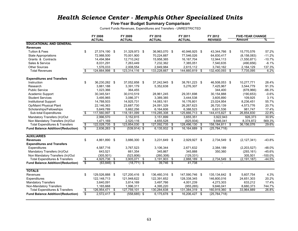### *Health Science Center - Memphis Other Specialized Units*

#### **Five-Year Budget Summary Comparison**

Current Funds Revenues, Expenditures and Transfers - UNRESTRICTED

|                                           |                         | FY 2008            | FY 2009            | FY 2010        |      | FY 2011        | FY 2012              |    | <b>FIVE-YEAR CHANGE</b> |           |
|-------------------------------------------|-------------------------|--------------------|--------------------|----------------|------|----------------|----------------------|----|-------------------------|-----------|
|                                           |                         | <b>ACTUAL</b>      | <b>ACTUAL</b>      | <b>ACTUAL</b>  |      | <b>ACTUAL</b>  | <b>REVISED</b>       |    | <b>Amount</b>           | ℀         |
| <b>EDUCATIONAL AND GENERAL</b>            |                         |                    |                    |                |      |                |                      |    |                         |           |
| <b>Revenues</b>                           |                         |                    |                    |                |      |                |                      |    |                         |           |
| Tuition & Fees                            | \$                      | 27,574,190 \$      | 31,329,973 \$      | 36,963,070 \$  |      | 40,946,925 \$  | 43,344,766 \$        |    | 15,770,576              | 57.2%     |
| <b>State Appropriations</b>               |                         | 72,988,500         | 70,001,900         | 70,224,887     |      | 77,546,026     | 64,830,417           |    | (8, 158, 083)           | $-11.2%$  |
| Grants & Contracts                        |                         | 14,494,984         | 12,710,242         | 15,958,365     |      | 16, 167, 704   | 12,944,113           |    | (1,550,871)             | $-10.7%$  |
| Sales & Service                           |                         | 8,031,291          | 7,263,449          | 7,232,362      |      | 7,385,051      | 7,540,635            |    | (490, 656)              | $-6.1%$   |
| <b>Other Sources</b>                      |                         | 1,576,033          | 2,008,554          | 2,849,984      |      | 2,615,112      | 3,740,162            |    | 2,164,129               | 137.3%    |
| <b>Total Revenues</b>                     | \$                      | 124,664,998<br>\$  | 123,314,116<br>-\$ | 133,228,667    | - \$ | 144,660,819    | \$<br>132,400,093    | \$ | 7,735,095               | 6.2%      |
| <b>Expenditures and Transfers</b>         |                         |                    |                    |                |      |                |                      |    |                         |           |
| Instruction                               | \$                      | 36,230,282 \$      | 37,052,858 \$      | 37,242,945 \$  |      | 38,761,223 \$  | 46,508,053 \$        |    | 10,277,771              | 28.4%     |
| Research                                  |                         | 3,881,188          | 3,391,179          | 5,352,638      |      | 5,276,307      | 7,425,967            |    | 3,544,779               | 91.3%     |
| <b>Public Service</b>                     |                         | 1,023,366          | 364,455            |                |      |                | 344,400              |    | (678,966)               | $-66.3%$  |
| Academic Support                          |                         | 30,345,541         | 30.010.519         | 28.961.245     |      | 29.351.698     | 30,154,888           |    | (190, 653)              | $-0.6%$   |
| <b>Student Services</b>                   |                         | 3,495,965          | 3,086,371          | 3,389,385      |      | 3,444,538      | 3,605,890            |    | 109,925                 | 3.1%      |
| <b>Institutional Support</b>              |                         | 14,788,503         | 14,925,731         | 14,083,161     |      | 16,176,801     | 23,024,954           |    | 8,236,451               | 55.7%     |
| Op/Maint Physical Plant                   |                         | 22,146,363         | 23,687,730         | 24,091,329     |      | 26,267,623     | 26,720,139           |    | 4,573,776               | 20.7%     |
| Scholarships/Fellowships                  |                         | 5,649,789          | 5,662,256          | 6,164,606      |      | 6,388,523      | 6,631,536            |    | 981,747                 | 17.4%     |
| Sub-total Expenditures                    | s,                      | 117,560,997 \$     | -\$<br>118,181,099 | 119,285,308    | \$   | 125,666,713 \$ | 144,415,827 \$       |    | 26,854,830              | 22.8%     |
| Mandatory Transfers (In)/Out              |                         | 2,996,570          | 3,152,815          | 3,151,899      |      | 3,655,351      | 3,922,943            |    | 926,373                 | 30.9%     |
| Non Mandatory Transfers (In)/Out          |                         | 1,471,169          | 2,520,116          | 4,655,528      |      | (825, 934)     | 9,846,041            |    | 8.374.872               | 569.3%    |
| <b>Total Expenditures &amp; Transfers</b> | S,                      | 122,028,735 \$     | 123,854,030<br>-\$ | 127,092,735    | S    | 128,496,130    | \$<br>158,184,811 \$ |    | 36.156.076              | 29.6%     |
| <b>Fund Balance Addition/(Reduction)</b>  |                         | $2,636,263$ \$     | $(539, 914)$ \$    | $6,135,932$ \$ |      | 16,164,689 \$  | (25, 784, 718)       |    |                         |           |
|                                           |                         |                    |                    |                |      |                |                      |    |                         |           |
| <b>AUXILIARIES</b>                        |                         |                    |                    |                |      |                |                      |    |                         |           |
| <b>Revenues</b>                           | \$                      | 4,861,890 \$       | 3,886,300<br>\$    | 3,231,649 \$   |      | 2,929,927 \$   | 2,734,549 \$         |    | (2, 127, 341)           | $-43.8%$  |
| <b>Expenditures and Transfers</b>         |                         |                    |                    |                |      |                |                      |    |                         |           |
| Expenditures                              |                         | 4,587,716          | 3,767,523          | 3,106,344      |      | 2,671,632      | 2,384,189            |    | (2,203,527)             | $-48.0%$  |
| Mandatory Transfers (In)/Out              |                         | 643,521            | 661,354            | 345,867        |      | 345,888        | 350,360              |    | (293, 161)              | $-45.6%$  |
| Non Mandatory Transfers (In)/Out          |                         | (305, 501)         | (523, 806)         | (260, 308)     |      | (129, 331)     |                      |    | 305,501                 | $-100.0%$ |
| <b>Total Expenditures &amp; Transfers</b> | $\overline{\mathbb{S}}$ | 4,925,736<br>\$    | 3,905,071<br>\$    | 3,191,903      | \$   | 2,888,189      | \$<br>2,734,549      | \$ | (2, 191, 187)           | $-44.5%$  |
| <b>Fund Balance Addition/(Reduction)</b>  | \$                      | $(63, 846)$ \$     | $(18, 771)$ \$     | $39,746$ \$    |      | 41.738         |                      |    |                         |           |
| <b>TOTALS</b>                             |                         |                    |                    |                |      |                |                      |    |                         |           |
| Revenues                                  | \$                      | 129,526,888 \$     | 127,200,416 \$     | 136,460,316 \$ |      | 147,590,746 \$ | 135,134,642 \$       |    | 5,607,754               | 4.3%      |
| Expenditures                              |                         | 122, 148, 713      | 121,948,622        | 122,391,652    |      | 128,338,345    | 146,800,016          |    | 24,651,303              | 20.2%     |
| <b>Mandatory Transfers</b>                |                         | 3,640,091          | 3,814,169          | 3,497,766      |      | 4,001,239      | 4,273,303            |    | 633,212                 | 17.4%     |
| Non-Mandatory Transfers                   |                         | 1,165,668          | 1,996,311          | 4,395,220      |      | (955, 265)     | 9,846,041            |    | 8,680,373               | 744.7%    |
| <b>Total Expenditures &amp; Transfers</b> | $\overline{\mathbb{S}}$ | 126,954,471<br>-\$ | 127,759,101<br>\$  | 130,284,638    | \$   | 131,384,319    | \$<br>160,919,360    | s, | 33,964,889              | 26.8%     |
| <b>Fund Balance Addition/(Reduction)</b>  | \$                      | $2,572,417$ \$     | $(558, 685)$ \$    | 6.175.678      | - \$ | 16,206,427 \$  | (25, 784, 718)       |    |                         |           |
|                                           |                         |                    |                    |                |      |                |                      |    |                         |           |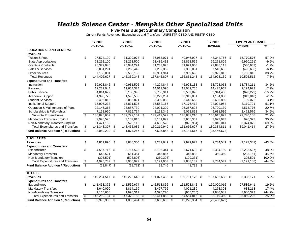### *Health Science Center - Memphis Other Specialized Units*

**Five-Year Budget Summary Comparison**

Current Funds Revenues, Expenditures and Transfers - UNRESTRICTED AND RESTRICTED

|                                            |                          | <b>FY 2008</b>      | FY 2009        |      | FY 2010        |     | FY 2011        |      | FY 2012        |     | <b>FIVE-YEAR CHANGE</b> |           |
|--------------------------------------------|--------------------------|---------------------|----------------|------|----------------|-----|----------------|------|----------------|-----|-------------------------|-----------|
|                                            |                          | <b>ACTUAL</b>       | <b>ACTUAL</b>  |      | <b>ACTUAL</b>  |     | <b>ACTUAL</b>  |      | <b>REVISED</b> |     | <b>Amount</b>           | %         |
| <b>EDUCATIONAL AND GENERAL</b>             |                          |                     |                |      |                |     |                |      |                |     |                         |           |
| <b>Revenues</b>                            |                          |                     |                |      |                |     |                |      |                |     |                         |           |
| <b>Tuition &amp; Fees</b>                  | \$                       | 27,574,190 \$       | 31,329,973 \$  |      | 36,963,071 \$  |     | 40,946,927 \$  |      | 43,344,766 \$  |     | 15,770,576              | 57.2%     |
| <b>State Appropriations</b>                |                          | 73,262,100          | 71,263,500     |      | 71,485,432     |     | 78,858,559     |      | 66,271,809     |     | (6,990,291)             | $-9.5%$   |
| <b>Grants &amp; Contracts</b>              |                          | 28,379,046          | 25,944,291     |      | 31,233,028     |     | 31,691,008     |      | 27,848,113     |     | (530, 933)              | $-1.9%$   |
| Sales & Services                           |                          | 8,031,291           | 7,263,449      |      | 7,232,362      |     | 7,385,051      |      | 7,540,635      |     | (490, 656)              | $-6.1%$   |
| <b>Other Sources</b>                       |                          | 7,156,001           | 9,538,136      |      | 10,931,914     |     | 7,969,698      |      | 9,922,816      |     | 2,766,815               | 38.7%     |
| <b>Total Revenues</b>                      | \$                       | 144,402,627<br>- \$ | 145,339,348    | \$   | 157,845,807    | \$  | 166,851,243    | \$   | 154,928,139    | \$  | 10,525,512              | 7.3%      |
| <b>Expenditures and Transfers</b>          |                          |                     |                |      |                |     |                |      |                |     |                         |           |
| Instruction                                | \$                       | 39,923,842 \$       | 40,931,506     | - \$ | 44,224,844 \$  |     | 46,928,133 \$  |      | 53,708,053 \$  |     | 13,784,211              | 34.5%     |
| Research                                   |                          | 12,231,044          | 11,654,324     |      | 14,013,595     |     | 13,089,765     |      | 14,425,967     |     | 2,194,923               | 17.9%     |
| <b>Public Service</b>                      |                          | 4,014,672           | 3,188,998      |      | 2,750,911      |     | 2,539,870      |      | 3,344,400      |     | (670, 272)              | $-16.7%$  |
| Academic Support                           |                          | 31,998,728          | 31,596,533     |      | 30,272,251     |     | 30,312,851     |      | 31,154,888     |     | (843, 840)              | $-2.6%$   |
| <b>Student Services</b>                    |                          | 3,496,818           | 3,085,821      |      | 3,389,082      |     | 3,443,658      |      | 3,605,890      |     | 109,072                 | 3.1%      |
| <b>Institutional Support</b>               |                          | 15,905,233          | 15,831,525     |      | 15,552,165     |     | 17,176,412     |      | 24,024,954     |     | 8,119,721               | 51.1%     |
| Operation & Maintenance of Plant           |                          | 22,146,363          | 23,687,730     |      | 24,091,329     |     | 26,267,623     |      | 26,720,139     |     | 4,573,776               | 20.7%     |
| Scholarships & Fellowships                 |                          | 7,158,960           | 7,815,714      |      | 8,118,345      |     | 9,078,898      |      | 9,631,536      |     | 2,472,576               | 34.5%     |
| Sub-total Expenditures                     | \$                       | 136,875,659 \$      | 137,792,151 \$ |      | 142,412,522 \$ |     | 148,837,210 \$ |      | 166,615,827 \$ |     | 29,740,168              | 21.7%     |
| Mandatory Transfers (In)/Out               |                          | 2,996,570           | 3,152,815      |      | 3,151,899      |     | 3,655,351      |      | 3,922,943      |     | 926,373                 | 30.9%     |
| Non-Mandatory Transfers (In)/Out           |                          | 1,471,169           | 2,520,116      |      | 4,655,528      |     | (825, 934)     |      | 9,846,041      |     | 8,374,872               | 569.3%    |
| <b>Total Expenditures and Transfers</b>    | $\boldsymbol{\phi}$      | 141,343,397 \$      | 143,465,082    | \$   | 150,219,949    | \$  | 151,666,627    | \$   | 180,384,811    | \$  | 39,041,414              | 27.6%     |
| <b>Fund Balance Addition / (Reduction)</b> | $\overline{\$}$          | $3,059,230$ \$      | 1,874,267      | \$   | 7,625,858 \$   |     | 15,184,616 \$  |      | (25, 456, 672) |     |                         |           |
|                                            |                          |                     |                |      |                |     |                |      |                |     |                         |           |
| <b>AUXILIARIES</b>                         |                          |                     |                |      |                |     |                |      |                |     |                         |           |
| <b>Revenues</b>                            | \$                       | 4,861,890 \$        | 3,886,300 \$   |      | 3,231,649 \$   |     | 2,929,927 \$   |      | 2,734,549 \$   |     | (2, 127, 341)           | -43.8%    |
| <b>Expenditures and Transfers</b>          |                          |                     |                |      |                |     |                |      |                |     |                         |           |
| Expenditures                               | \$                       | 4,587,716 \$        | 3,767,523      | - \$ | 3,106,344 \$   |     | 2,671,632 \$   |      | 2,384,189 \$   |     | (2,203,527)             | $-48.0%$  |
| <b>Mandatory Transfers</b>                 |                          | 643,521             | 661,354        |      | 345,867        |     | 345,888        |      | 350,360        |     | (293, 161)              | $-45.6%$  |
| Non-Mandatory Transfers                    |                          | (305, 501)          | (523, 806)     |      | (260, 308)     |     | (129, 331)     |      |                |     | 305,501                 | $-100.0%$ |
| <b>Total Expenditures and Transfers</b>    | s,                       | 4,925,737 \$        | 3,905,072      | -\$  | 3,191,903      | -\$ | 2,888,189      | \$   | 2,734,549      | -\$ | (2, 191, 188)           | $-44.5%$  |
| <b>Fund Balance Addition / (Reduction)</b> | $\overline{\mathbb{S}}$  | $(63, 847)$ \$      | $(18, 772)$ \$ |      | 39,746         | -\$ | 41,738         | \$   |                |     |                         |           |
| <b>TOTALS</b>                              |                          |                     |                |      |                |     |                |      |                |     |                         |           |
| <b>Revenues</b>                            | \$                       | 149,264,517 \$      | 149,225,648    | - \$ | 161,077,455 \$ |     | 169,781,170 \$ |      | 157,662,688 \$ |     | 8,398,171               | 5.6%      |
| <b>Expenditures and Transfers</b>          |                          |                     |                |      |                |     |                |      |                |     |                         |           |
| Expenditures                               | \$                       | 141,463,375 \$      | 141,559,674    | - \$ | 145,518,866 \$ |     | 151,508,842 \$ |      | 169,000,016 \$ |     | 27,536,641              | 19.5%     |
| <b>Mandatory Transfers</b>                 |                          | 3,640,090           | 3,814,169      |      | 3,497,766      |     | 4,001,239      |      | 4,273,303      |     | 633,213                 | 17.4%     |
| Non-Mandatory Transfers                    |                          | 1,165,668           | 1,996,311      |      | 4,395,220      |     | (955, 265)     |      | 9,846,041      |     | 8,680,373               | 744.7%    |
| <b>Total Expenditures and Transfers</b>    | s,                       | 146,269,134 \$      | 147,370,153    | \$   | 153,411,852    | \$  | 154,554,816    | - \$ | 183,119,360    | \$  | 36,850,226              | 25.2%     |
| <b>Fund Balance Addition / (Reduction)</b> | $\overline{\mathcal{E}}$ | 2,995,383 \$        | 1,855,494      | -\$  | 7,665,603 \$   |     | 15,226,354 \$  |      | (25, 456, 672) |     |                         |           |
|                                            |                          |                     |                |      |                |     |                |      |                |     |                         |           |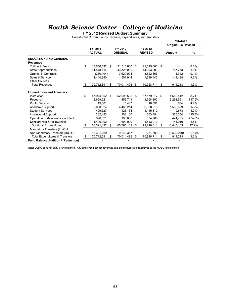### *Health Science Center - College of Medicine*

**FY 2012 Revised Budget Summary**

Unrestricted Current Funds Revenue, Expenditures, and Transfers

|                                            |                          |      |                            |                           | <b>CHANGE</b><br><b>Original To Revised</b> |           |
|--------------------------------------------|--------------------------|------|----------------------------|---------------------------|---------------------------------------------|-----------|
|                                            | FY 2011<br><b>ACTUAL</b> |      | FY 2012<br><b>ORIGINAL</b> | FY 2012<br><b>REVISED</b> | Amount                                      | %         |
| <b>EDUCATION AND GENERAL</b>               |                          |      |                            |                           |                                             |           |
| <b>Revenues</b>                            |                          |      |                            |                           |                                             |           |
| <b>Tuition &amp; Fees</b>                  | \$<br>17,650,592         | - \$ | 21,515,600                 | \$<br>21,515,600 \$       |                                             | 0.0%      |
| <b>State Appropriations</b>                | 51,848,114               |      | 43,326,030                 | 44,093,803                | 767.773                                     | 1.8%      |
| Grants & Contracts                         | (230, 404)               |      | 3,620,924                  | 3,622,866                 | 1.942                                       | 0.1%      |
| Sales & Service                            | 1,444,390                |      | 1,551,944                  | 1,696,442                 | 144,498                                     | 9.3%      |
| <b>Other Sources</b>                       |                          |      |                            |                           |                                             |           |
| <b>Total Revenues</b>                      | 70,712,691               | \$.  | 70,014,498                 | \$<br>70,928,711          | \$<br>914,213                               | 1.3%      |
|                                            |                          |      |                            |                           |                                             |           |
| <b>Expenditures and Transfers</b>          |                          |      |                            |                           |                                             |           |
| Instruction                                | \$<br>47,974,552         | \$.  | 52,596,505                 | \$<br>57,179,017 \$       | 4,582,512                                   | 8.7%      |
| Research                                   | 2,669,221                |      | 459.711                    | 3,758,302                 | 3.298.591                                   | 717.5%    |
| <b>Public Service</b>                      | 19.801                   |      | 15.437                     | 16.091                    | 654                                         | 4.2%      |
| Academic Support                           | 5,050,624                |      | 4,460,214                  | 6,028,913                 | 1,568,699                                   | 35.2%     |
| <b>Student Services</b>                    | 429.627                  |      | 1.126.134                  | 1,145,812                 | 19.678                                      | 1.7%      |
| <b>Institutional Support</b>               | 282,183                  |      | 308.130                    | 663.484                   | 355.354                                     | 115.3%    |
| Operation & Maintenance of Plant           | 396.321                  |      | 100.000                    | 574,785                   | 474.785                                     | 474.8%    |
| Scholarships & Fellowships                 | 1,499,092                |      | 1,699,000                  | 1.843.910                 | 144,910                                     | 8.5%      |
| Sub-total Expenditures                     | \$<br>58,321,422         | \$   | 60,765,131                 | \$<br>71,210,314          | \$<br>10,445,183                            | 17.2%     |
| Mandatory Transfers (In)/Out               |                          |      |                            |                           |                                             |           |
| Non-Mandatory Transfers (In)/Out           | 12,391,269               |      | 9,249,367                  | (281, 603)                | (9,530,970)                                 | $-103.0%$ |
| <b>Total Expenditures &amp; Transfers</b>  | \$<br>70,712,691         | \$   | 70,014,498                 | \$<br>70,928,711          | \$<br>914,213                               | 1.3%      |
| <b>Fund Balance Addition / (Reduction)</b> |                          |      |                            |                           |                                             |           |

Note: COMU does not carry a fund balance. Any difference between revenues and expenditures are transferred to the MOSU fund balance.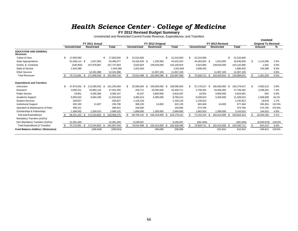# *Hea l th S c ience Center - C ollege of Medi c i n e* **FY 2012 Revised Budget Summary**

Unrestricted and Restricted Current Funds Revenue, Expenditures, and Transfers

|                                           |     |               |               |                   |      |             |     |                     |      |                   |      |              |                     |      |                   |      |              |     | <b>CHANGE</b>              |           |
|-------------------------------------------|-----|---------------|---------------|-------------------|------|-------------|-----|---------------------|------|-------------------|------|--------------|---------------------|------|-------------------|------|--------------|-----|----------------------------|-----------|
|                                           |     |               |               | FY 2011 Actual    |      |             |     |                     |      | FY 2012 Original  |      |              |                     |      | FY 2012 Revised   |      |              |     | <b>Original To Revised</b> |           |
|                                           |     | Unrestricted  |               | <b>Restricted</b> |      | Total       |     | <b>Unrestricted</b> |      | <b>Restricted</b> |      | <b>Total</b> | <b>Unrestricted</b> |      | <b>Restricted</b> |      | <b>Total</b> |     | Amount                     | ℅         |
| <b>EDUCATION AND GENERAL</b><br>Revenues  |     |               |               |                   |      |             |     |                     |      |                   |      |              |                     |      |                   |      |              |     |                            |           |
| Tuition & Fees                            | \$  | 17,650,592    |               |                   |      | 17,650,592  | -S  | 21,515,600          |      |                   | \$.  | 21,515,600   | 21,515,600          |      |                   | \$   | 21,515,600   |     |                            |           |
| <b>State Appropriations</b>               |     | 51,848,114 \$ |               | 1,637,963         |      | 53,486,077  |     | 43,326,030 \$       |      | 1,205,993         |      | 44,532,023   | 44,093,803 \$       |      | 1,552,805         |      | 45,646,608   | \$. | 1,114,585                  | 2.5%      |
| Grants & Contracts                        |     | (230, 404)    |               | 157,978,067       |      | 157,747,663 |     | 3,620,924           |      | 149,520,000       |      | 153,140,924  | 3,622,866           |      | 149,520,000       |      | 153,142,866  |     | 1,942                      | 0.0%      |
| Sales & Service                           |     | 1,444,390     |               |                   |      | 1,444,390   |     | 1,551,944           |      |                   |      | 1,551,944    | 1,696,442           |      |                   |      | 1,696,442    |     | 144,498                    | 9.3%      |
| <b>Other Sources</b>                      |     |               |               | 12.331.998        |      | 12,331,998  |     |                     |      | 11,957,105        |      | 11,957,105   |                     |      | 11,957,105        |      | 11,957,105   |     |                            | $0.0\%$   |
| <b>Total Revenues</b>                     |     | 70,712,691 \$ |               | 171,948,028       | -\$  | 242,660,720 |     | 70,014,498 \$       |      | 162,683,098       | \$   | 232,697,596  | 70,928,711          | - \$ | 163,029,910 \$    |      | 233,958,621  |     | 1,261,025                  | 0.5%      |
| <b>Expenditures and Transfers</b>         |     |               |               |                   |      |             |     |                     |      |                   |      |              |                     |      |                   |      |              |     |                            |           |
| Instruction                               | \$. | 47,974,552 \$ |               | 113,280,542 \$    |      | 161,255,094 | \$. | 52,596,505 \$       |      | 106,000,000       | \$   | 158,596,505  | 57.179.017 \$       |      | 106.000.000 \$    |      | 163,179,017  | \$  | 4,582,512                  | 2.9%      |
| Research                                  |     | 2,669,221     |               | 44,883,134        |      | 47,552,355  |     | 459,711             |      | 44,000,000        |      | 44,459,711   | 3,758,302           |      | 44,000,000        |      | 47,758,302   |     | 3,298,591                  | 7.4%      |
| <b>Public Service</b>                     |     | 19,801        |               | 6,285,366         |      | 6,305,167   |     | 15,437              |      | 5,800,000         |      | 5,815,437    | 16,091              |      | 5,800,000         |      | 5,816,091    |     | 654                        | 0.0%      |
| Academic Support                          |     | 5,050,624     |               | 6,584,195         |      | 11,634,819  |     | 4,460,214           |      | 5,300,000         |      | 9,760,214    | 6,028,913           |      | 5,300,000         |      | 11,328,913   |     | 1,568,699                  | 16.1%     |
| <b>Student Services</b>                   |     | 429,627       |               |                   |      | 429,627     |     | 1,126,134           |      |                   |      | 1,126,134    | 1,145,812           |      |                   |      | 1,145,812    |     | 19,678                     | 1.7%      |
| <b>Institutional Support</b>              |     | 282,183       |               | 11.607            |      | 293,790     |     | 308,130             |      | 14.000            |      | 322,130      | 663.484             |      | 14.000            |      | 677,484      |     | 355,354                    | 110.3%    |
| Operation & Maintenance of Plant          |     | 396,321       |               |                   |      | 396,321     |     | 100,000             |      |                   |      | 100,000      | 574,785             |      |                   |      | 574,785      |     | 474,785                    | 474.8%    |
| Scholarships & Fellowships                |     | ,499,092      |               | 1,200,010         |      | 2,699,102   |     | 1,699,000           |      | 1,300,000         |      | 2,999,000    | 1,843,910           |      | 1,300,000         |      | 3,143,910    |     | 144,910                    | 4.8%      |
| Sub-total Expenditures                    |     | 58.321.422 \$ |               | 172,244,854       | - \$ | 230,566,275 |     | 60,765,131          | - \$ | 162,414,000       |      | 223,179,131  | 71,210,314          | -\$  | 162,414,000       | - \$ | 233,624,314  |     | 10,445,183                 | 4.7%      |
| Mandatory Transfers (In)/Out              |     |               |               |                   |      |             |     |                     |      |                   |      |              |                     |      |                   |      |              |     |                            |           |
| Non-Mandatory Transfers (In)/Out          |     | 12.391.269    |               |                   |      | 12,391,269  |     | 9.249.367           |      |                   |      | 9,249,367    | (281.603)           |      |                   |      | (281, 603)   |     | (9,530,970)                | $-103.0%$ |
| <b>Total Expenditures &amp; Transfers</b> |     | 70,712,691    | $\frac{1}{2}$ | 172,244,854 \$    |      | 242,957,544 |     | 70,014,498 \$       |      | 162,414,000       | - \$ | 232,428,498  | 70,928,711 \$       |      | 162,414,000 \$    |      | 233,342,711  | \$. | 914,213                    | 0.4%      |
| Fund Balance Addition / (Reduction)       |     |               |               | (296, 826)        |      | (296, 824)  |     |                     |      | 269,098           |      | 269,098      |                     |      | 615,910           |      | 615,910      |     | 346,812                    | 128.9%    |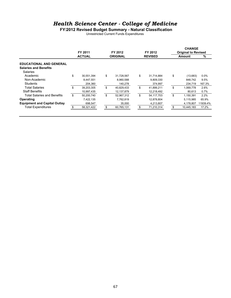### *Health Science Center - College of Medicine*

**FY2012 Revised Budget Summary - Natural Classification**

Unrestricted Current Funds Expenditures

|                                     | FY 2011          | FY 2012          | FY 2012          | <b>CHANGE</b><br><b>Original to Revised</b> |          |
|-------------------------------------|------------------|------------------|------------------|---------------------------------------------|----------|
|                                     | <b>ACTUAL</b>    | <b>ORIGINAL</b>  | <b>REVISED</b>   | <b>Amount</b>                               | %        |
| <b>EDUCATIONAL AND GENERAL</b>      |                  |                  |                  |                                             |          |
| <b>Salaries and Benefits</b>        |                  |                  |                  |                                             |          |
| <b>Salaries</b>                     |                  |                  |                  |                                             |          |
| Academic                            | \$<br>30,551,394 | \$<br>31,728,567 | \$<br>31,714,884 | \$<br>(13,683)                              | 0.0%     |
| Non-Academic                        | 8,447,551        | 8,960,588        | 9,809,330        | 848.742                                     | 9.5%     |
| Students                            | 204,360          | 140,278          | 374,997          | 234,719                                     | 167.3%   |
| <b>Total Salaries</b>               | \$<br>39,203,305 | \$<br>40,829,433 | \$<br>41,899,211 | \$<br>1,069,778                             | 2.6%     |
| <b>Staff Benefits</b>               | 10,997,435       | 12,137,879       | 12,218,492       | 80.613                                      | 0.7%     |
| Total Salaries and Benefits         | \$<br>50,200,740 | \$<br>52,967,312 | \$<br>54.117.703 | \$<br>1,150,391                             | 2.2%     |
| Operating                           | 7,422,135        | 7.762.819        | 12,878,804       | 5.115.985                                   | 65.9%    |
| <b>Equipment and Capital Outlay</b> | 698,547          | 35,000           | 4,213,807        | 4.178.807                                   | 11939.4% |
| <b>Total Expenditures</b>           | \$<br>58,321,422 | \$<br>60,765,131 | \$<br>71,210,314 | \$<br>10,445,183                            | 17.2%    |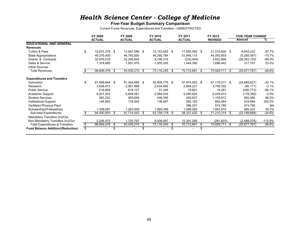### *Health Science Center - College of Medicine*

#### **Five-Year Budget Summary Comparison**

Current Funds Revenues, Expenditures and Transfers - UNRESTRICTED

|                                           | FY 2008          |      | FY 2009       |    | FY 2010       |    | FY 2011       |      | FY 2012        |    | <b>FIVE-YEAR CHANGE</b> |           |
|-------------------------------------------|------------------|------|---------------|----|---------------|----|---------------|------|----------------|----|-------------------------|-----------|
|                                           | <b>ACTUAL</b>    |      | <b>ACTUAL</b> |    | <b>ACTUAL</b> |    | <b>ACTUAL</b> |      | <b>REVISED</b> |    | <b>Amount</b>           | %         |
| <b>EDUCATIONAL AND GENERAL</b>            |                  |      |               |    |               |    |               |      |                |    |                         |           |
| <b>Revenues</b>                           |                  |      |               |    |               |    |               |      |                |    |                         |           |
| Tuition & Fees                            | 12,872,378 \$    |      | 12,947,596 \$ |    | 15,153,945 \$ |    | 17,650,592 \$ |      | 21,515,600 \$  |    | 8,643,222               | 67.1%     |
| State Appropriations                      | 49,379,400       |      | 46,745,500    |    | 46,280,784    |    | 51,848,114    |      | 44,093,803     |    | (5,285,597)             | $-10.7%$  |
| Grants & Contracts                        | 32,976,016       |      | 32,240,644    |    | 9,746,316     |    | (230, 404)    |      | 3,622,866      |    | (29, 353, 150)          | $-89.0\%$ |
| Sales & Service                           | 1,378,685        |      | 1,501,470     |    | 1,935,200     |    | 1,444,390     |      | 1,696,442      |    | 317,757                 | 23.0%     |
| <b>Other Sources</b>                      |                  |      |               |    |               |    |               |      |                |    |                         |           |
| <b>Total Revenues</b>                     | 96,606,478       | - \$ | 93,435,210    | \$ | 73,116,245    | \$ | 70,712,691    | - \$ | 70,928,711     | S. | (25,677,767)            | $-26.6\%$ |
| <b>Expenditures and Transfers</b>         |                  |      |               |    |               |    |               |      |                |    |                         |           |
| Instruction                               | 81,848,644 \$    |      | 81,304,490 \$ |    | 55,909,776 \$ |    | 47,974,552 \$ |      | 57,179,017 \$  |    | (24,669,627)            | -30.1%    |
| Research                                  | 3,838,473        |      | 2,067,968     |    | 2,634,892     |    | 2,669,221     |      | 3,758,302      |    | (80, 171)               | $-2.1%$   |
| <b>Public Service</b>                     | 416,864          |      | 618.127       |    | 31,246        |    | 19,801        |      | 16,091         |    | (400, 773)              | $-96.1%$  |
| Academic Support                          | 6,207,303        |      | 5,848,081     |    | 2,984,034     |    | 5,050,624     |      | 6,028,913      |    | (178, 390)              | $-2.9%$   |
| <b>Student Services</b>                   | 583,232          |      | 493,849       |    | 446,395       |    | 429,627       |      | 1,145,812      |    | 562,580                 | 96.5%     |
| <b>Institutional Support</b>              | 146,800          |      | 118,000       |    | 136,487       |    | 282,183       |      | 663,484        |    | 516,684                 | 352.0%    |
| Op/Maint Physical Plant                   |                  |      |               |    |               |    | 396,321       |      | 574,785        |    | 574,785                 | <b>NA</b> |
| Scholarships/Fellowships                  | 1,358,687        |      | 1,263,929     |    | 1,565,348     |    | 1,499,092     |      | 1,843,910      |    | 485,223                 | 35.7%     |
| Sub-total Expenditures                    | 94,400,003       | - \$ | 91,714,443    | S  | 63,708,178    | S  | 58,321,422 \$ |      | 71,210,314     | -S | (23, 189, 689)          | -24.6%    |
| Mandatory Transfers (In)/Out              |                  |      |               |    |               |    |               |      |                |    |                         |           |
| Non Mandatory Transfers (In)/Out          | 2,206,475        |      | 1,720,767     |    | 9,408,067     |    | 12,391,269    |      | (281, 603)     |    | (2,488,078)             | $-112.8%$ |
| <b>Total Expenditures &amp; Transfers</b> | \$<br>96,606,478 | - \$ | 93,435,210    | \$ | 73,116,245    | S. | 70,712,691    | \$   | 70,928,711     | S. | (25,677,767)            | -26.6%    |
| <b>Fund Balance Addition/(Reduction)</b>  | \$               |      |               |    |               |    |               |      |                |    |                         |           |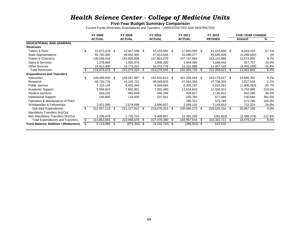### *Health Science Center - College of Medicine Units*

#### **Five-Year Budget Summary Comparison**

Current Funds Revenues, Expenditures and Transfers - UNRESTRICTED AND RESTRICTED

|                                            |    | FY 2008        |      | FY 2009       |      | FY 2010          |     | FY 2011         |   | FY 2012        |     | <b>FIVE-YEAR CHANGE</b> |           |
|--------------------------------------------|----|----------------|------|---------------|------|------------------|-----|-----------------|---|----------------|-----|-------------------------|-----------|
|                                            |    | <b>ACTUAL</b>  |      | <b>ACTUAL</b> |      | <b>ACTUAL</b>    |     | <b>ACTUAL</b>   |   | <b>REVISED</b> |     | Amount                  | %         |
| <b>EDUCATIONAL AND GENERAL</b>             |    |                |      |               |      |                  |     |                 |   |                |     |                         |           |
| <b>Revenues</b>                            |    |                |      |               |      |                  |     |                 |   |                |     |                         |           |
| <b>Tuition &amp; Fees</b>                  |    | 12,872,378 \$  |      | 12,947,596 \$ |      | 15,153,945 \$    |     | 17,650,592 \$   |   | 21,515,600 \$  |     | 8,643,223               | 67.1%     |
| <b>State Appropriations</b>                |    | 50,745,300     |      | 48,052,400    |      | 47,913,645       |     | 53,486,077      |   | 45,646,608     |     | (5,098,692)             | (0)       |
| <b>Grants &amp; Contracts</b>              |    | 139,568,016    |      | 143,800,838   |      | 147,901,079      |     | 157,747,663     |   | 153,142,866    |     | 13,574,850              | 9.7%      |
| Sales & Services                           |    | 1,378,685      |      | 1,501,470     |      | 1,935,200        |     | 1,444,390       |   | 1,696,442      |     | 317,757                 | 23.0%     |
| <b>Other Sources</b>                       |    | 15,412,300     |      | 15,772,012    |      | 10,372,778       |     | 12,331,998      |   | 11,957,105     |     | (3,455,195)             | $-22.4%$  |
| <b>Total Revenues</b>                      |    | 219,976,678 \$ |      | 222,074,316   | -S   | 223,276,646      | S.  | 242,660,720 \$  |   | 233,958,621    | \$  | 13,981,943              | 6.4%      |
| <b>Expenditures and Transfers</b>          |    |                |      |               |      |                  |     |                 |   |                |     |                         |           |
| Instruction                                | £. | 149,493,655 \$ |      | 159,267,497   | \$   | 152,816,813 \$   |     | 161,255,094 \$  |   | 163,179,017    | -\$ | 13,685,362              | 9.2%      |
| Research                                   |    | 46,720,776     |      | 43,105,721    |      | 48,368,833       |     | 47,552,355      |   | 47,758,302     |     | 1,037,526               | 2.2%      |
| <b>Public Service</b>                      |    | 7,722,144      |      | 8,002,445     |      | 6,598,684        |     | 6,305,167       |   | 5,816,091      |     | (1,906,053)             | $-24.7%$  |
| Academic Support                           |    | 5,568,924      |      | 7,665,801     |      | 7,002,480        |     | 11,634,819      |   | 11,328,913     |     | 5,759,989               | 103.4%    |
| <b>Student Services</b>                    |    | 583,232        |      | 493,849       |      | 446,395          |     | 429,627         |   | 1,145,812      |     | 562,580                 | 96.5%     |
| <b>Institutional Support</b>               |    | 146,800        |      | 118,000       |      | 137,501          |     | 293,790         |   | 677,484        |     | 530,684                 | 361.5%    |
| Operation & Maintenance of Plant           |    |                |      |               |      |                  |     | 396,321         |   | 574,785        |     | 574,785                 | 100.0%    |
| Scholarships & Fellowships                 |    | 2,421,586      |      | 2,574,599     |      | 2,699,607        |     | 2,699,102       |   | 3,143,910      |     | 722,324                 | 29.8%     |
| Sub-total Expenditures                     | \$ | 212,657,118    | - \$ | 221,227,912   | \$   | 218,070,313      | \$. | 230,566,275 \$  |   | 233,624,314    | -\$ | 20,967,196              | 9.9%      |
| Mandatory Transfers (In)/Out               |    |                |      |               |      |                  |     |                 |   |                |     |                         |           |
| Non-Mandatory Transfers (In)/Out           |    | 2,206,475      |      | 1,720,767     |      | 9,408,067        |     | 12,391,269      |   | (281, 603)     |     | (2,488,078)             | $-112.8%$ |
| <b>Total Expenditures and Transfers</b>    | \$ | 214,863,593    | \$.  | 222,948,678   | -S   | 227,478,380      | S   | 242,957,544     | S | 233,342,711    | \$  | 18,479,118              | 8.6%      |
| <b>Fund Balance Addition / (Reduction)</b> |    | 5,113,086      | - \$ | (874, 362)    | - \$ | $(4,201,733)$ \$ |     | $(296, 824)$ \$ |   | 615,910        |     |                         |           |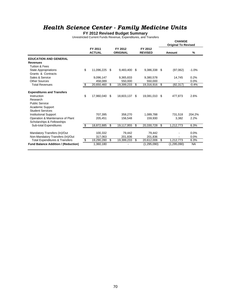### *Health Science Center - Family Medicine Units*

#### **FY 2012 Revised Budget Summary**

Unrestricted Current Funds Revenue, Expenditures, and Transfers

|                                                                                                                           |                          |                            |                           |     | <b>CHANGE</b><br><b>Original To Revised</b> |                |
|---------------------------------------------------------------------------------------------------------------------------|--------------------------|----------------------------|---------------------------|-----|---------------------------------------------|----------------|
|                                                                                                                           | FY 2011<br><b>ACTUAL</b> | FY 2012<br><b>ORIGINAL</b> | FY 2012<br><b>REVISED</b> |     | Amount                                      | %              |
| <b>EDUCATION AND GENERAL</b>                                                                                              |                          |                            |                           |     |                                             |                |
| <b>Revenues</b><br><b>Tuition &amp; Fees</b>                                                                              |                          |                            |                           |     |                                             |                |
| <b>State Appropriations</b><br>Grants & Contracts                                                                         | \$<br>11,096,225         | \$<br>9,483,400            | \$<br>9,386,338           | -\$ | (97,062)                                    | $-1.0%$        |
| Sales & Service                                                                                                           | 9,096,147                | 9,365,833                  | 9,380,578                 |     | 14,745                                      | 0.2%           |
| <b>Other Sources</b>                                                                                                      | 458,089                  | 550.000                    | 550.000                   |     |                                             | 0.0%           |
| <b>Total Revenues</b>                                                                                                     | \$<br>20,650,460         | \$<br>19,399,233           | \$<br>19,316,916 \$       |     | (82, 317)                                   | $-0.4%$        |
| <b>Expenditures and Transfers</b><br>Instruction<br>Research<br><b>Public Service</b><br><b>Academic Support</b>          | \$<br>17,960,040         | \$<br>18,603,137 \$        | 19,081,010 \$             |     | 477,873                                     | 2.6%           |
| <b>Student Services</b><br><b>Institutional Support</b><br>Operation & Maintenance of Plant<br>Scholarships & Fellowships | 707.395<br>205,451       | 358,270<br>156,548         | 1,089,788<br>159,930      |     | 731.518<br>3,382                            | 204.2%<br>2.2% |
| Sub-total Expenditures                                                                                                    | \$<br>18,872,885         | \$<br>19,117,955           | \$<br>20,330,728          | \$  | 1,212,773                                   | 6.3%           |
| Mandatory Transfers (In)/Out<br>Non-Mandatory Transfers (In)/Out                                                          | 100,332<br>317,063       | 79,442<br>201,836          | 79,442<br>201,836         |     |                                             | 0.0%<br>0.0%   |
| <b>Total Expenditures &amp; Transfers</b>                                                                                 | \$<br>19,290,280         | \$<br>19,399,233           | \$<br>20,612,006          | \$  | 1,212,773                                   | 6.3%           |
| <b>Fund Balance Addition / (Reduction)</b>                                                                                | 1,360,180                |                            | (1,295,090)               |     | (1, 295, 090)                               | <b>NA</b>      |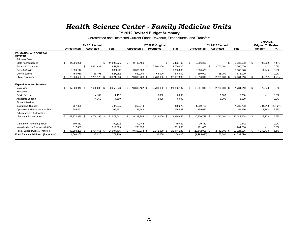### *Hea l th S c ience Center - Family Medi c ine Un i t s*

#### **FY 2012 Revised Budget Summary**

Unrestricted and Restricted Current Funds Revenue, Expenditures, and Transfers

|                                                 |                     |                                     |                  |    |               |                                       |      |              |     |                     |                                      |   |              |     | <b>CHANGE</b>                        |         |
|-------------------------------------------------|---------------------|-------------------------------------|------------------|----|---------------|---------------------------------------|------|--------------|-----|---------------------|--------------------------------------|---|--------------|-----|--------------------------------------|---------|
|                                                 | <b>Unrestricted</b> | FY 2011 Actual<br><b>Restricted</b> | <b>Total</b>     |    | Unrestricted  | FY 2012 Original<br><b>Restricted</b> |      | <b>Total</b> |     | <b>Unrestricted</b> | FY 2012 Revised<br><b>Restricted</b> |   | <b>Total</b> |     | <b>Original To Revised</b><br>Amount | %       |
|                                                 |                     |                                     |                  |    |               |                                       |      |              |     |                     |                                      |   |              |     |                                      |         |
| <b>EDUCATION AND GENERAL</b><br><b>Revenues</b> |                     |                                     |                  |    |               |                                       |      |              |     |                     |                                      |   |              |     |                                      |         |
| Tuition & Fees                                  |                     |                                     |                  |    |               |                                       |      |              |     |                     |                                      |   |              |     |                                      |         |
| <b>State Appropriations</b>                     | \$<br>11,096,225    |                                     | \$<br>11,096,225 | S. | 9,483,400     |                                       |      | 9,483,400    |     | 9,386,338           |                                      | S | 9,386,338    | S.  | (97,062)                             | $-1.0%$ |
| Grants & Contracts                              |                     | \$<br>2,651,982                     | 2,651,982        |    |               | 2,700,000                             |      | 2,700,000    |     |                     | \$<br>2,700,000                      |   | 2,700,000    |     |                                      | $0.0\%$ |
| Sales & Service                                 | 9,096,147           |                                     | 9096147          |    | 9,365,833     |                                       |      | 9,365,833    |     | 9,380,578           |                                      |   | 9,380,578    |     | 14,745                               | 0.2%    |
| <b>Other Sources</b>                            | 458,089             | 69,193                              | 527,282          |    | 550,000       | 68,000                                |      | 618,000      |     | 550,000             | 68,000                               |   | 618,000      |     |                                      | 0.0%    |
| <b>Total Revenues</b>                           | 20,650,460 \$       | 2,721,175 \$                        | 23,371,636       | £. | 19,399,233    | 2,768,000 \$                          |      | 22, 167, 233 |     | 19,316,916 \$       | 2,768,000 \$                         |   | 22,084,916   | \$. | (82, 317)                            | $-0.4%$ |
|                                                 |                     |                                     |                  |    |               |                                       |      |              |     |                     |                                      |   |              |     |                                      |         |
| <b>Expenditures and Transfers</b>               |                     |                                     |                  |    |               |                                       |      |              |     |                     |                                      |   |              |     |                                      |         |
| Instruction                                     | \$<br>17.960.040 \$ | 2.695.633 \$                        | 20,655,673       | S. | 18.603.137 \$ | 2.700.000                             | - \$ | 21,303,137   | \$. | 19.081.010 \$       | 2.700.000 \$                         |   | 21.781.010   | -S  | 477.873                              | 2.2%    |
| Research                                        |                     |                                     |                  |    |               |                                       |      |              |     |                     |                                      |   |              |     |                                      |         |
| <b>Public Service</b>                           |                     | 4.162                               | 4,162            |    |               | 6.000                                 |      | 6,000        |     |                     | 6.000                                |   | 6,000        |     |                                      | $0.0\%$ |
| Academic Support                                |                     | 4,360                               | 4,360            |    |               | 6,000                                 |      | 6,000        |     |                     | 6,000                                |   | 6,000        |     |                                      | $0.0\%$ |
| <b>Student Services</b>                         |                     |                                     |                  |    |               |                                       |      |              |     |                     |                                      |   |              |     |                                      |         |
| <b>Institutional Support</b>                    | 707,395             |                                     | 707,395          |    | 358,270       |                                       |      | 358,270      |     | 1,089,788           |                                      |   | 1,089,788    |     | 731,518                              | 204.2%  |
| Operation & Maintenance of Plant                | 205,451             |                                     | 205,451          |    | 156,548       |                                       |      | 156,548      |     | 159,930             |                                      |   | 159,930      |     | 3,382                                | 2.2%    |
| Scholarships & Fellowships                      |                     |                                     |                  |    |               |                                       |      |              |     |                     |                                      |   |              |     |                                      |         |
| Sub-total Expenditures                          | 18,872,885 \$       | 2,704,155 \$                        | 21,577,041       | \$ | 19,117,955 \$ | 2,712,000 \$                          |      | 21,829,955   |     | 20,330,728 \$       | 2,712,000 \$                         |   | 23,042,728   | -S  | 1,212,773                            | 5.6%    |
|                                                 |                     |                                     |                  |    |               |                                       |      |              |     |                     |                                      |   |              |     |                                      |         |
| Mandatory Transfers (In)/Out                    | 100,332             |                                     | 100,332          |    | 79,442        |                                       |      | 79,442       |     | 79,442              |                                      |   | 79,442       |     |                                      | $0.0\%$ |
| Non-Mandatory Transfers (In)/Out                | 317,063             |                                     | 317,063          |    | 201,836       |                                       |      | 201,836      |     | 201,836             |                                      |   | 201,836      |     |                                      | 0.0%    |
| <b>Total Expenditures &amp; Transfers</b>       | 19,290,280 \$       | 2,704,155 \$                        | 21,994,436       |    | 19,399,233    | 2,712,000                             |      | 22,111,233   |     | 20,612,006 \$       | 2,712,000 \$                         |   | 23,324,006   |     | 1,212,773                            | 5.5%    |
| <b>Fund Balance Addition / (Reduction)</b>      | 1,360,180           | 17,020                              | 1,377,200        |    |               | 56,000                                |      | 56,000       |     | (1, 295, 090)       | 56,000                               |   | (1,239,090)  |     |                                      |         |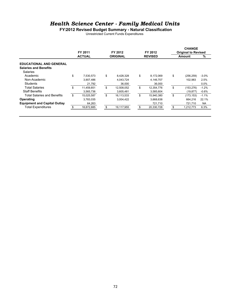### *Health Science Center - Family Medical Units*

**FY2012 Revised Budget Summary - Natural Classification**

Unrestricted Current Funds Expenditures

| FY 2011          |               | FY 2012    |                 |            |                           | <b>CHANGE</b> |                                      |
|------------------|---------------|------------|-----------------|------------|---------------------------|---------------|--------------------------------------|
|                  |               |            |                 |            |                           |               | %                                    |
|                  |               |            |                 |            |                           |               |                                      |
|                  |               |            |                 |            |                           |               |                                      |
|                  |               |            |                 |            |                           |               |                                      |
| \$<br>7,530,573  | \$            | 8,428,328  | \$              | 8,172,069  | \$                        | (256, 259)    | $-3.0%$                              |
| 3.907.486        |               | 4,043,724  |                 | 4,146,707  |                           | 102.983       | 2.5%                                 |
| 21,792           |               | 36,000     |                 | 36,000     |                           | ۰             | $0.0\%$                              |
| \$<br>11,459,851 | \$            | 12,508,052 | \$              | 12,354,776 | \$                        | (153, 276)    | $-1.2%$                              |
| 3,565,736        |               | 3,605,481  |                 | 3,585,604  |                           | (19,877)      | $-0.6%$                              |
| \$<br>15,025,587 | \$            | 16,113,533 | \$              | 15,940,380 | \$                        | (173, 153)    | $-1.1%$                              |
| 3,783,035        |               | 3,004,422  |                 | 3,668,638  |                           | 664.216       | 22.1%                                |
| 64,263           |               |            |                 | 721,710    |                           | 721,710       | <b>NA</b>                            |
| 18,872,885       |               | 19,117,955 |                 | 20,330,728 | \$                        | 1,212,773     | 6.3%                                 |
|                  | <b>ACTUAL</b> |            | <b>ORIGINAL</b> |            | FY 2012<br><b>REVISED</b> |               | <b>Original to Revised</b><br>Amount |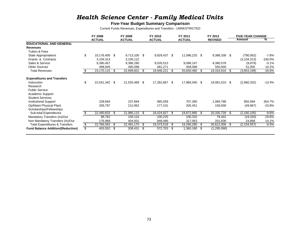### *Health Science Center - Family Medical Units*

#### **Five-Year Budget Summary Comparison**

Current Funds Revenues, Expenditures and Transfers - UNRESTRICTED

|                                           | <b>FY 2008</b>      |      | FY 2009       |     | FY 2010       |     | FY 2011       |      | FY 2012        |     | <b>FIVE-YEAR CHANGE</b> |            |
|-------------------------------------------|---------------------|------|---------------|-----|---------------|-----|---------------|------|----------------|-----|-------------------------|------------|
|                                           | <b>ACTUAL</b>       |      | <b>ACTUAL</b> |     | <b>ACTUAL</b> |     | <b>ACTUAL</b> |      | <b>REVISED</b> |     | Amount                  | ℅          |
| <b>EDUCATIONAL AND GENERAL</b>            |                     |      |               |     |               |     |               |      |                |     |                         |            |
| <b>Revenues</b>                           |                     |      |               |     |               |     |               |      |                |     |                         |            |
| Tuition & Fees                            |                     |      |               |     |               |     |               |      |                |     |                         |            |
| State Appropriations                      | \$<br>10,176,400 \$ |      | 9,713,100 \$  |     | 9,929,437 \$  |     | 11,096,225 \$ |      | 9,386,338 \$   |     | (790,062)               | -7.8%      |
| Grants & Contracts                        | 3,104,313           |      | 3,105,112     |     |               |     |               |      |                |     | (3, 104, 313)           | $-100.0\%$ |
| Sales & Service                           | 9,390,457           |      | 9,386,290     |     | 9,535,513     |     | 9,096,147     |      | 9,380,578      |     | (9,879)                 | $-0.1%$    |
| <b>Other Sources</b>                      | 498,945             |      | 495,098       |     | 481,271       |     | 458,089       |      | 550,000        |     | 51,055                  | 10.2%      |
| <b>Total Revenues</b>                     | 23,170,115          | - \$ | 22,699,601    | \$. | 19,946,221    | \$. | 20,650,460    | - \$ | 19,316,916     | \$  | (3,853,199)             | -16.6%     |
| <b>Expenditures and Transfers</b>         |                     |      |               |     |               |     |               |      |                |     |                         |            |
| Instruction                               | \$<br>22,041,342 \$ |      | 21,535,469    | \$  | 17,262,667    | \$  | 17,960,040 \$ |      | 19,081,010     | -\$ | (2,960,332)             | $-13.4%$   |
| Research                                  |                     |      |               |     |               |     |               |      |                |     |                         |            |
| <b>Public Service</b>                     |                     |      |               |     |               |     |               |      |                |     |                         |            |
| Academic Support                          |                     |      |               |     |               |     |               |      |                |     |                         |            |
| <b>Student Services</b>                   |                     |      |               |     |               |     |               |      |                |     |                         |            |
| <b>Institutional Support</b>              | 239,694             |      | 237,694       |     | 985,059       |     | 707,395       |      | 1,089,788      |     | 850,094                 | 354.7%     |
| Op/Maint Physical Plant                   | 209,797             |      | 212,952       |     | 177,101       |     | 205,451       |      | 159,930        |     | (49, 867)               | $-23.8%$   |
| Scholarships/Fellowships                  |                     |      |               |     |               |     |               |      |                |     |                         |            |
| Sub-total Expenditures                    | 22,490,833          | - \$ | 21,986,115    | \$  | 18,424,827    | -S  | 18,872,885    | - \$ | 20,330,728     | -S  | (2, 160, 105)           | $-9.6%$    |
| Mandatory Transfers (In)/Out              | 98,762              |      | 100,124       |     | 100,225       |     | 100,332       |      | 79,442         |     | (19,320)                | $-19.6%$   |
| Non Mandatory Transfers (In)/Out          | 176,968             |      | 404.931       |     | 848,466       |     | 317,063       |      | 201,836        |     | 24,868                  | 14.1%      |
| <b>Total Expenditures &amp; Transfers</b> | \$<br>22,766,563 \$ |      | 22,491,170    | \$  | 19,373,518    | \$  | 19,290,280 \$ |      | 20,612,006     | \$  | (2, 154, 557)           | $-9.5%$    |
| <b>Fund Balance Addition/(Reduction)</b>  | \$<br>403,552 \$    |      | 208,431       | -S  | 572,703       | -S  | 1,360,180 \$  |      | (1,295,090)    |     |                         |            |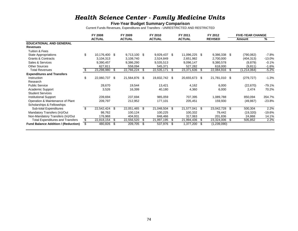### *Health Science Center - Family Medicine Units*

#### **Five-Year Budget Summary Comparison**

Current Funds Revenues, Expenditures and Transfers - UNRESTRICTED AND RESTRICTED

|                                            |     | FY 2008       |      | FY 2009       |    | FY 2010       |    | FY 2011       |      | FY 2012        |      | <b>FIVE-YEAR CHANGE</b> |          |
|--------------------------------------------|-----|---------------|------|---------------|----|---------------|----|---------------|------|----------------|------|-------------------------|----------|
|                                            |     | <b>ACTUAL</b> |      | <b>ACTUAL</b> |    | <b>ACTUAL</b> |    | <b>ACTUAL</b> |      | <b>REVISED</b> |      | Amount                  | %        |
| <b>EDUCATIONAL AND GENERAL</b>             |     |               |      |               |    |               |    |               |      |                |      |                         |          |
| <b>Revenues</b>                            |     |               |      |               |    |               |    |               |      |                |      |                         |          |
| Tuition & Fees                             |     |               |      |               |    |               |    |               |      |                |      |                         |          |
| State Appropriations                       | \$  | 10,176,400 \$ |      | 9,713,100 \$  |    | 9,929,437 \$  |    | 11,096,225 \$ |      | 9,386,338 \$   |      | (790,062)               | -7.8%    |
| <b>Grants &amp; Contracts</b>              |     | 3,104,313     |      | 3,108,740     |    | 2,524,849     |    | 2,651,982     |      | 2,700,000      |      | (404, 313)              | $-13.0%$ |
| Sales & Services                           |     | 9,390,457     |      | 9,386,290     |    | 9,535,513     |    | 9,096,147     |      | 9,380,578      |      | (9,879)                 | $-0.1%$  |
| <b>Other Sources</b>                       |     | 627,811       |      | 558,094       |    | 545,371       |    | 527,282       |      | 618,000        |      | (9,811)                 | $-1.6%$  |
| <b>Total Revenues</b>                      |     | 23,298,980    | - \$ | 22,766,224    | -S | 22,535,171    | S  | 23,371,636 \$ |      | 22,084,916     | - \$ | (1,214,064)             | $-5.2%$  |
| <b>Expenditures and Transfers</b>          |     |               |      |               |    |               |    |               |      |                |      |                         |          |
| Instruction                                | \$  | 22,060,737 \$ |      | 21,564,876    | \$ | 19,832,742 \$ |    | 20,655,673 \$ |      | 21,781,010 \$  |      | (279, 727)              | $-1.3%$  |
| Research                                   |     |               |      |               |    |               |    |               |      |                |      |                         |          |
| <b>Public Service</b>                      |     | 28,670        |      | 19,544        |    | 13,421        |    | 4,162         |      | 6,000          |      | (22, 670)               | -79.1%   |
| Academic Support                           |     | 3,526         |      | 16,399        |    | 40,180        |    | 4,360         |      | 6,000          |      | 2,474                   | 70.2%    |
| <b>Student Services</b>                    |     |               |      |               |    |               |    |               |      |                |      |                         |          |
| <b>Institutional Support</b>               |     | 239,694       |      | 237,694       |    | 985,059       |    | 707,395       |      | 1,089,788      |      | 850,094                 | 354.7%   |
| Operation & Maintenance of Plant           |     | 209,797       |      | 212,952       |    | 177,101       |    | 205,451       |      | 159,930        |      | (49, 867)               | $-23.8%$ |
| Scholarships & Fellowships                 |     |               |      |               |    |               |    |               |      |                |      |                         |          |
| Sub-total Expenditures                     | \$  | 22,542,424 \$ |      | 22,051,465    | \$ | 21,048,504    | \$ | 21,577,041 \$ |      | 23,042,728     | \$   | 500,304                 | 2.2%     |
| Mandatory Transfers (In)/Out               |     | 98,762        |      | 100,124       |    | 100,225       |    | 100,332       |      | 79,442         |      | (19,320)                | $-19.6%$ |
| Non-Mandatory Transfers (In)/Out           |     | 176,968       |      | 404,931       |    | 848,466       |    | 317,063       |      | 201,836        |      | 24,868                  | 14.1%    |
| <b>Total Expenditures and Transfers</b>    | \$  | 22,818,154 \$ |      | 22,556,520    | \$ | 21,997,195    | S  | 21,994,436    | - \$ | 23,324,006     | -S   | 505,852                 | 2.2%     |
| <b>Fund Balance Addition / (Reduction)</b> | \$. | 480,826       | - \$ | 209,705       | -S | 537,976       | \$ | 1,377,200 \$  |      | (1,239,090)    |      |                         |          |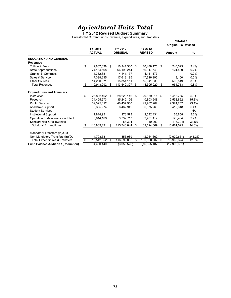#### **FY 2012 Revised Budget Summary**

Unrestricted Current Funds Revenue, Expenditures, and Transfers

|                                           |    |                          |     |                            |    |                           |     | <b>CHANGE</b><br><b>Original To Revised</b> |           |
|-------------------------------------------|----|--------------------------|-----|----------------------------|----|---------------------------|-----|---------------------------------------------|-----------|
|                                           |    | FY 2011<br><b>ACTUAL</b> |     | FY 2012<br><b>ORIGINAL</b> |    | FY 2012<br><b>REVISED</b> |     | Amount                                      | %         |
| <b>EDUCATION AND GENERAL</b>              |    |                          |     |                            |    |                           |     |                                             |           |
| <b>Revenues</b>                           |    |                          |     |                            |    |                           |     |                                             |           |
| <b>Tuition &amp; Fees</b>                 | \$ | 9,807,038                | S.  | 10,241,580                 | \$ | 10,488,175                | -\$ | 246,595                                     | 2.4%      |
| <b>State Appropriations</b>               |    | 74,134,568               |     | 66,193,244                 |    | 66,317,743                |     | 124,499                                     | 0.2%      |
| Grants & Contracts                        |    | 4,352,881                |     | 4,141,177                  |    | 4,141,177                 |     |                                             | 0.0%      |
| Sales & Service                           |    | 17,398,235               |     | 17,613,195                 |    | 17,616,295                |     | 3,100                                       | 0.0%      |
| Other Sources                             |    | 14,250,371               |     | 15,351,111                 |    | 15,941,630                |     | 590,519                                     | 3.8%      |
| <b>Total Revenues</b>                     | S  | 119,943,092              | \$  | 113,540,307                | \$ | 114,505,020               | \$  | 964,713                                     | 0.8%      |
| <b>Expenditures and Transfers</b>         |    |                          |     |                            |    |                           |     |                                             |           |
| Instruction                               | \$ | 25,892,462               | \$  | 28,223,146                 | \$ | 29,639,911                | \$  | 1,416,765                                   | 5.0%      |
| Research                                  |    | 34,455,973               |     | 35,245,126                 |    | 40,803,948                |     | 5,558,822                                   | 15.8%     |
| <b>Public Service</b>                     |    | 39.325.612               |     | 40.437.950                 |    | 49.762.202                |     | 9.324.252                                   | 23.1%     |
| Academic Support                          |    | 6,335,974                |     | 6.462.942                  |    | 6,875,260                 |     | 412.318                                     | 6.4%      |
| <b>Student Services</b>                   |    |                          |     |                            |    |                           |     |                                             | <b>NA</b> |
| <b>Institutional Support</b>              |    | 1,814,931                |     | 1,978,573                  |    | 2,042,431                 |     | 63.858                                      | 3.2%      |
| Operation & Maintenance of Plant          |    | 3,014,169                |     | 3.337.713                  |    | 3,461,117                 |     | 123.404                                     | 3.7%      |
| Scholarships & Fellowships                |    |                          |     | 58.394                     |    | 40.000                    |     | (18, 394)                                   | $-31.5%$  |
| Sub-total Expenditures                    | S  | 110,839,121              | \$. | 115,743,844                | S  | 132,624,869               | \$  | 16,881,025                                  | 14.6%     |
| Mandatory Transfers (In)/Out              |    |                          |     |                            |    |                           |     |                                             |           |
| Non-Mandatory Transfers (In)/Out          |    | 4,703,531                |     | 855,989                    |    | (2,064,662)               |     | (2,920,651)                                 | $-341.2%$ |
| <b>Total Expenditures &amp; Transfers</b> | \$ | 115,542,652              | \$  | 116,599,833                | \$ | 130,560,207               | \$  | 13,960,374                                  | 12.0%     |
| Fund Balance Addition / (Reduction)       |    | 4.400.440                |     | (3,059,526)                |    | (16,055,187)              |     | (12,995,661)                                |           |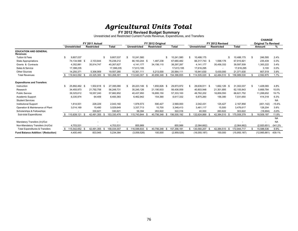## *Agr icu ltural Un its Tota l* **FY 2012 Revised Budget Summary**

Unrestricted and Restricted Current Funds Revenue, Expenditures, and Transfers

|                                                 |                     |     |                                     |                 |     |                     |                                       |                  |      |                     |      |                                      |      |                |    | <b>CHANGE</b>              |           |
|-------------------------------------------------|---------------------|-----|-------------------------------------|-----------------|-----|---------------------|---------------------------------------|------------------|------|---------------------|------|--------------------------------------|------|----------------|----|----------------------------|-----------|
|                                                 | <b>Unrestricted</b> |     | FY 2011 Actual<br><b>Restricted</b> | <b>Total</b>    |     | <b>Unrestricted</b> | FY 2012 Original<br><b>Restricted</b> | <b>Total</b>     |      | <b>Unrestricted</b> |      | FY 2012 Revised<br><b>Restricted</b> |      | <b>Total</b>   |    | <b>Original To Revised</b> |           |
|                                                 |                     |     |                                     |                 |     |                     |                                       |                  |      |                     |      |                                      |      |                |    | Amount                     | %         |
| <b>EDUCATION AND GENERAL</b><br><b>Revenues</b> |                     |     |                                     |                 |     |                     |                                       |                  |      |                     |      |                                      |      |                |    |                            |           |
| Tuition & Fees                                  | 9,807,037           |     |                                     | \$<br>9,807,037 | \$. | 10,241,580          |                                       | \$<br>10,241,580 | - \$ | 10,488,175          |      |                                      |      | 10,488,175     | S. | 246,595                    | 2.4%      |
| <b>State Appropriations</b>                     | 74,134,568 \$       |     | 2,103,644                           | 76,238,212      |     | 66,193,244 \$       | 1,487,238                             | 67,680,482       |      | 66,317,743 \$       |      | 1,598,178                            |      | 67,915,921     |    | 235,439                    | 0.3%      |
| Grants & Contracts                              | 4,352,881           |     | 35,914,747                          | 40,267,627      |     | 4,141,177           | 34,156,110                            | 38,297,287       |      | 4,141,177           |      | 35,456,332                           |      | 39,597,509     |    | 1,300,222                  | 3.4%      |
| Sales & Service                                 | 17,398,235          |     |                                     | 17,398,235      |     | 17,613,195          |                                       | 17,613,195       |      | 17,616,295          |      | $\sim$                               |      | 17,616,295     |    | 3,100                      | $0.0\%$   |
| <b>Other Sources</b>                            | 14,250,371          |     | 5.306.909                           | 19,557,280      |     | 15,351,111          | 5,213,000                             | 20,564,111       |      | 15,941,630          |      | 5,430,000                            |      | 21,371,630     |    | 807,519                    | 3.9%      |
| <b>Total Revenues</b>                           | 119,943,092 \$      |     | 43,325,300                          | 163,268,391     |     | 113,540,307 \$      | 40,856,348 \$                         | 154,396,655      |      | 114,505,020 \$      |      | 42,484,510 \$                        |      | 156,989,530    | £. | 2,592,875                  | 1.7%      |
| <b>Expenditures and Transfers</b>               |                     |     |                                     |                 |     |                     |                                       |                  |      |                     |      |                                      |      |                |    |                            |           |
| Instruction                                     | 25.892.462 \$       |     | 1,502,618 \$                        | 27,395,080      | -S  | 28,223,146 \$       | 1.650.826 \$                          | 29,873,972       |      | 29,639,911 \$       |      | 1,662,126 \$                         |      | 31,302,037     | S. | 1,428,065                  | 4.8%      |
| Research                                        | 34,455,973          |     | 21,792,758                          | 56,248,731      |     | 35,245,126          | 21,190,933                            | 56.436.059       |      | 40,803,948          |      | 21,301,895                           |      | 62,105,843     |    | 5,669,784                  | 10.0%     |
| <b>Public Service</b>                           | 39,325,612          |     | 18,557,240                          | 57,882,852      |     | 40,437,950          | 16,895,150                            | 57,333,100       |      | 49,762,202          |      | 18,859,550                           |      | 68,621,752     |    | 11,288,652                 | 19.7%     |
| Academic Support                                | 6,335,974           |     | 64,409                              | 6,400,383       |     | 6,462,942           | 154,390                               | 6,617,332        |      | 6,875,260           |      | 156,390                              |      | 7,031,650      |    | 414,318                    | 6.3%      |
| <b>Student Services</b>                         |                     |     |                                     |                 |     |                     |                                       |                  |      |                     |      |                                      |      |                |    |                            | <b>NA</b> |
| <b>Institutional Support</b>                    | 1,814,931           |     | 228,229                             | 2,043,160       |     | 1,978,573           | 590,427                               | 2,569,000        |      | 2,042,431           |      | 125,427                              |      | 2,167,858      |    | (401, 142)                 | $-15.6%$  |
| Operation & Maintenance of Plant                | 3,014,169           |     | 15,480                              | 3,029,649       |     | 3,337,713           | 10,700                                | 3,348,413        |      | 3,461,117           |      | 15,500                               |      | 3,476,617      |    | 128,204                    | 3.8%      |
| Scholarships & Fellowships                      |                     |     | 330.621                             | 330,621         |     | 58,394              | 263.922                               | 322,316          |      | 40.000              |      | 263.622                              |      | 303.622        |    | (18, 694)                  | $-5.8%$   |
| Sub-total Expenditures                          | 110,839,121         | -\$ | 42,491,355                          | 153,330,476     |     | 115,743,844         | 40,756,348 \$                         | 156,500,192      |      | 132,624,869         | - \$ | 42,384,510                           | - \$ | 175,009,379    |    | 18,509,187                 | 11.8%     |
|                                                 |                     |     |                                     |                 |     |                     |                                       |                  |      |                     |      |                                      |      |                |    |                            | <b>NA</b> |
| Mandatory Transfers (In)/Out                    |                     |     |                                     |                 |     |                     |                                       |                  |      |                     |      |                                      |      |                |    |                            | <b>NA</b> |
| Non-Mandatory Transfers (In)/Out                | 4.703.531           |     |                                     | 4,703,531       |     | 855,989             |                                       | 855.989          |      | (2.064.662)         |      |                                      |      | (2,064,662)    |    | (2,920,651)                | $-341.2%$ |
| <b>Total Expenditures &amp; Transfers</b>       | 115,542,652 \$      |     | 42,491,355                          | 158,034,007     |     | \$ 116,599,833 \$   | 40,756,348 \$                         | 157,356,181      |      | 130,560,207         |      | 42,384,510 \$                        |      | 172,944,717    | S  | 15,588,536                 | 9.9%      |
| <b>Fund Balance Addition / (Reduction)</b>      | 4,400,440           |     | 833,945                             | 5,234,384       |     | (3,059,526)         | 100,000                               | (2,959,526)      |      | (16,055,187)        |      | 100,000                              |      | (15, 955, 187) |    | (12,995,661)               | 439.1%    |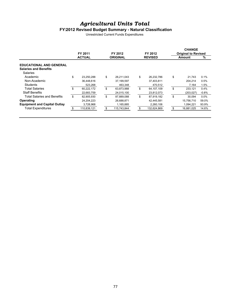#### **FY2012 Revised Budget Summary - Natural Classification**

Unrestricted Current Funds Expenditures

|                                                                                 | FY 2011                                     | FY 2012                                     | FY 2012                                     | <b>CHANGE</b><br><b>Original to Revised</b> |                        |
|---------------------------------------------------------------------------------|---------------------------------------------|---------------------------------------------|---------------------------------------------|---------------------------------------------|------------------------|
|                                                                                 | <b>ACTUAL</b>                               | <b>ORIGINAL</b>                             | <b>REVISED</b>                              | <b>Amount</b>                               | %                      |
| <b>EDUCATIONAL AND GENERAL</b><br><b>Salaries and Benefits</b>                  |                                             |                                             |                                             |                                             |                        |
| Salaries<br>Academic<br>Non-Academic<br><b>Students</b>                         | \$<br>23.250.288<br>36,448,616<br>523,268   | \$<br>26,211,043<br>37,199,597<br>463.348   | \$<br>26.232.786<br>37,403,811<br>470,512   | \$<br>21.743<br>204.214<br>7.164            | 0.1%<br>0.5%<br>1.5%   |
| <b>Total Salaries</b><br><b>Staff Benefits</b>                                  | \$<br>60,222,172<br>22,683,759              | \$<br>63,873,988<br>24,015,100              | \$<br>64,107,109<br>23,812,073              | \$<br>233.121<br>(203, 027)                 | 0.4%<br>$-0.8%$        |
| Total Salaries and Benefits<br>Operating<br><b>Equipment and Capital Outlay</b> | \$<br>82.905.930<br>24.204.223<br>3,728,968 | \$<br>87.889.088<br>26,688,871<br>1,165,885 | \$<br>87.919.182<br>42,445,581<br>2,260,106 | \$<br>30.094<br>15,756,710<br>1.094.221     | 0.0%<br>59.0%<br>93.9% |
| <b>Total Expenditures</b>                                                       | 110,839,121                                 | 115,743,844                                 | \$<br>132,624,869                           | 16,881,025                                  | 14.6%                  |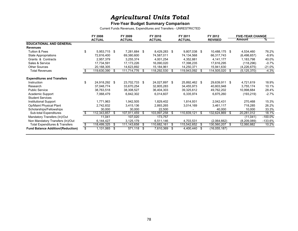#### **Five-Year Budget Summary Comparison**

Current Funds Revenues, Expenditures and Transfers - UNRESTRICTED

|                                           | FY 2008            |      | FY 2009       |      | FY 2010       |      | FY 2011        |      | FY 2012        |    | <b>FIVE-YEAR CHANGE</b> |            |
|-------------------------------------------|--------------------|------|---------------|------|---------------|------|----------------|------|----------------|----|-------------------------|------------|
|                                           | <b>ACTUAL</b>      |      | <b>ACTUAL</b> |      | <b>ACTUAL</b> |      | <b>ACTUAL</b>  |      | <b>REVISED</b> |    | Amount                  | ℅          |
| <b>EDUCATIONAL AND GENERAL</b>            |                    |      |               |      |               |      |                |      |                |    |                         |            |
| <b>Revenues</b>                           |                    |      |               |      |               |      |                |      |                |    |                         |            |
| Tuition & Fees                            | \$<br>5,953,715 \$ |      | 7,281,684     | \$   | 8,429,283 \$  |      | 9,807,038 \$   |      | 10,488,175 \$  |    | 4,534,460               | 76.2%      |
| State Appropriations                      | 72,816,400         |      | 69,380,600    |      | 74,587,011    |      | 74,134,568     |      | 66,317,743     |    | (6,498,657)             | $-8.9%$    |
| Grants & Contracts                        | 2,957,379          |      | 3,255,374     |      | 4,001,254     |      | 4,352,881      |      | 4,141,177      |    | 1,183,798               | 40.0%      |
| Sales & Service                           | 17,734,591         |      | 17, 173, 226  |      | 16,090,020    |      | 17,398,235     |      | 17,616,295     |    | (118, 296)              | $-0.7%$    |
| <b>Other Sources</b>                      | 20,168,305         |      | 14,623,892    |      | 15,184,961    |      | 14,250,371     |      | 15,941,630     |    | (4,226,675)             | $-21.0%$   |
| <b>Total Revenues</b>                     | 119.630.390        | - \$ | 111,714,776   | S.   | 118,292,530   | S    | 119,943,092 \$ |      | 114,505,020    | -S | (5, 125, 370)           | $-4.3%$    |
| <b>Expenditures and Transfers</b>         |                    |      |               |      |               |      |                |      |                |    |                         |            |
| Instruction                               | 24,918,292 \$      |      | 23,702,733    | \$   | 24,027,897 \$ |      | 25,892,462 \$  |      | 29,639,911 \$  |    | 4,721,619               | 18.9%      |
| Research                                  | 37,048,774         |      | 33,670,254    |      | 32,805,283    |      | 34,455,973     |      | 40,803,948     |    | 3,755,174               | 10.1%      |
| <b>Public Service</b>                     | 38,763,518         |      | 38,308,527    |      | 36,404,303    |      | 39,325,612     |      | 49,762,202     |    | 10,998,684              | 28.4%      |
| Academic Support                          | 7,068,479          |      | 6,842,302     |      | 6,014,607     |      | 6,335,974      |      | 6,875,260      |    | (193, 219)              | $-2.7%$    |
| <b>Student Services</b>                   |                    |      |               |      |               |      |                |      |                |    |                         |            |
| Institutional Support                     | 1,771,963          |      | 1,942,505     |      | 1,829,402     |      | 1,814,931      |      | 2,042,431      |    | 270,468                 | 15.3%      |
| Op/Maint Physical Plant                   | 2,742,832          |      | 3,415,136     |      | 2,893,265     |      | 3,014,169      |      | 3,461,117      |    | 718,285                 | 26.2%      |
| Scholarships/Fellowships                  | 30,000             |      | 30,000        |      | 22,500        |      |                |      | 40,000         |    | 10,000                  | 33.3%      |
| Sub-total Expenditures                    | 112,343,857        | -\$  | 107,911,459   | S.   | 103,997,258   | S    | 110,839,121    | - \$ | 132,624,869    | \$ | 20,281,012              | 18.1%      |
| Mandatory Transfers (In)/Out              | 11,041             |      | 107,020       |      | 173,757       |      |                |      |                |    | (11, 041)               | $-100.0\%$ |
| Non Mandatory Transfers (In)/Out          | 6,144,427          |      | 3,125,179     |      | 6,511,146     |      | 4,703,531      |      | (2,064,662)    |    | (8, 209, 089)           | $-133.6%$  |
| <b>Total Expenditures &amp; Transfers</b> | \$<br>118,499,325  | - \$ | 111,143,658   | \$   | 110,682,161   | \$   | 115,542,652    | - \$ | 130,560,207    | \$ | 12,060,882              | 10.2%      |
| <b>Fund Balance Addition/(Reduction)</b>  | \$<br>1,131,065 \$ |      | 571,118       | - \$ | 7,610,369     | - \$ | 4,400,440 \$   |      | (16,055,187)   |    |                         |            |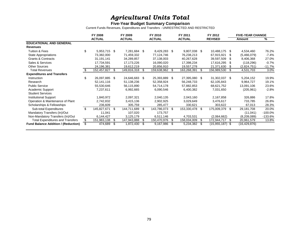#### **Five-Year Budget Summary Comparison**

Current Funds Revenues, Expenditures and Transfers - UNRESTRICTED AND RESTRICTED

|                                            |                | FY 2008        |      | FY 2009       |    | FY 2010       |     | FY 2011        |      | FY 2012        |      | <b>FIVE-YEAR CHANGE</b> |            |
|--------------------------------------------|----------------|----------------|------|---------------|----|---------------|-----|----------------|------|----------------|------|-------------------------|------------|
|                                            |                | <b>ACTUAL</b>  |      | <b>ACTUAL</b> |    | <b>ACTUAL</b> |     | <b>ACTUAL</b>  |      | <b>REVISED</b> |      | Amount                  | %          |
| <b>EDUCATIONAL AND GENERAL</b>             |                |                |      |               |    |               |     |                |      |                |      |                         |            |
| <b>Revenues</b>                            |                |                |      |               |    |               |     |                |      |                |      |                         |            |
| Tuition & Fees                             | \$             | 5,953,715 \$   |      | 7,281,684     | \$ | 8,429,283 \$  |     | 9,807,038 \$   |      | 10,488,175     | \$   | 4,534,460               | 76.2%      |
| <b>State Appropriations</b>                |                | 73,382,000     |      | 71,459,332    |    | 77,124,746    |     | 76,238,213     |      | 67,915,921     | S    | (5,466,079)             | $-7.4%$    |
| <b>Grants &amp; Contracts</b>              |                | 31,191,141     |      | 34,289,857    |    | 37,138,003    |     | 40,267,628     |      | 39,597,509     | \$.  | 8,406,368               | 27.0%      |
| Sales & Services                           |                | 17,734,591     |      | 17,173,226    |    | 16,090,020    |     | 17,398,234     |      | 17,616,295     | S    | (118, 296)              | $-0.7%$    |
| <b>Other Sources</b>                       |                | 24,196,381     |      | 19,612,219    |    | 20,856,910    |     | 19,557,278     |      | 21,371,630     | \$   | (2,824,751)             | -11.7%     |
| <b>Total Revenues</b>                      | S.             | 152,457,827 \$ |      | 149,816,318   | \$ | 159,638,962   | -S  | 163,268,391    | - \$ | 156,989,530    | \$   | 4,531,703               | 3.0%       |
| <b>Expenditures and Transfers</b>          |                |                |      |               |    |               |     |                |      |                |      |                         |            |
| Instruction                                | \$             | 26,097,885 \$  |      | 24,646,683    | \$ | 25,393,889 \$ |     | 27,395,080 \$  |      | 31,302,037     | - \$ | 5,204,152               | 19.9%      |
| Research                                   |                | 52,141,116     |      | 51,138,236    |    | 52,358,924    |     | 56,248,733     |      | 62,105,843     |      | 9,964,727               | 19.1%      |
| <b>Public Service</b>                      |                | 55,530,646     |      | 56,115,890    |    | 54,714,178    |     | 57,882,853     |      | 68,621,752     |      | 13,091,106              | 23.6%      |
| Academic Support                           |                | 7,237,611      |      | 6,992,665     |    | 6,090,546     |     | 6,400,382      |      | 7,031,650      |      | (205, 961)              | $-2.8%$    |
| <b>Student Services</b>                    |                |                |      |               |    |               |     |                |      |                |      |                         |            |
| <b>Institutional Support</b>               |                | 1,840,972      |      | 2,097,321     |    | 2,040,135     |     | 2,043,160      |      | 2,167,858      |      | 326,886                 | 17.8%      |
| Operation & Maintenance of Plant           |                | 2,742,832      |      | 3,415,136     |    | 2,902,925     |     | 3,029,649      |      | 3,476,617      |      | 733,785                 | 26.8%      |
| Scholarships & Fellowships                 |                | 236,609        |      | 305,759       |    | 285,477       |     | 330,621        |      | 303,622        |      | 67,013                  | 28.3%      |
| Sub-total Expenditures                     | $\mathfrak{L}$ | 145,827,671 \$ |      | 144,711,689   | \$ | 143,786,073   | \$  | 153,330,478 \$ |      | 175,009,379    | \$   | 29,181,708              | 20.0%      |
| Mandatory Transfers (In)/Out               |                | 11,041         |      | 107,020       |    | 173,757       |     |                |      |                |      | (11, 041)               | $-100.0\%$ |
| Non-Mandatory Transfers (In)/Out           |                | 6,144,427      |      | 3,125,179     |    | 6,511,146     |     | 4,703,531      |      | (2,064,662)    |      | (8,209,089)             | $-133.6%$  |
| <b>Total Expenditures and Transfers</b>    | \$             | 151,983,138    | -\$  | 147,943,888   | \$ | 150,470,976   | S   | 158,034,009    | - \$ | 172,944,717    | \$   | 20,961,579              | 13.8%      |
| <b>Fund Balance Addition / (Reduction)</b> |                | 474,689        | - \$ | 1,872,430     | S  | 9,167,986     | \$. | 5,234,382      | - \$ | (15, 955, 187) | - \$ | (16, 429, 876)          |            |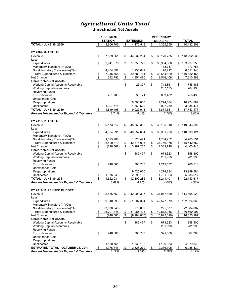**Unrestricted Net Assets**

|                                                                              |                          | <b>EXPERIMENT</b><br><b>STATION</b> |                           | <b>EXTENSION</b>      |                                  | <b>VETERINARY</b><br><b>MEDICINE</b> |                                  | <b>TOTAL</b>               |
|------------------------------------------------------------------------------|--------------------------|-------------------------------------|---------------------------|-----------------------|----------------------------------|--------------------------------------|----------------------------------|----------------------------|
| <b>TOTAL - JUNE 30, 2009</b>                                                 | \$                       | 1,606,705                           | \$                        | 4,170,548             | \$                               | 4,355,555                            | \$                               | 10,132,808                 |
|                                                                              |                          |                                     |                           |                       |                                  |                                      |                                  |                            |
| <b>FY 2009-10 ACTUAL</b>                                                     |                          |                                     |                           |                       |                                  |                                      |                                  |                            |
| Revenue                                                                      | \$                       | 37,589,561                          | \$                        | 44,532,234            | \$                               | 36,170,735                           | \$                               | 118,292,530                |
| Less:                                                                        |                          |                                     |                           |                       |                                  |                                      |                                  |                            |
| Expenditures                                                                 | \$                       | 32,941,876                          | \$                        | 37,750,722            | \$                               | 33,304,660                           | \$                               | 103,997,258                |
| Mandatory Transfers (In)/Out                                                 |                          |                                     |                           |                       |                                  | 173,757                              |                                  | 173,757                    |
| Non-Mandatory Transfers(In)/Out                                              |                          | 4,404,892                           |                           | 1,930,042             |                                  | 176,212                              |                                  | 6,511,146                  |
| <b>Total Expenditures &amp; Transfers</b>                                    | \$                       | 37,346,768                          | \$                        | 39,680,764            | \$                               | 33,654,629                           | \$                               | 110,682,161                |
| Net Change                                                                   | $\overline{\$}$          | 242,793                             | $\overline{\mathfrak{s}}$ | 4,851,470             | $\overline{\boldsymbol{\theta}}$ | 2,516,106                            | $\overline{\mathcal{E}}$         | 7,610,369                  |
| <b>Unrestricted Net Assets</b>                                               |                          |                                     |                           |                       |                                  |                                      |                                  |                            |
| Working Capital-Accounts Receivable                                          |                          |                                     | \$                        | 26,327                | \$                               | 718,861                              | \$                               | 745,188                    |
| <b>Working Capital-Inventories</b>                                           |                          |                                     |                           |                       |                                  | 287,195                              |                                  | 287,195                    |
| <b>Revolving Funds</b>                                                       |                          |                                     |                           |                       |                                  |                                      |                                  |                            |
| Encumbrances                                                                 |                          | 451,783                             |                           | 635,171               |                                  | 663,482                              |                                  | 1,750,436                  |
| <b>Unexpended Gifts</b>                                                      |                          |                                     |                           |                       |                                  |                                      |                                  |                            |
| Reappropriations                                                             |                          |                                     |                           | 6,700,000             |                                  | 4,274,884                            |                                  | 10,974,884                 |
| Unallocated                                                                  |                          | 1,397,715                           |                           | 1,660,520             |                                  | 927,239                              |                                  | 3,985,474                  |
| <b>TOTAL - JUNE 30, 2010</b>                                                 | \$                       | 1,849,498                           | \$                        | 9,022,018             | \$                               | 6,871,661                            | \$                               | 17,743,177                 |
| <b>Percent Unallocated of Expend. &amp; Transfers</b>                        |                          | 3.74%                               |                           | 4.18%                 |                                  | 2.76%                                |                                  | 3.60%                      |
|                                                                              |                          |                                     |                           |                       |                                  |                                      |                                  |                            |
| <b>FY 2010-11 ACTUAL</b>                                                     |                          |                                     |                           |                       |                                  |                                      |                                  |                            |
| Revenue                                                                      | \$                       | 35,173,812                          | \$                        | 45,663,362            | \$                               | 39,105,918                           | \$                               | 119,943,092                |
| Less:                                                                        |                          |                                     |                           |                       |                                  |                                      |                                  |                            |
| Expenditures                                                                 | \$                       | 34,304,591                          | \$                        | 40,552,604            | \$                               | 35,981,926                           | \$                               | 110,839,121                |
| Mandatory Transfers (In)/Out                                                 |                          |                                     |                           |                       |                                  |                                      |                                  |                            |
| Non-Mandatory Transfers(In)/Out                                              |                          | 1,095,788                           |                           | 1,823,491             |                                  | 1,784,252                            |                                  | 4,703,531                  |
| <b>Total Expenditures &amp; Transfers</b>                                    | $\frac{6}{9}$            | 35,400,379                          | \$                        | 42,376,095            | \$                               | 37,766,178                           | \$                               | 115,542,652                |
| Net Change                                                                   |                          | (226, 567)                          | $\overline{\mathbf{e}}$   | 3,287,267             | \$                               | 1,339,740                            | $\overline{\boldsymbol{\theta}}$ | 4,400,440                  |
| <b>Unrestricted Net Assets</b>                                               |                          |                                     |                           |                       |                                  |                                      |                                  |                            |
| Working Capital-Accounts Receivable                                          |                          |                                     | \$                        | 185,477               | \$                               | 673,323                              | \$                               | 858,800                    |
| <b>Working Capital-Inventories</b>                                           |                          |                                     |                           |                       |                                  | 281,998                              |                                  | 281,998                    |
| Revolving Funds                                                              |                          |                                     |                           |                       |                                  |                                      |                                  |                            |
| Encumbrances                                                                 | \$                       | 246,085                             |                           | 300,700               |                                  | 1,219,532                            |                                  | 1,766,318                  |
| <b>Unexpended Gifts</b>                                                      |                          |                                     |                           |                       |                                  |                                      |                                  |                            |
| Reappropriations                                                             |                          |                                     |                           | 9,725,000             |                                  | 4,274,884                            |                                  | 13,999,884                 |
| Unallocated                                                                  | $\frac{\$}{\$}$          | 1,376,846                           |                           | 2,098,108             |                                  | 1,761,663                            |                                  | 5,236,617                  |
| <b>TOTAL - JUNE 30, 2011</b>                                                 |                          | 1,622,931                           | <u>_\$</u>                | 12,309,285            | \$                               | 8,211,401                            | $\frac{1}{2}$                    | 22, 143, 617               |
| <b>Percent Unallocated of Expend. &amp; Transfers</b>                        |                          | 3.89%                               |                           | 4.95%                 |                                  | 4.66%                                |                                  | 4.53%                      |
|                                                                              |                          |                                     |                           |                       |                                  |                                      |                                  |                            |
| FY 2011-12 REVISED BUDGET                                                    |                          |                                     |                           |                       |                                  |                                      |                                  |                            |
| Revenue                                                                      | \$                       | 35,455,763                          | \$                        | 42,001,397            | \$                               | 37,047,860                           | S                                | 114,505,020                |
| Less:                                                                        |                          |                                     |                           |                       |                                  |                                      |                                  |                            |
| Expenditures                                                                 | \$                       | 39,040,396                          | \$                        | 51,007,394            | \$                               | 42,577,079                           | \$                               | 132,624,869                |
| Mandatory Transfers (In)/Out                                                 |                          |                                     |                           |                       |                                  |                                      |                                  |                            |
| Non-Mandatory Transfers(In)/Out<br><b>Total Expenditures &amp; Transfers</b> |                          | (3,338,548)<br>35,701,848           |                           | 978,009<br>51,985,403 |                                  | 295,877<br>42,872,956                |                                  | (2,064,662)<br>130,560,207 |
| Net Change                                                                   | \$<br>$\overline{\$}$    | (246, 085)                          | \$<br>\$                  | (9,984,006)           | \$<br>$\overline{\mathcal{E}}$   | (5,825,096)                          | \$<br>$\sqrt[6]{\frac{1}{2}}$    | (16,055,187)               |
| <b>Unrestricted Net Assets</b>                                               |                          |                                     |                           |                       |                                  |                                      |                                  |                            |
| Working Capital-Accounts Receivable                                          |                          |                                     | \$                        | 185,477               | \$                               | 673,323                              | \$                               | 858,800                    |
| <b>Working Capital-Inventories</b>                                           |                          |                                     |                           |                       |                                  | 281,998                              |                                  | 281,998                    |
| <b>Revolving Funds</b>                                                       |                          |                                     |                           |                       |                                  |                                      |                                  |                            |
| Encumbrances                                                                 | \$                       | 246,085                             |                           | 300,700               |                                  | 321,000                              |                                  | 867,785                    |
| <b>Unexpended Gifts</b>                                                      |                          |                                     |                           |                       |                                  |                                      |                                  |                            |
| Reappropriations                                                             |                          |                                     |                           |                       |                                  |                                      |                                  |                            |
| Unallocated                                                                  |                          | 1,130,761                           |                           | 1,839,102             |                                  | 1,109,983                            |                                  | 4,079,846                  |
| <b>ESTIMATED TOTAL - OCTOBER 31, 2011</b>                                    | $\overline{\mathcal{F}}$ | 1,376,846                           | $\frac{1}{2}$             | 2,325,279             | \$                               | 2,386,305                            | \$                               | 6,088,430                  |
| <b>Percent Unallocated of Expend. &amp; Transfers</b>                        |                          | 3.17%                               |                           | 3.54%                 |                                  | 2.59%                                |                                  | 3.12%                      |
|                                                                              |                          |                                     |                           |                       |                                  |                                      |                                  |                            |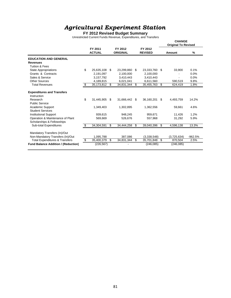#### **FY 2012 Revised Budget Summary**

Unrestricted Current Funds Revenue, Expenditures, and Transfers

|                                                                |                          |     |                            |                           |     | <b>CHANGE</b><br><b>Original To Revised</b> |           |
|----------------------------------------------------------------|--------------------------|-----|----------------------------|---------------------------|-----|---------------------------------------------|-----------|
|                                                                | FY 2011<br><b>ACTUAL</b> |     | FY 2012<br><b>ORIGINAL</b> | FY 2012<br><b>REVISED</b> |     | Amount                                      | %         |
| <b>EDUCATION AND GENERAL</b>                                   |                          |     |                            |                           |     |                                             |           |
| <b>Revenues</b>                                                |                          |     |                            |                           |     |                                             |           |
| <b>Tuition &amp; Fees</b>                                      |                          |     |                            |                           |     |                                             |           |
| <b>State Appropriations</b>                                    | \$<br>25,635,108         | \$  | 23,299,860                 | \$<br>23,333,760          | \$  | 33,900                                      | 0.1%      |
| Grants & Contracts                                             | 2,191,097                |     | 2,100,000                  | 2,100,000                 |     |                                             | 0.0%      |
| Sales & Service                                                | 3,157,792                |     | 3,410,443                  | 3,410,443                 |     | ٠                                           | 0.0%      |
| Other Sources                                                  | 4,189,815                |     | 6,021,041                  | 6,611,560                 |     | 590,519                                     | 9.8%      |
| <b>Total Revenues</b>                                          | \$<br>35, 173, 812       | \$  | 34,831,344                 | \$<br>35,455,763          | \$  | 624,419                                     | 1.8%      |
| <b>Expenditures and Transfers</b>                              |                          |     |                            |                           |     |                                             |           |
| Instruction                                                    |                          |     |                            |                           |     |                                             |           |
| Research                                                       | \$<br>31,445,905         | \$. | 31,666,442 \$              | 36,160,201                | \$. | 4,493,759                                   | 14.2%     |
| <b>Public Service</b>                                          |                          |     |                            |                           |     |                                             |           |
| Academic Support                                               | 1,349,403                |     | 1,302,895                  | 1,362,556                 |     | 59,661                                      | 4.6%      |
| <b>Student Services</b>                                        |                          |     |                            |                           |     |                                             |           |
| <b>Institutional Support</b>                                   | 939.615                  |     | 948,245                    | 959,671                   |     | 11,426                                      | 1.2%      |
| Operation & Maintenance of Plant<br>Scholarships & Fellowships | 569,669                  |     | 526,676                    | 557,968                   |     | 31,292                                      | 5.9%      |
| <b>Sub-total Expenditures</b>                                  | \$<br>34,304,591         | \$  | 34,444,258                 | \$<br>39,040,396          | \$  | 4,596,138                                   | 13.3%     |
| Mandatory Transfers (In)/Out                                   |                          |     |                            |                           |     |                                             |           |
| Non-Mandatory Transfers (In)/Out                               | 1.095,788                |     | 387,086                    | (3,338,548)               |     | (3,725,634)                                 | $-962.5%$ |
| <b>Total Expenditures &amp; Transfers</b>                      | \$<br>35,400,379         | \$  | 34,831,344                 | \$<br>35,701,848          | \$  | 870,504                                     | 2.5%      |
| <b>Fund Balance Addition / (Reduction)</b>                     | (226, 567)               |     |                            | (246, 085)                |     | (246, 085)                                  |           |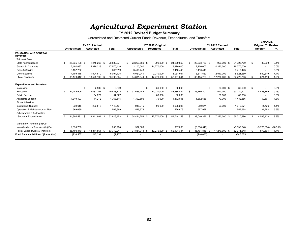#### **FY 2012 Revised Budget Summary**

Unrestricted and Restricted Current Funds Revenue, Expenditures, and Transfers

|                                                 |                     | FY 2011 Actual     |              |    |                     |    | FY 2012 Original   |              |                     | FY 2012 Revised   |      |              |     | <b>CHANGE</b><br><b>Original To Revised</b> |           |
|-------------------------------------------------|---------------------|--------------------|--------------|----|---------------------|----|--------------------|--------------|---------------------|-------------------|------|--------------|-----|---------------------------------------------|-----------|
|                                                 | <b>Unrestricted</b> | <b>Restricted</b>  | <b>Total</b> |    | <b>Unrestricted</b> |    | <b>Restricted</b>  | <b>Total</b> | <b>Unrestricted</b> | <b>Restricted</b> |      | <b>Total</b> |     | Amount                                      | %         |
| <b>EDUCATION AND GENERAL</b><br><b>Revenues</b> |                     |                    |              |    |                     |    |                    |              |                     |                   |      |              |     |                                             |           |
| Tuition & Fees                                  |                     |                    |              |    |                     |    |                    |              |                     |                   |      |              |     |                                             |           |
| <b>State Appropriations</b>                     | \$<br>25,635,108 \$ | 1,245,263 \$       | 26,880,371   | S. | 23,299,860 \$       |    | 990,000 \$         | 24,289,860   | 23,333,760 \$       | 990,000 \$        |      | 24,323,760   | \$  | 33,900                                      | 0.1%      |
| Grants & Contracts                              | 2,191,097           | 15,379,319         | 17,570,416   |    | 2,100,000           |    | 14,270,000         | 16,370,000   | 2,100,000           | 14,270,000        |      | 16,370,000   |     |                                             | $0.0\%$   |
| Sales & Service                                 | 3,157,792           |                    | 3157792      |    | 3.410.443           |    |                    | 3,410,443    | 3.410.443           |                   |      | 3,410,443    |     | ٠                                           | $0.0\%$   |
| <b>Other Sources</b>                            | 4,189,815           | 1,904,610          | 6,094,425    |    | 6,021,041           |    | 2,010,000          | 8,031,041    | 6,611,560           | 2,010,000         |      | 8,621,560    |     | 590,519                                     | 7.4%      |
| <b>Total Revenues</b>                           | 35.173.812 \$       | 18,529,192 \$      | 53,703,004   |    | 34,831,344          |    | 17,270,000 \$      | 52,101,344   | 35,455,763 \$       | 17.270.000 \$     |      | 52,725,763   | £.  | 624,419                                     | 1.2%      |
| <b>Expenditures and Transfers</b>               |                     |                    |              |    |                     |    |                    |              |                     |                   |      |              |     |                                             |           |
| Instruction                                     |                     | \$<br>$2.539$ \$   | 2.539        |    |                     | -S | 30,000 \$          | 30,000       | \$                  | 30.000 \$         |      | 30.000       | \$  |                                             | $0.0\%$   |
| Research                                        | \$<br>31,445,905    | 18,037,267         | 49,483,172   | \$ | 31,666,442          |    | 17,020,000         | 48,686,442   | 36,160,201          | 17,020,000        |      | 53,180,201   |     | 4,493,759                                   | 9.2%      |
| <b>Public Service</b>                           |                     | 54,027             | 54,027       |    |                     |    | 60,000             | 60,000       |                     | 60,000            |      | 60,000       |     |                                             | $0.0\%$   |
| Academic Support                                | 1,349,403           | 14,212             | 1,363,615    |    | 1,302,895           |    | 70,000             | 1,372,895    | 1,362,556           | 70,000            |      | 1,432,556    |     | 59,661                                      | 4.3%      |
| <b>Student Services</b>                         |                     |                    |              |    |                     |    |                    |              |                     |                   |      |              |     |                                             |           |
| <b>Institutional Support</b>                    | 939,615             | 203,816            | 1,143,431    |    | 948,245             |    | 90,000             | 1,038,245    | 959,671             | 90,000            |      | 1,049,671    |     | 11,426                                      | 1.1%      |
| Operation & Maintenance of Plant                | 569,669             |                    | 569,669      |    | 526,676             |    |                    | 526,676      | 557,968             |                   |      | 557,968      |     | 31,292                                      | 5.9%      |
| Scholarships & Fellowships                      |                     |                    |              |    |                     |    |                    |              |                     |                   |      |              |     |                                             |           |
| Sub-total Expenditures                          | 34,304,591 \$       | 18,311,861<br>- \$ | 52,616,453   | £. | 34,444,258 \$       |    | 17,270,000<br>- \$ | 51,714,258   | 39,040,396 \$       | 17,270,000        | - \$ | 56,310,396   |     | 4,596,138                                   | 8.9%      |
| Mandatory Transfers (In)/Out                    |                     |                    |              |    |                     |    |                    |              |                     |                   |      |              |     |                                             |           |
| Non-Mandatory Transfers (In)/Out                | 1.095.788           |                    | 1,095,788    |    | 387,086             |    |                    | 387,086      | (3,338,548)         |                   |      | (3,338,548)  |     | (3,725,634)                                 | $-962.5%$ |
| <b>Total Expenditures &amp; Transfers</b>       | 35,400,379 \$       | 18,311,861<br>- \$ | 53,712,241   | \$ | 34,831,344          |    | 17,270,000         | 52,101,344   | 35,701,848 \$       | 17,270,000 \$     |      | 52,971,848   | \$. | 870,504                                     | 1.7%      |
| Fund Balance Addition / (Reduction)             | (226, 567)          | 217,331            | (9, 237)     |    |                     |    |                    |              | (246, 085)          |                   |      | (246, 085)   |     |                                             |           |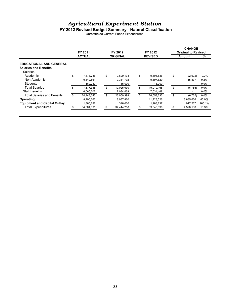#### **FY2012 Revised Budget Summary - Natural Classification**

Unrestricted Current Funds Expenditures

| FY 2011<br><b>ACTUAL</b> | FY 2012          | FY 2012          | <b>Original to Revised</b> |         |
|--------------------------|------------------|------------------|----------------------------|---------|
|                          | <b>ORIGINAL</b>  | <b>REVISED</b>   | <b>Amount</b>              | %       |
|                          |                  |                  |                            |         |
|                          |                  |                  |                            |         |
|                          |                  |                  |                            |         |
| \$<br>7,873,736          | \$<br>9,629,138  | \$<br>9,606,536  | \$<br>(22,602)             | $-0.2%$ |
| 9.842.861                | 9,381,792        | 9,397,629        | 15.837                     | 0.2%    |
| 160,739                  | 15,000           | 15,000           | ۰                          | 0.0%    |
| \$.<br>17,877,336        | \$<br>19,025,930 | \$<br>19,019,165 | \$<br>(6, 765)             | 0.0%    |
| 6,566,307                | 7,034,468        | 7,034,468        | ۰                          | $0.0\%$ |
| \$<br>24,443,643         | \$<br>26,060,398 | \$<br>26,053,633 | \$<br>(6, 765)             | 0.0%    |
| 8.495.666                | 8.037.860        | 11,723,526       | 3,685,666                  | 45.9%   |
| 1,365,282                | 346.000          | 1,263,237        | 917.237                    | 265.1%  |
| 34,304,591               | \$<br>34,444,258 | \$<br>39,040,396 | \$<br>4,596,138            | 13.3%   |
|                          |                  |                  |                            |         |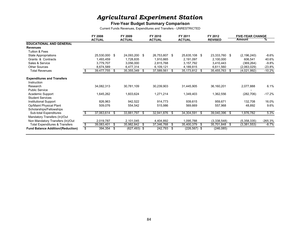#### **Five-Year Budget Summary Comparison**

Current Funds Revenues, Expenditures and Transfers - UNRESTRICTED

|                                                  | FY 2008          |      | FY 2009       |      | FY 2010       |    | FY 2011         |      | FY 2012        | <b>FIVE-YEAR CHANGE</b> |           |
|--------------------------------------------------|------------------|------|---------------|------|---------------|----|-----------------|------|----------------|-------------------------|-----------|
|                                                  | <b>ACTUAL</b>    |      | <b>ACTUAL</b> |      | <b>ACTUAL</b> |    | <b>ACTUAL</b>   |      | <b>REVISED</b> | Amount                  | ℅         |
| <b>EDUCATIONAL AND GENERAL</b>                   |                  |      |               |      |               |    |                 |      |                |                         |           |
| <b>Revenues</b>                                  |                  |      |               |      |               |    |                 |      |                |                         |           |
| Tuition & Fees                                   |                  |      |               |      |               |    |                 |      |                |                         |           |
| State Appropriations                             | 25,530,000 \$    |      | 24,093,200    | \$   | 26,753,807 \$ |    | 25,635,108 \$   |      | 23,333,760 \$  | (2, 196, 240)           | $-8.6\%$  |
| Grants & Contracts                               | 1,493,459        |      | 1,728,835     |      | 1,910,865     |    | 2,191,097       |      | 2,100,000      | 606,541                 | 40.6%     |
| Sales & Service                                  | 3,779,707        |      | 3,056,000     |      | 2,815,768     |    | 3,157,792       |      | 3,410,443      | (369, 264)              | $-9.8%$   |
| <b>Other Sources</b>                             | 8,674,589        |      | 6,477,314     |      | 6,109,121     |    | 4,189,815       |      | 6,611,560      | (2,063,029)             | $-23.8%$  |
| <b>Total Revenues</b>                            | 39,477,755       | - \$ | 35,355,349    | \$   | 37,589,561    | S. | 35,173,812 \$   |      | 35,455,763     | \$<br>(4,021,992)       | $-10.2%$  |
| <b>Expenditures and Transfers</b><br>Instruction |                  |      |               |      |               |    |                 |      |                |                         |           |
| Research<br><b>Public Service</b>                | 34,082,313       |      | 30,781,109    |      | 30,239,903    |    | 31,445,905      |      | 36,160,201     | 2,077,888               | 6.1%      |
| Academic Support<br><b>Student Services</b>      | 1,645,262        |      | 1,603,624     |      | 1,271,214     |    | 1,349,403       |      | 1,362,556      | (282, 706)              | $-17.2\%$ |
| Institutional Support                            | 826,963          |      | 942,522       |      | 914,773       |    | 939,615         |      | 959,671        | 132,708                 | 16.0%     |
| Op/Maint Physical Plant                          | 509,076          |      | 554,542       |      | 515,986       |    | 569,669         |      | 557,968        | 48,892                  | 9.6%      |
| Scholarships/Fellowships                         |                  |      |               |      |               |    |                 |      |                |                         |           |
| Sub-total Expenditures                           | 37,063,614 \$    |      | 33,881,797    | \$   | 32,941,876    | \$ | 34,304,591 \$   |      | 39,040,396     | \$<br>1,976,782         | 5.3%      |
| Mandatory Transfers (In)/Out                     |                  |      |               |      |               |    |                 |      |                |                         |           |
| Non Mandatory Transfers (In)/Out                 | 2,019,787        |      | 2,101,045     |      | 4,404,892     |    | 1,095,788       |      | (3,338,548)    | (5,358,335)             | $-265.3%$ |
| <b>Total Expenditures &amp; Transfers</b>        | \$<br>39,083,401 | - \$ | 35,982,842    | \$   | 37,346,768    | \$ | 35,400,379      | - \$ | 35,701,848     | \$<br>(3,381,553)       | $-8.7%$   |
| <b>Fund Balance Addition/(Reduction)</b>         | \$<br>394,354 \$ |      | (627, 493)    | - \$ | 242,793       | \$ | $(226, 567)$ \$ |      | (246, 085)     |                         |           |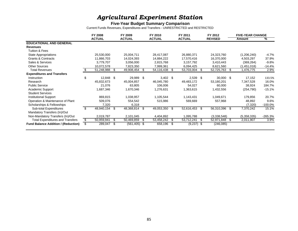#### **Five-Year Budget Summary Comparison**

Current Funds Revenues, Expenditures and Transfers - UNRESTRICTED and RESTRICTED

|                                            | <b>FY 2008</b>      |      | FY 2009       |    | FY 2010       |    | FY 2011       |      | FY 2012        |     | <b>FIVE-YEAR CHANGE</b> |            |
|--------------------------------------------|---------------------|------|---------------|----|---------------|----|---------------|------|----------------|-----|-------------------------|------------|
|                                            | <b>ACTUAL</b>       |      | <b>ACTUAL</b> |    | <b>ACTUAL</b> |    | <b>ACTUAL</b> |      | <b>REVISED</b> |     | Amount                  | %          |
| <b>EDUCATIONAL AND GENERAL</b>             |                     |      |               |    |               |    |               |      |                |     |                         |            |
| <b>Revenues</b>                            |                     |      |               |    |               |    |               |      |                |     |                         |            |
| Tuition & Fees                             |                     |      |               |    |               |    |               |      |                |     |                         |            |
| <b>State Appropriations</b>                | 25,530,000          |      | 25,004,711    |    | 28,417,087    |    | 26,880,371    |      | 24,323,760     |     | (1,206,240)             | $-4.7\%$   |
| <b>Grants &amp; Contracts</b>              | 11,866,703          |      | 14,024,393    |    | 14,884,222    |    | 17,570,416    |      | 16,370,000     |     | 4,503,297               | 37.9%      |
| Sales & Services                           | 3,779,707           |      | 3,056,000     |    | 2,815,768     |    | 3,157,792     |      | 3,410,443      |     | (369, 264)              | $-9.8%$    |
| <b>Other Sources</b>                       | 10,072,578          |      | 7,823,350     |    | 7,999,361     |    | 6,094,425     |      | 8,621,560      |     | (1,451,018)             | $-14.4%$   |
| <b>Total Revenues</b>                      | 51,248,988          | - \$ | 49,908,454    | -S | 54,116,438    | S  | 53,703,004    | S    | 52,725,763     | -\$ | 1,476,775               | 2.9%       |
| <b>Expenditures and Transfers</b>          |                     |      |               |    |               |    |               |      |                |     |                         |            |
| Instruction                                | \$<br>12,848 \$     |      | 29,989        | \$ | $3,402$ \$    |    | $2,539$ \$    |      | 30,000 \$      |     | 17,152                  | 133.5%     |
| Research                                   | 45,832,673          |      | 45,004,857    |    | 46,045,780    |    | 49,483,172    |      | 53,180,201     |     | 7,347,528               | 16.0%      |
| <b>Public Service</b>                      | 21,076              |      | 63,805        |    | 106,006       |    | 54,027        |      | 60,000         |     | 38,924                  | 184.7%     |
| Academic Support                           | 1,687,346           |      | 1,670,346     |    | 1,276,631     |    | 1,363,615     |      | 1,432,556      |     | (254, 790)              | $-15.1%$   |
| <b>Student Services</b>                    |                     |      |               |    |               |    |               |      |                |     |                         |            |
| <b>Institutional Support</b>               | 869,815             |      | 1,038,957     |    | 1,105,544     |    | 1,143,431     |      | 1,049,671      |     | 179,856                 | 20.7%      |
| Operation & Maintenance of Plant           | 509,076             |      | 554,542       |    | 515,986       |    | 569,669       |      | 557,968        |     | 48,892                  | 9.6%       |
| Scholarships & Fellowships                 | 7,320               |      | 6,318         |    |               |    |               |      |                |     | (7,320)                 | $-100.0\%$ |
| Sub-total Expenditures                     | \$<br>48,940,154 \$ |      | 48,368,814    | \$ | 49,053,350    | \$ | 52,616,453    | - \$ | 56,310,396     | \$  | 7,370,242               | 15.1%      |
| Mandatory Transfers (In)/Out               |                     |      |               |    |               |    |               |      |                |     |                         |            |
| Non-Mandatory Transfers (In)/Out           | 2,019,787           |      | 2,101,045     |    | 4,404,892     |    | 1,095,788     |      | (3,338,548)    |     | (5,358,335)             | -265.3%    |
| <b>Total Expenditures and Transfers</b>    | \$<br>50,959,941    | \$   | 50,469,859    | \$ | 53,458,242    | \$ | 53,712,241    | \$   | 52,971,848     | \$  | 2,011,907               | 3.9%       |
| <b>Fund Balance Addition / (Reduction)</b> | 289,047             | - \$ | (561, 405)    | \$ | 658,196       | S  | $(9,237)$ \$  |      | (246, 085)     |     |                         |            |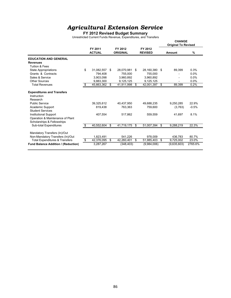#### **FY 2012 Revised Budget Summary**

Unrestricted Current Funds Revenue, Expenditures, and Transfers

|                                                                                                                                                                                                          |    |                                  |                                  |                                  |     | <b>CHANGE</b><br><b>Original To Revised</b> |                          |
|----------------------------------------------------------------------------------------------------------------------------------------------------------------------------------------------------------|----|----------------------------------|----------------------------------|----------------------------------|-----|---------------------------------------------|--------------------------|
|                                                                                                                                                                                                          |    | FY 2011<br><b>ACTUAL</b>         | FY 2012<br><b>ORIGINAL</b>       | FY 2012<br><b>REVISED</b>        |     | Amount                                      | $\%$                     |
| <b>EDUCATION AND GENERAL</b>                                                                                                                                                                             |    |                                  |                                  |                                  |     |                                             |                          |
| <b>Revenues</b>                                                                                                                                                                                          |    |                                  |                                  |                                  |     |                                             |                          |
| Tuition & Fees                                                                                                                                                                                           |    |                                  |                                  |                                  |     |                                             |                          |
| <b>State Appropriations</b>                                                                                                                                                                              | \$ | 31,082,557                       | \$<br>28,070,981                 | \$<br>28,160,380                 | -\$ | 89,399                                      | 0.3%                     |
| Grants & Contracts                                                                                                                                                                                       |    | 794,408                          | 755,000                          | 755,000                          |     |                                             | 0.0%                     |
| Sales & Service                                                                                                                                                                                          |    | 3,903,098                        | 3.960.892                        | 3,960,892                        |     |                                             | 0.0%                     |
| Other Sources                                                                                                                                                                                            |    | 9.883.300                        | 9,125,125                        | 9,125,125                        |     |                                             | 0.0%                     |
| <b>Total Revenues</b>                                                                                                                                                                                    | S  | 45,663,362                       | \$<br>41,911,998                 | \$<br>42,001,397 \$              |     | 89,399                                      | 0.2%                     |
| <b>Expenditures and Transfers</b><br>Instruction<br>Research<br><b>Public Service</b><br>Academic Support<br><b>Student Services</b><br><b>Institutional Support</b><br>Operation & Maintenance of Plant |    | 39,325,612<br>819.438<br>407,554 | 40,437,950<br>763.363<br>517,862 | 49,688,235<br>759.600<br>559,559 |     | 9,250,285<br>(3,763)<br>41,697              | 22.9%<br>$-0.5%$<br>8.1% |
| Scholarships & Fellowships                                                                                                                                                                               |    |                                  |                                  |                                  |     |                                             |                          |
| <b>Sub-total Expenditures</b>                                                                                                                                                                            | \$ | 40,552,604                       | \$<br>41,719,175                 | \$<br>51,007,394                 | \$  | 9,288,219                                   | 22.3%                    |
| Mandatory Transfers (In)/Out<br>Non-Mandatory Transfers (In)/Out                                                                                                                                         |    | 1.823.491                        | 541.226                          | 978.009                          |     | 436.783                                     | 80.7%                    |
| <b>Total Expenditures &amp; Transfers</b>                                                                                                                                                                | \$ | 42,376,095                       | \$<br>42,260,401                 | \$<br>51,985,403                 | \$  | 9,725,002                                   | 23.0%                    |
| Fund Balance Addition / (Reduction)                                                                                                                                                                      |    | 3,287,267                        | (348, 403)                       | (9,984,006)                      |     | (9,635,603)                                 | 2765.6%                  |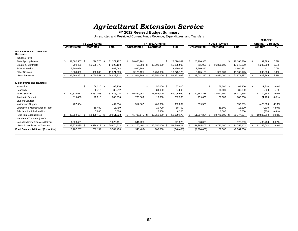# *Agr icu ltural Extens ion Serv i c e* **FY 2012 Revised Budget Summary**

Unrestricted and Restricted Current Funds Revenue, Expenditures, and Transfers

|                                                 |     |                     |     |                   |              |                     |      |                   |            |                     |      |                   |              | <b>CHANGE</b> |                            |          |
|-------------------------------------------------|-----|---------------------|-----|-------------------|--------------|---------------------|------|-------------------|------------|---------------------|------|-------------------|--------------|---------------|----------------------------|----------|
|                                                 |     |                     |     | FY 2011 Actual    |              |                     |      | FY 2012 Original  |            |                     |      | FY 2012 Revised   |              |               | <b>Original To Revised</b> |          |
|                                                 |     | <b>Unrestricted</b> |     | <b>Restricted</b> | <b>Total</b> | <b>Unrestricted</b> |      | <b>Restricted</b> | Total      | <b>Unrestricted</b> |      | <b>Restricted</b> | <b>Total</b> |               | Amount                     | ℅        |
| <b>EDUCATION AND GENERAL</b><br><b>Revenues</b> |     |                     |     |                   |              |                     |      |                   |            |                     |      |                   |              |               |                            |          |
| Tuition & Fees                                  |     |                     |     |                   |              |                     |      |                   |            |                     |      |                   |              |               |                            |          |
| <b>State Appropriations</b>                     | \$  | 082,557 \$          |     | 296,570 \$        | 31,379,127   | \$<br>28,070,981    |      | \$.               | 28,070,981 | 28,160,380<br>\$.   |      |                   | 28,160,380   | Ŝ.            | 89,399                     | 0.3%     |
| Grants & Contracts                              |     | 794,408             |     | 16,525,772        | 17,320,180   | 755,000             | - \$ | 15,600,000        | 16,355,000 | 755,000             | - \$ | 16,890,000        | 17,645,000   |               | 1,290,000                  | 7.9%     |
| Sales & Service                                 |     | 3,903,098           |     |                   | 3,903,098    | 3,960,892           |      |                   | 3,960,892  | 3,960,892           |      |                   | 3,960,892    |               |                            | 0.0%     |
| <b>Other Sources</b>                            |     | 9,883,300           |     | 1,938,209         | 11,821,509   | 9,125,125           |      | 1,750,000         | 10,875,125 | 9,125,125           |      | 1,980,000         | 11,105,125   |               | 230.000                    | 2.1%     |
| <b>Total Revenues</b>                           |     | 45,663,362 \$       |     | 18,760,551        | 64,423,914   | 41,911,998          |      | 17,350,000        | 59,261,998 | 42,001,397          | - \$ | 18,870,000 \$     | 60,871,397   |               | 1,609,399                  | 2.7%     |
| <b>Expenditures and Transfers</b>               |     |                     |     |                   |              |                     |      |                   |            |                     |      |                   |              |               |                            |          |
| Instruction                                     |     |                     | \$. | 68.220 \$         | 68,220       |                     | \$   | 57.000 \$         | 57.000     |                     | \$.  | 68,300 \$         | 68,300       | \$            | 11,300                     | 19.8%    |
| Research                                        |     |                     |     | 36,712            | 36,712       |                     |      | 34,000            | 34,000     |                     |      | 36,800            | 36,800       |               | 2,800                      | 8.2%     |
| <b>Public Service</b>                           | \$. | 39,325,612          |     | 18,351,303        | 57,676,915   | \$<br>40,437,950    |      | 16,658,000        | 57,095,950 | 49,688,235          |      | 18,622,400        | 68,310,635   |               | 11,214,685                 | 19.6%    |
| Academic Support                                |     | 819,438             |     | 20,818            | 840,256      | 763,363             |      | 19,000            | 782,363    | 759,600             |      | 21,000            | 780,600      |               | (1,763)                    | $-0.2%$  |
| <b>Student Services</b>                         |     |                     |     |                   |              |                     |      |                   |            |                     |      |                   |              |               |                            |          |
| <b>Institutional Support</b>                    |     | 407,554             |     |                   | 407,554      | 517,862             |      | 465,000           | 982,862    | 559,559             |      |                   | 559,559      |               | (423, 303)                 | $-43.1%$ |
| Operation & Maintenance of Plant                |     |                     |     | 15.480            | 15,480       |                     |      | 10,700            | 10,700     |                     |      | 15,500            | 15,500       |               | 4,800                      | 44.9%    |
| Scholarships & Fellowships                      |     |                     |     | 5,886             | 5,886        |                     |      | 6,300             | 6,300      |                     |      | 6,000             | 6,000        |               | (300)                      | $-4.8%$  |
| Sub-total Expenditures                          |     | 40,552,604 \$       |     | 18,498,419 \$     | 59,051,023   | 41,719,175 \$       |      | 17,250,000        | 58,969,175 | 51,007,394          |      | 18,770,000        | 69,777,394   |               | 10,808,219                 | 18.3%    |
| Mandatory Transfers (In)/Out                    |     |                     |     |                   |              |                     |      |                   |            |                     |      |                   |              |               |                            |          |
| Non-Mandatory Transfers (In)/Out                |     | 1.823.491           |     |                   | 1,823,491    | 541.226             |      |                   | 541,226    | 978.009             |      |                   | 978.009      |               | 436.783                    | 80.7%    |
| <b>Total Expenditures &amp; Transfers</b>       |     | 42,376,095 \$       |     | 18,498,419 \$     | 60,874,514   | 42,260,401 \$       |      | 17,250,000        | 59,510,401 | 51,985,403 \$       |      | 18,770,000 \$     | 70,755,403   | £.            | 11,245,002                 | 18.9%    |
| <b>Fund Balance Addition / (Reduction)</b>      |     | 3,287,267           |     | 262,132           | 3,549,400    | (348, 403)          |      | 100,000           | (248, 403) | (9,984,006)         |      | 100,000           | (9,884,006)  |               |                            |          |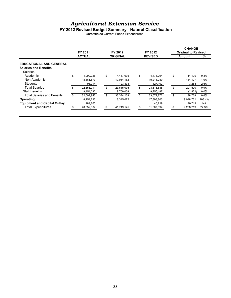#### **FY2012 Revised Budget Summary - Natural Classification**

Unrestricted Current Funds Expenditures

|                                     | FY 2011<br><b>ACTUAL</b> | FY 2012    | FY 2012          | <b>CHANGE</b><br><b>Original to Revised</b> |                 |           |
|-------------------------------------|--------------------------|------------|------------------|---------------------------------------------|-----------------|-----------|
|                                     |                          |            | <b>ORIGINAL</b>  | <b>REVISED</b>                              | <b>Amount</b>   | %         |
| <b>EDUCATIONAL AND GENERAL</b>      |                          |            |                  |                                             |                 |           |
| <b>Salaries and Benefits</b>        |                          |            |                  |                                             |                 |           |
| Salaries                            |                          |            |                  |                                             |                 |           |
| Academic                            | \$                       | 4,099,025  | \$<br>4,457,095  | \$<br>4,471,294                             | \$<br>14.199    | 0.3%      |
| Non-Academic                        |                          | 18,361,873 | 19,034,162       | 19,218,289                                  | 184.127         | 1.0%      |
| Students                            |                          | 93,014     | 123,838          | 127,102                                     | 3,264           | 2.6%      |
| <b>Total Salaries</b>               | \$                       | 22,553,911 | \$<br>23,615,095 | \$<br>23,816,685                            | \$<br>201.590   | 0.9%      |
| <b>Staff Benefits</b>               |                          | 9,454,032  | 9,759,008        | 9,756,187                                   | (2,821)         | 0.0%      |
| Total Salaries and Benefits         | \$                       | 32,007,943 | \$<br>33,374,103 | \$<br>33,572,872                            | \$<br>198.769   | 0.6%      |
| Operating                           |                          | 8.254.796  | 8,345,072        | 17.393.803                                  | 9.048.731       | 108.4%    |
| <b>Equipment and Capital Outlay</b> |                          | 289,865    |                  | 40,719                                      | 40.719          | <b>NA</b> |
| <b>Total Expenditures</b>           |                          | 40,552,604 | \$<br>41,719,175 | 51,007,394                                  | \$<br>9,288,219 | 22.3%     |
|                                     |                          |            |                  |                                             |                 |           |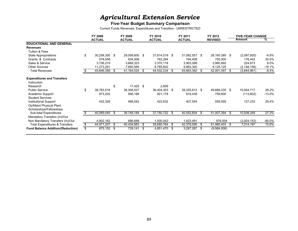#### **Five-Year Budget Summary Comparison**

Current Funds Revenues, Expenditures and Transfers - UNRESTRICTED

|                                                  | FY 2008             |      | FY 2009       |      | FY 2010       |    | FY 2011       |      | FY 2012        |      | <b>FIVE-YEAR CHANGE</b> |           |
|--------------------------------------------------|---------------------|------|---------------|------|---------------|----|---------------|------|----------------|------|-------------------------|-----------|
|                                                  | <b>ACTUAL</b>       |      | <b>ACTUAL</b> |      | <b>ACTUAL</b> |    | <b>ACTUAL</b> |      | <b>REVISED</b> |      | Amount                  | ℅         |
| <b>EDUCATIONAL AND GENERAL</b>                   |                     |      |               |      |               |    |               |      |                |      |                         |           |
| <b>Revenues</b>                                  |                     |      |               |      |               |    |               |      |                |      |                         |           |
| Tuition & Fees                                   |                     |      |               |      |               |    |               |      |                |      |                         |           |
| <b>State Appropriations</b>                      | \$<br>30,258,300 \$ |      | 29,009,600    | - \$ | 31,614,019 \$ |    | 31,082,557 \$ |      | 28,160,380     | - \$ | (2,097,920)             | $-6.9\%$  |
| Grants & Contracts                               | 578,558             |      | 634,506       |      | 762,294       |    | 794,408       |      | 755,000        |      | 176,442                 | 30.5%     |
| Sales & Service                                  | 3,736,219           |      | 3,669,323     |      | 3,370,118     |    | 3,903,098     |      | 3,960,892      |      | 224,673                 | 6.0%      |
| <b>Other Sources</b>                             | 11,273,281          |      | 7,850,595     |      | 8,785,802     |    | 9,883,300     |      | 9,125,125      |      | (2, 148, 156)           | $-19.1%$  |
| <b>Total Revenues</b>                            | 45,846,358          | - \$ | 41,164,024    | S    | 44,532,234    | S. | 45,663,362    | - \$ | 42,001,397     | - \$ | (3,844,961)             | $-8.4%$   |
| <b>Expenditures and Transfers</b><br>Instruction |                     |      |               |      |               |    |               |      |                |      |                         |           |
| Research                                         |                     | \$   | 17,425        | -\$  | 2,609         |    |               |      |                |      |                         |           |
| <b>Public Service</b>                            | \$<br>38,763,518    |      | 38,308,527    |      | 36,404,303    | \$ | 39,325,612 \$ |      | 49,688,235 \$  |      | 10,924,717              | 28.2%     |
| Academic Support                                 | 873,202             |      | 956,188       |      | 921,178       |    | 819,438       |      | 759,600        |      | (113,602)               | -13.0%    |
| <b>Student Services</b>                          |                     |      |               |      |               |    |               |      |                |      |                         |           |
| Institutional Support                            | 432,326             |      | 466,042       |      | 422,632       |    | 407,554       |      | 559,559        |      | 127,233                 | 29.4%     |
| Op/Maint Physical Plant                          |                     |      |               |      |               |    |               |      |                |      |                         |           |
| Scholarships/Fellowships                         |                     |      |               |      |               |    |               |      |                |      |                         |           |
| Sub-total Expenditures                           | 40,069,045          | -\$  | 39,748,184    | \$   | 37,750,722    | \$ | 40,552,604 \$ |      | 51,007,394     | -\$  | 10,938,349              | 27.3%     |
| Mandatory Transfers (In)/Out                     |                     |      |               |      |               |    |               |      |                |      |                         |           |
| Non Mandatory Transfers (In)/Out                 | 4,902,162           |      | 686,699       |      | 1,930,042     |    | 1,823,491     |      | 978,009        |      | (3,924,153)             | $-80.0\%$ |
| <b>Total Expenditures &amp; Transfers</b>        | \$<br>44,971,207    | - \$ | 40,434,883    | \$   | 39,680,764    | \$ | 42,376,095 \$ |      | 51,985,403     | -\$  | 7,014,197               | 15.6%     |
| <b>Fund Balance Addition/(Reduction)</b>         | \$<br>875,152 \$    |      | 729,141       | \$   | 4,851,470     | S  | 3,287,267 \$  |      | (9,984,006)    |      |                         |           |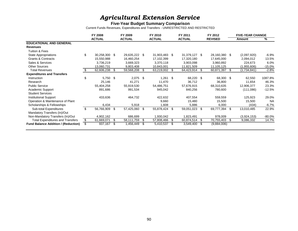#### **Five-Year Budget Summary Comparison**

Current Funds Revenues, Expenditures and Transfers - UNRESTRICTED AND RESTRICTED

|                                            | FY 2008             |      | FY 2009       |    | FY 2010       |      | FY 2011       |      | FY 2012        |      | <b>FIVE-YEAR CHANGE</b> |           |
|--------------------------------------------|---------------------|------|---------------|----|---------------|------|---------------|------|----------------|------|-------------------------|-----------|
|                                            | <b>ACTUAL</b>       |      | <b>ACTUAL</b> |    | <b>ACTUAL</b> |      | <b>ACTUAL</b> |      | <b>REVISED</b> |      | Amount                  | %         |
| <b>EDUCATIONAL AND GENERAL</b>             |                     |      |               |    |               |      |               |      |                |      |                         |           |
| <b>Revenues</b>                            |                     |      |               |    |               |      |               |      |                |      |                         |           |
| Tuition & Fees                             |                     |      |               |    |               |      |               |      |                |      |                         |           |
| State Appropriations                       | \$<br>30,258,300 \$ |      | 29,635,222 \$ |    | 31,903,483 \$ |      | 31,379,127 \$ |      | 28,160,380 \$  |      | (2,097,920)             | $-6.9%$   |
| <b>Grants &amp; Contracts</b>              | 15,550,988          |      | 16,460,254    |    | 17,102,399    |      | 17,320,180    |      | 17,645,000     |      | 2,094,012               | 13.5%     |
| Sales & Services                           | 3,736,219           |      | 3,669,323     |    | 3,370,118     |      | 3,903,098     |      | 3,960,892      |      | 224,673                 | 6.0%      |
| <b>Other Sources</b>                       | 13,060,731          |      | 9,803,408     |    | 10,843,001    |      | 11,821,509    |      | 11,105,125     |      | (1,955,606)             | $-15.0%$  |
| <b>Total Revenues</b>                      | 62,606,238          | - \$ | 59,568,208    | \$ | 63,219,002    | \$   | 64,423,914 \$ |      | 60,871,397     | - \$ | (1,734,841)             | $-2.8%$   |
| <b>Expenditures and Transfers</b>          |                     |      |               |    |               |      |               |      |                |      |                         |           |
| Instruction                                | \$<br>5,750 \$      |      | 2,075         | \$ | $1,261$ \$    |      | 68,220 \$     |      | 68,300 \$      |      | 62,550                  | 1087.8%   |
| Research                                   | 25,146              |      | 41,271        |    | 11,470        |      | 36,712        |      | 36,800         |      | 11,654                  | 46.3%     |
| <b>Public Service</b>                      | 55,404,258          |      | 55,919,530    |    | 54,486,751    |      | 57,676,915    |      | 68,310,635     |      | 12,906,377              | 23.3%     |
| Academic Support                           | 891,686             |      | 991,534       |    | 945,042       |      | 840,256       |      | 780,600        |      | (111,086)               | $-12.5%$  |
| <b>Student Services</b>                    |                     |      |               |    |               |      |               |      |                |      |                         |           |
| <b>Institutional Support</b>               | 433,636             |      | 464,732       |    | 422,632       |      | 407,554       |      | 559,559        |      | 125,923                 | 29.0%     |
| Operation & Maintenance of Plant           |                     |      |               |    | 9,660         |      | 15,480        |      | 15,500         |      | 15,500                  | <b>NA</b> |
| Scholarships & Fellowships                 | 6,434               |      | 5,918         |    | 1,608         |      | 5,886         |      | 6,000          |      | (434)                   | $-6.7%$   |
| Sub-total Expenditures                     | \$<br>56,766,909 \$ |      | 57,425,060    | \$ | 55,878,424    | -\$  | 59,051,023 \$ |      | 69,777,394     | - \$ | 13,010,485              | 22.9%     |
| Mandatory Transfers (In)/Out               |                     |      |               |    |               |      |               |      |                |      |                         |           |
| Non-Mandatory Transfers (In)/Out           | 4,902,162           |      | 686.699       |    | 1,930,042     |      | 1,823,491     |      | 978,009        |      | (3,924,153)             | -80.0%    |
| <b>Total Expenditures and Transfers</b>    | \$<br>61,669,071    | - \$ | 58,111,759    | \$ | 57,808,466    | \$   | 60,874,514    | - \$ | 70,755,403     | \$   | 9,086,332               | 14.7%     |
| <b>Fund Balance Addition / (Reduction)</b> | \$<br>937,167 \$    |      | 1,456,449     | S  | 5,410,537     | - \$ | 3,549,400 \$  |      | (9,884,006)    |      |                         |           |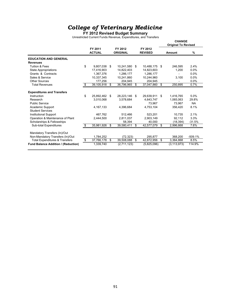**FY 2012 Revised Budget Summary**

Unrestricted Current Funds Revenue, Expenditures, and Transfers

|                                           |    |                          |                            |      |                           |     | <b>CHANGE</b><br><b>Original To Revised</b> |               |
|-------------------------------------------|----|--------------------------|----------------------------|------|---------------------------|-----|---------------------------------------------|---------------|
|                                           |    | FY 2011<br><b>ACTUAL</b> | FY 2012<br><b>ORIGINAL</b> |      | FY 2012<br><b>REVISED</b> |     | Amount                                      | $\frac{9}{6}$ |
| <b>EDUCATION AND GENERAL</b>              |    |                          |                            |      |                           |     |                                             |               |
| <b>Revenues</b>                           |    |                          |                            |      |                           |     |                                             |               |
| Tuition & Fees                            | \$ | 9,807,038                | \$<br>10.241.580           | - \$ | 10,488,175                | -\$ | 246,595                                     | 2.4%          |
| State Appropriations                      |    | 17,416,903               | 14,822,403                 |      | 14,823,603                |     | 1,200                                       | 0.0%          |
| Grants & Contracts                        |    | 1,367,376                | 1,286,177                  |      | 1,286,177                 |     |                                             | 0.0%          |
| Sales & Service                           |    | 10,337,345               | 10,241,860                 |      | 10,244,960                |     | 3,100                                       | 0.0%          |
| Other Sources                             |    | 177,256                  | 204.945                    |      | 204.945                   |     | $\overline{a}$                              | 0.0%          |
| <b>Total Revenues</b>                     | \$ | 39,105,918               | \$<br>36,796,965           | \$   | 37,047,860                | \$  | 250,895                                     | 0.7%          |
| <b>Expenditures and Transfers</b>         |    |                          |                            |      |                           |     |                                             |               |
| Instruction                               | \$ | 25,892,462               | \$<br>28,223,146           | \$   | 29,639,911                | \$  | 1,416,765                                   | 5.0%          |
| Research                                  |    | 3,010,068                | 3,578,684                  |      | 4,643,747                 |     | 1,065,063                                   | 29.8%         |
| <b>Public Service</b>                     |    |                          |                            |      | 73.967                    |     | 73.967                                      | <b>NA</b>     |
| Academic Support                          |    | 4,167,133                | 4.396.684                  |      | 4,753,104                 |     | 356,420                                     | 8.1%          |
| <b>Student Services</b>                   |    |                          |                            |      |                           |     |                                             |               |
| <b>Institutional Support</b>              |    | 467.762                  | 512.466                    |      | 523.201                   |     | 10.735                                      | 2.1%          |
| Operation & Maintenance of Plant          |    | 2.444.500                | 2.811.037                  |      | 2.903.149                 |     | 92.112                                      | 3.3%          |
| Scholarships & Fellowships                |    |                          | 58.394                     |      | 40.000                    |     | (18, 394)                                   | $-31.5%$      |
| Sub-total Expenditures                    | S  | 35,981,926               | \$<br>39,580,411           | \$   | 42,577,079                | \$  | 2,996,668                                   | 7.6%          |
| Mandatory Transfers (In)/Out              |    |                          |                            |      |                           |     |                                             |               |
| Non-Mandatory Transfers (In)/Out          |    | 1,784,252                | (72, 323)                  |      | 295,877                   |     | 368,200                                     | $-509.1%$     |
| <b>Total Expenditures &amp; Transfers</b> | \$ | 37,766,178               | \$<br>39,508,088           | \$   | 42,872,956                | \$  | 3,364,868                                   | 8.5%          |
| Fund Balance Addition / (Reduction)       |    | 1,339,740                | (2,711,123)                |      | (5,825,096)               |     | (3, 113, 973)                               | 114.9%        |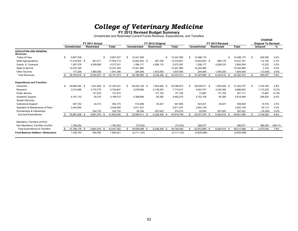## **College of Veterinary Medicine**<br>**FY 2012 Revised Budget Summary**

Unrestricted and Restricted Current Funds Revenue, Expenditures, and Transfers

|                                                 | FY 2011 Actual      |  |                   |      |              |     |                     |                                       |             |                     |                                      |              |     | <b>CHANGE</b>                        |           |
|-------------------------------------------------|---------------------|--|-------------------|------|--------------|-----|---------------------|---------------------------------------|-------------|---------------------|--------------------------------------|--------------|-----|--------------------------------------|-----------|
|                                                 | <b>Unrestricted</b> |  | <b>Restricted</b> |      | <b>Total</b> |     | <b>Unrestricted</b> | FY 2012 Original<br><b>Restricted</b> | Total       | <b>Unrestricted</b> | FY 2012 Revised<br><b>Restricted</b> | <b>Total</b> |     | <b>Original To Revised</b><br>Amount | %         |
| <b>EDUCATION AND GENERAL</b><br><b>Revenues</b> |                     |  |                   |      |              |     |                     |                                       |             |                     |                                      |              |     |                                      |           |
| Tuition & Fees                                  | \$<br>9.807.038     |  |                   | -S   | 9,807,037    | \$. | 10,241,580          | \$                                    | 10,241,580  | \$<br>10,488,175    |                                      | 10,488,175   | S.  | 246,595                              | 2.4%      |
| <b>State Appropriations</b>                     | 17,416,903 \$       |  | 561.811           |      | 17,978,714   |     | 14,822,403 \$       | 497.238                               | 15,319,641  | 14,823,603 \$       | 608,178                              | 15,431,781   |     | 112,140                              | $0.7\%$   |
| Grants & Contracts                              | 1,367,376           |  | 4,009,656         |      | 5,377,031    |     | 1,286,177           | 4,286,110                             | 5,572,287   | 1,286,177           | 4,296,332                            | 5,582,509    |     | 10,222                               | 0.2%      |
| Sales & Service                                 | 10,337,345          |  |                   |      | 10,337,345   |     | 10,241,860          |                                       | 10,241,860  | 10,244,960          |                                      | 10,244,960   |     | 3,100                                | $0.0\%$   |
| <b>Other Sources</b>                            | 177.256             |  | 1,464,090         |      | 1,641,346    |     | 204,945             | 1,453,000                             | 1,657,945   | 204,945             | 1,440,000                            | 1,644,945    |     | (13,000)                             | $-0.8%$   |
| <b>Total Revenues</b>                           | 39,105,918 \$       |  | 6,035,557         |      | 45, 141, 473 |     | 36,796,965 \$       | 6,236,348 \$                          | 43,033,313  | 37,047,860 \$       | 6,344,510 \$                         | 43,392,370   | \$  | 359,057                              | 0.8%      |
| <b>Expenditures and Transfers</b>               |                     |  |                   |      |              |     |                     |                                       |             |                     |                                      |              |     |                                      |           |
| Instruction                                     | 25.892.462 \$       |  | 1,431,859 \$      |      | 27,324,321   | \$  | 28,223,146 \$       | 1,563,826 \$                          | 29,786,972  | 29,639,911 \$       | 1,563,826 \$                         | 31,203,737   | \$  | 1,416,765                            | 4.8%      |
| Research                                        | 3,010,068           |  | 3,718,779         |      | 6,728,847    |     | 3,578,684           | 4,136,933                             | 7,715,617   | 4,643,747           | 4,245,095                            | 8,888,842    |     | 1,173,225                            | 15.2%     |
| <b>Public Service</b>                           |                     |  | 151,910           |      | 151,910      |     |                     | 177,150                               | 177.150     | 73,967              | 177.150                              | 251,117      |     | 73,967                               | 41.8%     |
| Academic Support                                | 4, 167, 133         |  | 29,379            |      | 4,196,512    |     | 4,396,684           | 65,390                                | 4,462,074   | 4,753,104           | 65,390                               | 4,818,494    |     | 356,420                              | 8.0%      |
| <b>Student Services</b>                         |                     |  |                   |      |              |     |                     |                                       |             |                     |                                      |              |     |                                      |           |
| <b>Institutional Support</b>                    | 467,762             |  | 24,413            |      | 492,175      |     | 512,466             | 35,427                                | 547.893     | 523,201             | 35,427                               | 558,628      |     | 10,735                               | 2.0%      |
| Operation & Maintenance of Plant                | 2,444,500           |  |                   |      | 2,444,500    |     | 2,811,037           |                                       | 2,811,037   | 2,903,149           |                                      | 2,903,149    |     | 92,112                               | 3.3%      |
| Scholarships & Fellowships                      |                     |  | 324,735           |      | 324,735      |     | 58,394              | 257,622                               | 316.016     | 40,000              | 257,622                              | 297,622      |     | (18, 394)                            | $-5.8%$   |
| Sub-total Expenditures                          | 35,981,926 \$       |  | 5,681,075         | - \$ | 41,663,000   |     | 39,580,411 \$       | 6,236,348 \$                          | 45,816,759  | 42,577,079 \$       | 6,344,510 \$                         | 48,921,589   |     | 3,104,830                            | 6.8%      |
| Mandatory Transfers (In)/Out                    |                     |  |                   |      |              |     |                     |                                       |             |                     |                                      |              |     |                                      |           |
| Non-Mandatory Transfers (In)/Out                | 1,784,252           |  |                   |      | 1,784,252    |     | (72, 323)           |                                       | (72, 323)   | 295,877             |                                      | 295,877      |     | 368,200                              | $-509.1%$ |
| <b>Total Expenditures &amp; Transfers</b>       | 37,766,178 \$       |  | 5,681,075 \$      |      | 43,447,252   | \$. | 39,508,088 \$       | 6,236,348 \$                          | 45,744,436  | 42,872,956 \$       | 6,344,510 \$                         | 49,217,466   | \$. | 3,473,030                            | 7.6%      |
| <b>Fund Balance Addition / (Reduction)</b>      | 1,339,740           |  | 354.482           |      | 1,694,221    |     | (2,711,123)         |                                       | (2,711,123) | (5,825,096)         | $\sim$                               | (5,825,096)  |     |                                      |           |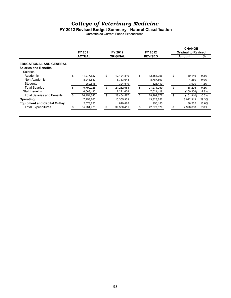#### **FY 2012 Revised Budget Summary - Natural Classification**

Unrestricted Current Funds Expenditures

|                                     | FY 2011          | FY 2012          | FY 2012          |    | <b>CHANGE</b><br><b>Original to Revised</b> |         |
|-------------------------------------|------------------|------------------|------------------|----|---------------------------------------------|---------|
|                                     | <b>ACTUAL</b>    | <b>ORIGINAL</b>  | <b>REVISED</b>   |    | Amount                                      | %       |
| <b>EDUCATIONAL AND GENERAL</b>      |                  |                  |                  |    |                                             |         |
| <b>Salaries and Benefits</b>        |                  |                  |                  |    |                                             |         |
| <b>Salaries</b>                     |                  |                  |                  |    |                                             |         |
| Academic                            | \$<br>11,277,527 | \$<br>12.124.810 | \$<br>12.154.956 | \$ | 30.146                                      | 0.2%    |
| Non-Academic                        | 8,243,882        | 8,783,643        | 8,787,893        |    | 4,250                                       | 0.0%    |
| Students                            | 269,516          | 324,510          | 328,410          |    | 3.900                                       | 1.2%    |
| Total Salaries                      | \$<br>19,790,925 | \$<br>21,232,963 | \$<br>21,271,259 | \$ | 38,296                                      | 0.2%    |
| <b>Staff Benefits</b>               | 6.663.420        | 7,221,624        | 7,021,418        |    | (200, 206)                                  | $-2.8%$ |
| Total Salaries and Benefits         | \$<br>26.454.345 | \$<br>28,454,587 | \$<br>28,292,677 | \$ | (161, 910)                                  | $-0.6%$ |
| Operating                           | 7.453.760        | 10,305,939       | 13,328,252       |    | 3.022.313                                   | 29.3%   |
| <b>Equipment and Capital Outlay</b> | 2,073,820        | 819,885          | 956,150          |    | 136.265                                     | 16.6%   |
| <b>Total Expenditures</b>           | 35,981,926       | \$<br>39,580,411 | \$<br>42,577,079 | S  | 2,996,668                                   | 7.6%    |
|                                     |                  |                  |                  |    |                                             |         |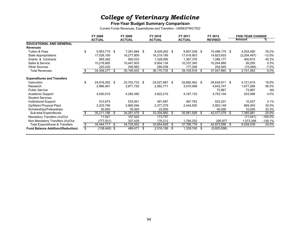#### **Five-Year Budget Summary Comparison**

Current Funds Revenues, Expenditures and Transfers - UNRESTRICTED

|                                           | FY 2008               |      | FY 2009       |      | FY 2010       |      | FY 2011       |      | FY 2012        |     | <b>FIVE-YEAR CHANGE</b> |            |
|-------------------------------------------|-----------------------|------|---------------|------|---------------|------|---------------|------|----------------|-----|-------------------------|------------|
|                                           | <b>ACTUAL</b>         |      | <b>ACTUAL</b> |      | <b>ACTUAL</b> |      | <b>ACTUAL</b> |      | <b>REVISED</b> |     | Amount                  | ℅          |
| <b>EDUCATIONAL AND GENERAL</b>            |                       |      |               |      |               |      |               |      |                |     |                         |            |
| <b>Revenues</b>                           |                       |      |               |      |               |      |               |      |                |     |                         |            |
| Tuition & Fees                            | \$<br>5,953,715 \$    |      | 7,281,684     | - \$ | 8,429,283 \$  |      | 9,807,038 \$  |      | 10,488,175 \$  |     | 4,534,460               | 76.2%      |
| State Appropriations                      | 17,028,100            |      | 16,277,800    |      | 16,219,185    |      | 17,416,903    |      | 14,823,603     |     | (2,204,497)             | $-12.9%$   |
| Grants & Contracts                        | 885,362               |      | 892,033       |      | 1,328,095     |      | 1,367,376     |      | 1,286,177      |     | 400,815                 | 45.3%      |
| Sales & Service                           | 10,218,665            |      | 10,447,903    |      | 9,904,134     |      | 10,337,345    |      | 10,244,960     |     | 26,295                  | 0.3%       |
| <b>Other Sources</b>                      | 220,435               |      | 295,983       |      | 290,038       |      | 177,256       |      | 204,945        |     | (15, 490)               | $-7.0%$    |
| <b>Total Revenues</b>                     | 34,306,277            | - \$ | 35,195,403    | \$   | 36,170,735    | S.   | 39,105,918    | - \$ | 37,047,860     | \$  | 2,741,583               | 8.0%       |
| <b>Expenditures and Transfers</b>         |                       |      |               |      |               |      |               |      |                |     |                         |            |
| Instruction                               | 24,918,292 \$         |      | 23,702,733    | \$   | 24,027,897 \$ |      | 25,892,462 \$ |      | 29,639,911 \$  |     | 4,721,619               | 18.9%      |
| Research                                  | 2,966,461             |      | 2,871,720     |      | 2,562,771     |      | 3,010,068     |      | 4,643,747      |     | 1,677,286               | 56.5%      |
| <b>Public Service</b>                     |                       |      |               |      |               |      |               |      | 73,967         |     | 73,967                  | <b>NA</b>  |
| Academic Support                          | 4,550,015             |      | 4,282,490     |      | 3,822,215     |      | 4,167,133     |      | 4,753,104      |     | 203,089                 | 4.5%       |
| <b>Student Services</b>                   |                       |      |               |      |               |      |               |      |                |     |                         |            |
| Institutional Support                     | 512,674               |      | 533,941       |      | 491,997       |      | 467,762       |      | 523,201        |     | 10,527                  | 2.1%       |
| Op/Maint Physical Plant                   | 2,233,756             |      | 2,860,594     |      | 2,377,279     |      | 2,444,500     |      | 2,903,149      |     | 669,393                 | 30.0%      |
| Scholarships/Fellowships                  | 30,000                |      | 30,000        |      | 22,500        |      |               |      | 40,000         |     | 10,000                  | 33.3%      |
| Sub-total Expenditures                    | 35,211,198            | - \$ | 34,281,478    | \$   | 33,304,660    | S    | 35,981,926    | - \$ | 42,577,079     | \$  | 7,365,881               | 20.9%      |
| Mandatory Transfers (In)/Out              | 11,041                |      | 107,020       |      | 173,757       |      |               |      |                |     | (11, 041)               | $-100.0\%$ |
| Non Mandatory Transfers (In)/Out          | (777, 521)            |      | 337,435       |      | 176,212       |      | 1,784,252     |      | 295,877        |     | 1,073,398               | $-138.1%$  |
| <b>Total Expenditures &amp; Transfers</b> | \$<br>34,444,717 \$   |      | 34,725,932    | \$   | 33,654,629    | \$   | 37,766,178 \$ |      | 42,872,956     | -\$ | 8,428,239               | 24.5%      |
| <b>Fund Balance Addition/(Reduction)</b>  | \$<br>$(138, 440)$ \$ |      | 469,471       | \$   | 2,516,106     | - \$ | 1,339,740 \$  |      | (5,825,096)    |     |                         |            |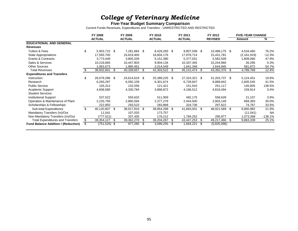#### **Five-Year Budget Summary Comparison**

Current Funds Revenues, Expenditures and Transfers - UNRESTRICTED AND RESTRICTED

|                                            |     | FY 2008         |      | FY 2009       |    | FY 2010       |      | FY 2011         |      | FY 2012        |      | <b>FIVE-YEAR CHANGE</b> |           |
|--------------------------------------------|-----|-----------------|------|---------------|----|---------------|------|-----------------|------|----------------|------|-------------------------|-----------|
|                                            |     | <b>ACTUAL</b>   |      | <b>ACTUAL</b> |    | <b>ACTUAL</b> |      | <b>ACTUAL</b>   |      | <b>REVISED</b> |      | Amount                  | %         |
| <b>EDUCATIONAL AND GENERAL</b>             |     |                 |      |               |    |               |      |                 |      |                |      |                         |           |
| <b>Revenues</b>                            |     |                 |      |               |    |               |      |                 |      |                |      |                         |           |
| Tuition & Fees                             | \$  | 5,953,715 \$    |      | 7,281,684     | \$ | 8,429,283 \$  |      | 9,807,038 \$    |      | 10,488,175 \$  |      | 4,534,460               | 76.2%     |
| <b>State Appropriations</b>                |     | 17,593,700      |      | 16,819,400    |    | 16,804,176    |      | 17,978,714      |      | 15,431,781     |      | (2, 161, 919)           | $-12.3%$  |
| <b>Grants &amp; Contracts</b>              |     | 3,773,449       |      | 3,805,209     |    | 5,151,380     |      | 5,377,031       |      | 5,582,509      |      | 1,809,060               | 47.9%     |
| Sales & Services                           |     | 10,218,665      |      | 10,447,903    |    | 9,904,134     |      | 10,337,345      |      | 10,244,960     |      | 26,295                  | 0.3%      |
| <b>Other Sources</b>                       |     | 1,063,073       |      | 1,985,461     |    | 2,014,549     |      | 1,641,346       |      | 1,644,945      |      | 581,872                 | 54.7%     |
| <b>Total Revenues</b>                      |     | 38,602,601      | -\$  | 40,339,657    | \$ | 42,303,522    | \$   | 45, 141, 474 \$ |      | 43,392,370     | - \$ | 4,789,769               | 12.4%     |
| <b>Expenditures and Transfers</b>          |     |                 |      |               |    |               |      |                 |      |                |      |                         |           |
| Instruction                                | \$. | 26,079,286 \$   |      | 24,614,619    | \$ | 25,389,225 \$ |      | 27,324,321 \$   |      | 31,203,737 \$  |      | 5,124,451               | 19.6%     |
| Research                                   |     | 6,283,297       |      | 6,092,109     |    | 6,301,674     |      | 6,728,847       |      | 8,888,842      |      | 2,605,545               | 41.5%     |
| <b>Public Service</b>                      |     | 105,312         |      | 132,556       |    | 121,421       |      | 151,910         |      | 251,117        |      | 145,805                 | 138.5%    |
| Academic Support                           |     | 4,658,580       |      | 4,330,784     |    | 3,868,872     |      | 4,196,512       |      | 4,818,494      |      | 159,914                 | 3.4%      |
| <b>Student Services</b>                    |     |                 |      |               |    |               |      |                 |      |                |      |                         |           |
| <b>Institutional Support</b>               |     | 537,522         |      | 593,632       |    | 511,959       |      | 492,175         |      | 558,628        |      | 21,107                  | 3.9%      |
| Operation & Maintenance of Plant           |     | 2,233,756       |      | 2,860,594     |    | 2,377,279     |      | 2,444,500       |      | 2,903,149      |      | 669,393                 | 30.0%     |
| Scholarships & Fellowships                 |     | 222,855         |      | 293,523       |    | 283,868       |      | 324,736         |      | 297,622        |      | 74,767                  | 33.5%     |
| Sub-total Expenditures                     | \$  | 40,120,607 \$   |      | 38,917,816    | \$ | 38,854,298    | \$   | 41,663,001 \$   |      | 48,921,589     | -\$  | 8,800,982               | 21.9%     |
| Mandatory Transfers (In)/Out               |     | 11,041          |      | 107,020       |    | 173,757       |      |                 |      |                |      | (11, 041)               | <b>NA</b> |
| Non-Mandatory Transfers (In)/Out           |     | (777.521)       |      | 337,435       |    | 176,212       |      | 1,784,252       |      | 295,877        |      | 1,073,398               | $-138.1%$ |
| <b>Total Expenditures and Transfers</b>    | \$  | 39,354,127      | - \$ | 39,362,270    | \$ | 39,204,267    | S    | 43,447,253      | \$   | 49,217,466     | -\$  | 9,863,339               | 25.1%     |
| <b>Fund Balance Addition / (Reduction)</b> | \$  | $(751, 525)$ \$ |      | 977,285       | -S | 3,099,255     | - \$ | 1,694,221       | - \$ | (5,825,096)    |      |                         |           |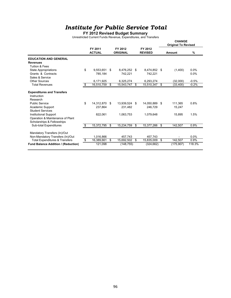#### **FY 2012 Revised Budget Summary**

Unrestricted Current Funds Revenue, Expenditures, and Transfers

|                                                                                                                           |                          |                            |    |                           | <b>CHANGE</b><br><b>Original To Revised</b> |         |
|---------------------------------------------------------------------------------------------------------------------------|--------------------------|----------------------------|----|---------------------------|---------------------------------------------|---------|
|                                                                                                                           | FY 2011<br><b>ACTUAL</b> | FY 2012<br><b>ORIGINAL</b> |    | FY 2012<br><b>REVISED</b> | Amount                                      | $\%$    |
| <b>EDUCATION AND GENERAL</b>                                                                                              |                          |                            |    |                           |                                             |         |
| <b>Revenues</b>                                                                                                           |                          |                            |    |                           |                                             |         |
| Tuition & Fees                                                                                                            |                          |                            |    |                           |                                             |         |
| <b>State Appropriations</b>                                                                                               | \$<br>9,553,651          | \$<br>8,476,252            | \$ | 8,474,852 \$              | (1,400)                                     | 0.0%    |
| Grants & Contracts                                                                                                        | 785,184                  | 742,221                    |    | 742,221                   |                                             | 0.0%    |
| Sales & Service                                                                                                           |                          |                            |    |                           |                                             |         |
| Other Sources                                                                                                             | 6,171,925                | 6,325,274                  |    | 6,293,274                 | (32,000)                                    | $-0.5%$ |
| <b>Total Revenues</b>                                                                                                     | \$<br>16,510,759         | \$<br>15,543,747           | s, | 15,510,347                | \$<br>(33, 400)                             | $-0.2%$ |
| <b>Expenditures and Transfers</b><br>Instruction                                                                          |                          |                            |    |                           |                                             |         |
| Research                                                                                                                  |                          |                            |    |                           |                                             |         |
| <b>Public Service</b>                                                                                                     | \$<br>14,312,870         | \$<br>13,939,524           | \$ | 14,050,889                | \$<br>111,365                               | 0.8%    |
| Academic Support                                                                                                          | 237.864                  | 231.482                    |    | 246.729                   | 15,247                                      |         |
| <b>Student Services</b><br><b>Institutional Support</b><br>Operation & Maintenance of Plant<br>Scholarships & Fellowships | 822,061                  | 1,063,753                  |    | 1,079,648                 | 15,895                                      | 1.5%    |
| <b>Sub-total Expenditures</b>                                                                                             | \$<br>15,372,795         | \$<br>15,234,759           | \$ | 15,377,266                | \$<br>142,507                               | 0.9%    |
| Mandatory Transfers (In)/Out<br>Non-Mandatory Transfers (In)/Out                                                          | 1,016,866                | 457.743                    |    | 457.743                   |                                             | $0.0\%$ |
| <b>Total Expenditures &amp; Transfers</b>                                                                                 | \$<br>16,389,661         | \$<br>15,692,502           | \$ | 15,835,009                | \$<br>142,507                               | 0.9%    |
| Fund Balance Addition / (Reduction)                                                                                       | 121,098                  | (148, 755)                 |    | (324, 662)                | (175, 907)                                  | 118.3%  |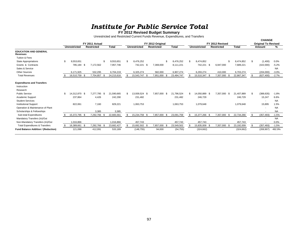# *Institute for Public Service Total***<br>FY 2012 Revised Budget Summary**

Unrestricted and Restricted Current Funds Revenue, Expenditures, and Transfers

|                                                              |                     |      |                   |            |    |                     |                   |            |     |                     |                   |            |     | <b>CHANGE</b>              |                   |
|--------------------------------------------------------------|---------------------|------|-------------------|------------|----|---------------------|-------------------|------------|-----|---------------------|-------------------|------------|-----|----------------------------|-------------------|
|                                                              |                     |      | FY 2011 Actual    |            |    |                     | FY 2012 Original  |            |     |                     | FY 2012 Revised   |            |     | <b>Original To Revised</b> |                   |
|                                                              | Unrestricted        |      | <b>Restricted</b> | Total      |    | <b>Unrestricted</b> | <b>Restricted</b> | Total      |     | <b>Unrestricted</b> | <b>Restricted</b> | Total      |     | Amount                     | ℅                 |
| <b>EDUCATION AND GENERAL</b><br>Revenues                     |                     |      |                   |            |    |                     |                   |            |     |                     |                   |            |     |                            |                   |
| <b>Tuition &amp; Fees</b>                                    |                     |      |                   |            |    |                     |                   |            |     |                     |                   |            |     |                            |                   |
| <b>State Appropriations</b>                                  | 9,553,651           |      |                   | 9,553,651  | \$ | 8,476,252           | \$.               | 8,476,252  | \$. | 8,474,852           |                   | 8,474,852  | \$. | (1,400)                    | 0.0%              |
| Grants & Contracts                                           | 785,184             | - \$ | 7,172,562         | 7,957,746  |    | 742,221 \$          | 7,369,000         | 8,111,221  |     | 742,221<br>- \$     | 6,947,000         | 7,689,221  |     | (422,000)                  | $-5.2%$           |
| Sales & Service                                              |                     |      |                   |            |    |                     |                   |            |     |                     |                   |            |     |                            | <b>NA</b>         |
| <b>Other Sources</b>                                         | 6,171,925           |      | 532,295           | 6,704,219  |    | 6,325,274           | 582,000           | 6,907,274  |     | 6,293,274           | 410,000           | 6,703,274  |     | (204,000)                  | $-3.0%$           |
| <b>Total Revenues</b>                                        | 16,510,759 \$       |      | 7,704,857         | 24,215,616 |    | 15,543,747 \$       | 7,951,000         | 23,494,747 |     | 15,510,347 \$       | 7,357,000 \$      | 22,867,347 |     | (627, 400)                 | $-2.7%$           |
| <b>Expenditures and Transfers</b><br>Instruction<br>Research |                     |      |                   |            |    |                     |                   |            |     |                     |                   |            |     |                            |                   |
| <b>Public Service</b>                                        | \$<br>14,312,870 \$ |      | 7,277,795 \$      | 21,590,665 | £. | 13.939.524 \$       | 7,857,000<br>- \$ | 21,796,524 |     | 14,050,889 \$       | 7,357,000 \$      | 21,407,889 | \$  | (388, 635)                 | $-1.8%$           |
| Academic Support<br><b>Student Services</b>                  | 237,864             |      | 4,426             | 242,290    |    | 231,482             |                   | 231,482    |     | 246,729             |                   | 246,729    |     | 15,247                     | 6.6%<br><b>NA</b> |
| <b>Institutional Support</b>                                 | 822,061             |      | 7,160             | 829,221    |    | 1,063,753           |                   | 1,063,753  |     | 1,079,648           |                   | 1,079,648  |     | 15,895                     | 1.5%              |
| Operation & Maintenance of Plant                             |                     |      |                   |            |    |                     |                   |            |     |                     |                   |            |     | $\blacksquare$             | <b>NA</b>         |
| Scholarships & Fellowships                                   |                     |      | 3,385             | 3,385      |    |                     |                   |            |     |                     |                   |            |     | $\blacksquare$             | <b>NA</b>         |
| Sub-total Expenditures                                       | 15,372,795 \$       |      | 7,292,766 \$      | 22,665,561 |    | 15,234,759 \$       | 7,857,000 \$      | 23,091,759 | \$  | 15,377,266 \$       | 7,357,000 \$      | 22,734,266 | S.  | (357, 493)                 | $-1.5%$           |
| Mandatory Transfers (In)/Out                                 |                     |      |                   |            |    |                     |                   |            |     |                     |                   |            |     | $\overline{\phantom{a}}$   | <b>NA</b>         |
| Non-Mandatory Transfers (In)/Out                             | 1.016.866           |      |                   | 1,016,866  |    | 457,743             |                   | 457,743    |     | 457.743             |                   | 457,743    |     |                            | 0.0%              |
| <b>Total Expenditures &amp; Transfers</b>                    | 16,389,661          | - \$ | 7,292,766         | 23,682,427 |    | 15,692,502 \$       | 7,857,000         | 23,549,502 |     | 15,835,009          | 7,357,000 \$      | 23,192,009 |     | (357, 493)                 | $-1.5%$           |
| Fund Balance Addition / (Reduction)                          | 121,098             |      | 412,091           | 533,189    |    | (148, 755)          | 94,000            | (54, 755)  |     | (324, 662)          |                   | (324, 662) |     | (269, 907)                 | 492.9%            |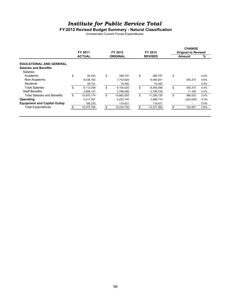#### **FY2012 Revised Budget Summary - Natural Classification**

Unrestricted Current Funds Expenditures

|                                     | FY 2011          | FY 2012          | FY 2012          | <b>CHANGE</b><br><b>Original to Revised</b> |         |
|-------------------------------------|------------------|------------------|------------------|---------------------------------------------|---------|
|                                     | <b>ACTUAL</b>    | <b>ORIGINAL</b>  | <b>REVISED</b>   | Amount                                      | %       |
| <b>EDUCATIONAL AND GENERAL</b>      |                  |                  |                  |                                             |         |
| <b>Salaries and Benefits</b>        |                  |                  |                  |                                             |         |
| <b>Salaries</b>                     |                  |                  |                  |                                             |         |
| Academic                            | \$<br>44.535     | \$<br>289.797    | \$<br>289.797    | \$<br>٠                                     | 0.0%    |
| Non-Academic                        | 8,038,782        | 7,743,828        | 8,099,201        | 355,373                                     | 4.6%    |
| Students                            | 28,721           | 70,400           | 70,400           | ۰                                           | 0.0%    |
| Total Salaries                      | \$<br>8.112.038  | \$<br>8.104.025  | \$<br>8,459,398  | \$<br>355.373                               | 4.4%    |
| <b>Staff Benefits</b>               | 2,858,137        | 2,788,568        | 2,799,728        | 11,160                                      | 0.4%    |
| <b>Total Salaries and Benefits</b>  | \$<br>10,970,174 | \$<br>10,892,593 | \$<br>11,259,126 | \$<br>366,533                               | 3.4%    |
| Operating                           | 4,217,287        | 4,222,745        | 3,998,719        | (224, 026)                                  | $-5.3%$ |
| <b>Equipment and Capital Outlay</b> | 185,333          | 119,421          | 119,421          | ۰                                           | 0.0%    |
| <b>Total Expenditures</b>           | 15,372,794       | 15,234,759       | 15,377,266       | 142,507                                     | 0.9%    |
|                                     |                  |                  |                  |                                             |         |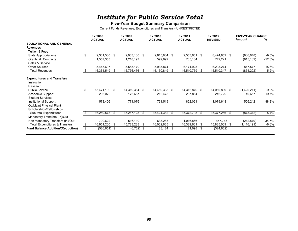#### **Five-Year Budget Summary Comparison**

Current Funds Revenues, Expenditures and Transfers - UNRESTRICTED

|                                           | FY 2008               |      | FY 2009       |    | FY 2010       |    | FY 2011       |      | FY 2012        |     | <b>FIVE-YEAR CHANGE</b><br><b>Amount</b> | ℅        |
|-------------------------------------------|-----------------------|------|---------------|----|---------------|----|---------------|------|----------------|-----|------------------------------------------|----------|
| <b>EDUCATIONAL AND GENERAL</b>            | <b>ACTUAL</b>         |      | <b>ACTUAL</b> |    | <b>ACTUAL</b> |    | <b>ACTUAL</b> |      | <b>REVISED</b> |     |                                          |          |
| <b>Revenues</b>                           |                       |      |               |    |               |    |               |      |                |     |                                          |          |
| Tuition & Fees                            |                       |      |               |    |               |    |               |      |                |     |                                          |          |
| State Appropriations                      | \$<br>9,361,500 \$    |      | 9,003,100     | \$ | 9,615,884 \$  |    | 9,553,651 \$  |      | 8,474,852 \$   |     | (886, 648)                               | $-9.5%$  |
| Grants & Contracts                        | 1,557,353             |      | 1,218,197     |    | 599,092       |    | 785,184       |      | 742,221        |     | (815, 132)                               | $-52.3%$ |
| Sales & Service                           |                       |      |               |    |               |    |               |      |                |     |                                          |          |
| <b>Other Sources</b>                      | 5,445,697             |      | 5,555,179     |    | 5,935,874     |    | 6,171,925     |      | 6,293,274      |     | 847,577                                  | 15.6%    |
| <b>Total Revenues</b>                     | 16,364,549            | - \$ | 15,776,476    | S. | 16,150,849    | S. | 16,510,759    | - \$ | 15,510,347     | S.  | (854, 202)                               | $-5.2%$  |
|                                           |                       |      |               |    |               |    |               |      |                |     |                                          |          |
| <b>Expenditures and Transfers</b>         |                       |      |               |    |               |    |               |      |                |     |                                          |          |
| Instruction                               |                       |      |               |    |               |    |               |      |                |     |                                          |          |
| Research                                  |                       |      |               |    |               |    |               |      |                |     |                                          |          |
| <b>Public Service</b>                     | \$<br>15,471,100 \$   |      | 14,319,364    | \$ | 14,450,385 \$ |    | 14,312,870 \$ |      | 14,050,889     | \$. | (1,420,211)                              | $-9.2%$  |
| Academic Support                          | 206,072               |      | 176,687       |    | 212,478       |    | 237,864       |      | 246,729        |     | 40,657                                   | 19.7%    |
| <b>Student Services</b>                   |                       |      |               |    |               |    |               |      |                |     |                                          |          |
| Institutional Support                     | 573,406               |      | 771,076       |    | 761,519       |    | 822,061       |      | 1,079,648      |     | 506,242                                  | 88.3%    |
| Op/Maint Physical Plant                   |                       |      |               |    |               |    |               |      |                |     |                                          |          |
| Scholarships/Fellowships                  |                       |      |               |    |               |    |               |      |                |     |                                          |          |
| Sub-total Expenditures                    | 16,250,578 \$         |      | 15,267,128    | \$ | 15,424,382 \$ |    | 15,372,795    | - \$ | 15,377,266     | \$  | (873, 312)                               | $-5.4%$  |
| Mandatory Transfers (In)/Out              |                       |      |               |    |               |    |               |      |                |     |                                          |          |
| Non Mandatory Transfers (In)/Out          | 700,622               |      | 516,110       |    | 638,283       |    | 1,016,866     |      | 457,743        |     | (242, 879)                               | $-34.7%$ |
| <b>Total Expenditures &amp; Transfers</b> | \$<br>16,951,200      | - \$ | 15,783,238    | \$ | 16,062,665    | \$ | 16,389,661    | - \$ | 15,835,009     | \$  | (1, 116, 191)                            | $-6.6%$  |
| <b>Fund Balance Addition/(Reduction)</b>  | \$<br>$(586, 651)$ \$ |      | (6, 762)      | \$ | 88,184 \$     |    | 121,098       | - \$ | (324, 662)     |     |                                          |          |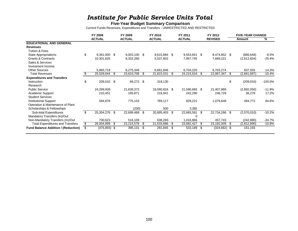### *Institute for Public Service Units Total*

#### **Five-Year Budget Summary Comparison**

Current Funds Revenues, Expenditures and Transfers - UNRESTRICTED AND RESTRICTED

|                                            | FY 2008             |      | FY 2009        |    | FY 2010       |     | FY 2011       |      | FY 2012        |      | <b>FIVE-YEAR CHANGE</b> |            |
|--------------------------------------------|---------------------|------|----------------|----|---------------|-----|---------------|------|----------------|------|-------------------------|------------|
|                                            | <b>ACTUAL</b>       |      | <b>ACTUAL</b>  |    | <b>ACTUAL</b> |     | <b>ACTUAL</b> |      | <b>REVISED</b> |      | Amount                  | %          |
| <b>EDUCATIONAL AND GENERAL</b>             |                     |      |                |    |               |     |               |      |                |      |                         |            |
| <b>Revenues</b>                            |                     |      |                |    |               |     |               |      |                |      |                         |            |
| Tuition & Fees                             |                     |      |                |    |               |     |               |      |                |      |                         |            |
| <b>State Appropriations</b>                | \$<br>9,361,500 \$  |      | $9,003,100$ \$ |    | 9,615,884 \$  |     | 9,553,651 \$  |      | 8,474,852 \$   |      | (886, 648)              | $-9.5%$    |
| <b>Grants &amp; Contracts</b>              | 10,301,825          |      | 8,332,260      |    | 5,537,802     |     | 7,957,745     |      | 7,689,221      |      | (2,612,604)             | $-25.4%$   |
| Sales & Services                           |                     |      |                |    |               |     |               |      |                |      |                         |            |
| Investment Income                          |                     |      |                |    |               |     |               |      |                |      |                         |            |
| <b>Other Sources</b>                       | 5,865,719           |      | 6,275,349      |    | 6,661,846     |     | 6,704,220     |      | 6,703,274      |      | 837,555                 | 14.3%      |
| <b>Total Revenues</b>                      | 25,529,044          | - \$ | 23,610,708     | S  | 21,815,531    | S.  | 24,215,616 \$ |      | 22,867,347     | -S   | (2,661,697)             | $-10.4%$   |
| <b>Expenditures and Transfers</b>          |                     |      |                |    |               |     |               |      |                |      |                         |            |
| Instruction                                | \$<br>209,010 \$    |      | 99,272         | \$ | 318,130       |     |               |      |                | \$   | (209, 010)              | $-100.0\%$ |
| Research                                   |                     |      |                |    |               |     |               |      |                |      |                         |            |
| <b>Public Service</b>                      | 24,299,939          |      | 21,639,372     |    | 19,590,816 \$ |     | 21,590,665 \$ |      | 21,407,889     |      | (2,892,050)             | -11.9%     |
| Academic Support                           | 210,451             |      | 185,871        |    | 216,841       |     | 242,290       |      | 246,729        |      | 36,278                  | 17.2%      |
| <b>Student Services</b>                    |                     |      |                |    |               |     |               |      |                |      |                         |            |
| <b>Institutional Support</b>               | 584,876             |      | 775,153        |    | 769,117       |     | 829,221       |      | 1,079,648      |      | 494,772                 | 84.6%      |
| Operation & Maintenance of Plant           |                     |      |                |    |               |     |               |      |                |      |                         |            |
| Scholarships & Fellowships                 |                     |      | (200)          |    | 500           |     | 3,385         |      |                |      |                         |            |
| Sub-total Expenditures                     | \$<br>25,304,276 \$ |      | 22,699,468     | \$ | 20,895,403    | \$. | 22,665,561    | - \$ | 22,734,266     | \$   | (2,570,010)             | $-10.2%$   |
| Mandatory Transfers (In)/Out               |                     |      |                |    |               |     | 0             |      |                |      |                         |            |
| Non-Mandatory Transfers (In)/Out           | 700,623             |      | 516,109        |    | 638,283       |     | 1,016,866     |      | 457,743        |      | (242, 880)              | $-34.7%$   |
| <b>Total Expenditures and Transfers</b>    | \$<br>26,004,899    | - \$ | 23,215,578     | S. | 21,533,686    | S   | 23,682,427 \$ |      | 23,192,009     | -S   | (2,812,890)             | $-10.8%$   |
| <b>Fund Balance Addition / (Reduction)</b> | $(475, 855)$ \$     |      | 395,131        | S  | 281,845       | S   | 533,189       | - \$ | (324, 662)     | - \$ | 151,193                 |            |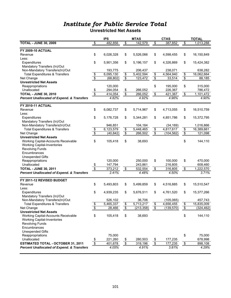#### **Unrestricted Net Assets**

|                                                                       |                                  | <b>IPS</b> |                                  | <b>MTAS</b>            |                         | <b>CTAS</b> |                           | <b>TOTAL</b> |
|-----------------------------------------------------------------------|----------------------------------|------------|----------------------------------|------------------------|-------------------------|-------------|---------------------------|--------------|
| <b>TOTAL - JUNE 30, 2009</b>                                          | $\overline{\mathbf{e}}$          | 482,856    | \$                               | 142,579                | \$                      | 387,852     | $\frac{1}{2}$             | 1,013,288    |
| <b>FY 2009-10 ACTUAL</b>                                              |                                  |            |                                  |                        |                         |             |                           |              |
| Revenue                                                               | \$                               | 6,026,328  | \$                               | 5,526,066              | \$                      | 4,598,455   | \$                        | 16,150,849   |
| Less:                                                                 |                                  |            |                                  |                        |                         |             |                           |              |
| Expenditures                                                          | \$                               | 5,901,356  | \$                               | 5,196,157              | \$                      | 4,326,869   | \$                        | 15,424,382   |
| Mandatory Transfers (In)/Out                                          |                                  |            |                                  |                        |                         |             |                           |              |
| Non-Mandatory Transfers(In)/Out                                       |                                  | 193,775    |                                  | 206,437                |                         | 238,071     |                           | 638,282      |
| <b>Total Expenditures &amp; Transfers</b>                             | $\frac{6}{9}$                    | 6,095,130  | \$                               | $\overline{5,402,594}$ | \$                      | 4,564,940   | $$\mathbb{S}$$            | 16,062,664   |
| Net Change                                                            |                                  | (68, 802)  | $\overline{\mathbf{e}}$          | 123,472                | \$                      | 33,514      | $\overline{\$}$           | 88,185       |
| <b>Unrestricted Net Assets</b>                                        |                                  |            |                                  |                        |                         |             |                           |              |
| Reappropriations                                                      |                                  | 120,000    |                                  |                        | \$                      | 195,000     | \$                        | 315,000      |
| Unallocated                                                           | $\frac{1}{2}$                    | 294,054    | \$                               | 266,052                |                         | 226,367     |                           | 786,472      |
| <b>TOTAL - JUNE 30, 2010</b>                                          | \$                               | 414,054    | \$                               | 266,052                | \$                      | 421,367     | $\frac{1}{2}$             | 1,101,472    |
| <b>Percent Unallocated of Expend. &amp; Transfers</b>                 |                                  | 4.82%      |                                  | 4.92%                  |                         | 4.96%       |                           | 4.90%        |
| <b>FY 2010-11 ACTUAL</b>                                              |                                  |            |                                  |                        |                         |             |                           |              |
| Revenue                                                               | \$                               | 6,082,737  | \$                               | 5,714,967              | \$                      | 4,713,055   | \$                        | 16,510,759   |
| Less:                                                                 |                                  |            |                                  |                        |                         |             |                           |              |
| Expenditures                                                          | \$                               | 5,176,728  | \$                               | 5,344,281              | \$                      | 4,851,786   | \$                        | 15,372,795   |
| Mandatory Transfers (In)/Out                                          |                                  |            |                                  |                        |                         |             |                           |              |
| Non-Mandatory Transfers(In)/Out                                       |                                  | 946,851    |                                  | 104,184                |                         | (34, 169)   |                           | 1,016,866    |
| <b>Total Expenditures &amp; Transfers</b>                             | $\boldsymbol{\$}$                | 6,123,579  | \$                               | $\overline{5,448,465}$ | \$                      | 4,817,617   | \$                        | 16,389,661   |
| Net Change                                                            | $\overline{\$}$                  | (40, 842)  | $\overline{\mathbf{e}}$          | 266,502                | $\overline{\mathbf{S}}$ | (104, 562)  | $\overline{\$}$           | 121,098      |
| <b>Unrestricted Net Assets</b>                                        |                                  |            |                                  |                        |                         |             |                           |              |
| Working Capital-Accounts Receivable                                   | \$                               | 105,418    | \$                               | 38,693                 |                         |             | \$                        | 144,110      |
| <b>Working Capital-Inventories</b>                                    |                                  |            |                                  |                        |                         |             |                           |              |
| <b>Revolving Funds</b>                                                |                                  |            |                                  |                        |                         |             |                           |              |
| Encumbrances                                                          |                                  |            |                                  |                        |                         |             |                           |              |
| <b>Unexpended Gifts</b>                                               |                                  | 120,000    |                                  | 250,000                | \$                      | 100,000     | \$                        | 470,000      |
| Reappropriations<br>Unallocated                                       |                                  | 147,794    |                                  | 243,861                |                         | 216,805     |                           | 608,460      |
|                                                                       | $\frac{\$}{\$}$                  | 373,212    | \$                               |                        |                         |             |                           |              |
| <b>TOTAL - JUNE 30, 2011</b>                                          |                                  |            |                                  | 532,554                | \$                      | 316,805     | $\frac{1}{2}$             | 1,222,570    |
| <b>Percent Unallocated of Expend. &amp; Transfers</b>                 |                                  | 2.41%      |                                  | 4.48%                  |                         | 4.50%       |                           | 3.71%        |
| FY 2011-12 REVISED BUDGET                                             |                                  |            |                                  |                        |                         |             |                           |              |
| Revenue                                                               | \$                               | 5,493,803  | \$                               | 5,499,859              | \$                      | 4,516,885   | \$                        | 15,510,547   |
| Less:                                                                 |                                  |            |                                  |                        |                         |             |                           |              |
| Expenditures                                                          | \$                               | 4,939,235  | \$                               | 5,676,511              | \$                      | 4,761,520   | \$                        | 15,377,266   |
| Mandatory Transfers (In)/Out                                          |                                  |            |                                  |                        |                         |             |                           |              |
| Non-Mandatory Transfers(In)/Out                                       |                                  | 526,102    |                                  | 36,706                 |                         | (105, 065)  |                           | 457,743      |
| <b>Total Expenditures &amp; Transfers</b>                             | \$                               | 5,465,337  | $\overline{\boldsymbol{\theta}}$ | 5,713,217              | \$                      | 4,656,455   | \$                        | 15,835,009   |
| Net Change                                                            | \$                               | 28,466     | \$                               | (213, 358)             | \$                      | (139, 570)  | \$                        | (324, 462)   |
| <b>Unrestricted Net Assets</b><br>Working Capital-Accounts Receivable |                                  |            |                                  |                        |                         |             |                           | 144,110      |
| <b>Working Capital-Inventories</b>                                    | \$                               | 105,418    | \$                               | 38,693                 |                         |             | \$                        |              |
| <b>Revolving Funds</b>                                                |                                  |            |                                  |                        |                         |             |                           |              |
| Encumbrances                                                          |                                  |            |                                  |                        |                         |             |                           |              |
| <b>Unexpended Gifts</b>                                               |                                  |            |                                  |                        |                         |             |                           |              |
| Reappropriations                                                      |                                  | 75,000     |                                  |                        |                         |             | \$                        | 75,000       |
| Unallocated                                                           | \$                               | 221,260    | \$                               | 280,503                | \$                      | 177,235     |                           | 678,998      |
| <b>ESTIMATED TOTAL - OCTOBER 31, 2011</b>                             | $\overline{\boldsymbol{\theta}}$ | 401,678    | \$                               | 319,196                | $\overline{\$}$         | 177,235     | $\boldsymbol{\mathsf{s}}$ | 898,108      |
| <b>Percent Unallocated of Expend. &amp; Transfers</b>                 |                                  | 4.05%      |                                  | 4.91%                  |                         | 3.81%       |                           | 4.29%        |
|                                                                       |                                  |            |                                  |                        |                         |             |                           |              |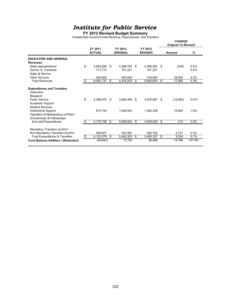#### **FY 2012 Revised Budget Summary**

Unrestricted Current Funds Revenue, Expenditures, and Transfers

|                                                                                                                                      |                                  |                          |                            |                           | <b>CHANGE</b><br><b>Original To Revised</b> |         |
|--------------------------------------------------------------------------------------------------------------------------------------|----------------------------------|--------------------------|----------------------------|---------------------------|---------------------------------------------|---------|
|                                                                                                                                      |                                  | FY 2011<br><b>ACTUAL</b> | FY 2012<br><b>ORIGINAL</b> | FY 2012<br><b>REVISED</b> | Amount                                      | %       |
| <b>EDUCATION AND GENERAL</b>                                                                                                         |                                  |                          |                            |                           |                                             |         |
| <b>Revenues</b>                                                                                                                      |                                  |                          |                            |                           |                                             |         |
| <b>State Appropriations</b>                                                                                                          | \$                               | 4,920,285                | \$<br>4,368,782 \$         | 4,368,582 \$              | (200)                                       | 0.0%    |
| Grants & Contracts                                                                                                                   |                                  | 717.770                  | 707.221                    | 707.221                   |                                             | 0.0%    |
| Sales & Service                                                                                                                      |                                  |                          |                            |                           |                                             |         |
| <b>Other Sources</b>                                                                                                                 |                                  | 444.683                  | 400.000                    | 418.000                   | 18,000                                      | 4.5%    |
| <b>Total Revenues</b>                                                                                                                | $\overline{\boldsymbol{\theta}}$ | 6,082,737                | \$<br>5.476.003            | \$<br>5,493,803           | \$<br>17.800                                | 0.3%    |
| <b>Expenditures and Transfers</b><br>Instruction<br>Research<br><b>Public Service</b><br>Academic Support<br><b>Student Services</b> | \$                               | 4,366,578                | \$<br>3.892.469            | \$<br>3,876,887 \$        | (15, 582)                                   | $-0.4%$ |
| <b>Institutional Support</b><br>Operation & Maintenance of Plant<br>Scholarships & Fellowships                                       |                                  | 810,150                  | 1,046,453                  | 1,062,348                 | 15,895                                      | 1.5%    |
| Sub-total Expenditures                                                                                                               | \$                               | 5,176,728                | \$<br>4,938,922            | \$<br>4,939,235 \$        | 313                                         | 0.0%    |
| Mandatory Transfers (In)/Out<br>Non-Mandatory Transfers (In)/Out                                                                     |                                  | 946.851                  | 523,381                    | 526,102                   | 2,721                                       | 0.5%    |
| <b>Total Expenditures &amp; Transfers</b>                                                                                            | \$                               | 6,123,579                | \$<br>5,462,303            | \$<br>5,465,337           | \$<br>3,034                                 | 0.1%    |
| <b>Fund Balance Addition / (Reduction)</b>                                                                                           |                                  | (40, 842)                | 13,700                     | 28,466                    | 14,766                                      | 107.8%  |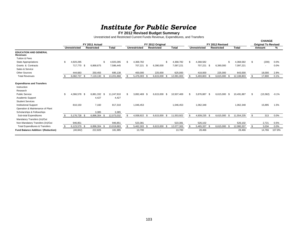# *Institute for Public Servic e* **FY 2012 Revised Budget Summary**

Unrestricted and Restricted Current Funds Revenue, Expenditures, and Transfers

**CHANGE**

|                                            |                    |      |                   |      |              |    |                     |                   |              |     |                     |                   |              |      |              |    | <b>CHANGE</b>              |         |
|--------------------------------------------|--------------------|------|-------------------|------|--------------|----|---------------------|-------------------|--------------|-----|---------------------|-------------------|--------------|------|--------------|----|----------------------------|---------|
|                                            |                    |      | FY 2011 Actual    |      |              |    |                     | FY 2012 Original  |              |     |                     | FY 2012 Revised   |              |      |              |    | <b>Original To Revised</b> |         |
|                                            | Unrestricted       |      | <b>Restricted</b> |      | <b>Total</b> |    | <b>Unrestricted</b> | <b>Restricted</b> | <b>Total</b> |     | <b>Unrestricted</b> | <b>Restricted</b> |              |      | <b>Total</b> |    | Amount                     | ℅       |
| <b>EDUCATION AND GENERAL</b><br>Revenues   |                    |      |                   |      |              |    |                     |                   |              |     |                     |                   |              |      |              |    |                            |         |
| Tuition & Fees                             |                    |      |                   |      |              |    |                     |                   |              |     |                     |                   |              |      |              |    |                            |         |
| State Appropriations                       | 4,920,285          |      |                   | \$   | 4,920,285    | \$ | 4,368,782           | \$.               | 4.368.782    |     | 4,368,582           |                   |              |      | 4,368,582    | \$ | (200)                      | 0.0%    |
| Grants & Contracts                         | 717,770            | - \$ | 6,868,675         |      | 7,586,445    |    | 707,221 \$          | 6,390,000         | 7,097,221    |     | 707,221             | - \$              | 6,390,000    |      | 7,097,221    |    |                            | $0.0\%$ |
| Sales & Service                            |                    |      |                   |      |              |    |                     |                   |              |     |                     |                   |              |      |              |    |                            |         |
| <b>Other Sources</b>                       | 444,683            |      | 250,455           |      | 695,138      |    | 400,000             | 225,000           | 625,000      |     | 418,000             |                   | 225,000      |      | 643,000      |    | 18,000                     | 2.9%    |
| <b>Total Revenues</b>                      | 6,082,737          | - \$ | 7,119,130         | - \$ | 13,201,868   |    | 5,476,003 \$        | 6,615,000         | 12,091,003   |     | 5,493,803 \$        |                   | 6,615,000    |      | 12,108,803   |    | 17,800                     | 0.1%    |
| <b>Expenditures and Transfers</b>          |                    |      |                   |      |              |    |                     |                   |              |     |                     |                   |              |      |              |    |                            |         |
| Instruction                                |                    |      |                   |      |              |    |                     |                   |              |     |                     |                   |              |      |              |    |                            |         |
| Research                                   |                    |      |                   |      |              |    |                     |                   |              |     |                     |                   |              |      |              |    |                            |         |
| <b>Public Service</b>                      | \$<br>4,366,578 \$ |      | 6.881.332         | - \$ | 11.247.910   |    | 3,892,469 \$        | 6,615,000<br>\$   | 10,507,469   | \$. | 3,876,887 \$        |                   | 6,615,000    | - \$ | 10,491,887   | S. | (15, 582)                  | $-0.1%$ |
| Academic Support                           |                    |      | 4,427             |      | 4,427        |    |                     |                   |              |     |                     |                   |              |      |              |    |                            |         |
| <b>Student Services</b>                    |                    |      |                   |      |              |    |                     |                   |              |     |                     |                   |              |      |              |    |                            |         |
| <b>Institutional Support</b>               | 810,150            |      | 7,160             |      | 817,310      |    | 1,046,453           |                   | 1,046,453    |     | 1,062,348           |                   |              |      | 1,062,348    |    | 15,895                     | 1.5%    |
| Operation & Maintenance of Plant           |                    |      |                   |      |              |    |                     |                   |              |     |                     |                   |              |      |              |    |                            |         |
| Scholarships & Fellowships                 |                    |      | 3,385             |      | 3,385        |    |                     |                   |              |     |                     |                   |              |      |              |    |                            |         |
| Sub-total Expenditures                     | 5,176,728 \$       |      | 6,896,304         |      | 12,073,032   |    | 4,938,922 \$        | 6,615,000<br>\$   | 11,553,922   | \$. | 4,939,235 \$        |                   | 6,615,000    | - \$ | 11,554,235   | S. | 313                        | 0.0%    |
| Mandatory Transfers (In)/Out               |                    |      |                   |      |              |    |                     |                   |              |     |                     |                   |              |      |              |    |                            |         |
| Non-Mandatory Transfers (In)/Out           | 946,851            |      |                   |      | 946,851      |    | 523,381             |                   | 523,381      |     | 526,102             |                   |              |      | 526,102      |    | 2,721                      | 0.5%    |
| <b>Total Expenditures &amp; Transfers</b>  | 6,123,579 \$       |      | 6,896,304 \$      |      | 13,019,883   |    | 5,462,303 \$        | 6,615,000 \$      | 12,077,303   |     | 5,465,337 \$        |                   | 6,615,000 \$ |      | 12,080,337   | S. | 3,034                      | $0.0\%$ |
| <b>Fund Balance Addition / (Reduction)</b> | (40, 842)          |      | 222,826           |      | 181,985      |    | 13,700              |                   | 13,700       |     | 28,466              |                   |              |      | 28,466       |    | 14,766                     | 107.8%  |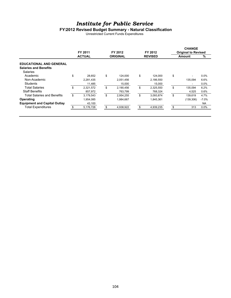#### **FY2012 Revised Budget Summary - Natural Classification**

Unrestricted Current Funds Expenditures

|                                     | FY 2011         | FY 2012         | FY 2012         | <b>CHANGE</b><br><b>Original to Revised</b> |           |
|-------------------------------------|-----------------|-----------------|-----------------|---------------------------------------------|-----------|
|                                     | <b>ACTUAL</b>   | <b>ORIGINAL</b> | <b>REVISED</b>  | <b>Amount</b>                               | %         |
| <b>EDUCATIONAL AND GENERAL</b>      |                 |                 |                 |                                             |           |
| <b>Salaries and Benefits</b>        |                 |                 |                 |                                             |           |
| Salaries                            |                 |                 |                 |                                             |           |
| Academic                            | \$<br>28.652    | \$<br>124,000   | \$<br>124.000   | \$<br>۰                                     | 0.0%      |
| Non-Academic                        | 2,281,435       | 2,051,456       | 2,186,550       | 135.094                                     | 6.6%      |
| <b>Students</b>                     | 11,485          | 15,000          | 15,000          | ۰                                           | 0.0%      |
| <b>Total Salaries</b>               | \$<br>2,321,572 | \$<br>2,190,456 | \$<br>2,325,550 | \$<br>135,094                               | 6.2%      |
| <b>Staff Benefits</b>               | 857,972         | 763,799         | 768,324         | 4.525                                       | 0.6%      |
| <b>Total Salaries and Benefits</b>  | \$<br>3,179,543 | \$<br>2,954,255 | \$<br>3,093,874 | \$<br>139.619                               | 4.7%      |
| Operating                           | 1,954,085       | 1,984,667       | 1,845,361       | (139, 306)                                  | $-7.0%$   |
| <b>Equipment and Capital Outlay</b> | 43,100          |                 |                 |                                             | <b>NA</b> |
| <b>Total Expenditures</b>           | 5,176,728       | \$<br>4,938,922 | 4,939,235       | \$<br>313                                   | 0.0%      |
|                                     |                 |                 |                 |                                             |           |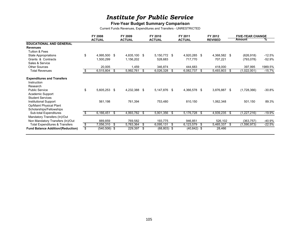#### **Five-Year Budget Summary Comparison**

Current Funds Revenues, Expenditures and Transfers - UNRESTRICTED

|                                                                                                           | FY 2008<br><b>ACTUAL</b> |      | FY 2009<br><b>ACTUAL</b> |      | FY 2010<br><b>ACTUAL</b> |      | FY 2011<br><b>ACTUAL</b> |      | FY 2012<br><b>REVISED</b> |     | <b>FIVE-YEAR CHANGE</b><br><b>Amount</b> | ℅        |
|-----------------------------------------------------------------------------------------------------------|--------------------------|------|--------------------------|------|--------------------------|------|--------------------------|------|---------------------------|-----|------------------------------------------|----------|
| <b>EDUCATIONAL AND GENERAL</b>                                                                            |                          |      |                          |      |                          |      |                          |      |                           |     |                                          |          |
| <b>Revenues</b>                                                                                           |                          |      |                          |      |                          |      |                          |      |                           |     |                                          |          |
| Tuition & Fees                                                                                            |                          |      |                          |      |                          |      |                          |      |                           |     |                                          |          |
| State Appropriations                                                                                      | \$<br>4,995,500 \$       |      | 4,835,100                | - \$ | 5,150,772 \$             |      | 4,920,285 \$             |      | 4,368,582 \$              |     | (626, 918)                               | -12.5%   |
| Grants & Contracts                                                                                        | 1,500,299                |      | 1,156,202                |      | 528,683                  |      | 717,770                  |      | 707,221                   |     | (793, 078)                               | $-52.9%$ |
| Sales & Service                                                                                           |                          |      |                          |      |                          |      |                          |      |                           |     |                                          |          |
| <b>Other Sources</b>                                                                                      | 20,005                   |      | 1,459                    |      | 346,874                  |      | 444,683                  |      | 418,000                   |     | 397,995                                  | 1989.5%  |
| <b>Total Revenues</b>                                                                                     | 6,515,804                | - \$ | 5,992,761                | \$   | 6,026,328                | - \$ | 6,082,737                | - \$ | 5,493,803                 | -S  | (1,022,001)                              | $-15.7%$ |
| <b>Expenditures and Transfers</b><br>Instruction<br>Research<br><b>Public Service</b><br>Academic Support | \$<br>5,605,253 \$       |      | 4,232,388                | \$   | 5,147,876 \$             |      | 4,366,578 \$             |      | 3,876,887                 | -\$ | (1,728,366)                              | -30.8%   |
| <b>Student Services</b><br>Institutional Support<br>Op/Maint Physical Plant<br>Scholarships/Fellowships   | 561,198                  |      | 761,394                  |      | 753,480                  |      | 810,150                  |      | 1,062,348                 |     | 501,150                                  | 89.3%    |
| Sub-total Expenditures                                                                                    | 6,166,451                | -\$  | 4,993,782                | - \$ | 5,901,356 \$             |      | 5,176,728 \$             |      | 4,939,235                 | -S  | (1, 227, 216)                            | $-19.9%$ |
| Mandatory Transfers (In)/Out<br>Non Mandatory Transfers (In)/Out                                          | 889,859                  |      | 769.582                  |      | 193,775                  |      | 946.851                  |      | 526,102                   |     | (363, 757)                               | -40.9%   |
| <b>Total Expenditures &amp; Transfers</b>                                                                 | \$<br>7,056,310 \$       |      | 5,763,364                | \$   | 6,095,131                | -S   | 6,123,579                | - \$ | 5,465,337                 | -S  | (1,590,973)                              | $-22.5%$ |
| <b>Fund Balance Addition/(Reduction)</b>                                                                  | \$<br>$(540, 506)$ \$    |      | 229,397                  | \$   | $(68, 803)$ \$           |      | $(40, 842)$ \$           |      | 28,466                    |     |                                          |          |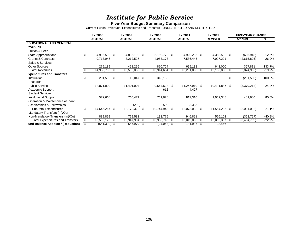#### **Five-Year Budget Summary Comparison**

Current Funds Revenues, Expenditures and Transfers - UNRESTRICTED AND RESTRICTED

|                                            | FY 2008             |      | FY 2009       |    | FY 2010        |    | FY 2011       |      | FY 2012        |    | <b>FIVE-YEAR CHANGE</b> |           |
|--------------------------------------------|---------------------|------|---------------|----|----------------|----|---------------|------|----------------|----|-------------------------|-----------|
|                                            | <b>ACTUAL</b>       |      | <b>ACTUAL</b> |    | <b>ACTUAL</b>  |    | <b>ACTUAL</b> |      | <b>REVISED</b> |    | Amount                  | %         |
| <b>EDUCATIONAL AND GENERAL</b>             |                     |      |               |    |                |    |               |      |                |    |                         |           |
| <b>Revenues</b>                            |                     |      |               |    |                |    |               |      |                |    |                         |           |
| Tuition & Fees                             |                     |      |               |    |                |    |               |      |                |    |                         |           |
| State Appropriations                       | \$<br>4,995,500 \$  |      | 4,835,100 \$  |    | 5,150,772 \$   |    | 4,920,285 \$  |      | 4,368,582 \$   |    | (626, 918)              | $-12.5%$  |
| <b>Grants &amp; Contracts</b>              | 9,713,046           |      | 8,212,527     |    | 4,953,178      |    | 7,586,445     |      | 7,097,221      |    | (2,615,825)             | $-26.9%$  |
| Sales & Services                           |                     |      |               |    |                |    |               |      |                |    |                         |           |
| <b>Other Sources</b>                       | 275,189             |      | 458,256       |    | 810,704        |    | 695,138       |      | 643,000        |    | 367,811                 | 133.7%    |
| <b>Total Revenues</b>                      | 14,983,736          | - \$ | 13,505,883    | \$ | 10,914,654     | S  | 13,201,868    | -\$  | 12,108,803     | \$ | (2,874,933)             | $-19.2%$  |
| <b>Expenditures and Transfers</b>          |                     |      |               |    |                |    |               |      |                |    |                         |           |
| Instruction                                | \$<br>201,500 \$    |      | 12,047        | \$ | 318,130        |    |               |      |                | \$ | (201, 500)              | $-100.0%$ |
| Research                                   |                     |      |               |    |                |    |               |      |                |    |                         |           |
| <b>Public Service</b>                      | 13,871,099          |      | 11,401,004    |    | $9,664,623$ \$ |    | 11,247,910 \$ |      | 10,491,887     | \$ | (3,379,212)             | -24.4%    |
| Academic Support                           |                     |      |               |    | 612            |    | 4,427         |      |                |    |                         |           |
| <b>Student Services</b>                    |                     |      |               |    |                |    |               |      |                |    |                         |           |
| <b>Institutional Support</b>               | 572,668             |      | 765,471       |    | 761,078        |    | 817,310       |      | 1,062,348      |    | 489,680                 | 85.5%     |
| Operation & Maintenance of Plant           |                     |      |               |    |                |    |               |      |                |    |                         |           |
| Scholarships & Fellowships                 |                     |      | (200)         |    | 500            |    | 3,385         |      |                |    |                         |           |
| Sub-total Expenditures                     | \$<br>14,645,267 \$ |      | 12,178,322    | \$ | 10,744,943     | S. | 12,073,032    | - \$ | 11,554,235     | S. | (3,091,032)             | $-21.1%$  |
| Mandatory Transfers (In)/Out               |                     |      |               |    |                |    |               |      |                |    |                         |           |
| Non-Mandatory Transfers (In)/Out           | 889,859             |      | 769,582       |    | 193,775        |    | 946,851       |      | 526,102        |    | (363, 757)              | -40.9%    |
| <b>Total Expenditures and Transfers</b>    | \$<br>15,535,126 \$ |      | 12,947,904    | \$ | 10,938,718     | S  | 13,019,883    | - \$ | 12,080,337     | \$ | (3,454,789)             | $-22.2%$  |
| <b>Fund Balance Addition / (Reduction)</b> | $(551,390)$ \$      |      | 557,979       | S  | $(24,063)$ \$  |    | 181,985       | - \$ | 28,466         |    |                         |           |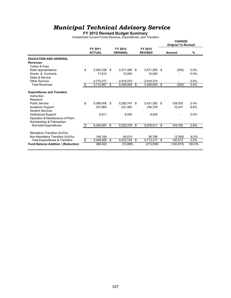#### **FY 2012 Revised Budget Summary**

Unrestricted Current Funds Revenue, Expenditures, and Transfers

|                                                                                                                                                                                                                                        |                                     |                                     |    |                               |      | <b>CHANGE</b><br><b>Original To Revised</b> |                      |
|----------------------------------------------------------------------------------------------------------------------------------------------------------------------------------------------------------------------------------------|-------------------------------------|-------------------------------------|----|-------------------------------|------|---------------------------------------------|----------------------|
|                                                                                                                                                                                                                                        | FY 2011<br><b>ACTUAL</b>            | FY 2012<br><b>ORIGINAL</b>          |    | FY 2012<br><b>REVISED</b>     |      | Amount                                      | %                    |
| <b>EDUCATION AND GENERAL</b>                                                                                                                                                                                                           |                                     |                                     |    |                               |      |                                             |                      |
| <b>Revenues</b>                                                                                                                                                                                                                        |                                     |                                     |    |                               |      |                                             |                      |
| Tuition & Fees                                                                                                                                                                                                                         |                                     |                                     |    |                               |      |                                             |                      |
| <b>State Appropriations</b>                                                                                                                                                                                                            | \$<br>2,925,338                     | \$<br>2.571.485 \$                  |    | 2.571.285                     | -\$  | (200)                                       | 0.0%                 |
| Grants & Contracts                                                                                                                                                                                                                     | 17,612                              | 10.000                              |    | 10,000                        |      |                                             | 0.0%                 |
| Sales & Service                                                                                                                                                                                                                        |                                     |                                     |    |                               |      |                                             |                      |
| Other Sources                                                                                                                                                                                                                          | 2,772,017                           | 2,918,374                           |    | 2,918,374                     |      |                                             | 0.0%                 |
| <b>Total Revenues</b>                                                                                                                                                                                                                  | \$<br>5,714,967                     | \$<br>5,499,859                     | \$ | 5,499,659                     | \$   | (200)                                       | 0.0%                 |
| <b>Expenditures and Transfers</b><br>Instruction<br>Research<br><b>Public Service</b><br>Academic Support<br><b>Student Services</b><br><b>Institutional Support</b><br>Operation & Maintenance of Plant<br>Scholarships & Fellowships | \$<br>5.099.506<br>237.864<br>6,911 | \$<br>5.292.747<br>231,482<br>8,500 | \$ | 5.421.282<br>246.729<br>8,500 | - \$ | 128.535<br>15,247                           | 2.4%<br>6.6%<br>0.0% |
| <b>Sub-total Expenditures</b>                                                                                                                                                                                                          | \$<br>5,344,281                     | \$<br>5,532,729                     | S. | 5,676,511                     | \$   | 143,782                                     | 2.6%                 |
| Mandatory Transfers (In)/Out<br>Non-Mandatory Transfers (In)/Out<br><b>Total Expenditures &amp; Transfers</b>                                                                                                                          | \$<br>104,184<br>5,448,465          | \$<br>40,015<br>5,572,744           | \$ | 36,706<br>5,713,217 \$        |      | (3,309)<br>140,473                          | $-8.3%$<br>2.5%      |
| <b>Fund Balance Addition / (Reduction)</b>                                                                                                                                                                                             | 266,502                             | (72, 885)                           |    | (213, 558)                    |      | (140, 673)                                  | 193.0%               |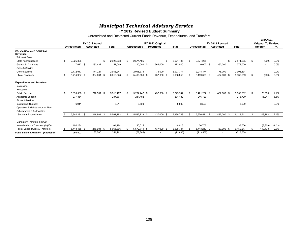**FY 2012 Revised Budget Summary**

Unrestricted and Restricted Current Funds Revenue, Expenditures, and Transfers

|                                                 |                    |                   |      |              |    |                     |                   |              |    |                     |                          |                 |    | <b>CHANGE</b>              |         |
|-------------------------------------------------|--------------------|-------------------|------|--------------|----|---------------------|-------------------|--------------|----|---------------------|--------------------------|-----------------|----|----------------------------|---------|
|                                                 |                    | FY 2011 Actual    |      |              |    |                     | FY 2012 Original  |              |    |                     | FY 2012 Revised          |                 |    | <b>Original To Revised</b> |         |
|                                                 | Unrestricted       | <b>Restricted</b> |      | <b>Total</b> |    | <b>Unrestricted</b> | <b>Restricted</b> | <b>Total</b> |    | <b>Unrestricted</b> | <b>Restricted</b>        | <b>Total</b>    |    | <b>Amount</b>              | %       |
| <b>EDUCATION AND GENERAL</b><br><b>Revenues</b> |                    |                   |      |              |    |                     |                   |              |    |                     |                          |                 |    |                            |         |
| Tuition & Fees                                  |                    |                   |      |              |    |                     |                   |              |    |                     |                          |                 |    |                            |         |
| <b>State Appropriations</b>                     | \$<br>2,925,338    |                   | \$.  | 2,925,338    | -S | 2,571,485           | \$                | 2,571,485    | £. | 2,571,285           |                          | \$<br>2,571,285 | \$ | (200)                      | $0.0\%$ |
| Grants & Contracts                              | 17,612 \$          | 133,437           |      | 151,049      |    | 10,000 \$           | 362,000           | 372,000      |    | 10,000 \$           | 362,000                  | 372,000         |    | $\overline{\phantom{a}}$   | $0.0\%$ |
| Sales & Service                                 |                    |                   |      |              |    |                     |                   |              |    |                     |                          |                 |    |                            |         |
| <b>Other Sources</b>                            | 2.772.017          | 171,224           |      | 2,943,241    |    | 2,918,374           | 75,000            | 2,993,374    |    | 2,918,374           | 75,000                   | 2,993,374       |    |                            | $0.0\%$ |
| <b>Total Revenues</b>                           | 5,714,967 \$       | 304,661           | - \$ | 6,019,628    |    | 5,499,859 \$        | 437,000 \$        | 5,936,859    |    | 5,499,659 \$        | 437,000 \$               | 5,936,659       | \$ | (200)                      | 0.0%    |
| <b>Expenditures and Transfers</b>               |                    |                   |      |              |    |                     |                   |              |    |                     |                          |                 |    |                            |         |
| Instruction                                     |                    |                   |      |              |    |                     |                   |              |    |                     |                          |                 |    |                            |         |
| Research                                        |                    |                   |      |              |    |                     |                   |              |    |                     |                          |                 |    |                            |         |
| <b>Public Service</b>                           | \$<br>5,099,506 \$ | 216,901 \$        |      | 5,316,407    | £. | 5,292,747 \$        | 437,000 \$        | 5,729,747    |    | 5.421.282 \$        | 437,000 \$               | 5,858,282       | \$ | 128,535                    | 2.2%    |
| Academic Support                                | 237,864            |                   |      | 237,864      |    | 231,482             |                   | 231,482      |    | 246,729             |                          | 246,729         |    | 15,247                     | 6.6%    |
| <b>Student Services</b>                         |                    |                   |      |              |    |                     |                   |              |    |                     |                          |                 |    |                            |         |
| <b>Institutional Support</b>                    | 6,911              |                   |      | 6,911        |    | 8,500               |                   | 8,500        |    | 8,500               |                          | 8,500           |    |                            | $0.0\%$ |
| Operation & Maintenance of Plant                |                    |                   |      |              |    |                     |                   |              |    |                     |                          |                 |    |                            |         |
| Scholarships & Fellowships                      |                    |                   |      |              |    |                     |                   |              |    |                     |                          |                 |    |                            |         |
| Sub-total Expenditures                          | 5,344,281 \$       | 216,901 \$        |      | 5,561,182    | \$ | 5,532,729 \$        | 437,000 \$        | 5,969,729    | \$ | 5,676,511 \$        | 437,000 \$               | 6,113,511       | S. | 143,782                    | 2.4%    |
| Mandatory Transfers (In)/Out                    |                    |                   |      |              |    |                     |                   |              |    |                     |                          |                 |    |                            |         |
| Non-Mandatory Transfers (In)/Out                | 104,184            |                   |      | 104,184      |    | 40,015              |                   | 40,015       |    | 36,706              |                          | 36,706          |    | (3,309)                    | $-8.3%$ |
| <b>Total Expenditures &amp; Transfers</b>       | 5,448,465 \$       | 216,901           |      | 5,665,366    |    | 5,572,744 \$        | 437,000 \$        | 6,009,744    |    | 5,713,217 \$        | 437,000 \$               | 6,150,217       | £. | 140,473                    | 2.3%    |
| Fund Balance Addition / (Reduction)             | 266,502            | 87,760            |      | 354,262      |    | (72, 885)           |                   | (72, 885)    |    | (213, 558)          | $\overline{\phantom{a}}$ | (213, 558)      |    |                            |         |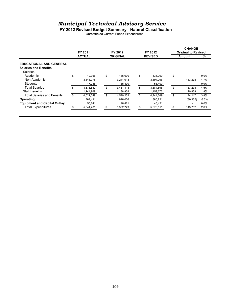#### **FY 2012 Revised Budget Summary - Natural Classification**

Unrestricted Current Funds Expenditures

|                                     | FY 2011         |     | FY 2012         | FY 2012         |    | <b>CHANGE</b><br><b>Original to Revised</b> |         |
|-------------------------------------|-----------------|-----|-----------------|-----------------|----|---------------------------------------------|---------|
|                                     | <b>ACTUAL</b>   |     | <b>ORIGINAL</b> | <b>REVISED</b>  |    | Amount                                      | %       |
| <b>EDUCATIONAL AND GENERAL</b>      |                 |     |                 |                 |    |                                             |         |
| <b>Salaries and Benefits</b>        |                 |     |                 |                 |    |                                             |         |
| Salaries                            |                 |     |                 |                 |    |                                             |         |
| Academic                            | \$<br>12,366    | \$  | 135,000         | \$<br>135,000   | \$ | $\overline{\phantom{a}}$                    | 0.0%    |
| Non-Academic                        | 3.346.978       |     | 3,241,018       | 3.394.296       |    | 153.278                                     | 4.7%    |
| Students                            | 17,236          |     | 55,400          | 55,400          |    | ٠                                           | 0.0%    |
| Total Salaries                      | \$<br>3,376,580 | \$  | 3,431,418       | \$<br>3,584,696 | \$ | 153,278                                     | 4.5%    |
| <b>Staff Benefits</b>               | 1,144,969       |     | 1,138,834       | 1,159,673       |    | 20,839                                      | 1.8%    |
| <b>Total Salaries and Benefits</b>  | \$<br>4,521,549 | \$  | 4,570,252       | \$<br>4,744,369 | \$ | 174,117                                     | 3.8%    |
| Operating                           | 767.491         |     | 916.056         | 885,721         |    | (30, 335)                                   | $-3.3%$ |
| <b>Equipment and Capital Outlay</b> | 55,241          |     | 46,421          | 46,421          |    | ٠                                           | 0.0%    |
| <b>Total Expenditures</b>           | 5,344,281       | \$. | 5,532,729       | 5,676,511       | S  | 143,782                                     | 2.6%    |
|                                     |                 |     |                 |                 |    |                                             |         |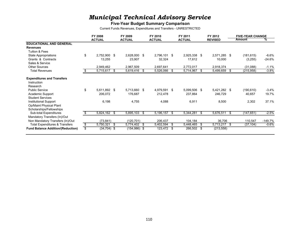#### **Five-Year Budget Summary Comparison**

Current Funds Revenues, Expenditures and Transfers - UNRESTRICTED

|                                                              | FY 2008              |      | FY 2009       |      | FY 2010       |    | FY 2011       |      | FY 2012        |      | <b>FIVE-YEAR CHANGE</b> |           |
|--------------------------------------------------------------|----------------------|------|---------------|------|---------------|----|---------------|------|----------------|------|-------------------------|-----------|
|                                                              | <b>ACTUAL</b>        |      | <b>ACTUAL</b> |      | <b>ACTUAL</b> |    | <b>ACTUAL</b> |      | <b>REVISED</b> |      | Amount                  | ℅         |
| <b>EDUCATIONAL AND GENERAL</b>                               |                      |      |               |      |               |    |               |      |                |      |                         |           |
| <b>Revenues</b>                                              |                      |      |               |      |               |    |               |      |                |      |                         |           |
| Tuition & Fees                                               |                      |      |               |      |               |    |               |      |                |      |                         |           |
| State Appropriations                                         | \$<br>2,752,900 \$   |      | 2,628,000     | -\$  | 2,796,101 \$  |    | 2,925,338 \$  |      | 2,571,285 \$   |      | (181, 615)              | $-6.6\%$  |
| Grants & Contracts                                           | 13,255               |      | 23,907        |      | 32,324        |    | 17,612        |      | 10,000         |      | (3,255)                 | $-24.6%$  |
| Sales & Service                                              |                      |      |               |      |               |    |               |      |                |      |                         |           |
| <b>Other Sources</b>                                         | 2,949,462            |      | 2,967,509     |      | 2,697,641     |    | 2,772,017     |      | 2,918,374      |      | (31,088)                | $-1.1%$   |
| <b>Total Revenues</b>                                        | 5,715,617 \$         |      | 5,619,416     | - \$ | 5,526,066     | S. | 5,714,967 \$  |      | 5,499,659      | \$   | (215, 958)              | $-3.8%$   |
| <b>Expenditures and Transfers</b><br>Instruction<br>Research |                      |      |               |      |               |    |               |      |                |      |                         |           |
| <b>Public Service</b>                                        | \$<br>5,611,892 \$   |      | 5,713,660 \$  |      | 4,979,591 \$  |    | 5,099,506 \$  |      | 5,421,282 \$   |      | (190, 610)              | $-3.4%$   |
| Academic Support                                             | 206,072              |      | 176,687       |      | 212,478       |    | 237,864       |      | 246,729        |      | 40,657                  | 19.7%     |
| <b>Student Services</b>                                      |                      |      |               |      |               |    |               |      |                |      |                         |           |
| Institutional Support                                        | 6,198                |      | 4,755         |      | 4,088         |    | 6,911         |      | 8,500          |      | 2,302                   | 37.1%     |
| Op/Maint Physical Plant                                      |                      |      |               |      |               |    |               |      |                |      |                         |           |
| Scholarships/Fellowships                                     |                      |      |               |      |               |    |               |      |                |      |                         |           |
| Sub-total Expenditures                                       | $5,824,162$ \$       |      | 5,895,103     | \$   | 5,196,157     | \$ | 5,344,281     | - \$ | 5,676,511      | - \$ | (147, 651)              | $-2.5%$   |
| Mandatory Transfers (In)/Out                                 |                      |      |               |      |               |    |               |      |                |      |                         |           |
| Non Mandatory Transfers (In)/Out                             | (73, 841)            |      | (120, 701)    |      | 206,437       |    | 104,184       |      | 36,706         |      | 110,547                 | $-149.7%$ |
| <b>Total Expenditures &amp; Transfers</b>                    | \$<br>5,750,321      | - \$ | 5,774,402     | - \$ | 5,402,594     | \$ | 5,448,465 \$  |      | 5,713,217      | - \$ | (37, 104)               | $-0.6\%$  |
| <b>Fund Balance Addition/(Reduction)</b>                     | \$<br>$(34, 704)$ \$ |      | (154, 986)    | -\$  | 123,472       | \$ | 266,502 \$    |      | (213, 558)     |      |                         |           |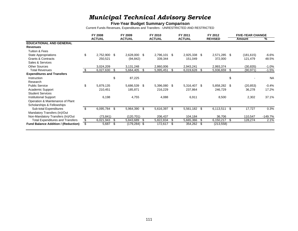#### **Five-Year Budget Summary Comparison**

Current Funds Revenues, Expenditures and Transfers - UNRESTRICTED AND RESTRICTED

|                                            | FY 2008            |      | FY 2009       |     | FY 2010       |    | FY 2011       |      | FY 2012        | <b>FIVE-YEAR CHANGE</b> |           |
|--------------------------------------------|--------------------|------|---------------|-----|---------------|----|---------------|------|----------------|-------------------------|-----------|
|                                            | <b>ACTUAL</b>      |      | <b>ACTUAL</b> |     | <b>ACTUAL</b> |    | <b>ACTUAL</b> |      | <b>REVISED</b> | Amount                  | ℅         |
| <b>EDUCATIONAL AND GENERAL</b>             |                    |      |               |     |               |    |               |      |                |                         |           |
| <b>Revenues</b>                            |                    |      |               |     |               |    |               |      |                |                         |           |
| Tuition & Fees                             |                    |      |               |     |               |    |               |      |                |                         |           |
| State Appropriations                       | \$<br>2,752,900 \$ |      | 2,628,000 \$  |     | 2,796,101     | \$ | 2,925,338 \$  |      | 2,571,285 \$   | (181, 615)              | $-6.6%$   |
| <b>Grants &amp; Contracts</b>              | 250,521            |      | (94, 842)     |     | 339,344       |    | 151,049       |      | 372,000        | 121,479                 | 48.5%     |
| Sales & Services                           |                    |      |               |     |               |    |               |      |                |                         |           |
| <b>Other Sources</b>                       | 3,024,209          |      | 3,131,248     |     | 2,860,006     |    | 2,943,241     |      | 2,993,374      | (30, 835)               | $-1.0\%$  |
| <b>Total Revenues</b>                      | 6,027,630          | - \$ | 5,664,405     | -S  | 5,995,451     | S  | 6,019,628     | - \$ | 5,936,659      | \$<br>(90, 971)         | $-1.5%$   |
| <b>Expenditures and Transfers</b>          |                    |      |               |     |               |    |               |      |                |                         |           |
| Instruction                                |                    | \$   | 87,225        |     |               |    |               |      |                | \$                      | <b>NA</b> |
| Research                                   |                    |      |               |     |               |    |               |      |                |                         |           |
| <b>Public Service</b>                      | \$<br>5,879,135    |      | 5,686,539     | \$  | 5,396,080 \$  |    | 5,316,407 \$  |      | 5,858,282 \$   | (20, 853)               | $-0.4%$   |
| Academic Support                           | 210,451            |      | 185,871       |     | 216,229       |    | 237,864       |      | 246,729        | 36,278                  | 17.2%     |
| <b>Student Services</b>                    |                    |      |               |     |               |    |               |      |                |                         |           |
| Institutional Support                      | 6,198              |      | 4,755         |     | 4,088         |    | 6,911         |      | 8,500          | 2,302                   | 37.1%     |
| Operation & Maintenance of Plant           |                    |      |               |     |               |    |               |      |                |                         |           |
| Scholarships & Fellowships                 |                    |      |               |     |               |    |               |      |                |                         |           |
| Sub-total Expenditures                     | \$<br>6,095,784 \$ |      | 5,964,390     | \$  | 5,616,397     | \$ | 5,561,182 \$  |      | 6,113,511      | \$<br>17,727            | 0.3%      |
| Mandatory Transfers (In)/Out               |                    |      |               |     |               |    |               |      |                |                         |           |
| Non-Mandatory Transfers (In)/Out           | (73, 841)          |      | (120, 701)    |     | 206,437       |    | 104,184       |      | 36,706         | 110,547                 | -149.7%   |
| <b>Total Expenditures and Transfers</b>    | \$<br>6,021,943    | -\$  | 5,843,689     | \$  | 5,822,834     | \$ | 5,665,366     | \$   | 6,150,217      | \$<br>128,274           | 2.1%      |
| <b>Fund Balance Addition / (Reduction)</b> | \$<br>5,687        | - \$ | (179,284)     | -\$ | 172,617       | S  | 354,262       | - \$ | (213, 558)     |                         |           |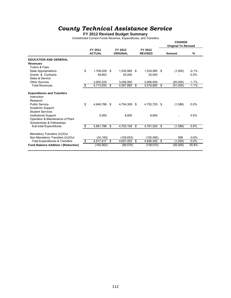**FY 2012 Revised Budget Summary**

Unrestricted Current Funds Revenue, Expenditures, and Transfers

|                                                                                                |                                  |                          |              |                            |    |                           | <b>CHANGE</b><br><b>Original To Revised</b> |         |
|------------------------------------------------------------------------------------------------|----------------------------------|--------------------------|--------------|----------------------------|----|---------------------------|---------------------------------------------|---------|
|                                                                                                |                                  | FY 2011<br><b>ACTUAL</b> |              | FY 2012<br><b>ORIGINAL</b> |    | FY 2012<br><b>REVISED</b> | Amount                                      | %       |
| <b>EDUCATION AND GENERAL</b>                                                                   |                                  |                          |              |                            |    |                           |                                             |         |
| <b>Revenues</b>                                                                                |                                  |                          |              |                            |    |                           |                                             |         |
| Tuition & Fees                                                                                 |                                  |                          |              |                            |    |                           |                                             |         |
| <b>State Appropriations</b>                                                                    | \$                               | 1.708.028                | \$           | 1,535,985 \$               |    | 1,534,985                 | \$<br>(1,000)                               | $-0.1%$ |
| Grants & Contracts                                                                             |                                  | 49,802                   |              | 25,000                     |    | 25,000                    |                                             | 0.0%    |
| Sales & Service                                                                                |                                  |                          |              |                            |    |                           |                                             |         |
| Other Sources                                                                                  |                                  | 2,955,225                |              | 3,006,900                  |    | 2,956,900                 | (50,000)                                    | $-1.7%$ |
| <b>Total Revenues</b>                                                                          | \$                               | 4,713,055                | \$           | 4,567,885                  | \$ | 4,516,885                 | \$<br>(51,000)                              | $-1.1%$ |
| <b>Expenditures and Transfers</b><br>Instruction<br>Research                                   |                                  |                          |              |                            |    |                           |                                             |         |
| <b>Public Service</b><br>Academic Support<br><b>Student Services</b>                           | \$                               | 4.846.786                | \$           | 4.754.308                  | \$ | 4.752.720                 | \$<br>(1,588)                               | 0.0%    |
| <b>Institutional Support</b><br>Operation & Maintenance of Plant<br>Scholarships & Fellowships |                                  | 5,000                    |              | 8,800                      |    | 8,800                     |                                             | 0.0%    |
| <b>Sub-total Expenditures</b>                                                                  | \$                               | 4,851,786                | s,           | 4,763,108                  | \$ | 4,761,520                 | \$<br>(1,588)                               | 0.0%    |
| Mandatory Transfers (In)/Out<br>Non-Mandatory Transfers (In)/Out                               |                                  | (34, 169)                |              | (105, 653)                 |    | (105, 065)                | 588                                         | $-0.6%$ |
| <b>Total Expenditures &amp; Transfers</b>                                                      | $\overline{\boldsymbol{\theta}}$ | 4,817,617                | $\mathbf{s}$ | 4,657,455                  | S. | 4,656,455                 | \$<br>(1,000)                               | 0.0%    |
| <b>Fund Balance Addition / (Reduction)</b>                                                     |                                  | (104, 562)               |              | (89, 570)                  |    | (139, 570)                | (50,000)                                    | 55.8%   |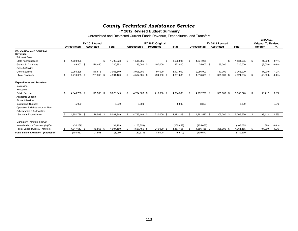**FY 2012 Revised Budget Summary**

Unrestricted and Restricted Current Funds Revenue, Expenditures, and Transfers

|                                                 |                     |                   |              |    |                     |                   |              |     |                     |                   |                 |           |              |    | <b>CHANGE</b>              |         |
|-------------------------------------------------|---------------------|-------------------|--------------|----|---------------------|-------------------|--------------|-----|---------------------|-------------------|-----------------|-----------|--------------|----|----------------------------|---------|
|                                                 |                     | FY 2011 Actual    |              |    |                     | FY 2012 Original  |              |     |                     |                   | FY 2012 Revised |           |              |    | <b>Original To Revised</b> |         |
|                                                 | <b>Unrestricted</b> | <b>Restricted</b> | <b>Total</b> |    | <b>Unrestricted</b> | <b>Restricted</b> | <b>Total</b> |     | <b>Unrestricted</b> | <b>Restricted</b> |                 |           | <b>Total</b> |    | Amount                     | %       |
| <b>EDUCATION AND GENERAL</b><br><b>Revenues</b> |                     |                   |              |    |                     |                   |              |     |                     |                   |                 |           |              |    |                            |         |
| Tuition & Fees                                  |                     |                   |              |    |                     |                   |              |     |                     |                   |                 |           |              |    |                            |         |
| <b>State Appropriations</b>                     | 1,708,028           |                   | 1,708,028    | \$ | 1,535,985           | \$                | 1,535,985    |     | 1,534,985           |                   |                 | <b>.ε</b> | 1,534,985    | S. | (1,000)                    | $-0.1%$ |
| Grants & Contracts                              | 49,802 \$           | 170,450           | 220,252      |    | 25,000 \$           | 197,000           | 222,000      |     | 25,000 \$           |                   | 195,000         |           | 220,000      |    | (2,000)                    | $-0.9%$ |
| Sales & Service                                 |                     |                   |              |    |                     |                   |              |     |                     |                   |                 |           |              |    |                            |         |
| <b>Other Sources</b>                            | 2.955.225           | 110.616           | 3,065,840    |    | 3,006,900           | 97,000            | 3,103,900    |     | 2.956.900           |                   | 110,000         |           | 3,066,900    |    | (37,000)                   | $-1.2%$ |
| <b>Total Revenues</b>                           | 4,713,055 \$        | 281,066 \$        | 4,994,120    | £. | 4,567,885 \$        | 294,000 \$        | 4,861,885    |     | 4,516,885 \$        |                   | 305,000 \$      |           | 4,821,885    | \$ | (40,000)                   | $-0.8%$ |
| <b>Expenditures and Transfers</b>               |                     |                   |              |    |                     |                   |              |     |                     |                   |                 |           |              |    |                            |         |
| Instruction                                     |                     |                   |              |    |                     |                   |              |     |                     |                   |                 |           |              |    |                            |         |
| Research                                        |                     |                   |              |    |                     |                   |              |     |                     |                   |                 |           |              |    |                            |         |
| <b>Public Service</b>                           | \$<br>4.846.786 \$  | 179,563 \$        | 5,026,349    | £. | 4,754,308 \$        | 210,000 \$        | 4,964,308    | \$. | 4,752,720 \$        |                   | 305,000 \$      |           | 5,057,720    | S. | 93,412                     | 1.9%    |
| Academic Support                                |                     |                   |              |    |                     |                   |              |     |                     |                   |                 |           |              |    |                            |         |
| <b>Student Services</b>                         |                     |                   |              |    |                     |                   |              |     |                     |                   |                 |           |              |    |                            |         |
| <b>Institutional Support</b>                    | 5,000               |                   | 5,000        |    | 8,800               |                   | 8,800        |     | 8,800               |                   |                 |           | 8,800        |    |                            | $0.0\%$ |
| Operation & Maintenance of Plant                |                     |                   |              |    |                     |                   |              |     |                     |                   |                 |           |              |    |                            |         |
| Scholarships & Fellowships                      |                     |                   |              |    |                     |                   |              |     |                     |                   |                 |           |              |    |                            |         |
| Sub-total Expenditures                          | 4,851,786 \$        | 179,563 \$        | 5,031,349    | £. | 4,763,108 \$        | 210,000 \$        | 4,973,108    | £.  | 4,761,520 \$        |                   | 305,000 \$      |           | 5,066,520    | \$ | 93,412                     | 1.9%    |
| Mandatory Transfers (In)/Out                    |                     |                   |              |    |                     |                   |              |     |                     |                   |                 |           |              |    |                            |         |
| Non-Mandatory Transfers (In)/Out                | (34, 169)           |                   | (34, 169)    |    | (105, 653)          |                   | (105, 653)   |     | (105, 065)          |                   |                 |           | (105, 065)   |    | 588                        | $-0.6%$ |
| <b>Total Expenditures &amp; Transfers</b>       | 4,817,617 \$        | 179,563 \$        | 4,997,180    |    | 4,657,455 \$        | 210,000 \$        | 4,867,455    |     | 4,656,455 \$        |                   | 305,000 \$      |           | 4,961,455    | S  | 94,000                     | 1.9%    |
| Fund Balance Addition / (Reduction)             | (104, 562)          | 101,503           | (3,060)      |    | (89, 570)           | 84,000            | (5,570)      |     | (139, 570)          |                   | $\sim$          |           | (139, 570)   |    |                            |         |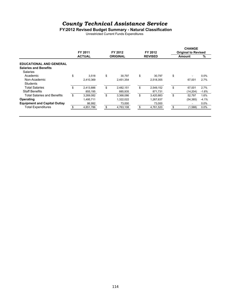#### **FY2012 Revised Budget Summary - Natural Classification**

Unrestricted Current Funds Expenditures

|                                     | FY 2011         | FY 2012         | FY 2012         | <b>CHANGE</b><br><b>Original to Revised</b> |         |
|-------------------------------------|-----------------|-----------------|-----------------|---------------------------------------------|---------|
|                                     | <b>ACTUAL</b>   | <b>ORIGINAL</b> | <b>REVISED</b>  | <b>Amount</b>                               | %       |
| <b>EDUCATIONAL AND GENERAL</b>      |                 |                 |                 |                                             |         |
| <b>Salaries and Benefits</b>        |                 |                 |                 |                                             |         |
| <b>Salaries</b>                     |                 |                 |                 |                                             |         |
| Academic                            | \$<br>3,518     | \$<br>30.797    | \$<br>30.797    | \$<br>٠                                     | 0.0%    |
| Non-Academic                        | 2.410.369       | 2.451.354       | 2,518,355       | 67.001                                      | 2.7%    |
| Students                            |                 |                 |                 |                                             |         |
| Total Salaries                      | \$<br>2,413,886 | \$<br>2,482,151 | \$<br>2,549,152 | \$<br>67,001                                | 2.7%    |
| <b>Staff Benefits</b>               | 855,195         | 885,935         | 871,731         | (14, 204)                                   | $-1.6%$ |
| <b>Total Salaries and Benefits</b>  | \$<br>3,269,082 | \$<br>3,368,086 | \$<br>3,420,883 | \$<br>52.797                                | 1.6%    |
| Operating                           | 1,495,711       | 1,322,022       | 1,267,637       | (54, 385)                                   | $-4.1%$ |
| <b>Equipment and Capital Outlay</b> | 86,992          | 73,000          | 73,000          | ٠                                           | 0.0%    |
| <b>Total Expenditures</b>           | 4,851,786       | \$<br>4,763,108 | \$<br>4,761,520 | \$<br>(1,588)                               | 0.0%    |
|                                     |                 |                 |                 |                                             |         |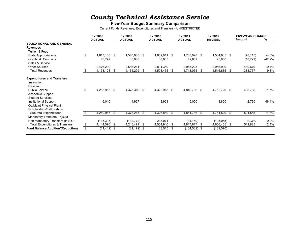#### **Five-Year Budget Summary Comparison**

Current Funds Revenues, Expenditures and Transfers - UNRESTRICTED

|                                                                                     |    | FY 2008        |      | FY 2009        |      | FY 2010       |      | FY 2011         | FY 2012        |      | <b>FIVE-YEAR CHANGE</b> |         |
|-------------------------------------------------------------------------------------|----|----------------|------|----------------|------|---------------|------|-----------------|----------------|------|-------------------------|---------|
|                                                                                     |    | <b>ACTUAL</b>  |      | <b>ACTUAL</b>  |      | <b>ACTUAL</b> |      | <b>ACTUAL</b>   | <b>REVISED</b> |      | Amount                  | ℅       |
| <b>EDUCATIONAL AND GENERAL</b>                                                      |    |                |      |                |      |               |      |                 |                |      |                         |         |
| <b>Revenues</b>                                                                     |    |                |      |                |      |               |      |                 |                |      |                         |         |
| Tuition & Fees                                                                      |    |                |      |                |      |               |      |                 |                |      |                         |         |
| State Appropriations                                                                | \$ | 1,613,100 \$   |      | 1,540,000      | - \$ | 1,669,011     | \$   | 1,708,028 \$    | 1,534,985 \$   |      | (78, 115)               | -4.8%   |
| Grants & Contracts                                                                  |    | 43,799         |      | 38,088         |      | 38,085        |      | 49,802          | 25,000         |      | (18, 799)               | -42.9%  |
| Sales & Service                                                                     |    |                |      |                |      |               |      |                 |                |      |                         |         |
| <b>Other Sources</b>                                                                |    | 2,476,230      |      | 2,586,211      |      | 2,891,359     |      | 2,955,225       | 2,956,900      |      | 480,670                 | 19.4%   |
| <b>Total Revenues</b>                                                               |    | 4,133,128      | - \$ | 4,164,299      | - \$ | 4,598,455     | S.   | 4,713,055 \$    | 4,516,885      | - \$ | 383,757                 | 9.3%    |
| <b>Expenditures and Transfers</b><br>Instruction<br>Research                        |    |                |      |                |      |               |      |                 |                |      |                         |         |
| <b>Public Service</b><br>Academic Support<br><b>Student Services</b>                | \$ | 4,253,955 \$   |      | 4,373,316      | -\$  | 4,322,918     | -\$  | 4,846,786 \$    | 4,752,720      | -\$  | 498,765                 | 11.7%   |
| <b>Institutional Support</b><br>Op/Maint Physical Plant<br>Scholarships/Fellowships |    | 6,010          |      | 4,927          |      | 3,951         |      | 5,000           | 8,800          |      | 2,790                   | 46.4%   |
| Sub-total Expenditures                                                              |    | 4,259,965 \$   |      | 4,378,243      | - \$ | 4,326,869     | - \$ | 4,851,786 \$    | 4,761,520      | - \$ | 501,555                 | 11.8%   |
| Mandatory Transfers (In)/Out<br>Non Mandatory Transfers (In)/Out                    |    | (115, 395)     |      | (132, 772)     |      | 238,071       |      | (34, 169)       | (105, 065)     |      | 10,330                  | $-9.0%$ |
| <b>Total Expenditures &amp; Transfers</b>                                           | S  | 4,144,570      | - \$ | 4,245,471      | \$   | 4,564,940     | S.   | 4,817,617 \$    | 4,656,455      | \$   | 511,885                 | 12.4%   |
| <b>Fund Balance Addition/(Reduction)</b>                                            | \$ | $(11, 442)$ \$ |      | $(81, 172)$ \$ |      | $33,515$ \$   |      | $(104, 562)$ \$ | (139, 570)     |      |                         |         |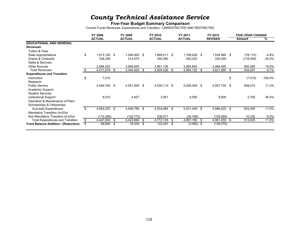#### **Five-Year Budget Summary Comparison**

Current Funds Revenues, Expenditures and Transfers - UNRESTRICTED AND RESTRICTED

|                                            | FY 2008            |      | FY 2009       |      | FY 2010       |    | FY 2011        | FY 2012        |      | <b>FIVE-YEAR CHANGE</b> |            |
|--------------------------------------------|--------------------|------|---------------|------|---------------|----|----------------|----------------|------|-------------------------|------------|
|                                            | <b>ACTUAL</b>      |      | <b>ACTUAL</b> |      | <b>ACTUAL</b> |    | <b>ACTUAL</b>  | <b>REVISED</b> |      | Amount                  | ℅          |
| <b>EDUCATIONAL AND GENERAL</b>             |                    |      |               |      |               |    |                |                |      |                         |            |
| <b>Revenues</b>                            |                    |      |               |      |               |    |                |                |      |                         |            |
| Tuition & Fees                             |                    |      |               |      |               |    |                |                |      |                         |            |
| State Appropriations                       | \$<br>1,613,100 \$ |      | 1,540,000     | - \$ | 1,669,011     | \$ | 1,708,028 \$   | 1,534,985 \$   |      | (78, 115)               | $-4.8%$    |
| <b>Grants &amp; Contracts</b>              | 338,258            |      | 214,575       |      | 245,280       |    | 220,252        | 220,000        |      | (118, 258)              | $-35.0%$   |
| Sales & Services                           |                    |      |               |      |               |    |                |                |      |                         |            |
| <b>Other Sources</b>                       | 2,566,320          |      | 2,685,845     |      | 2,991,136     |    | 3,065,840      | 3,066,900      |      | 500,580                 | 19.5%      |
| <b>Total Revenues</b>                      | 4,517,678          | - \$ | 4,440,420     | - \$ | 4,905,426     |    | $4,994,120$ \$ | 4,821,885      | - \$ | 304,207                 | 6.7%       |
| <b>Expenditures and Transfers</b>          |                    |      |               |      |               |    |                |                |      |                         |            |
| Instruction                                | \$<br>7,510        |      |               |      |               |    |                |                | \$   | (7, 510)                | $-100.0\%$ |
| Research                                   |                    |      |               |      |               |    |                |                |      |                         |            |
| <b>Public Service</b>                      | 4,549,705 \$       |      | 4,551,829     | -\$  | 4,530,113 \$  |    | 5,026,349 \$   | 5,057,720      | -\$  | 508,015                 | 11.2%      |
| Academic Support                           |                    |      |               |      |               |    |                |                |      |                         |            |
| <b>Student Services</b>                    |                    |      |               |      |               |    |                |                |      |                         |            |
| Institutional Support                      | 6,010              |      | 4,927         |      | 3,951         |    | 5,000          | 8,800          |      | 2,790                   | 46.4%      |
| Operation & Maintenance of Plant           |                    |      |               |      |               |    |                |                |      |                         |            |
| Scholarships & Fellowships                 |                    |      |               |      |               |    |                |                |      |                         |            |
| Sub-total Expenditures                     | \$<br>4,563,225 \$ |      | 4,556,756     | \$   | 4,534,064     | \$ | 5,031,349 \$   | 5,066,520      | \$   | 503,295                 | 11.0%      |
| Mandatory Transfers (In)/Out               |                    |      |               |      |               |    |                |                |      |                         |            |
| Non-Mandatory Transfers (In)/Out           | (115, 395)         |      | (132, 772)    |      | 238,071       |    | (34, 169)      | (105, 065)     |      | 10,330                  | $-9.0%$    |
| <b>Total Expenditures and Transfers</b>    | \$<br>4,447,830    | - \$ | 4,423,984     | \$   | 4,772,135     | \$ | 4,997,180 \$   | 4,961,455      | - \$ | 513,625                 | 11.5%      |
| <b>Fund Balance Addition / (Reduction)</b> | \$<br>69,848       | - \$ | 16,436        | \$   | 133,291       | S. | $(3,060)$ \$   | (139,570)      |      |                         |            |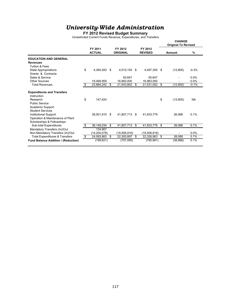#### **FY 2012 Revised Budget Summary**

Unrestricted Current Funds Revenue, Expenditures, and Transfers

|                                              |    |                          |     |                            |      |                           | <b>CHANGE</b><br><b>Original To Revised</b> |           |
|----------------------------------------------|----|--------------------------|-----|----------------------------|------|---------------------------|---------------------------------------------|-----------|
|                                              |    | FY 2011<br><b>ACTUAL</b> |     | FY 2012<br><b>ORIGINAL</b> |      | FY 2012<br><b>REVISED</b> | Amount                                      | %         |
| <b>EDUCATION AND GENERAL</b>                 |    |                          |     |                            |      |                           |                                             |           |
| <b>Revenues</b><br><b>Tuition &amp; Fees</b> |    |                          |     |                            |      |                           |                                             |           |
| <b>State Appropriations</b>                  | \$ | 4,384,283                | \$  | 4,510,155                  | \$   | 4,497,355                 | \$<br>(12,800)                              | $-0.3%$   |
| Grants & Contracts                           |    |                          |     |                            |      |                           |                                             |           |
| Sales & Service                              |    |                          |     | 50.647                     |      | 50.647                    |                                             | 0.0%      |
| Other Sources                                |    | 19.499.959               |     | 16.983.000                 |      | 16.983.000                |                                             | 0.0%      |
| <b>Total Revenues</b>                        | \$ | 23,884,242               | S   | 21,543,802                 | \$   | 21,531,002 \$             | (12, 800)                                   | $-0.1%$   |
|                                              |    |                          |     |                            |      |                           |                                             |           |
| <b>Expenditures and Transfers</b>            |    |                          |     |                            |      |                           |                                             |           |
| Instruction<br>Research                      | \$ | 147,424                  |     |                            |      |                           | \$                                          | <b>NA</b> |
| <b>Public Service</b>                        |    |                          |     |                            |      |                           | (12,800)                                    |           |
| Academic Support                             |    |                          |     |                            |      |                           |                                             |           |
| <b>Student Services</b>                      |    |                          |     |                            |      |                           |                                             |           |
| <b>Institutional Support</b>                 |    | 38,001,610               | \$. | 41,807,713                 | - \$ | 41,833,779                | 26,066                                      | 0.1%      |
| Operation & Maintenance of Plant             |    |                          |     |                            |      |                           |                                             |           |
| Scholarships & Fellowships                   |    |                          |     |                            |      |                           |                                             |           |
| Sub-total Expenditures                       | S  | 38,149,034               | \$  | 41.807.713                 | \$.  | 41.833.779                | \$<br>26.066                                | 0.1%      |
| Mandatory Transfers (In)/Out                 |    | 134.907                  |     |                            |      |                           |                                             |           |
| Non-Mandatory Transfers (In)/Out             |    | (14, 200, 078)           |     | (19,506,816)               |      | (19,506,816)              |                                             | 0.0%      |
| <b>Total Expenditures &amp; Transfers</b>    | \$ | 24,083,863               | \$  | 22,300,897                 | \$   | 22,326,963                | \$<br>26,066                                | 0.1%      |
| <b>Fund Balance Addition / (Reduction)</b>   |    | (199, 621)               |     | (757, 095)                 |      | (795, 961)                | (38, 866)                                   | 5.1%      |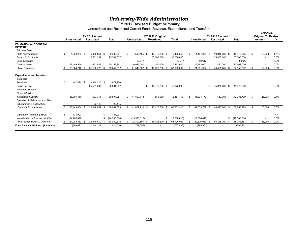#### **FY 2012 Revised Budget Summary**

Unrestricted and Restricted Current Funds Revenue, Expenditures, and Transfers

|                                                                                                                                                                                                                                                                  |                                                 |  |                                                                  |                                                               |           |                             |      |                                                |                                        |          |                                    |                                           |    |                                        | <b>CHANGE</b> |                                    |                              |
|------------------------------------------------------------------------------------------------------------------------------------------------------------------------------------------------------------------------------------------------------------------|-------------------------------------------------|--|------------------------------------------------------------------|---------------------------------------------------------------|-----------|-----------------------------|------|------------------------------------------------|----------------------------------------|----------|------------------------------------|-------------------------------------------|----|----------------------------------------|---------------|------------------------------------|------------------------------|
|                                                                                                                                                                                                                                                                  |                                                 |  | FY 2011 Actual                                                   |                                                               |           |                             |      | FY 2012 Original                               |                                        |          |                                    | FY 2012 Revised                           |    |                                        |               | <b>Original To Revised</b>         |                              |
|                                                                                                                                                                                                                                                                  | Unrestricted                                    |  | <b>Restricted</b>                                                | <b>Total</b>                                                  |           | <b>Unrestricted</b>         |      | <b>Restricted</b>                              | <b>Total</b>                           |          | <b>Unrestricted</b>                | <b>Restricted</b>                         |    | Total                                  |               | Amount                             | ℅                            |
| <b>EDUCATION AND GENERAL</b><br><b>Revenues</b>                                                                                                                                                                                                                  |                                                 |  |                                                                  |                                                               |           |                             |      |                                                |                                        |          |                                    |                                           |    |                                        |               |                                    |                              |
| Tuition & Fees                                                                                                                                                                                                                                                   |                                                 |  |                                                                  |                                                               |           |                             |      |                                                |                                        |          |                                    |                                           |    |                                        |               |                                    |                              |
| <b>State Appropriations</b>                                                                                                                                                                                                                                      | \$<br>4,384,283 \$                              |  | 5.008.551<br>- \$                                                | 9,392,834                                                     | -S        | 4,510,155 \$                |      | 10,945,200 \$                                  | 15,455,355                             |          | 4,497,355 \$                       | 10,945,200 \$                             |    | 15,442,555                             | \$            | (12,800)                           | $-0.1%$                      |
| Grants & Contracts                                                                                                                                                                                                                                               |                                                 |  | 25,501,337                                                       | 25,501,337                                                    |           |                             |      | 35,000,000                                     | 35,000,000                             |          |                                    | 35,000,000                                |    | 35,000,000                             |               | $\overline{\phantom{0}}$           | 0.0%                         |
| Sales & Service                                                                                                                                                                                                                                                  |                                                 |  |                                                                  |                                                               |           | 50,647                      |      |                                                | 50,647                                 |          | 50,647                             |                                           |    | 50,647                                 |               | ٠                                  | 0.0%                         |
| <b>Other Sources</b>                                                                                                                                                                                                                                             | 19.499.959                                      |  | 652,882                                                          | 20,152,841                                                    |           | 16,983,000                  |      | 480.000                                        | 17,463,000                             |          | 16,983,000                         | 480,000                                   |    | 17,463,000                             |               | $\overline{\phantom{a}}$           | $0.0\%$                      |
| <b>Total Revenues</b>                                                                                                                                                                                                                                            | 23,884,242 \$                                   |  | 31, 162, 770 \$                                                  | 55,047,012                                                    |           | 21,543,802                  | -9   | 46,425,200<br>- \$                             | 67,969,002                             |          | 21,531,002<br>- 3                  | 46,425,200                                |    | 67,956,202                             |               | (12, 800)                          | 0.0%                         |
| <b>Expenditures and Transfers</b><br>Instruction<br>Research<br><b>Public Service</b><br>Academic Support<br><b>Student Services</b><br><b>Institutional Support</b><br>Operation & Maintenance of Plant<br>Scholarships & Fellowships<br>Sub-total Expenditures | \$<br>147.424 \$<br>38,001,610<br>38,149,034 \$ |  | 3,830,526 \$<br>25,501,337<br>593,341<br>23,445<br>29,948,649 \$ | 3,977,950<br>25,501,337<br>38,594,951<br>23,445<br>68,097,683 | \$<br>\$. | 41,807,713<br>41,807,713 \$ | \$   | 45,875,200 \$<br>550,000<br>46,425,200<br>- \$ | 45,875,200<br>42,357,713<br>88,232,913 | \$<br>\$ | \$<br>41,833,779<br>41,833,779 \$  | 45,875,200 \$<br>550,000<br>46,425,200 \$ |    | 45,875,200<br>42,383,779<br>88,258,979 | \$<br>\$      | 26,066<br>26,066                   | 0.0%<br>0.1%<br>$0.0\%$      |
|                                                                                                                                                                                                                                                                  |                                                 |  |                                                                  |                                                               |           |                             |      |                                                |                                        |          |                                    |                                           |    |                                        |               |                                    |                              |
| Mandatory Transfers (In)/Out<br>Non-Mandatory Transfers (In)/Out<br><b>Total Expenditures &amp; Transfers</b>                                                                                                                                                    | 134.907<br>(14, 200, 078)<br>24,083,863 \$      |  | \$<br>29,948,649 \$                                              | 134,907<br>(14, 200, 078)<br>54,032,512                       |           | (19,506,816)<br>22,300,897  | - \$ | \$<br>46,425,200<br>- \$                       | (19,506,816)<br>68,726,097             |          | (19,506,816)<br>22,326,963<br>- \$ | 46,425,200 \$                             | £. | (19,506,816)<br>68,752,163             | \$            | $\overline{\phantom{0}}$<br>26,066 | <b>NA</b><br>0.0%<br>$0.0\%$ |
| Fund Balance Addition / (Reduction)                                                                                                                                                                                                                              | (199, 621)                                      |  | 1,214,121                                                        | 1,014,500                                                     |           | (757, 095)                  |      |                                                | (757, 095)                             |          | (795, 961)                         |                                           |    | (795, 961)                             |               |                                    |                              |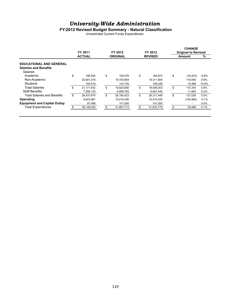#### **FY2012 Revised Budget Summary - Natural Classification**

Unrestricted Current Funds Expenditures

|                                     | FY 2011          | FY 2012          | FY 2012          | <b>CHANGE</b><br><b>Original to Revised</b> |            |         |  |
|-------------------------------------|------------------|------------------|------------------|---------------------------------------------|------------|---------|--|
|                                     | <b>ACTUAL</b>    | <b>ORIGINAL</b>  | <b>REVISED</b>   | <b>Amount</b>                               | %          |         |  |
| <b>EDUCATIONAL AND GENERAL</b>      |                  |                  |                  |                                             |            |         |  |
| <b>Salaries and Benefits</b>        |                  |                  |                  |                                             |            |         |  |
| <b>Salaries</b>                     |                  |                  |                  |                                             |            |         |  |
| Academic                            | \$<br>186.505    | \$<br>183.076    | \$<br>164.873    | \$                                          | (18, 203)  | $-9.9%$ |  |
| Non-Academic                        | 20.801.518       | 19,193,854       | 19.311.904       |                                             | 118,050    | 0.6%    |  |
| Students                            | 183,519          | 143,730          | 159,226          |                                             | 15,496     | 10.8%   |  |
| <b>Total Salaries</b>               | \$<br>21,171,542 | \$<br>19,520,660 | \$<br>19,636,003 | \$                                          | 115.343    | 0.6%    |  |
| <b>Staff Benefits</b>               | 7,266,133        | 6,669,763        | 6,681,446        |                                             | 11.683     | 0.2%    |  |
| Total Salaries and Benefits         | \$<br>28.437.674 | \$<br>26.190.423 | \$<br>26.317.449 | \$                                          | 127.026    | 0.5%    |  |
| Operating                           | 9,623,861        | 15,516,290       | 15,415,330       |                                             | (100, 960) | $-0.7%$ |  |
| <b>Equipment and Capital Outlay</b> | 87,498           | 101,000          | 101,000          |                                             |            | $0.0\%$ |  |
| <b>Total Expenditures</b>           | 38,149,034       | \$<br>41,807,713 | 41,833,779       | \$                                          | 26,066     | 0.1%    |  |
|                                     |                  |                  |                  |                                             |            |         |  |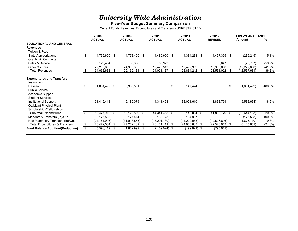### **Five-Year Budget Summary Comparison**

Current Funds Revenues, Expenditures and Transfers - UNRESTRICTED

|                                                                                     | FY 2008 |                |      | FY 2009       |      | FY 2010            |      | FY 2011         |      | FY 2012        |      | <b>FIVE-YEAR CHANGE</b> |            |  |
|-------------------------------------------------------------------------------------|---------|----------------|------|---------------|------|--------------------|------|-----------------|------|----------------|------|-------------------------|------------|--|
|                                                                                     |         | <b>ACTUAL</b>  |      | <b>ACTUAL</b> |      | <b>ACTUAL</b>      |      | <b>ACTUAL</b>   |      | <b>REVISED</b> |      | <b>Amount</b>           | %          |  |
| <b>EDUCATIONAL AND GENERAL</b>                                                      |         |                |      |               |      |                    |      |                 |      |                |      |                         |            |  |
| <b>Revenues</b>                                                                     |         |                |      |               |      |                    |      |                 |      |                |      |                         |            |  |
| <b>Tuition &amp; Fees</b>                                                           |         |                |      |               |      |                    |      |                 |      |                |      |                         |            |  |
| State Appropriations                                                                | \$      | 4,736,600 \$   |      | 4,773,400     | - \$ | 4,485,900 \$       |      | 4,384,283 \$    |      | 4,497,355 \$   |      | (239, 245)              | $-5.1%$    |  |
| Grants & Contracts                                                                  |         |                |      |               |      |                    |      |                 |      |                |      |                         |            |  |
| Sales & Service                                                                     |         | 126,404        |      | 88,366        |      | 56,973             |      |                 |      | 50,647         |      | (75, 757)               | -59.9%     |  |
| <b>Other Sources</b>                                                                |         | 29,205,680     |      | 24,303,365    |      | 19,478,313         |      | 19,499,959      |      | 16,983,000     |      | (12, 222, 680)          | -41.9%     |  |
| <b>Total Revenues</b>                                                               |         | 34,068,683     | - \$ | 29, 165, 131  | - \$ | 24,021,187         | S.   | 23,884,242 \$   |      | 21,531,002     | - \$ | (12, 537, 681)          | $-36.8%$   |  |
| <b>Expenditures and Transfers</b><br>Instruction                                    |         |                |      |               |      |                    |      |                 |      |                |      |                         |            |  |
| Research<br><b>Public Service</b><br>Academic Support<br><b>Student Services</b>    | \$      | 1,061,499 \$   |      | 8,938,501     |      |                    | \$   | 147,424         |      |                | \$   | (1,061,499)             | $-100.0\%$ |  |
| <b>Institutional Support</b><br>Op/Maint Physical Plant<br>Scholarships/Fellowships |         | 51,416,413     |      | 49,185,079    |      | 44,341,468         |      | 38,001,610      |      | 41,833,779     |      | (9,582,634)             | -18.6%     |  |
| Sub-total Expenditures                                                              |         | 52,477,912 \$  |      | 58, 123, 580  | - \$ | 44,341,468         | - \$ | 38,149,034      | - \$ | 41,833,779     | - \$ | (10,644,133)            | $-20.3%$   |  |
| Mandatory Transfers (In)/Out                                                        |         | 176,598        |      | 177,414       |      | 130,773            |      | 134,907         |      |                |      | (176, 598)              | $-100.0\%$ |  |
| Non Mandatory Transfers (In)/Out                                                    |         | (24, 181, 946) |      | (31,018,855)  |      | (18, 291, 130)     |      | (14, 200, 078)  |      | (19,506,816)   |      | 4,675,130               | $-19.3%$   |  |
| <b>Total Expenditures &amp; Transfers</b>                                           | \$      | 28,472,564     | - \$ | 27,282,139    | S    | 26,181,111         | S.   | 24,083,863      | - \$ | 22,326,963     | -\$  | (6, 145, 601)           | -21.6%     |  |
| <b>Fund Balance Addition/(Reduction)</b>                                            | \$      | 5,596,119 \$   |      | 1,882,992     | \$   | $(2, 159, 924)$ \$ |      | $(199, 621)$ \$ |      | (795, 961)     |      |                         |            |  |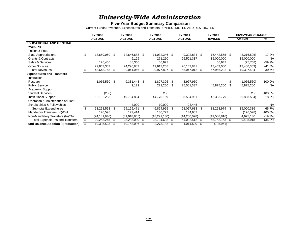#### **Five-Year Budget Summary Comparison**

Current Funds Revenues, Expenditures and Transfers - UNRESTRICTED AND RESTRICTED

|                                            | FY 2008             |      | FY 2009       |      | FY 2010        |      | FY 2011        |    | FY 2012        |      | <b>FIVE-YEAR CHANGE</b> |            |  |
|--------------------------------------------|---------------------|------|---------------|------|----------------|------|----------------|----|----------------|------|-------------------------|------------|--|
|                                            | <b>ACTUAL</b>       |      | <b>ACTUAL</b> |      | <b>ACTUAL</b>  |      | <b>ACTUAL</b>  |    | <b>REVISED</b> |      | Amount                  | %          |  |
| <b>EDUCATIONAL AND GENERAL</b>             |                     |      |               |      |                |      |                |    |                |      |                         |            |  |
| <b>Revenues</b>                            |                     |      |               |      |                |      |                |    |                |      |                         |            |  |
| <b>Tuition &amp; Fees</b>                  |                     |      |               |      |                |      |                |    |                |      |                         |            |  |
| <b>State Appropriations</b>                | \$<br>18,659,060 \$ |      | 14,646,688    | -\$  | 11,032,346 \$  |      | 9,392,834 \$   |    | 15,442,555     | - \$ | (3,216,505)             | $-17.2\%$  |  |
| <b>Grants &amp; Contracts</b>              |                     |      | 9,129         |      | 271,250        |      | 25,501,337     |    | 35,000,000     |      | 35,000,000              | <b>NA</b>  |  |
| Sales & Services                           | 126,405             |      | 88,366        |      | 56,973         |      |                |    | 50,647         |      | (75, 758)               | -59.9%     |  |
| <b>Other Sources</b>                       | 29,863,303          |      | 24,296,883    |      | 19,617,258     |      | 20,152,841     |    | 17,463,000     |      | (12, 400, 303)          | $-41.5%$   |  |
| <b>Total Revenues</b>                      | 48,648,768 \$       |      | 39,041,066    | - \$ | 30,977,827     | - \$ | 55,047,012 \$  |    | 67,956,202     | - \$ | 19,307,434              | 39.7%      |  |
| <b>Expenditures and Transfers</b>          |                     |      |               |      |                |      |                |    |                |      |                         |            |  |
| Instruction                                |                     |      |               |      |                |      |                |    |                |      |                         |            |  |
| Research                                   | 1,066,560 \$        |      | 9,331,448     | \$   | 1,807,326      | -S   | 3,977,950      |    |                | \$   | (1,066,560)             | $-100.0\%$ |  |
| <b>Public Service</b>                      |                     |      | 9,129         |      | 271,250        | \$   | 25,501,337     |    | 45,875,200     |      | 45,875,200              | <b>NA</b>  |  |
| Academic Support                           |                     |      |               |      |                |      |                |    |                |      |                         |            |  |
| <b>Student Services</b>                    | (250)               |      |               |      | 250            |      |                |    |                |      | 250                     | $-100.0\%$ |  |
| <b>Institutional Support</b>               | 52,192,283          |      | 49,784,894    |      | 44,776,169     |      | 38,594,951     |    | 42,383,779     |      | (9,808,504)             | $-18.8\%$  |  |
| Operation & Maintenance of Plant           |                     |      |               |      |                |      |                |    |                |      |                         |            |  |
| Scholarships & Fellowships                 |                     |      | 4,000         |      | 10,000         |      | 23,445         |    |                |      |                         | <b>NA</b>  |  |
| Sub-total Expenditures                     | \$<br>53,258,593 \$ |      | 59,129,471    | \$   | 46,864,995     | \$   | 68,097,683     | \$ | 88,258,979     | \$   | 35,000,386              | 65.7%      |  |
| Mandatory Transfers (In)/Out               | 176,598             |      | 177,414       |      | 130,773        |      | 134,907        |    |                |      | (176, 598)              | $-100.0\%$ |  |
| Non-Mandatory Transfers (In)/Out           | (24, 181, 946)      |      | (31,018,855)  |      | (18, 291, 130) |      | (14, 200, 078) |    | (19,506,816)   |      | 4,675,130               | $-19.3%$   |  |
| Total Expenditures and Transfers           | \$<br>29,253,245    | - \$ | 28,288,030    | S    | 28,704,638     | S    | 54,032,512     | S  | 68,752,163     | S    | 39,498,918              | 135.0%     |  |
| <b>Fund Balance Addition / (Reduction)</b> | \$<br>19,395,523 \$ |      | 10,753,036    | -S   | 2,273,188      | - \$ | 1,014,500 \$   |    | (795, 961)     |      |                         |            |  |